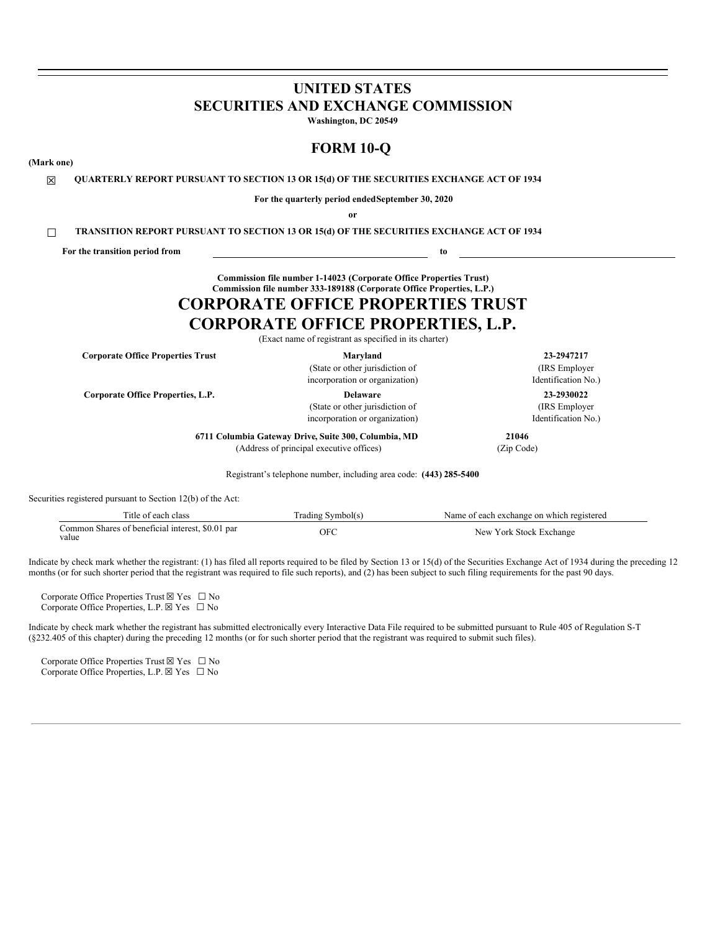# **UNITED STATES SECURITIES AND EXCHANGE COMMISSION**

**Washington, DC 20549**

# **FORM 10-Q**

## **(Mark one)**

☒ **QUARTERLY REPORT PURSUANT TO SECTION 13 OR 15(d) OF THE SECURITIES EXCHANGE ACT OF 1934**

**For the quarterly period endedSeptember 30, 2020**

**or**

☐ **TRANSITION REPORT PURSUANT TO SECTION 13 OR 15(d) OF THE SECURITIES EXCHANGE ACT OF 1934**

**For the transition period from to**

**Commission file number 1-14023 (Corporate Office Properties Trust) Commission file number 333-189188 (Corporate Office Properties, L.P.)**

# **CORPORATE OFFICE PROPERTIES TRUST**

**CORPORATE OFFICE PROPERTIES, L.P.**

(Exact name of registrant as specified in its charter)

**Corporate Office Properties Trust Maryland 23-2947217** 

(State or other jurisdiction of (IRS Employer incorporation or organization) Identification No.)

(State or other jurisdiction of (IRS Employer incorporation or organization) Identification No.)

**Corporate Office Properties, L.P. Delaware 23-2930022**

**6711 Columbia Gateway Drive, Suite 300, Columbia, MD 21046**

(Address of principal executive offices) (Zip Code)

Registrant's telephone number, including area code: **(443) 285-5400**

Securities registered pursuant to Section 12(b) of the Act:

| Title of each class                                       | Trading Svmbol(s) | Name of each exchange on which registered |
|-----------------------------------------------------------|-------------------|-------------------------------------------|
| Common Shares of beneficial interest, \$0.01 par<br>value | OFC               | New York Stock Exchange                   |

Indicate by check mark whether the registrant: (1) has filed all reports required to be filed by Section 13 or 15(d) of the Securities Exchange Act of 1934 during the preceding 12 months (or for such shorter period that the registrant was required to file such reports), and (2) has been subject to such filing requirements for the past 90 days.

Corporate Office Properties Trust ☒ Yes ☐ No Corporate Office Properties, L.P. ☒ Yes ☐ No

Indicate by check mark whether the registrant has submitted electronically every Interactive Data File required to be submitted pursuant to Rule 405 of Regulation S-T (§232.405 of this chapter) during the preceding 12 months (or for such shorter period that the registrant was required to submit such files).

Corporate Office Properties Trust ☒ Yes ☐ No Corporate Office Properties, L.P. ☒ Yes ☐ No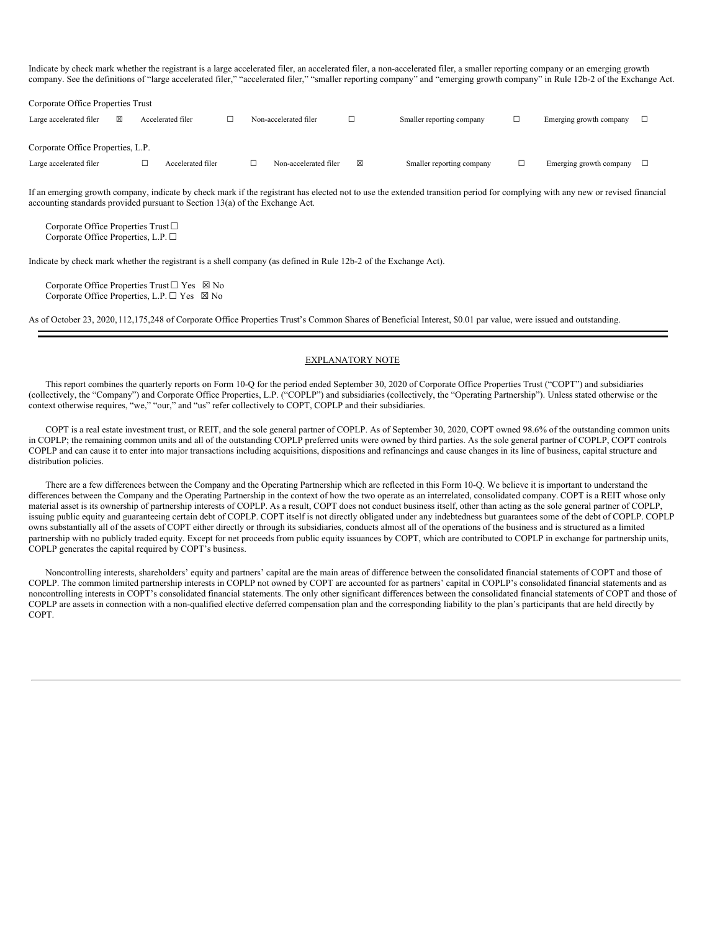Indicate by check mark whether the registrant is a large accelerated filer, an accelerated filer, a non-accelerated filer, a smaller reporting company or an emerging growth company. See the definitions of "large accelerated filer," "accelerated filer," "smaller reporting company" and "emerging growth company" in Rule 12b-2 of the Exchange Act.

| Corporate Office Properties Trust |   |                   |                       |   |                           |   |                         |  |
|-----------------------------------|---|-------------------|-----------------------|---|---------------------------|---|-------------------------|--|
| Large accelerated filer           | ⊠ | Accelerated filer | Non-accelerated filer |   | Smaller reporting company | ى | Emerging growth company |  |
| Corporate Office Properties, L.P. |   |                   |                       |   |                           |   |                         |  |
| Large accelerated filer           |   | Accelerated filer | Non-accelerated filer | X | Smaller reporting company |   | Emerging growth company |  |

If an emerging growth company, indicate by check mark if the registrant has elected not to use the extended transition period for complying with any new or revised financial accounting standards provided pursuant to Section 13(a) of the Exchange Act.

Corporate Office Properties Trust ☐ Corporate Office Properties, L.P. □

Indicate by check mark whether the registrant is a shell company (as defined in Rule 12b-2 of the Exchange Act).

Corporate Office Properties Trust ☐ Yes ☒ No Corporate Office Properties, L.P. ☐ Yes ☒ No

As of October 23, 2020,112,175,248 of Corporate Office Properties Trust's Common Shares of Beneficial Interest, \$0.01 par value, were issued and outstanding.

## EXPLANATORY NOTE

This report combines the quarterly reports on Form 10-Q for the period ended September 30, 2020 of Corporate Office Properties Trust ("COPT") and subsidiaries (collectively, the "Company") and Corporate Office Properties, L.P. ("COPLP") and subsidiaries (collectively, the "Operating Partnership"). Unless stated otherwise or the context otherwise requires, "we," "our," and "us" refer collectively to COPT, COPLP and their subsidiaries.

COPT is a real estate investment trust, or REIT, and the sole general partner of COPLP. As of September 30, 2020, COPT owned 98.6% of the outstanding common units in COPLP; the remaining common units and all of the outstanding COPLP preferred units were owned by third parties. As the sole general partner of COPLP, COPT controls COPLP and can cause it to enter into major transactions including acquisitions, dispositions and refinancings and cause changes in its line of business, capital structure and distribution policies.

There are a few differences between the Company and the Operating Partnership which are reflected in this Form 10-Q. We believe it is important to understand the differences between the Company and the Operating Partnership in the context of how the two operate as an interrelated, consolidated company. COPT is a REIT whose only material asset is its ownership of partnership interests of COPLP. As a result, COPT does not conduct business itself, other than acting as the sole general partner of COPLP, issuing public equity and guaranteeing certain debt of COPLP. COPT itself is not directly obligated under any indebtedness but guarantees some of the debt of COPLP. COPLP owns substantially all of the assets of COPT either directly or through its subsidiaries, conducts almost all of the operations of the business and is structured as a limited partnership with no publicly traded equity. Except for net proceeds from public equity issuances by COPT, which are contributed to COPLP in exchange for partnership units, COPLP generates the capital required by COPT's business.

Noncontrolling interests, shareholders' equity and partners' capital are the main areas of difference between the consolidated financial statements of COPT and those of COPLP. The common limited partnership interests in COPLP not owned by COPT are accounted for as partners' capital in COPLP's consolidated financial statements and as noncontrolling interests in COPT's consolidated financial statements. The only other significant differences between the consolidated financial statements of COPT and those of COPLP are assets in connection with a non-qualified elective deferred compensation plan and the corresponding liability to the plan's participants that are held directly by COPT.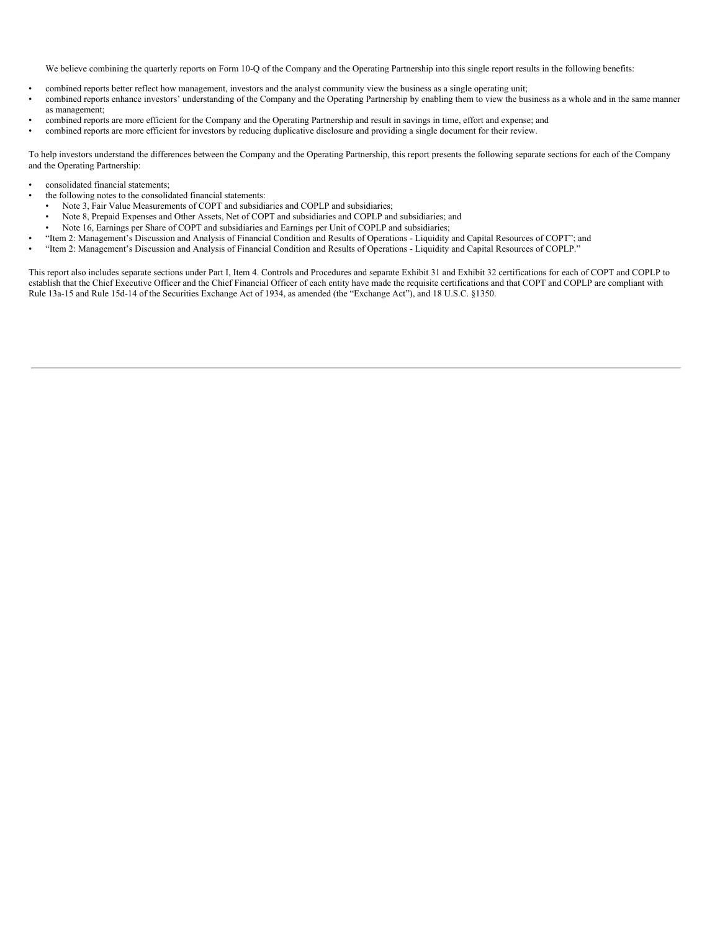We believe combining the quarterly reports on Form 10-Q of the Company and the Operating Partnership into this single report results in the following benefits:

- combined reports better reflect how management, investors and the analyst community view the business as a single operating unit;
- combined reports enhance investors' understanding of the Company and the Operating Partnership by enabling them to view the business as a whole and in the same manner as management;
- combined reports are more efficient for the Company and the Operating Partnership and result in savings in time, effort and expense; and
- combined reports are more efficient for investors by reducing duplicative disclosure and providing a single document for their review.

To help investors understand the differences between the Company and the Operating Partnership, this report presents the following separate sections for each of the Company and the Operating Partnership:

- consolidated financial statements;
- the following notes to the consolidated financial statements:
	- Note 3, Fair Value Measurements of COPT and subsidiaries and COPLP and subsidiaries;
	- Note 8, Prepaid Expenses and Other Assets, Net of COPT and subsidiaries and COPLP and subsidiaries; and
- Note 16, Earnings per Share of COPT and subsidiaries and Earnings per Unit of COPLP and subsidiaries;
- "Item 2: Management's Discussion and Analysis of Financial Condition and Results of Operations Liquidity and Capital Resources of COPT"; and
- "Item 2: Management's Discussion and Analysis of Financial Condition and Results of Operations Liquidity and Capital Resources of COPLP."

This report also includes separate sections under Part I, Item 4. Controls and Procedures and separate Exhibit 31 and Exhibit 32 certifications for each of COPT and COPLP to establish that the Chief Executive Officer and the Chief Financial Officer of each entity have made the requisite certifications and that COPT and COPLP are compliant with Rule 13a-15 and Rule 15d-14 of the Securities Exchange Act of 1934, as amended (the "Exchange Act"), and 18 U.S.C. §1350.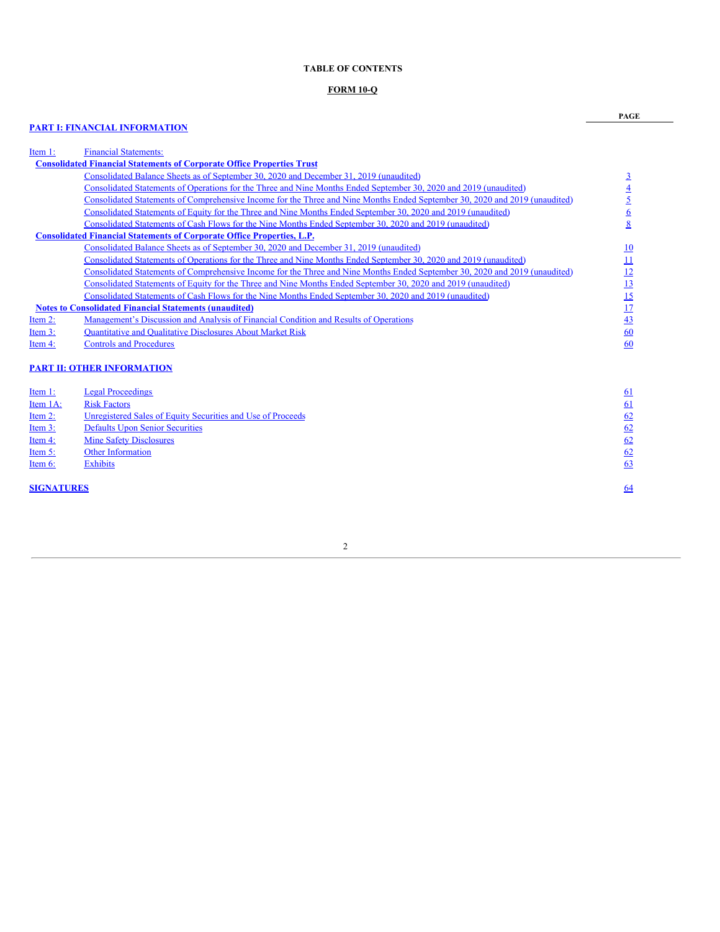## **TABLE OF CONTENTS**

## **FORM 10-Q**

## **PART I: FINANCIAL [INFORMATION](#page-3-0)**

**PAGE**

| Item 1:    | <b>Financial Statements:</b>                                                                                                |                  |
|------------|-----------------------------------------------------------------------------------------------------------------------------|------------------|
|            | <b>Consolidated Financial Statements of Corporate Office Properties Trust</b>                                               |                  |
|            | Consolidated Balance Sheets as of September 30, 2020 and December 31, 2019 (unaudited)                                      | <u>3</u>         |
|            | Consolidated Statements of Operations for the Three and Nine Months Ended September 30, 2020 and 2019 (unaudited)           | $\overline{4}$   |
|            | Consolidated Statements of Comprehensive Income for the Three and Nine Months Ended September 30, 2020 and 2019 (unaudited) | $\overline{2}$   |
|            | Consolidated Statements of Equity for the Three and Nine Months Ended September 30, 2020 and 2019 (unaudited)               | $6 \overline{6}$ |
|            | Consolidated Statements of Cash Flows for the Nine Months Ended September 30, 2020 and 2019 (unaudited)                     | $\underline{8}$  |
|            | <b>Consolidated Financial Statements of Corporate Office Properties, L.P.</b>                                               |                  |
|            | Consolidated Balance Sheets as of September 30, 2020 and December 31, 2019 (unaudited)                                      | <u>10</u>        |
|            | Consolidated Statements of Operations for the Three and Nine Months Ended September 30, 2020 and 2019 (unaudited)           | $\overline{11}$  |
|            | Consolidated Statements of Comprehensive Income for the Three and Nine Months Ended September 30, 2020 and 2019 (unaudited) | 12               |
|            | Consolidated Statements of Equity for the Three and Nine Months Ended September 30, 2020 and 2019 (unaudited)               | <u>13</u>        |
|            | Consolidated Statements of Cash Flows for the Nine Months Ended September 30, 2020 and 2019 (unaudited)                     | 15               |
|            | <b>Notes to Consolidated Financial Statements (unaudited)</b>                                                               | 17               |
| Item $2$ : | Management's Discussion and Analysis of Financial Condition and Results of Operations                                       | 43               |
| Item $3$ : | <b>Quantitative and Qualitative Disclosures About Market Risk</b>                                                           | 60               |
| Item 4:    | <b>Controls and Procedures</b>                                                                                              | 60               |
|            | <b>PART II: OTHER INFORMATION</b>                                                                                           |                  |
| Item 1:    | <b>Legal Proceedings</b>                                                                                                    | <u>61</u>        |
| Item 1A:   | <b>Risk Factors</b>                                                                                                         | 61               |

| Item 2:    | Unregistered Sales of Equity Securities and Use of Proceeds | <u>62</u> |
|------------|-------------------------------------------------------------|-----------|
| Item $3:$  | <b>Defaults Upon Senior Securities</b>                      | 62        |
| Item 4:    | <b>Mine Safety Disclosures</b>                              | 62        |
| Item $5$ : | <b>Other Information</b>                                    | 62        |
| Item 6:    | <b>Exhibits</b>                                             | 63        |
|            |                                                             |           |

<span id="page-3-0"></span>**[SIGNATURES](#page-64-0)** [64](#page-64-0)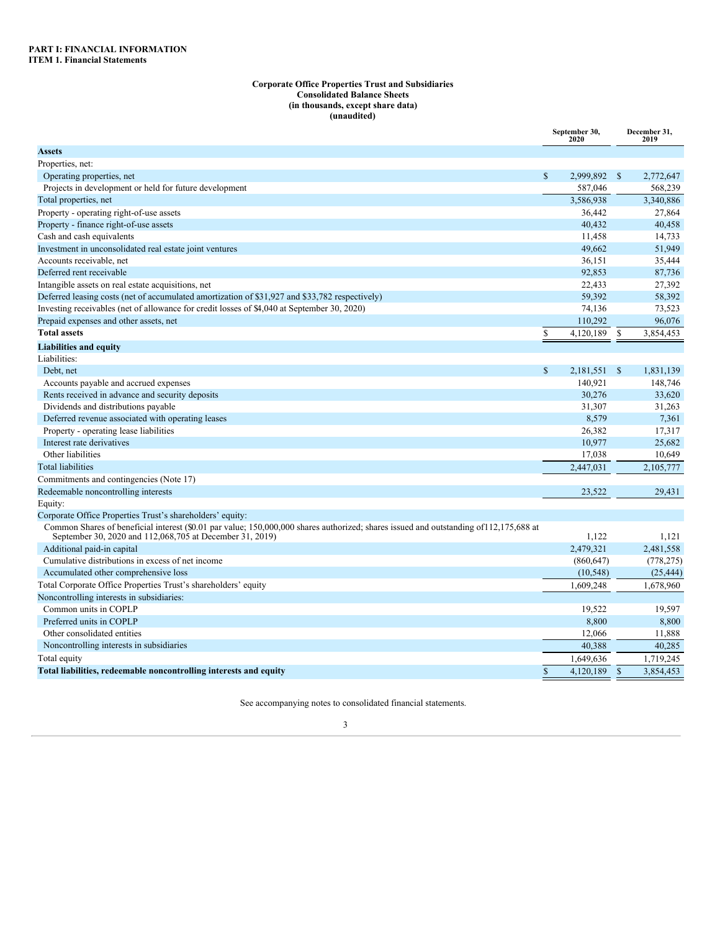## **Corporate Office Properties Trust and Subsidiaries Consolidated Balance Sheets (in thousands, except share data) (unaudited)**

<span id="page-4-2"></span><span id="page-4-1"></span><span id="page-4-0"></span>

|                                                                                                                                                                                                    | September 30,<br>2020 |            |               | December 31,<br>2019 |  |  |
|----------------------------------------------------------------------------------------------------------------------------------------------------------------------------------------------------|-----------------------|------------|---------------|----------------------|--|--|
| <b>Assets</b>                                                                                                                                                                                      |                       |            |               |                      |  |  |
| Properties, net:                                                                                                                                                                                   |                       |            |               |                      |  |  |
| Operating properties, net                                                                                                                                                                          | $\mathbb{S}$          | 2,999,892  | <sup>S</sup>  | 2,772,647            |  |  |
| Projects in development or held for future development                                                                                                                                             |                       | 587,046    |               | 568,239              |  |  |
| Total properties, net                                                                                                                                                                              |                       | 3,586,938  |               | 3,340,886            |  |  |
| Property - operating right-of-use assets                                                                                                                                                           |                       | 36,442     |               | 27,864               |  |  |
| Property - finance right-of-use assets                                                                                                                                                             |                       | 40,432     |               | 40,458               |  |  |
| Cash and cash equivalents                                                                                                                                                                          |                       | 11,458     |               | 14,733               |  |  |
| Investment in unconsolidated real estate joint ventures                                                                                                                                            |                       | 49,662     |               | 51,949               |  |  |
| Accounts receivable, net                                                                                                                                                                           |                       | 36.151     |               | 35,444               |  |  |
| Deferred rent receivable                                                                                                                                                                           |                       | 92,853     |               | 87,736               |  |  |
| Intangible assets on real estate acquisitions, net                                                                                                                                                 |                       | 22,433     |               | 27,392               |  |  |
| Deferred leasing costs (net of accumulated amortization of \$31,927 and \$33,782 respectively)                                                                                                     |                       | 59,392     |               | 58,392               |  |  |
| Investing receivables (net of allowance for credit losses of \$4,040 at September 30, 2020)                                                                                                        |                       | 74,136     |               | 73,523               |  |  |
| Prepaid expenses and other assets, net                                                                                                                                                             |                       | 110,292    |               | 96,076               |  |  |
| <b>Total assets</b>                                                                                                                                                                                | \$                    | 4,120,189  | <sup>\$</sup> | 3,854,453            |  |  |
| <b>Liabilities and equity</b>                                                                                                                                                                      |                       |            |               |                      |  |  |
| Liabilities:                                                                                                                                                                                       |                       |            |               |                      |  |  |
| Debt. net                                                                                                                                                                                          | $\mathbf S$           | 2,181,551  | $\mathbb{S}$  | 1,831,139            |  |  |
| Accounts payable and accrued expenses                                                                                                                                                              |                       | 140,921    |               | 148,746              |  |  |
| Rents received in advance and security deposits                                                                                                                                                    |                       | 30,276     |               | 33,620               |  |  |
| Dividends and distributions payable                                                                                                                                                                |                       | 31,307     |               | 31,263               |  |  |
| Deferred revenue associated with operating leases                                                                                                                                                  |                       | 8,579      |               | 7,361                |  |  |
| Property - operating lease liabilities                                                                                                                                                             |                       | 26,382     |               | 17,317               |  |  |
| Interest rate derivatives                                                                                                                                                                          |                       | 10,977     |               | 25,682               |  |  |
| Other liabilities                                                                                                                                                                                  |                       | 17,038     |               | 10,649               |  |  |
| <b>Total liabilities</b>                                                                                                                                                                           |                       | 2,447,031  |               | 2,105,777            |  |  |
| Commitments and contingencies (Note 17)                                                                                                                                                            |                       |            |               |                      |  |  |
| Redeemable noncontrolling interests                                                                                                                                                                |                       | 23,522     |               | 29.431               |  |  |
| Equity:                                                                                                                                                                                            |                       |            |               |                      |  |  |
| Corporate Office Properties Trust's shareholders' equity:                                                                                                                                          |                       |            |               |                      |  |  |
| Common Shares of beneficial interest (\$0.01 par value; 150,000,000 shares authorized; shares issued and outstanding of 112,175,688 at<br>September 30, 2020 and 112,068,705 at December 31, 2019) |                       | 1,122      |               | 1,121                |  |  |
| Additional paid-in capital                                                                                                                                                                         |                       | 2,479,321  |               | 2,481,558            |  |  |
| Cumulative distributions in excess of net income                                                                                                                                                   |                       | (860, 647) |               | (778, 275)           |  |  |
| Accumulated other comprehensive loss                                                                                                                                                               |                       | (10, 548)  |               | (25, 444)            |  |  |
| Total Corporate Office Properties Trust's shareholders' equity                                                                                                                                     |                       | 1,609,248  |               | 1,678,960            |  |  |
| Noncontrolling interests in subsidiaries:                                                                                                                                                          |                       |            |               |                      |  |  |
| Common units in COPLP                                                                                                                                                                              |                       | 19,522     |               | 19,597               |  |  |
| Preferred units in COPLP                                                                                                                                                                           |                       | 8,800      |               | 8,800                |  |  |
| Other consolidated entities                                                                                                                                                                        |                       | 12,066     |               | 11,888               |  |  |
| Noncontrolling interests in subsidiaries                                                                                                                                                           |                       | 40,388     |               | 40,285               |  |  |
| Total equity                                                                                                                                                                                       |                       | 1,649,636  |               | 1,719,245            |  |  |
| Total liabilities, redeemable noncontrolling interests and equity                                                                                                                                  | $\mathbb{S}$          | 4.120.189  | <sup>S</sup>  | 3,854,453            |  |  |
|                                                                                                                                                                                                    |                       |            |               |                      |  |  |

<span id="page-4-3"></span>See accompanying notes to consolidated financial statements.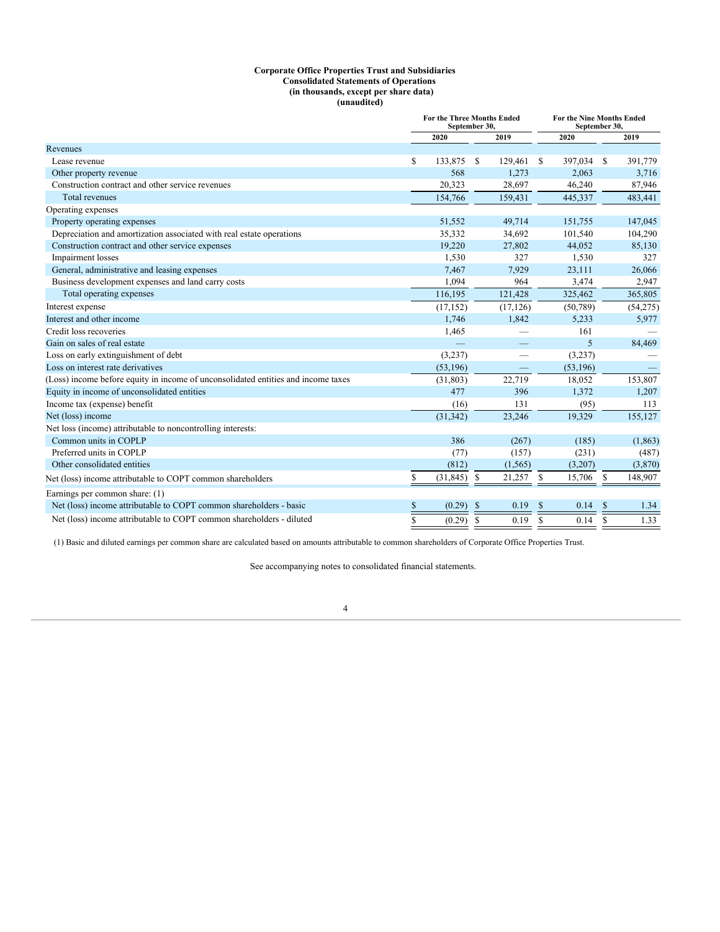## **Corporate Office Properties Trust and Subsidiaries Consolidated Statements of Operations (in thousands, except per share data) (unaudited)**

|                                                                                   | For the Three Months Ended<br>September 30, |           |               |           |               | For the Nine Months Ended<br>September 30, |               |          |  |
|-----------------------------------------------------------------------------------|---------------------------------------------|-----------|---------------|-----------|---------------|--------------------------------------------|---------------|----------|--|
|                                                                                   | 2020                                        |           | 2019          |           |               | 2020                                       |               | 2019     |  |
| Revenues                                                                          |                                             |           |               |           |               |                                            |               |          |  |
| Lease revenue                                                                     | S                                           | 133,875   | <sup>\$</sup> | 129,461   | <sup>\$</sup> | 397,034                                    | $\mathbf S$   | 391,779  |  |
| Other property revenue                                                            |                                             | 568       |               | 1,273     |               | 2,063                                      |               | 3,716    |  |
| Construction contract and other service revenues                                  |                                             | 20,323    |               | 28,697    |               | 46,240                                     |               | 87,946   |  |
| <b>Total revenues</b>                                                             |                                             | 154,766   |               | 159,431   |               | 445,337                                    |               | 483,441  |  |
| Operating expenses                                                                |                                             |           |               |           |               |                                            |               |          |  |
| Property operating expenses                                                       |                                             | 51,552    |               | 49,714    |               | 151,755                                    |               | 147,045  |  |
| Depreciation and amortization associated with real estate operations              |                                             | 35,332    |               | 34,692    |               | 101,540                                    |               | 104,290  |  |
| Construction contract and other service expenses                                  |                                             | 19,220    |               | 27,802    |               | 44,052                                     |               | 85,130   |  |
| Impairment losses                                                                 |                                             | 1,530     |               | 327       |               | 1,530                                      |               | 327      |  |
| General, administrative and leasing expenses                                      |                                             | 7,467     |               | 7,929     |               | 23,111                                     |               | 26,066   |  |
| Business development expenses and land carry costs                                |                                             | 1,094     |               | 964       |               | 3,474                                      |               | 2,947    |  |
| Total operating expenses                                                          |                                             | 116,195   |               | 121,428   |               | 325,462                                    |               | 365,805  |  |
| Interest expense                                                                  |                                             | (17, 152) |               | (17, 126) |               | (50, 789)                                  |               | (54,275) |  |
| Interest and other income                                                         |                                             | 1,746     |               | 1.842     |               | 5.233                                      |               | 5,977    |  |
| Credit loss recoveries                                                            |                                             | 1,465     |               |           |               | 161                                        |               |          |  |
| Gain on sales of real estate                                                      |                                             |           |               |           |               | 5                                          |               | 84,469   |  |
| Loss on early extinguishment of debt                                              |                                             | (3,237)   |               |           |               | (3,237)                                    |               |          |  |
| Loss on interest rate derivatives                                                 |                                             | (53, 196) |               |           |               | (53, 196)                                  |               |          |  |
| (Loss) income before equity in income of unconsolidated entities and income taxes |                                             | (31, 803) |               | 22,719    |               | 18,052                                     |               | 153,807  |  |
| Equity in income of unconsolidated entities                                       |                                             | 477       |               | 396       |               | 1,372                                      |               | 1,207    |  |
| Income tax (expense) benefit                                                      |                                             | (16)      |               | 131       |               | (95)                                       |               | 113      |  |
| Net (loss) income                                                                 |                                             | (31, 342) |               | 23,246    |               | 19,329                                     |               | 155,127  |  |
| Net loss (income) attributable to noncontrolling interests:                       |                                             |           |               |           |               |                                            |               |          |  |
| Common units in COPLP                                                             |                                             | 386       |               | (267)     |               | (185)                                      |               | (1, 863) |  |
| Preferred units in COPLP                                                          |                                             | (77)      |               | (157)     |               | (231)                                      |               | (487)    |  |
| Other consolidated entities                                                       |                                             | (812)     |               | (1, 565)  |               | (3,207)                                    |               | (3,870)  |  |
| Net (loss) income attributable to COPT common shareholders                        | \$                                          | (31, 845) | S.            | 21,257    | \$            | 15,706                                     | S             | 148,907  |  |
| Earnings per common share: (1)                                                    |                                             |           |               |           |               |                                            |               |          |  |
| Net (loss) income attributable to COPT common shareholders - basic                | \$                                          | (0.29)    | <sup>\$</sup> | 0.19      | $\mathbb{S}$  | 0.14                                       | $\mathbf S$   | 1.34     |  |
| Net (loss) income attributable to COPT common shareholders - diluted              | \$                                          | (0.29)    | \$            | 0.19      | \$            | 0.14                                       | <sup>\$</sup> | 1.33     |  |

<span id="page-5-0"></span>(1) Basic and diluted earnings per common share are calculated based on amounts attributable to common shareholders of Corporate Office Properties Trust.

See accompanying notes to consolidated financial statements.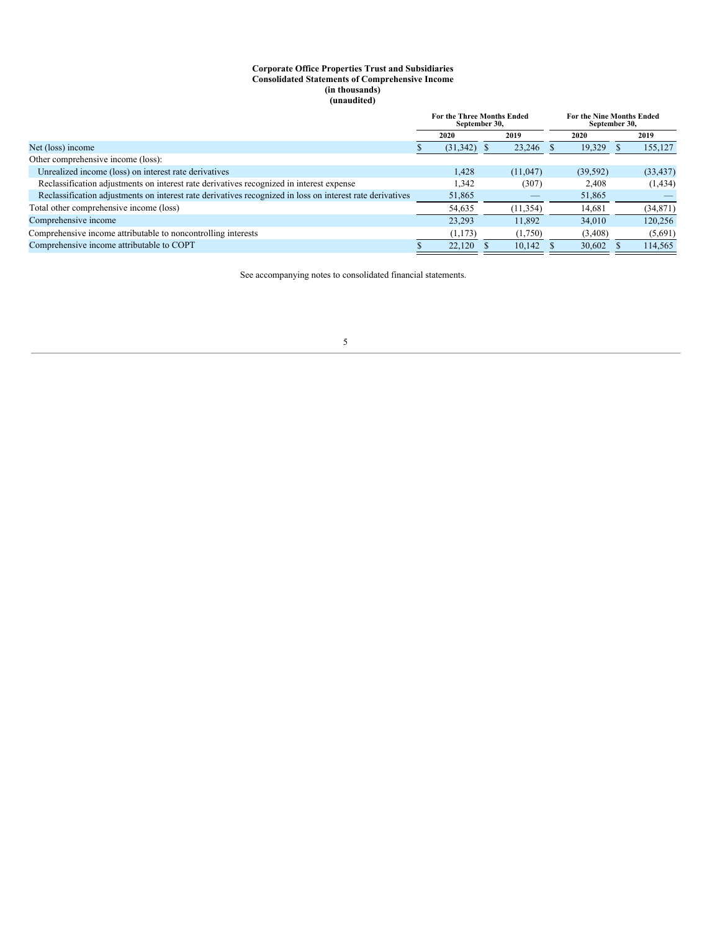#### **Corporate Office Properties Trust and Subsidiaries Consolidated Statements of Comprehensive Income (in thousands) (unaudited)**

|                                                                                                           | <b>For the Three Months Ended</b><br>September 30, |               |  |           |  |           | <b>For the Nine Months Ended</b><br>September 30, |           |  |
|-----------------------------------------------------------------------------------------------------------|----------------------------------------------------|---------------|--|-----------|--|-----------|---------------------------------------------------|-----------|--|
|                                                                                                           |                                                    | 2020          |  | 2019      |  | 2020      |                                                   | 2019      |  |
| Net (loss) income                                                                                         |                                                    | $(31,342)$ \$ |  | 23,246    |  | 19,329    |                                                   | 155,127   |  |
| Other comprehensive income (loss):                                                                        |                                                    |               |  |           |  |           |                                                   |           |  |
| Unrealized income (loss) on interest rate derivatives                                                     |                                                    | 1.428         |  | (11,047)  |  | (39, 592) |                                                   | (33, 437) |  |
| Reclassification adjustments on interest rate derivatives recognized in interest expense                  |                                                    | 1,342         |  | (307)     |  | 2,408     |                                                   | (1, 434)  |  |
| Reclassification adjustments on interest rate derivatives recognized in loss on interest rate derivatives |                                                    | 51,865        |  |           |  | 51,865    |                                                   |           |  |
| Total other comprehensive income (loss)                                                                   |                                                    | 54,635        |  | (11, 354) |  | 14,681    |                                                   | (34, 871) |  |
| Comprehensive income                                                                                      |                                                    | 23.293        |  | 11,892    |  | 34,010    |                                                   | 120,256   |  |
| Comprehensive income attributable to noncontrolling interests                                             |                                                    | (1, 173)      |  | (1,750)   |  | (3,408)   |                                                   | (5,691)   |  |
| Comprehensive income attributable to COPT                                                                 |                                                    | 22,120        |  | 10.142    |  | 30,602    |                                                   | 114,565   |  |

<span id="page-6-0"></span>See accompanying notes to consolidated financial statements.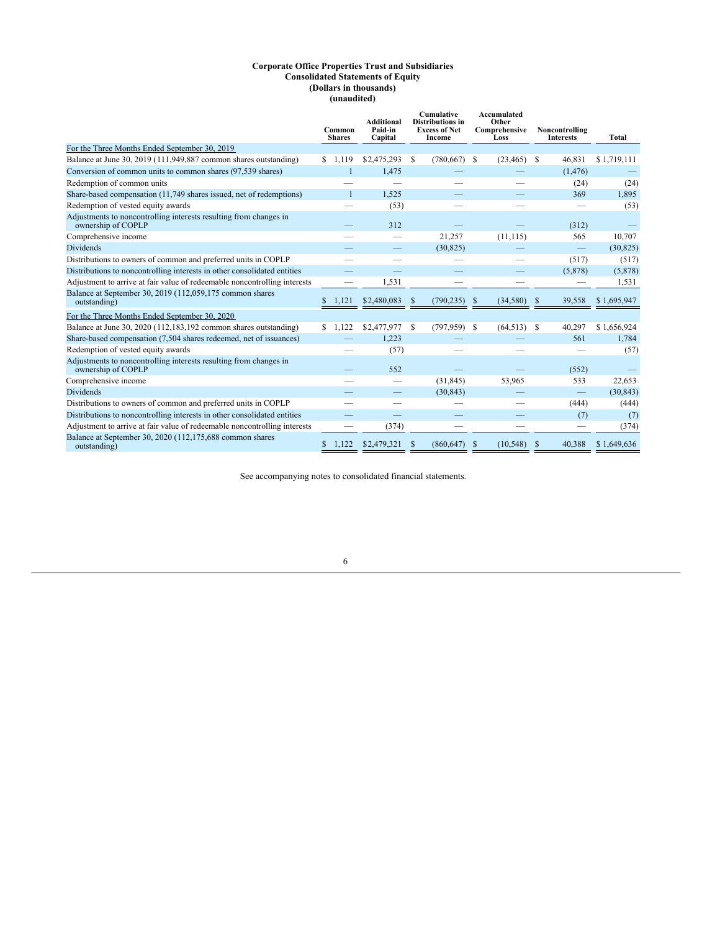#### **Corporate Office Properties Trust and Subsidiaries Consolidated Statements of Equity (Dollars in thousands) (unaudited)**

|                                                                                         | Common<br><b>Shares</b>  | <b>Additional</b><br>Paid-in<br>Capital | Cumulative<br><b>Distributions</b> in<br><b>Excess of Net</b><br>Income | Accumulated<br>Other<br>Comprehensive<br>Loss | Noncontrolling<br><b>Interests</b> | <b>Total</b> |
|-----------------------------------------------------------------------------------------|--------------------------|-----------------------------------------|-------------------------------------------------------------------------|-----------------------------------------------|------------------------------------|--------------|
| For the Three Months Ended September 30, 2019                                           |                          |                                         |                                                                         |                                               |                                    |              |
| Balance at June 30, 2019 (111,949,887 common shares outstanding)                        | S<br>1.119               | \$2,475,293                             | -S<br>(780, 667)                                                        | -S<br>(23, 465)                               | 46.831<br>S                        | \$1,719,111  |
| Conversion of common units to common shares (97,539 shares)                             |                          | 1,475                                   |                                                                         |                                               | (1, 476)                           |              |
| Redemption of common units                                                              |                          |                                         |                                                                         |                                               | (24)                               | (24)         |
| Share-based compensation (11,749 shares issued, net of redemptions)                     |                          | 1.525                                   |                                                                         |                                               | 369                                | 1,895        |
| Redemption of vested equity awards                                                      |                          | (53)                                    |                                                                         |                                               |                                    | (53)         |
| Adjustments to noncontrolling interests resulting from changes in<br>ownership of COPLP |                          | 312                                     |                                                                         |                                               | (312)                              |              |
| Comprehensive income                                                                    |                          |                                         | 21,257                                                                  | (11, 115)                                     | 565                                | 10,707       |
| <b>Dividends</b>                                                                        |                          |                                         | (30, 825)                                                               |                                               |                                    | (30, 825)    |
| Distributions to owners of common and preferred units in COPLP                          |                          |                                         |                                                                         |                                               | (517)                              | (517)        |
| Distributions to noncontrolling interests in other consolidated entities                |                          |                                         |                                                                         |                                               | (5,878)                            | (5,878)      |
| Adjustment to arrive at fair value of redeemable noncontrolling interests               | $\overline{\phantom{a}}$ | 1,531                                   |                                                                         |                                               |                                    | 1,531        |
| Balance at September 30, 2019 (112,059,175 common shares<br>outstanding)                | 1,121<br>S               | \$2,480,083                             | (790, 235)<br>S                                                         | (34,580)<br><sup>\$</sup>                     | 39,558<br>S                        | \$1,695,947  |
| For the Three Months Ended September 30, 2020                                           |                          |                                         |                                                                         |                                               |                                    |              |
| Balance at June 30, 2020 (112,183,192 common shares outstanding)                        | S<br>.122                | \$2,477,977                             | \$<br>(797, 959)                                                        | (64, 513)<br>-S                               | 40,297<br>S                        | \$1,656,924  |
| Share-based compensation (7,504 shares redeemed, net of issuances)                      |                          | 1,223                                   |                                                                         |                                               | 561                                | 1,784        |
| Redemption of vested equity awards                                                      |                          | (57)                                    |                                                                         |                                               |                                    | (57)         |
| Adjustments to noncontrolling interests resulting from changes in<br>ownership of COPLP |                          | 552                                     |                                                                         |                                               | (552)                              |              |
| Comprehensive income                                                                    |                          |                                         | (31, 845)                                                               | 53,965                                        | 533                                | 22,653       |
| <b>Dividends</b>                                                                        |                          |                                         | (30, 843)                                                               |                                               |                                    | (30, 843)    |
| Distributions to owners of common and preferred units in COPLP                          |                          |                                         |                                                                         |                                               | (444)                              | (444)        |
| Distributions to noncontrolling interests in other consolidated entities                |                          |                                         |                                                                         |                                               | (7)                                | (7)          |
| Adjustment to arrive at fair value of redeemable noncontrolling interests               |                          | (374)                                   |                                                                         |                                               |                                    | (374)        |
| Balance at September 30, 2020 (112,175,688 common shares<br>outstanding)                | 1.122                    | \$2,479,321                             | \$<br>(860, 647)                                                        | (10, 548)<br>S                                | 40,388<br>S                        | \$1,649,636  |

See accompanying notes to consolidated financial statements.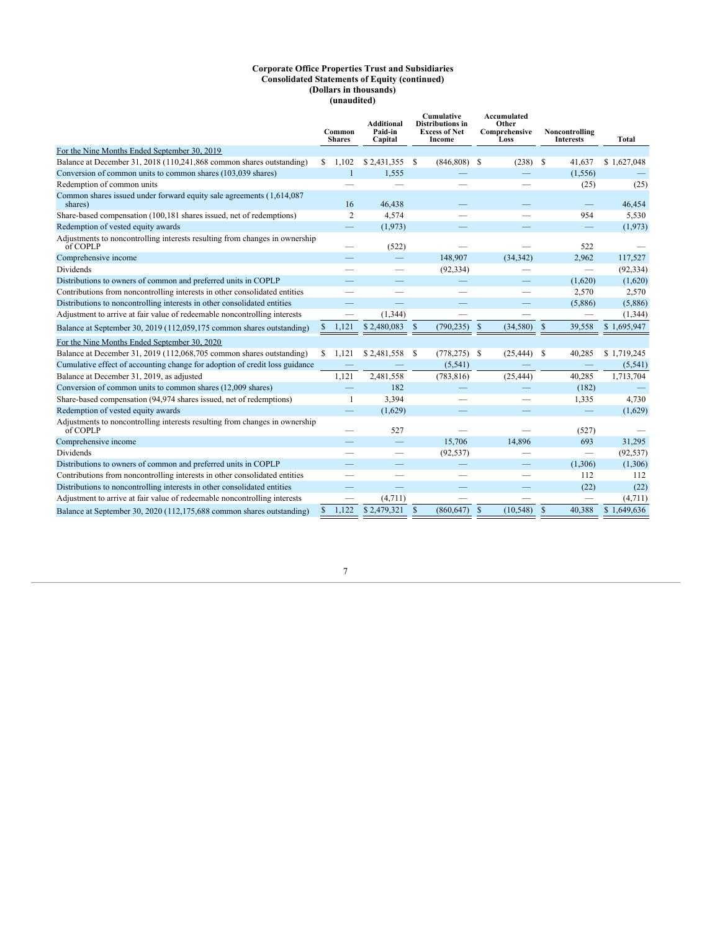### **Corporate Office Properties Trust and Subsidiaries Consolidated Statements of Equity (continued) (Dollars in thousands) (unaudited)**

<span id="page-8-0"></span>

|                                                                                         | Common<br><b>Shares</b> |                | Additional<br>Paid-in<br>Capital |               | Cumulative<br><b>Distributions in</b><br><b>Excess of Net</b><br>Income |              | Accumulated<br>Other<br>Comprehensive<br>Loss |               | Noncontrolling<br><b>Interests</b> | Total       |
|-----------------------------------------------------------------------------------------|-------------------------|----------------|----------------------------------|---------------|-------------------------------------------------------------------------|--------------|-----------------------------------------------|---------------|------------------------------------|-------------|
| For the Nine Months Ended September 30, 2019                                            |                         |                |                                  |               |                                                                         |              |                                               |               |                                    |             |
| Balance at December 31, 2018 (110,241,868 common shares outstanding)                    | S                       | 1.102          | \$2,431,355                      | <sup>\$</sup> | (846, 808)                                                              | S            | (238)                                         | \$            | 41,637                             | \$1,627,048 |
| Conversion of common units to common shares (103,039 shares)                            |                         | 1              | 1,555                            |               |                                                                         |              |                                               |               | (1, 556)                           |             |
| Redemption of common units                                                              |                         |                |                                  |               |                                                                         |              |                                               |               | (25)                               | (25)        |
| Common shares issued under forward equity sale agreements (1,614,087)<br>shares)        |                         | 16             | 46,438                           |               |                                                                         |              |                                               |               |                                    | 46,454      |
| Share-based compensation (100,181 shares issued, net of redemptions)                    |                         | $\overline{c}$ | 4,574                            |               |                                                                         |              |                                               |               | 954                                | 5,530       |
| Redemption of vested equity awards                                                      |                         |                | (1,973)                          |               |                                                                         |              |                                               |               |                                    | (1, 973)    |
| Adjustments to noncontrolling interests resulting from changes in ownership<br>of COPLP |                         |                | (522)                            |               |                                                                         |              |                                               |               | 522                                |             |
| Comprehensive income                                                                    |                         |                | $\equiv$                         |               | 148,907                                                                 |              | (34, 342)                                     |               | 2,962                              | 117,527     |
| Dividends                                                                               |                         |                |                                  |               | (92, 334)                                                               |              |                                               |               |                                    | (92, 334)   |
| Distributions to owners of common and preferred units in COPLP                          |                         |                |                                  |               |                                                                         |              |                                               |               | (1,620)                            | (1,620)     |
| Contributions from noncontrolling interests in other consolidated entities              |                         |                |                                  |               |                                                                         |              |                                               |               | 2,570                              | 2,570       |
| Distributions to noncontrolling interests in other consolidated entities                |                         |                |                                  |               |                                                                         |              |                                               |               | (5,886)                            | (5,886)     |
| Adjustment to arrive at fair value of redeemable noncontrolling interests               |                         |                | (1, 344)                         |               |                                                                         |              |                                               |               |                                    | (1, 344)    |
| Balance at September 30, 2019 (112,059,175 common shares outstanding)                   | \$                      | 1,121          | \$2,480,083                      | <sup>\$</sup> | (790, 235)                                                              | $\mathbb{S}$ | (34,580)                                      | $\mathcal{S}$ | 39,558                             | \$1,695,947 |
| For the Nine Months Ended September 30, 2020                                            |                         |                |                                  |               |                                                                         |              |                                               |               |                                    |             |
| Balance at December 31, 2019 (112,068,705 common shares outstanding)                    | \$                      | 1,121          | \$2,481,558                      | <sup>\$</sup> | (778, 275)                                                              | \$           | (25, 444)                                     | \$            | 40,285                             | \$1,719,245 |
| Cumulative effect of accounting change for adoption of credit loss guidance             |                         |                |                                  |               | (5, 541)                                                                |              |                                               |               |                                    | (5, 541)    |
| Balance at December 31, 2019, as adjusted                                               |                         | 1,121          | 2,481,558                        |               | (783, 816)                                                              |              | (25, 444)                                     |               | 40,285                             | 1,713,704   |
| Conversion of common units to common shares (12,009 shares)                             |                         |                | 182                              |               |                                                                         |              |                                               |               | (182)                              |             |
| Share-based compensation (94,974 shares issued, net of redemptions)                     |                         | 1              | 3,394                            |               |                                                                         |              |                                               |               | 1,335                              | 4,730       |
| Redemption of vested equity awards                                                      |                         |                | (1,629)                          |               |                                                                         |              |                                               |               |                                    | (1,629)     |
| Adjustments to noncontrolling interests resulting from changes in ownership<br>of COPLP |                         |                | 527                              |               |                                                                         |              |                                               |               | (527)                              |             |
| Comprehensive income                                                                    |                         |                |                                  |               | 15,706                                                                  |              | 14.896                                        |               | 693                                | 31,295      |
| Dividends                                                                               |                         |                |                                  |               | (92, 537)                                                               |              |                                               |               |                                    | (92, 537)   |
| Distributions to owners of common and preferred units in COPLP                          |                         |                |                                  |               |                                                                         |              |                                               |               | (1,306)                            | (1,306)     |
| Contributions from noncontrolling interests in other consolidated entities              |                         |                |                                  |               |                                                                         |              |                                               |               | 112                                | 112         |
| Distributions to noncontrolling interests in other consolidated entities                |                         |                | ÷,                               |               |                                                                         |              |                                               |               | (22)                               | (22)        |
| Adjustment to arrive at fair value of redeemable noncontrolling interests               |                         |                | (4,711)                          |               |                                                                         |              |                                               |               |                                    | (4, 711)    |
| Balance at September 30, 2020 (112,175,688 common shares outstanding)                   | \$                      | 1.122          | \$2,479,321                      | $\mathbb{S}$  | (860, 647)                                                              | $\mathbb{S}$ | (10, 548)                                     | $\mathbf S$   | 40,388                             | \$1.649,636 |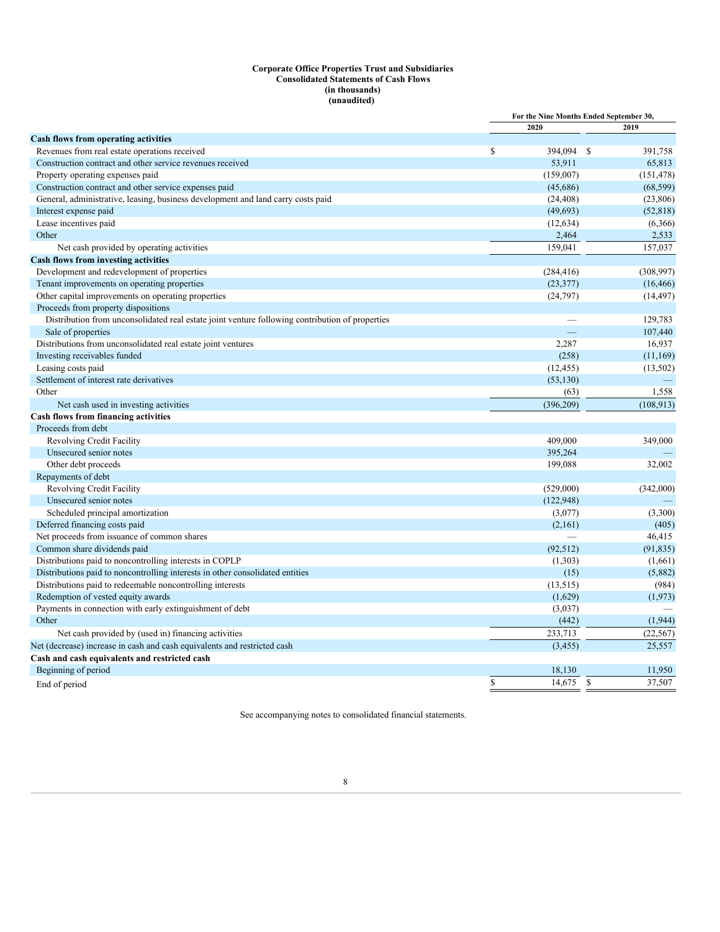## **Corporate Office Properties Trust and Subsidiaries Consolidated Statements of Cash Flows (in thousands) (unaudited)**

|                                                                                                 | For the Nine Months Ended September 30, |    |            |  |
|-------------------------------------------------------------------------------------------------|-----------------------------------------|----|------------|--|
|                                                                                                 | 2020                                    |    | 2019       |  |
| <b>Cash flows from operating activities</b>                                                     |                                         |    |            |  |
| Revenues from real estate operations received                                                   | \$<br>394,094 \$                        |    | 391,758    |  |
| Construction contract and other service revenues received                                       | 53,911                                  |    | 65,813     |  |
| Property operating expenses paid                                                                | (159,007)                               |    | (151, 478) |  |
| Construction contract and other service expenses paid                                           | (45,686)                                |    | (68, 599)  |  |
| General, administrative, leasing, business development and land carry costs paid                | (24, 408)                               |    | (23, 806)  |  |
| Interest expense paid                                                                           | (49, 693)                               |    | (52, 818)  |  |
| Lease incentives paid                                                                           | (12, 634)                               |    | (6,366)    |  |
| Other                                                                                           | 2,464                                   |    | 2,533      |  |
| Net cash provided by operating activities                                                       | 159,041                                 |    | 157,037    |  |
| Cash flows from investing activities                                                            |                                         |    |            |  |
| Development and redevelopment of properties                                                     | (284, 416)                              |    | (308, 997) |  |
| Tenant improvements on operating properties                                                     | (23, 377)                               |    | (16, 466)  |  |
| Other capital improvements on operating properties                                              | (24, 797)                               |    | (14, 497)  |  |
| Proceeds from property dispositions                                                             |                                         |    |            |  |
| Distribution from unconsolidated real estate joint venture following contribution of properties |                                         |    | 129,783    |  |
| Sale of properties                                                                              |                                         |    | 107,440    |  |
| Distributions from unconsolidated real estate joint ventures                                    | 2,287                                   |    | 16,937     |  |
| Investing receivables funded                                                                    | (258)                                   |    | (11, 169)  |  |
| Leasing costs paid                                                                              | (12, 455)                               |    | (13,502)   |  |
| Settlement of interest rate derivatives                                                         | (53, 130)                               |    |            |  |
| Other                                                                                           | (63)                                    |    | 1,558      |  |
| Net cash used in investing activities                                                           | (396, 209)                              |    | (108, 913) |  |
| <b>Cash flows from financing activities</b>                                                     |                                         |    |            |  |
| Proceeds from debt                                                                              |                                         |    |            |  |
| <b>Revolving Credit Facility</b>                                                                | 409,000                                 |    | 349,000    |  |
| Unsecured senior notes                                                                          | 395,264                                 |    |            |  |
| Other debt proceeds                                                                             | 199,088                                 |    | 32,002     |  |
| Repayments of debt                                                                              |                                         |    |            |  |
| Revolving Credit Facility                                                                       | (529,000)                               |    | (342,000)  |  |
| Unsecured senior notes                                                                          | (122, 948)                              |    |            |  |
| Scheduled principal amortization                                                                | (3,077)                                 |    | (3,300)    |  |
| Deferred financing costs paid                                                                   | (2,161)                                 |    | (405)      |  |
| Net proceeds from issuance of common shares                                                     |                                         |    | 46,415     |  |
| Common share dividends paid                                                                     | (92, 512)                               |    | (91, 835)  |  |
| Distributions paid to noncontrolling interests in COPLP                                         | (1,303)                                 |    | (1,661)    |  |
| Distributions paid to noncontrolling interests in other consolidated entities                   | (15)                                    |    | (5,882)    |  |
| Distributions paid to redeemable noncontrolling interests                                       | (13, 515)                               |    | (984)      |  |
| Redemption of vested equity awards                                                              | (1,629)                                 |    | (1,973)    |  |
| Payments in connection with early extinguishment of debt                                        | (3,037)                                 |    |            |  |
| Other                                                                                           | (442)                                   |    | (1,944)    |  |
| Net cash provided by (used in) financing activities                                             | 233,713                                 |    | (22, 567)  |  |
| Net (decrease) increase in cash and cash equivalents and restricted cash                        | (3, 455)                                |    | 25,557     |  |
| Cash and cash equivalents and restricted cash                                                   |                                         |    |            |  |
| Beginning of period                                                                             | 18,130                                  |    | 11,950     |  |
| End of period                                                                                   | \$<br>14,675                            | \$ | 37,507     |  |
|                                                                                                 |                                         |    |            |  |

See accompanying notes to consolidated financial statements.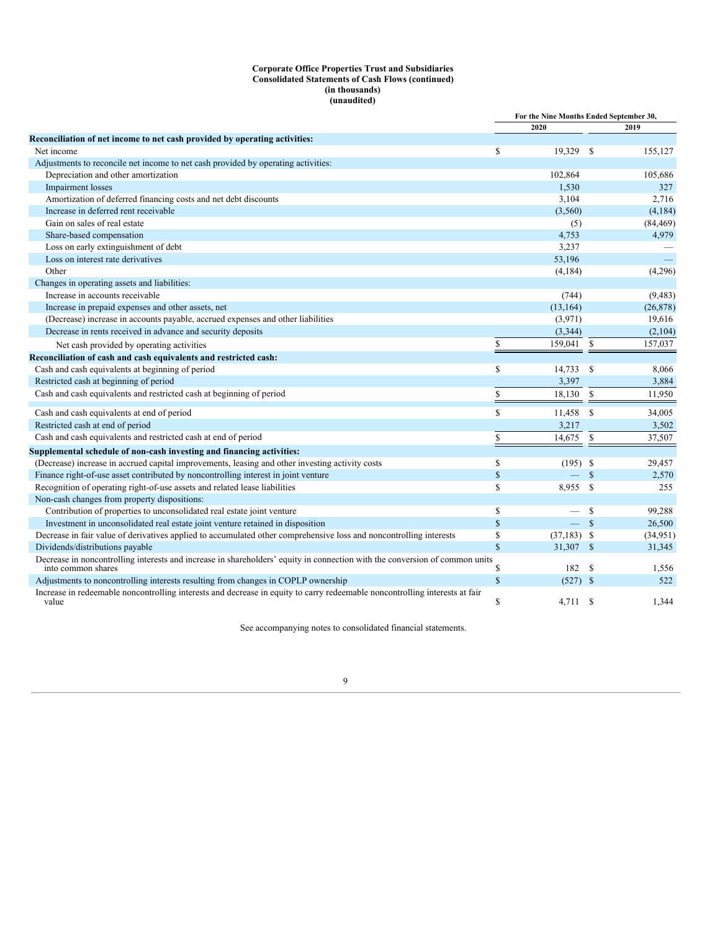#### **Corporate Office Properties Trust and Subsidiaries Consolidated Statements of Cash Flows (continued) (in thousands) (unaudited)**

|                                                                                                                                      | For the Nine Months Ended September 30, |                          |               |           |
|--------------------------------------------------------------------------------------------------------------------------------------|-----------------------------------------|--------------------------|---------------|-----------|
|                                                                                                                                      |                                         | 2020                     |               | 2019      |
| Reconciliation of net income to net cash provided by operating activities:                                                           |                                         |                          |               |           |
| Net income                                                                                                                           | \$                                      | 19,329                   | <sup>\$</sup> | 155,127   |
| Adjustments to reconcile net income to net cash provided by operating activities:                                                    |                                         |                          |               |           |
| Depreciation and other amortization                                                                                                  |                                         | 102,864                  |               | 105,686   |
| Impairment losses                                                                                                                    |                                         | 1,530                    |               | 327       |
| Amortization of deferred financing costs and net debt discounts                                                                      |                                         | 3,104                    |               | 2,716     |
| Increase in deferred rent receivable                                                                                                 |                                         | (3,560)                  |               | (4, 184)  |
| Gain on sales of real estate                                                                                                         |                                         | (5)                      |               | (84, 469) |
| Share-based compensation                                                                                                             |                                         | 4,753                    |               | 4,979     |
| Loss on early extinguishment of debt                                                                                                 |                                         | 3,237                    |               |           |
| Loss on interest rate derivatives                                                                                                    |                                         | 53,196                   |               |           |
| Other                                                                                                                                |                                         | (4, 184)                 |               | (4,296)   |
| Changes in operating assets and liabilities:                                                                                         |                                         |                          |               |           |
| Increase in accounts receivable                                                                                                      |                                         | (744)                    |               | (9, 483)  |
| Increase in prepaid expenses and other assets, net                                                                                   |                                         | (13, 164)                |               | (26, 878) |
| (Decrease) increase in accounts payable, accrued expenses and other liabilities                                                      |                                         | (3,971)                  |               | 19,616    |
| Decrease in rents received in advance and security deposits                                                                          |                                         | (3, 344)                 |               | (2,104)   |
| Net cash provided by operating activities                                                                                            | $\mathbb{S}$                            | 159,041                  | \$            | 157,037   |
| Reconciliation of cash and cash equivalents and restricted cash:                                                                     |                                         |                          |               |           |
| Cash and cash equivalents at beginning of period                                                                                     | $\mathbf S$                             | $14,733$ \$              |               | 8,066     |
| Restricted cash at beginning of period                                                                                               |                                         | 3,397                    |               | 3,884     |
| Cash and cash equivalents and restricted cash at beginning of period                                                                 | \$                                      | 18,130                   | \$            | 11,950    |
| Cash and cash equivalents at end of period                                                                                           | $\mathbf S$                             | 11,458                   | -S            | 34,005    |
| Restricted cash at end of period                                                                                                     |                                         | 3,217                    |               | 3,502     |
| Cash and cash equivalents and restricted cash at end of period                                                                       | $\mathbf S$                             | 14,675                   | \$            | 37,507    |
| Supplemental schedule of non-cash investing and financing activities:                                                                |                                         |                          |               |           |
| (Decrease) increase in accrued capital improvements, leasing and other investing activity costs                                      | S                                       | $(195)$ \$               |               | 29,457    |
| Finance right-of-use asset contributed by noncontrolling interest in joint venture                                                   | $\mathbb{S}$                            | $\overline{\phantom{0}}$ | -S            | 2,570     |
| Recognition of operating right-of-use assets and related lease liabilities                                                           | $\mathbf S$                             | 8.955                    | <sup>\$</sup> | 255       |
| Non-cash changes from property dispositions:                                                                                         |                                         |                          |               |           |
| Contribution of properties to unconsolidated real estate joint venture                                                               | \$                                      |                          | \$            | 99,288    |
| Investment in unconsolidated real estate joint venture retained in disposition                                                       | $\mathbf S$                             | $\overline{\phantom{a}}$ | $\mathbf{s}$  | 26,500    |
| Decrease in fair value of derivatives applied to accumulated other comprehensive loss and noncontrolling interests                   | \$                                      | $(37,183)$ \$            |               | (34, 951) |
| Dividends/distributions payable                                                                                                      | $\mathbf S$                             | 31,307 \$                |               | 31,345    |
| Decrease in noncontrolling interests and increase in shareholders' equity in connection with the conversion of common units          |                                         |                          |               |           |
| into common shares                                                                                                                   | \$                                      | 182                      | <sup>\$</sup> | 1,556     |
| Adjustments to noncontrolling interests resulting from changes in COPLP ownership                                                    | $\mathbb{S}$                            | $(527)$ \$               |               | 522       |
| Increase in redeemable noncontrolling interests and decrease in equity to carry redeemable noncontrolling interests at fair<br>value | \$                                      | 4,711                    | <sup>\$</sup> | 1,344     |

<span id="page-10-0"></span>See accompanying notes to consolidated financial statements.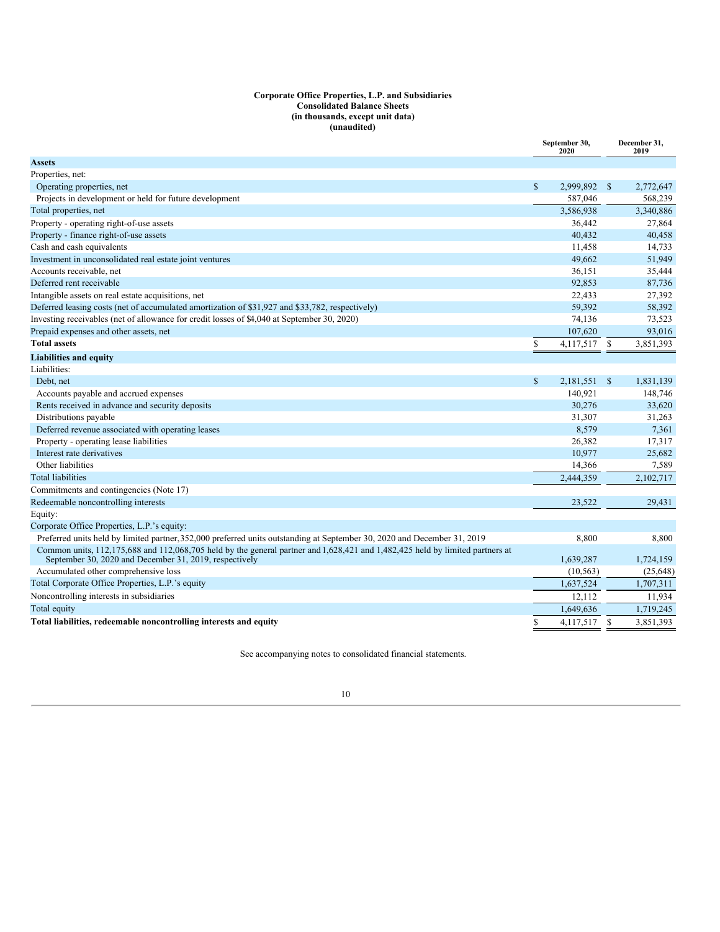#### **Corporate Office Properties, L.P. and Subsidiaries Consolidated Balance Sheets (in thousands, except unit data) (unaudited)**

<span id="page-11-0"></span>

| <b>Assets</b><br>Properties, net:<br><sup>\$</sup><br>2.999.892<br>Operating properties, net<br><b>S</b><br>2,772,647<br>Projects in development or held for future development<br>587,046<br>568,239<br>Total properties, net<br>3,586,938<br>3,340,886<br>Property - operating right-of-use assets<br>36,442<br>27,864<br>Property - finance right-of-use assets<br>40.432<br>40,458<br>Cash and cash equivalents<br>11,458<br>14,733<br>Investment in unconsolidated real estate joint ventures<br>49,662<br>51,949<br>Accounts receivable, net<br>36,151<br>35,444<br>92,853<br>Deferred rent receivable<br>87,736<br>Intangible assets on real estate acquisitions, net<br>22,433<br>27,392<br>Deferred leasing costs (net of accumulated amortization of \$31,927 and \$33,782, respectively)<br>59,392<br>58,392<br>Investing receivables (net of allowance for credit losses of \$4,040 at September 30, 2020)<br>74,136<br>73,523<br>Prepaid expenses and other assets, net<br>107,620<br>93,016<br><b>Total assets</b><br>\$<br>4,117,517 \$<br>3,851,393<br><b>Liabilities and equity</b><br>Liabilities:<br>$\mathbf S$<br>Debt, net<br>2,181,551 \$<br>1,831,139<br>140,921<br>Accounts payable and accrued expenses<br>148,746<br>Rents received in advance and security deposits<br>30,276<br>33,620<br>Distributions payable<br>31,307<br>31,263<br>Deferred revenue associated with operating leases<br>8,579<br>7,361<br>Property - operating lease liabilities<br>26,382<br>17,317<br>Interest rate derivatives<br>10,977<br>25,682<br>Other liabilities<br>14,366<br>7,589<br><b>Total liabilities</b><br>2,444,359<br>2.102.717<br>Commitments and contingencies (Note 17)<br>Redeemable noncontrolling interests<br>23,522<br>29,431<br>Equity:<br>Corporate Office Properties, L.P.'s equity:<br>Preferred units held by limited partner, 352,000 preferred units outstanding at September 30, 2020 and December 31, 2019<br>8,800<br>8,800<br>Common units, 112,175,688 and 112,068,705 held by the general partner and 1,628,421 and 1,482,425 held by limited partners at<br>September 30, 2020 and December 31, 2019, respectively<br>1,639,287<br>1,724,159<br>Accumulated other comprehensive loss<br>(10, 563)<br>(25, 648)<br>Total Corporate Office Properties, L.P.'s equity<br>1,637,524<br>1,707,311<br>Noncontrolling interests in subsidiaries<br>12,112<br>11,934<br>Total equity<br>1,649,636<br>1,719,245<br>Total liabilities, redeemable noncontrolling interests and equity<br>\$<br><sup>\$</sup><br>4,117,517<br>3,851,393 | September 30,<br>2020 |  | December 31,<br>2019 |  |
|-------------------------------------------------------------------------------------------------------------------------------------------------------------------------------------------------------------------------------------------------------------------------------------------------------------------------------------------------------------------------------------------------------------------------------------------------------------------------------------------------------------------------------------------------------------------------------------------------------------------------------------------------------------------------------------------------------------------------------------------------------------------------------------------------------------------------------------------------------------------------------------------------------------------------------------------------------------------------------------------------------------------------------------------------------------------------------------------------------------------------------------------------------------------------------------------------------------------------------------------------------------------------------------------------------------------------------------------------------------------------------------------------------------------------------------------------------------------------------------------------------------------------------------------------------------------------------------------------------------------------------------------------------------------------------------------------------------------------------------------------------------------------------------------------------------------------------------------------------------------------------------------------------------------------------------------------------------------------------------------------------------------------------------------------------------------------------------------------------------------------------------------------------------------------------------------------------------------------------------------------------------------------------------------------------------------------------------------------------------------------------------------------------------------------------------------------------------------------------------------------------------------------------------------------------------------------|-----------------------|--|----------------------|--|
|                                                                                                                                                                                                                                                                                                                                                                                                                                                                                                                                                                                                                                                                                                                                                                                                                                                                                                                                                                                                                                                                                                                                                                                                                                                                                                                                                                                                                                                                                                                                                                                                                                                                                                                                                                                                                                                                                                                                                                                                                                                                                                                                                                                                                                                                                                                                                                                                                                                                                                                                                                         |                       |  |                      |  |
|                                                                                                                                                                                                                                                                                                                                                                                                                                                                                                                                                                                                                                                                                                                                                                                                                                                                                                                                                                                                                                                                                                                                                                                                                                                                                                                                                                                                                                                                                                                                                                                                                                                                                                                                                                                                                                                                                                                                                                                                                                                                                                                                                                                                                                                                                                                                                                                                                                                                                                                                                                         |                       |  |                      |  |
|                                                                                                                                                                                                                                                                                                                                                                                                                                                                                                                                                                                                                                                                                                                                                                                                                                                                                                                                                                                                                                                                                                                                                                                                                                                                                                                                                                                                                                                                                                                                                                                                                                                                                                                                                                                                                                                                                                                                                                                                                                                                                                                                                                                                                                                                                                                                                                                                                                                                                                                                                                         |                       |  |                      |  |
|                                                                                                                                                                                                                                                                                                                                                                                                                                                                                                                                                                                                                                                                                                                                                                                                                                                                                                                                                                                                                                                                                                                                                                                                                                                                                                                                                                                                                                                                                                                                                                                                                                                                                                                                                                                                                                                                                                                                                                                                                                                                                                                                                                                                                                                                                                                                                                                                                                                                                                                                                                         |                       |  |                      |  |
|                                                                                                                                                                                                                                                                                                                                                                                                                                                                                                                                                                                                                                                                                                                                                                                                                                                                                                                                                                                                                                                                                                                                                                                                                                                                                                                                                                                                                                                                                                                                                                                                                                                                                                                                                                                                                                                                                                                                                                                                                                                                                                                                                                                                                                                                                                                                                                                                                                                                                                                                                                         |                       |  |                      |  |
|                                                                                                                                                                                                                                                                                                                                                                                                                                                                                                                                                                                                                                                                                                                                                                                                                                                                                                                                                                                                                                                                                                                                                                                                                                                                                                                                                                                                                                                                                                                                                                                                                                                                                                                                                                                                                                                                                                                                                                                                                                                                                                                                                                                                                                                                                                                                                                                                                                                                                                                                                                         |                       |  |                      |  |
|                                                                                                                                                                                                                                                                                                                                                                                                                                                                                                                                                                                                                                                                                                                                                                                                                                                                                                                                                                                                                                                                                                                                                                                                                                                                                                                                                                                                                                                                                                                                                                                                                                                                                                                                                                                                                                                                                                                                                                                                                                                                                                                                                                                                                                                                                                                                                                                                                                                                                                                                                                         |                       |  |                      |  |
|                                                                                                                                                                                                                                                                                                                                                                                                                                                                                                                                                                                                                                                                                                                                                                                                                                                                                                                                                                                                                                                                                                                                                                                                                                                                                                                                                                                                                                                                                                                                                                                                                                                                                                                                                                                                                                                                                                                                                                                                                                                                                                                                                                                                                                                                                                                                                                                                                                                                                                                                                                         |                       |  |                      |  |
|                                                                                                                                                                                                                                                                                                                                                                                                                                                                                                                                                                                                                                                                                                                                                                                                                                                                                                                                                                                                                                                                                                                                                                                                                                                                                                                                                                                                                                                                                                                                                                                                                                                                                                                                                                                                                                                                                                                                                                                                                                                                                                                                                                                                                                                                                                                                                                                                                                                                                                                                                                         |                       |  |                      |  |
|                                                                                                                                                                                                                                                                                                                                                                                                                                                                                                                                                                                                                                                                                                                                                                                                                                                                                                                                                                                                                                                                                                                                                                                                                                                                                                                                                                                                                                                                                                                                                                                                                                                                                                                                                                                                                                                                                                                                                                                                                                                                                                                                                                                                                                                                                                                                                                                                                                                                                                                                                                         |                       |  |                      |  |
|                                                                                                                                                                                                                                                                                                                                                                                                                                                                                                                                                                                                                                                                                                                                                                                                                                                                                                                                                                                                                                                                                                                                                                                                                                                                                                                                                                                                                                                                                                                                                                                                                                                                                                                                                                                                                                                                                                                                                                                                                                                                                                                                                                                                                                                                                                                                                                                                                                                                                                                                                                         |                       |  |                      |  |
|                                                                                                                                                                                                                                                                                                                                                                                                                                                                                                                                                                                                                                                                                                                                                                                                                                                                                                                                                                                                                                                                                                                                                                                                                                                                                                                                                                                                                                                                                                                                                                                                                                                                                                                                                                                                                                                                                                                                                                                                                                                                                                                                                                                                                                                                                                                                                                                                                                                                                                                                                                         |                       |  |                      |  |
|                                                                                                                                                                                                                                                                                                                                                                                                                                                                                                                                                                                                                                                                                                                                                                                                                                                                                                                                                                                                                                                                                                                                                                                                                                                                                                                                                                                                                                                                                                                                                                                                                                                                                                                                                                                                                                                                                                                                                                                                                                                                                                                                                                                                                                                                                                                                                                                                                                                                                                                                                                         |                       |  |                      |  |
|                                                                                                                                                                                                                                                                                                                                                                                                                                                                                                                                                                                                                                                                                                                                                                                                                                                                                                                                                                                                                                                                                                                                                                                                                                                                                                                                                                                                                                                                                                                                                                                                                                                                                                                                                                                                                                                                                                                                                                                                                                                                                                                                                                                                                                                                                                                                                                                                                                                                                                                                                                         |                       |  |                      |  |
|                                                                                                                                                                                                                                                                                                                                                                                                                                                                                                                                                                                                                                                                                                                                                                                                                                                                                                                                                                                                                                                                                                                                                                                                                                                                                                                                                                                                                                                                                                                                                                                                                                                                                                                                                                                                                                                                                                                                                                                                                                                                                                                                                                                                                                                                                                                                                                                                                                                                                                                                                                         |                       |  |                      |  |
|                                                                                                                                                                                                                                                                                                                                                                                                                                                                                                                                                                                                                                                                                                                                                                                                                                                                                                                                                                                                                                                                                                                                                                                                                                                                                                                                                                                                                                                                                                                                                                                                                                                                                                                                                                                                                                                                                                                                                                                                                                                                                                                                                                                                                                                                                                                                                                                                                                                                                                                                                                         |                       |  |                      |  |
|                                                                                                                                                                                                                                                                                                                                                                                                                                                                                                                                                                                                                                                                                                                                                                                                                                                                                                                                                                                                                                                                                                                                                                                                                                                                                                                                                                                                                                                                                                                                                                                                                                                                                                                                                                                                                                                                                                                                                                                                                                                                                                                                                                                                                                                                                                                                                                                                                                                                                                                                                                         |                       |  |                      |  |
|                                                                                                                                                                                                                                                                                                                                                                                                                                                                                                                                                                                                                                                                                                                                                                                                                                                                                                                                                                                                                                                                                                                                                                                                                                                                                                                                                                                                                                                                                                                                                                                                                                                                                                                                                                                                                                                                                                                                                                                                                                                                                                                                                                                                                                                                                                                                                                                                                                                                                                                                                                         |                       |  |                      |  |
|                                                                                                                                                                                                                                                                                                                                                                                                                                                                                                                                                                                                                                                                                                                                                                                                                                                                                                                                                                                                                                                                                                                                                                                                                                                                                                                                                                                                                                                                                                                                                                                                                                                                                                                                                                                                                                                                                                                                                                                                                                                                                                                                                                                                                                                                                                                                                                                                                                                                                                                                                                         |                       |  |                      |  |
|                                                                                                                                                                                                                                                                                                                                                                                                                                                                                                                                                                                                                                                                                                                                                                                                                                                                                                                                                                                                                                                                                                                                                                                                                                                                                                                                                                                                                                                                                                                                                                                                                                                                                                                                                                                                                                                                                                                                                                                                                                                                                                                                                                                                                                                                                                                                                                                                                                                                                                                                                                         |                       |  |                      |  |
|                                                                                                                                                                                                                                                                                                                                                                                                                                                                                                                                                                                                                                                                                                                                                                                                                                                                                                                                                                                                                                                                                                                                                                                                                                                                                                                                                                                                                                                                                                                                                                                                                                                                                                                                                                                                                                                                                                                                                                                                                                                                                                                                                                                                                                                                                                                                                                                                                                                                                                                                                                         |                       |  |                      |  |
|                                                                                                                                                                                                                                                                                                                                                                                                                                                                                                                                                                                                                                                                                                                                                                                                                                                                                                                                                                                                                                                                                                                                                                                                                                                                                                                                                                                                                                                                                                                                                                                                                                                                                                                                                                                                                                                                                                                                                                                                                                                                                                                                                                                                                                                                                                                                                                                                                                                                                                                                                                         |                       |  |                      |  |
|                                                                                                                                                                                                                                                                                                                                                                                                                                                                                                                                                                                                                                                                                                                                                                                                                                                                                                                                                                                                                                                                                                                                                                                                                                                                                                                                                                                                                                                                                                                                                                                                                                                                                                                                                                                                                                                                                                                                                                                                                                                                                                                                                                                                                                                                                                                                                                                                                                                                                                                                                                         |                       |  |                      |  |
|                                                                                                                                                                                                                                                                                                                                                                                                                                                                                                                                                                                                                                                                                                                                                                                                                                                                                                                                                                                                                                                                                                                                                                                                                                                                                                                                                                                                                                                                                                                                                                                                                                                                                                                                                                                                                                                                                                                                                                                                                                                                                                                                                                                                                                                                                                                                                                                                                                                                                                                                                                         |                       |  |                      |  |
|                                                                                                                                                                                                                                                                                                                                                                                                                                                                                                                                                                                                                                                                                                                                                                                                                                                                                                                                                                                                                                                                                                                                                                                                                                                                                                                                                                                                                                                                                                                                                                                                                                                                                                                                                                                                                                                                                                                                                                                                                                                                                                                                                                                                                                                                                                                                                                                                                                                                                                                                                                         |                       |  |                      |  |
|                                                                                                                                                                                                                                                                                                                                                                                                                                                                                                                                                                                                                                                                                                                                                                                                                                                                                                                                                                                                                                                                                                                                                                                                                                                                                                                                                                                                                                                                                                                                                                                                                                                                                                                                                                                                                                                                                                                                                                                                                                                                                                                                                                                                                                                                                                                                                                                                                                                                                                                                                                         |                       |  |                      |  |
|                                                                                                                                                                                                                                                                                                                                                                                                                                                                                                                                                                                                                                                                                                                                                                                                                                                                                                                                                                                                                                                                                                                                                                                                                                                                                                                                                                                                                                                                                                                                                                                                                                                                                                                                                                                                                                                                                                                                                                                                                                                                                                                                                                                                                                                                                                                                                                                                                                                                                                                                                                         |                       |  |                      |  |
|                                                                                                                                                                                                                                                                                                                                                                                                                                                                                                                                                                                                                                                                                                                                                                                                                                                                                                                                                                                                                                                                                                                                                                                                                                                                                                                                                                                                                                                                                                                                                                                                                                                                                                                                                                                                                                                                                                                                                                                                                                                                                                                                                                                                                                                                                                                                                                                                                                                                                                                                                                         |                       |  |                      |  |
|                                                                                                                                                                                                                                                                                                                                                                                                                                                                                                                                                                                                                                                                                                                                                                                                                                                                                                                                                                                                                                                                                                                                                                                                                                                                                                                                                                                                                                                                                                                                                                                                                                                                                                                                                                                                                                                                                                                                                                                                                                                                                                                                                                                                                                                                                                                                                                                                                                                                                                                                                                         |                       |  |                      |  |
|                                                                                                                                                                                                                                                                                                                                                                                                                                                                                                                                                                                                                                                                                                                                                                                                                                                                                                                                                                                                                                                                                                                                                                                                                                                                                                                                                                                                                                                                                                                                                                                                                                                                                                                                                                                                                                                                                                                                                                                                                                                                                                                                                                                                                                                                                                                                                                                                                                                                                                                                                                         |                       |  |                      |  |
|                                                                                                                                                                                                                                                                                                                                                                                                                                                                                                                                                                                                                                                                                                                                                                                                                                                                                                                                                                                                                                                                                                                                                                                                                                                                                                                                                                                                                                                                                                                                                                                                                                                                                                                                                                                                                                                                                                                                                                                                                                                                                                                                                                                                                                                                                                                                                                                                                                                                                                                                                                         |                       |  |                      |  |
|                                                                                                                                                                                                                                                                                                                                                                                                                                                                                                                                                                                                                                                                                                                                                                                                                                                                                                                                                                                                                                                                                                                                                                                                                                                                                                                                                                                                                                                                                                                                                                                                                                                                                                                                                                                                                                                                                                                                                                                                                                                                                                                                                                                                                                                                                                                                                                                                                                                                                                                                                                         |                       |  |                      |  |
|                                                                                                                                                                                                                                                                                                                                                                                                                                                                                                                                                                                                                                                                                                                                                                                                                                                                                                                                                                                                                                                                                                                                                                                                                                                                                                                                                                                                                                                                                                                                                                                                                                                                                                                                                                                                                                                                                                                                                                                                                                                                                                                                                                                                                                                                                                                                                                                                                                                                                                                                                                         |                       |  |                      |  |
|                                                                                                                                                                                                                                                                                                                                                                                                                                                                                                                                                                                                                                                                                                                                                                                                                                                                                                                                                                                                                                                                                                                                                                                                                                                                                                                                                                                                                                                                                                                                                                                                                                                                                                                                                                                                                                                                                                                                                                                                                                                                                                                                                                                                                                                                                                                                                                                                                                                                                                                                                                         |                       |  |                      |  |
|                                                                                                                                                                                                                                                                                                                                                                                                                                                                                                                                                                                                                                                                                                                                                                                                                                                                                                                                                                                                                                                                                                                                                                                                                                                                                                                                                                                                                                                                                                                                                                                                                                                                                                                                                                                                                                                                                                                                                                                                                                                                                                                                                                                                                                                                                                                                                                                                                                                                                                                                                                         |                       |  |                      |  |
|                                                                                                                                                                                                                                                                                                                                                                                                                                                                                                                                                                                                                                                                                                                                                                                                                                                                                                                                                                                                                                                                                                                                                                                                                                                                                                                                                                                                                                                                                                                                                                                                                                                                                                                                                                                                                                                                                                                                                                                                                                                                                                                                                                                                                                                                                                                                                                                                                                                                                                                                                                         |                       |  |                      |  |
|                                                                                                                                                                                                                                                                                                                                                                                                                                                                                                                                                                                                                                                                                                                                                                                                                                                                                                                                                                                                                                                                                                                                                                                                                                                                                                                                                                                                                                                                                                                                                                                                                                                                                                                                                                                                                                                                                                                                                                                                                                                                                                                                                                                                                                                                                                                                                                                                                                                                                                                                                                         |                       |  |                      |  |
|                                                                                                                                                                                                                                                                                                                                                                                                                                                                                                                                                                                                                                                                                                                                                                                                                                                                                                                                                                                                                                                                                                                                                                                                                                                                                                                                                                                                                                                                                                                                                                                                                                                                                                                                                                                                                                                                                                                                                                                                                                                                                                                                                                                                                                                                                                                                                                                                                                                                                                                                                                         |                       |  |                      |  |

<span id="page-11-1"></span>See accompanying notes to consolidated financial statements.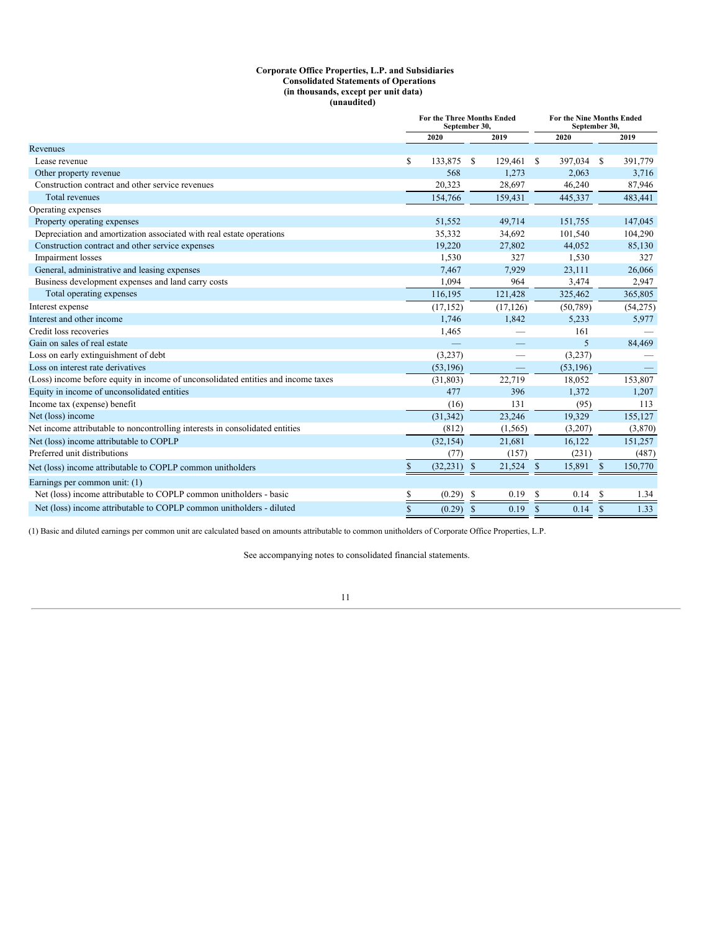## **Corporate Office Properties, L.P. and Subsidiaries Consolidated Statements of Operations (in thousands, except per unit data) (unaudited)**

|                                                                                   | <b>For the Three Months Ended</b><br>September 30, |           |               |           | For the Nine Months Ended<br>September 30, |                |              |          |
|-----------------------------------------------------------------------------------|----------------------------------------------------|-----------|---------------|-----------|--------------------------------------------|----------------|--------------|----------|
|                                                                                   |                                                    | 2020      |               | 2019      |                                            | 2020           |              | 2019     |
| Revenues                                                                          |                                                    |           |               |           |                                            |                |              |          |
| Lease revenue                                                                     | \$                                                 | 133,875   | - S           | 129,461   | -S                                         | 397,034 \$     |              | 391,779  |
| Other property revenue                                                            |                                                    | 568       |               | 1,273     |                                            | 2,063          |              | 3,716    |
| Construction contract and other service revenues                                  |                                                    | 20,323    |               | 28,697    |                                            | 46,240         |              | 87,946   |
| Total revenues                                                                    |                                                    | 154,766   |               | 159,431   |                                            | 445,337        |              | 483,441  |
| Operating expenses                                                                |                                                    |           |               |           |                                            |                |              |          |
| Property operating expenses                                                       |                                                    | 51,552    |               | 49,714    |                                            | 151,755        |              | 147,045  |
| Depreciation and amortization associated with real estate operations              |                                                    | 35,332    |               | 34,692    |                                            | 101,540        |              | 104,290  |
| Construction contract and other service expenses                                  |                                                    | 19,220    |               | 27,802    |                                            | 44,052         |              | 85,130   |
| Impairment losses                                                                 |                                                    | 1,530     |               | 327       |                                            | 1,530          |              | 327      |
| General, administrative and leasing expenses                                      |                                                    | 7,467     |               | 7,929     |                                            | 23,111         |              | 26,066   |
| Business development expenses and land carry costs                                |                                                    | 1,094     |               | 964       |                                            | 3,474          |              | 2,947    |
| Total operating expenses                                                          |                                                    | 116.195   |               | 121,428   |                                            | 325,462        |              | 365,805  |
| Interest expense                                                                  |                                                    | (17, 152) |               | (17, 126) |                                            | (50, 789)      |              | (54,275) |
| Interest and other income                                                         |                                                    | 1.746     |               | 1,842     |                                            | 5,233          |              | 5,977    |
| Credit loss recoveries                                                            |                                                    | 1,465     |               |           |                                            | 161            |              |          |
| Gain on sales of real estate                                                      |                                                    |           |               |           |                                            | $\overline{5}$ |              | 84,469   |
| Loss on early extinguishment of debt                                              |                                                    | (3,237)   |               |           |                                            | (3,237)        |              |          |
| Loss on interest rate derivatives                                                 |                                                    | (53, 196) |               | —         |                                            | (53, 196)      |              |          |
| (Loss) income before equity in income of unconsolidated entities and income taxes |                                                    | (31, 803) |               | 22,719    |                                            | 18,052         |              | 153,807  |
| Equity in income of unconsolidated entities                                       |                                                    | 477       |               | 396       |                                            | 1,372          |              | 1,207    |
| Income tax (expense) benefit                                                      |                                                    | (16)      |               | 131       |                                            | (95)           |              | 113      |
| Net (loss) income                                                                 |                                                    | (31, 342) |               | 23,246    |                                            | 19,329         |              | 155,127  |
| Net income attributable to noncontrolling interests in consolidated entities      |                                                    | (812)     |               | (1, 565)  |                                            | (3,207)        |              | (3,870)  |
| Net (loss) income attributable to COPLP                                           |                                                    | (32, 154) |               | 21,681    |                                            | 16,122         |              | 151,257  |
| Preferred unit distributions                                                      |                                                    | (77)      |               | (157)     |                                            | (231)          |              | (487)    |
| Net (loss) income attributable to COPLP common unitholders                        | \$                                                 | (32, 231) | $\mathbb{S}$  | 21,524    | $\mathbb{S}$                               | 15,891         | $\mathbb{S}$ | 150,770  |
| Earnings per common unit: (1)                                                     |                                                    |           |               |           |                                            |                |              |          |
| Net (loss) income attributable to COPLP common unitholders - basic                | S                                                  | (0.29)    | S             | 0.19      | <sup>\$</sup>                              | 0.14           | \$           | 1.34     |
| Net (loss) income attributable to COPLP common unitholders - diluted              | \$                                                 | (0.29)    | <sup>\$</sup> | 0.19      | $\mathcal{S}$                              | 0.14           | $\mathbb{S}$ | 1.33     |

<span id="page-12-0"></span>(1) Basic and diluted earnings per common unit are calculated based on amounts attributable to common unitholders of Corporate Office Properties, L.P.

See accompanying notes to consolidated financial statements.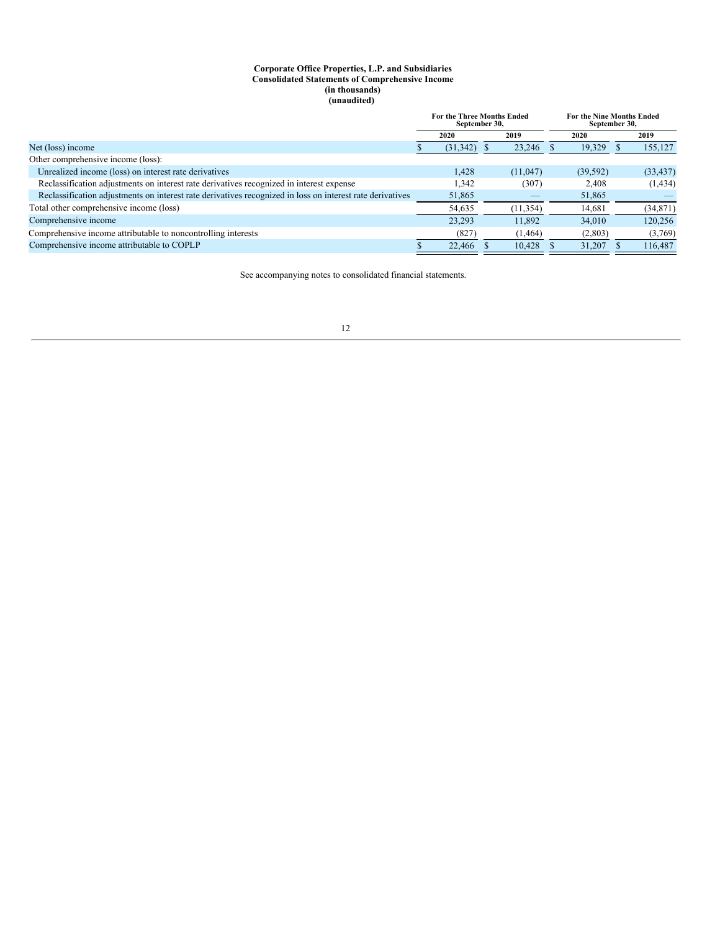#### **Corporate Office Properties, L.P. and Subsidiaries Consolidated Statements of Comprehensive Income (in thousands) (unaudited)**

|                                                                                                           | For the Three Months Ended<br>September 30, |               |  |           |  | <b>For the Nine Months Ended</b><br>September 30, |  |           |
|-----------------------------------------------------------------------------------------------------------|---------------------------------------------|---------------|--|-----------|--|---------------------------------------------------|--|-----------|
|                                                                                                           |                                             | 2020          |  | 2019      |  | 2020                                              |  | 2019      |
| Net (loss) income                                                                                         |                                             | $(31,342)$ \$ |  | 23,246    |  | 19,329                                            |  | 155,127   |
| Other comprehensive income (loss):                                                                        |                                             |               |  |           |  |                                                   |  |           |
| Unrealized income (loss) on interest rate derivatives                                                     |                                             | 1.428         |  | (11,047)  |  | (39, 592)                                         |  | (33, 437) |
| Reclassification adjustments on interest rate derivatives recognized in interest expense                  |                                             | 1.342         |  | (307)     |  | 2,408                                             |  | (1, 434)  |
| Reclassification adjustments on interest rate derivatives recognized in loss on interest rate derivatives |                                             | 51,865        |  |           |  | 51,865                                            |  |           |
| Total other comprehensive income (loss)                                                                   |                                             | 54,635        |  | (11, 354) |  | 14,681                                            |  | (34, 871) |
| Comprehensive income                                                                                      |                                             | 23,293        |  | 11.892    |  | 34,010                                            |  | 120,256   |
| Comprehensive income attributable to noncontrolling interests                                             |                                             | (827)         |  | (1, 464)  |  | (2,803)                                           |  | (3,769)   |
| Comprehensive income attributable to COPLP                                                                |                                             | 22,466        |  | 10.428    |  | 31.207                                            |  | 116,487   |

<span id="page-13-0"></span>See accompanying notes to consolidated financial statements.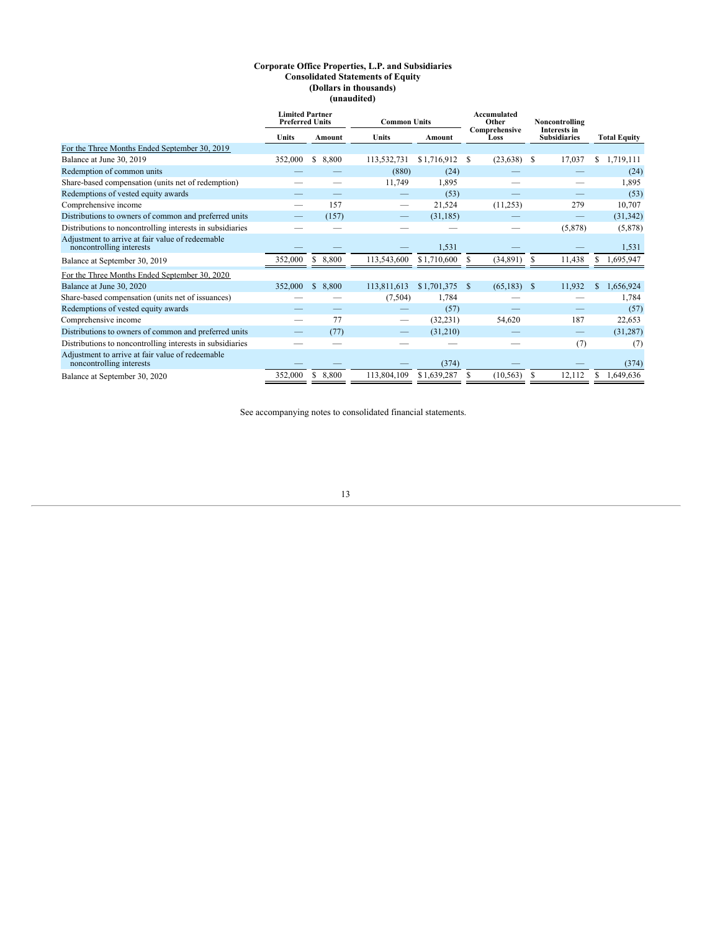#### **Corporate Office Properties, L.P. and Subsidiaries Consolidated Statements of Equity (Dollars in thousands) (unaudited)**

|                                                                              | <b>Limited Partner</b><br><b>Preferred Units</b> |    |        | <b>Common Units</b> |             |                           | Noncontrolling<br>Interests in |                     |          |                     |
|------------------------------------------------------------------------------|--------------------------------------------------|----|--------|---------------------|-------------|---------------------------|--------------------------------|---------------------|----------|---------------------|
|                                                                              | <b>Units</b>                                     |    | Amount | <b>Units</b>        | Amount      | Comprehensive<br>Loss     |                                | <b>Subsidiaries</b> |          | <b>Total Equity</b> |
| For the Three Months Ended September 30, 2019                                |                                                  |    |        |                     |             |                           |                                |                     |          |                     |
| Balance at June 30, 2019                                                     | 352,000                                          | \$ | 8,800  | 113,532,731         | \$1,716,912 | (23, 638)<br>S            | <sup>\$</sup>                  | 17,037              | S        | 1,719,111           |
| Redemption of common units                                                   |                                                  |    |        | (880)               | (24)        |                           |                                |                     |          | (24)                |
| Share-based compensation (units net of redemption)                           |                                                  |    |        | 11,749              | 1,895       |                           |                                |                     |          | 1,895               |
| Redemptions of vested equity awards                                          |                                                  |    |        |                     | (53)        |                           |                                |                     |          | (53)                |
| Comprehensive income                                                         |                                                  |    | 157    |                     | 21,524      | (11,253)                  |                                | 279                 |          | 10,707              |
| Distributions to owners of common and preferred units                        |                                                  |    | (157)  |                     | (31, 185)   |                           |                                |                     |          | (31, 342)           |
| Distributions to noncontrolling interests in subsidiaries                    |                                                  |    |        |                     |             |                           |                                | (5,878)             |          | (5,878)             |
| Adjustment to arrive at fair value of redeemable<br>noncontrolling interests |                                                  |    |        |                     | 1,531       |                           |                                |                     |          | 1,531               |
| Balance at September 30, 2019                                                | 352,000                                          | \$ | 8,800  | 113,543,600         | \$1,710,600 | (34,891)<br>S             | <sup>\$</sup>                  | 11,438              | S.       | 1,695,947           |
| For the Three Months Ended September 30, 2020                                |                                                  |    |        |                     |             |                           |                                |                     |          |                     |
| Balance at June 30, 2020                                                     | 352,000                                          | \$ | 8,800  | 113,811,613         | \$1,701,375 | (65, 183)<br><sup>S</sup> | <sup>S</sup>                   | 11,932              | <b>S</b> | 1,656,924           |
| Share-based compensation (units net of issuances)                            |                                                  |    |        | (7,504)             | 1,784       |                           |                                |                     |          | 1,784               |
| Redemptions of vested equity awards                                          |                                                  |    |        |                     | (57)        |                           |                                |                     |          | (57)                |
| Comprehensive income                                                         |                                                  |    | 77     |                     | (32, 231)   | 54,620                    |                                | 187                 |          | 22,653              |
| Distributions to owners of common and preferred units                        |                                                  |    | (77)   |                     | (31,210)    |                           |                                |                     |          | (31, 287)           |
| Distributions to noncontrolling interests in subsidiaries                    |                                                  |    |        |                     |             |                           |                                | (7)                 |          | (7)                 |
| Adjustment to arrive at fair value of redeemable<br>noncontrolling interests |                                                  |    |        |                     | (374)       |                           |                                |                     |          | (374)               |
| Balance at September 30, 2020                                                | 352,000                                          | S. | 8,800  | 113,804,109         | \$1,639,287 | (10, 563)<br>S            | <sup>\$</sup>                  | 12,112              | S        | 1,649,636           |

See accompanying notes to consolidated financial statements.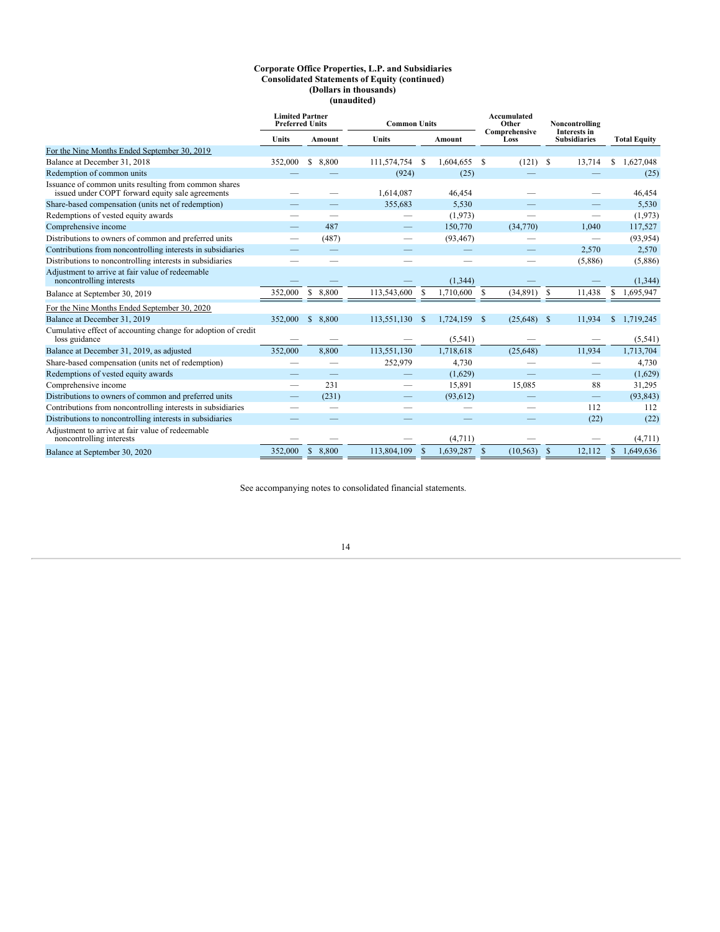#### **Corporate Office Properties, L.P. and Subsidiaries Consolidated Statements of Equity (continued) (Dollars in thousands) (unaudited)**

|                                                                                                           | <b>Limited Partner</b><br><b>Preferred Units</b> |              |        | <b>Common Units</b> |              |           | Accumulated<br>Other |                       | Noncontrolling |                                            |              |                     |
|-----------------------------------------------------------------------------------------------------------|--------------------------------------------------|--------------|--------|---------------------|--------------|-----------|----------------------|-----------------------|----------------|--------------------------------------------|--------------|---------------------|
|                                                                                                           | Units                                            |              | Amount | Units               |              | Amount    |                      | Comprehensive<br>Loss |                | <b>Interests in</b><br><b>Subsidiaries</b> |              | <b>Total Equity</b> |
| For the Nine Months Ended September 30, 2019                                                              |                                                  |              |        |                     |              |           |                      |                       |                |                                            |              |                     |
| Balance at December 31, 2018                                                                              | 352,000                                          | S            | 8,800  | 111,574,754         | S            | 1,604,655 | <sup>\$</sup>        | (121)                 | S              | 13,714                                     | S            | 1,627,048           |
| Redemption of common units                                                                                |                                                  |              |        | (924)               |              | (25)      |                      |                       |                |                                            |              | (25)                |
| Issuance of common units resulting from common shares<br>issued under COPT forward equity sale agreements |                                                  |              |        | 1,614,087           |              | 46,454    |                      |                       |                |                                            |              | 46,454              |
| Share-based compensation (units net of redemption)                                                        |                                                  |              |        | 355,683             |              | 5,530     |                      |                       |                |                                            |              | 5,530               |
| Redemptions of vested equity awards                                                                       |                                                  |              |        |                     |              | (1,973)   |                      |                       |                |                                            |              | (1,973)             |
| Comprehensive income                                                                                      |                                                  |              | 487    |                     |              | 150,770   |                      | (34,770)              |                | 1,040                                      |              | 117,527             |
| Distributions to owners of common and preferred units                                                     |                                                  |              | (487)  |                     |              | (93, 467) |                      |                       |                |                                            |              | (93, 954)           |
| Contributions from noncontrolling interests in subsidiaries                                               |                                                  |              |        |                     |              |           |                      |                       |                | 2,570                                      |              | 2,570               |
| Distributions to noncontrolling interests in subsidiaries                                                 |                                                  |              |        |                     |              |           |                      |                       |                | (5,886)                                    |              | (5,886)             |
| Adjustment to arrive at fair value of redeemable<br>noncontrolling interests                              |                                                  |              |        |                     |              | (1, 344)  |                      |                       |                |                                            |              | (1, 344)            |
| Balance at September 30, 2019                                                                             | 352,000                                          | S            | 8,800  | 113,543,600         |              | 1,710,600 | S                    | (34,891)              | \$             | 11,438                                     | S            | 1,695,947           |
| For the Nine Months Ended September 30, 2020                                                              |                                                  |              |        |                     |              |           |                      |                       |                |                                            |              |                     |
| Balance at December 31, 2019                                                                              | 352,000                                          | $\mathbb{S}$ | 8,800  | 113,551,130         | <sup>S</sup> | 1,724,159 | <sup>\$</sup>        | $(25,648)$ \$         |                | 11,934                                     | $\mathbb{S}$ | 1,719,245           |
| Cumulative effect of accounting change for adoption of credit<br>loss guidance                            |                                                  |              |        |                     |              | (5, 541)  |                      |                       |                |                                            |              | (5, 541)            |
| Balance at December 31, 2019, as adjusted                                                                 | 352,000                                          |              | 8,800  | 113,551,130         |              | 1,718,618 |                      | (25, 648)             |                | 11,934                                     |              | 1,713,704           |
| Share-based compensation (units net of redemption)                                                        |                                                  |              |        | 252,979             |              | 4,730     |                      |                       |                |                                            |              | 4,730               |
| Redemptions of vested equity awards                                                                       |                                                  |              |        |                     |              | (1,629)   |                      |                       |                | $\hspace{0.05cm}$                          |              | (1,629)             |
| Comprehensive income                                                                                      |                                                  |              | 231    |                     |              | 15,891    |                      | 15,085                |                | 88                                         |              | 31,295              |
| Distributions to owners of common and preferred units                                                     |                                                  |              | (231)  |                     |              | (93, 612) |                      |                       |                |                                            |              | (93, 843)           |
| Contributions from noncontrolling interests in subsidiaries                                               |                                                  |              |        |                     |              |           |                      |                       |                | 112                                        |              | 112                 |
| Distributions to noncontrolling interests in subsidiaries                                                 |                                                  |              |        |                     |              |           |                      |                       |                | (22)                                       |              | (22)                |
| Adjustment to arrive at fair value of redeemable<br>noncontrolling interests                              |                                                  |              |        |                     |              | (4,711)   |                      |                       |                |                                            |              | (4, 711)            |
| Balance at September 30, 2020                                                                             | 352,000                                          | $\mathbb{S}$ | 8,800  | 113,804,109         | \$           | 1,639,287 | $\mathbb{S}$         | (10, 563)             | \$             | 12,112                                     | \$           | 1,649,636           |

<span id="page-15-0"></span>See accompanying notes to consolidated financial statements.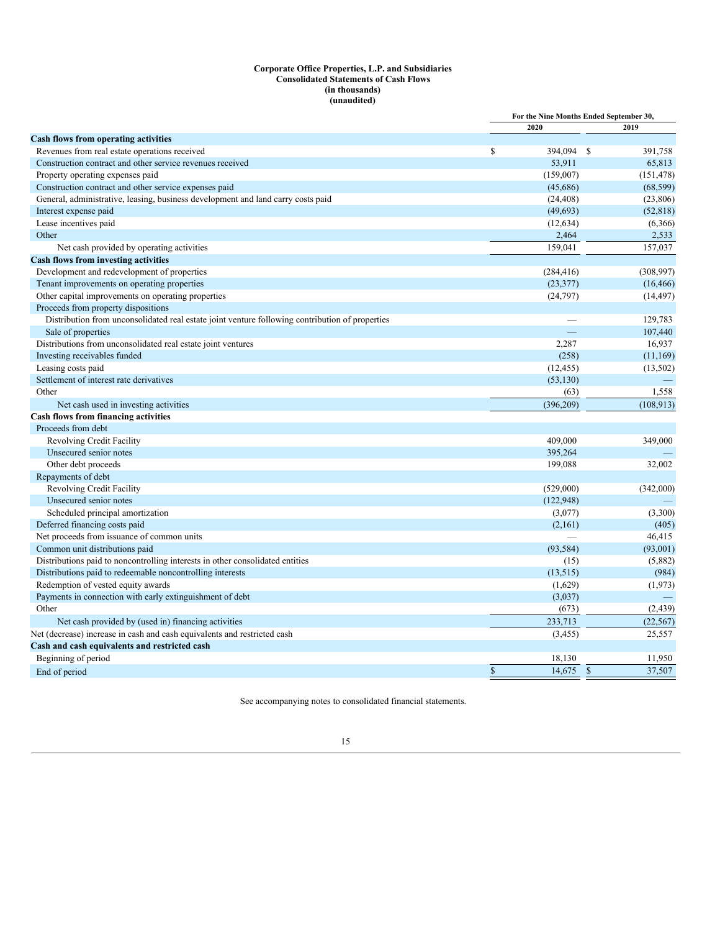#### **Corporate Office Properties, L.P. and Subsidiaries Consolidated Statements of Cash Flows (in thousands) (unaudited)**

|                                                                                                 |    | For the Nine Months Ended September 30, |               |                          |
|-------------------------------------------------------------------------------------------------|----|-----------------------------------------|---------------|--------------------------|
|                                                                                                 |    | 2020                                    |               | 2019                     |
| <b>Cash flows from operating activities</b>                                                     |    |                                         |               |                          |
| Revenues from real estate operations received                                                   | \$ | 394,094 \$                              |               | 391,758                  |
| Construction contract and other service revenues received                                       |    | 53,911                                  |               | 65,813                   |
| Property operating expenses paid                                                                |    | (159,007)                               |               | (151, 478)               |
| Construction contract and other service expenses paid                                           |    | (45,686)                                |               | (68, 599)                |
| General, administrative, leasing, business development and land carry costs paid                |    | (24, 408)                               |               | (23,806)                 |
| Interest expense paid                                                                           |    | (49, 693)                               |               | (52, 818)                |
| Lease incentives paid                                                                           |    | (12, 634)                               |               | (6,366)                  |
| Other                                                                                           |    | 2,464                                   |               | 2,533                    |
| Net cash provided by operating activities                                                       |    | 159,041                                 |               | 157,037                  |
| <b>Cash flows from investing activities</b>                                                     |    |                                         |               |                          |
| Development and redevelopment of properties                                                     |    | (284, 416)                              |               | (308, 997)               |
| Tenant improvements on operating properties                                                     |    | (23, 377)                               |               | (16, 466)                |
| Other capital improvements on operating properties                                              |    | (24, 797)                               |               | (14, 497)                |
| Proceeds from property dispositions                                                             |    |                                         |               |                          |
| Distribution from unconsolidated real estate joint venture following contribution of properties |    |                                         |               | 129,783                  |
| Sale of properties                                                                              |    | ш.                                      |               | 107,440                  |
| Distributions from unconsolidated real estate joint ventures                                    |    | 2,287                                   |               | 16,937                   |
| Investing receivables funded                                                                    |    | (258)                                   |               | (11, 169)                |
| Leasing costs paid                                                                              |    | (12, 455)                               |               | (13,502)                 |
| Settlement of interest rate derivatives                                                         |    | (53, 130)                               |               |                          |
| Other                                                                                           |    | (63)                                    |               | 1,558                    |
| Net cash used in investing activities                                                           |    | (396, 209)                              |               | (108, 913)               |
| Cash flows from financing activities                                                            |    |                                         |               |                          |
| Proceeds from debt                                                                              |    |                                         |               |                          |
| Revolving Credit Facility                                                                       |    | 409,000                                 |               | 349,000                  |
| Unsecured senior notes                                                                          |    | 395,264                                 |               |                          |
| Other debt proceeds                                                                             |    | 199,088                                 |               | 32,002                   |
| Repayments of debt                                                                              |    |                                         |               |                          |
| Revolving Credit Facility                                                                       |    | (529,000)                               |               | (342,000)                |
| Unsecured senior notes                                                                          |    | (122, 948)                              |               |                          |
| Scheduled principal amortization                                                                |    | (3,077)                                 |               | (3,300)                  |
| Deferred financing costs paid                                                                   |    | (2,161)                                 |               | (405)                    |
| Net proceeds from issuance of common units                                                      |    |                                         |               | 46,415                   |
| Common unit distributions paid                                                                  |    | (93, 584)                               |               | (93,001)                 |
| Distributions paid to noncontrolling interests in other consolidated entities                   |    | (15)                                    |               | (5,882)                  |
| Distributions paid to redeemable noncontrolling interests                                       |    | (13, 515)                               |               | (984)                    |
| Redemption of vested equity awards                                                              |    | (1,629)                                 |               | (1, 973)                 |
| Payments in connection with early extinguishment of debt                                        |    | (3,037)                                 |               | $\overline{\phantom{m}}$ |
| Other                                                                                           |    | (673)                                   |               | (2, 439)                 |
|                                                                                                 |    | 233,713                                 |               | (22, 567)                |
| Net cash provided by (used in) financing activities                                             |    |                                         |               |                          |
| Net (decrease) increase in cash and cash equivalents and restricted cash                        |    | (3, 455)                                |               | 25,557                   |
| Cash and cash equivalents and restricted cash                                                   |    |                                         |               |                          |
| Beginning of period                                                                             |    | 18,130                                  |               | 11,950                   |
| End of period                                                                                   | \$ | 14,675                                  | $\mathcal{S}$ | 37,507                   |

See accompanying notes to consolidated financial statements.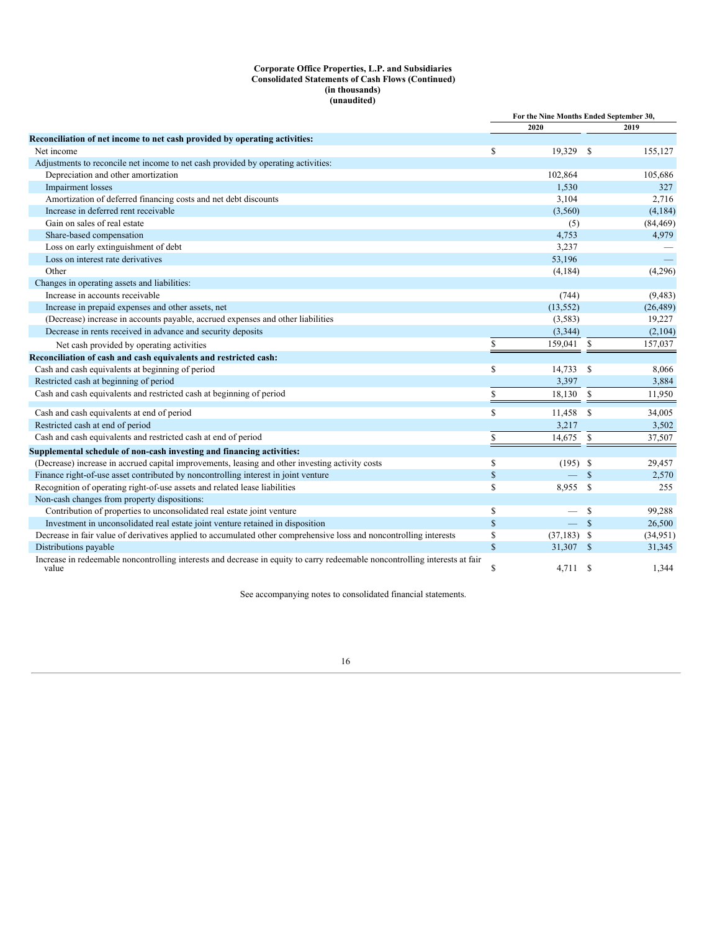#### **Corporate Office Properties, L.P. and Subsidiaries Consolidated Statements of Cash Flows (Continued) (in thousands) (unaudited)**

|                                                                                                                                      | For the Nine Months Ended September 30, |                          |               |           |
|--------------------------------------------------------------------------------------------------------------------------------------|-----------------------------------------|--------------------------|---------------|-----------|
|                                                                                                                                      |                                         | 2020                     |               | 2019      |
| Reconciliation of net income to net cash provided by operating activities:                                                           |                                         |                          |               |           |
| Net income                                                                                                                           | \$                                      | 19,329                   | -S            | 155,127   |
| Adjustments to reconcile net income to net cash provided by operating activities:                                                    |                                         |                          |               |           |
| Depreciation and other amortization                                                                                                  |                                         | 102,864                  |               | 105,686   |
| Impairment losses                                                                                                                    |                                         | 1,530                    |               | 327       |
| Amortization of deferred financing costs and net debt discounts                                                                      |                                         | 3,104                    |               | 2,716     |
| Increase in deferred rent receivable                                                                                                 |                                         | (3,560)                  |               | (4, 184)  |
| Gain on sales of real estate                                                                                                         |                                         | (5)                      |               | (84, 469) |
| Share-based compensation                                                                                                             |                                         | 4,753                    |               | 4,979     |
| Loss on early extinguishment of debt                                                                                                 |                                         | 3,237                    |               |           |
| Loss on interest rate derivatives                                                                                                    |                                         | 53,196                   |               |           |
| Other                                                                                                                                |                                         | (4,184)                  |               | (4,296)   |
| Changes in operating assets and liabilities:                                                                                         |                                         |                          |               |           |
| Increase in accounts receivable                                                                                                      |                                         | (744)                    |               | (9, 483)  |
| Increase in prepaid expenses and other assets, net                                                                                   |                                         | (13, 552)                |               | (26, 489) |
| (Decrease) increase in accounts payable, accrued expenses and other liabilities                                                      |                                         | (3,583)                  |               | 19,227    |
| Decrease in rents received in advance and security deposits                                                                          |                                         | (3, 344)                 |               | (2,104)   |
| Net cash provided by operating activities                                                                                            | \$                                      | 159,041 \$               |               | 157,037   |
| Reconciliation of cash and cash equivalents and restricted cash:                                                                     |                                         |                          |               |           |
| Cash and cash equivalents at beginning of period                                                                                     | $\mathbb{S}$                            | 14,733                   | -S            | 8,066     |
| Restricted cash at beginning of period                                                                                               |                                         | 3,397                    |               | 3,884     |
| Cash and cash equivalents and restricted cash at beginning of period                                                                 | \$                                      | 18,130                   | <b>S</b>      | 11,950    |
| Cash and cash equivalents at end of period                                                                                           | \$                                      | 11,458                   | -S            | 34,005    |
| Restricted cash at end of period                                                                                                     |                                         | 3,217                    |               | 3,502     |
| Cash and cash equivalents and restricted cash at end of period                                                                       | \$                                      | 14,675                   | \$            | 37,507    |
| Supplemental schedule of non-cash investing and financing activities:                                                                |                                         |                          |               |           |
| (Decrease) increase in accrued capital improvements, leasing and other investing activity costs                                      | \$                                      | $(195)$ \$               |               | 29,457    |
| Finance right-of-use asset contributed by noncontrolling interest in joint venture                                                   | $\$$                                    | $-$ \$                   |               | 2,570     |
| Recognition of operating right-of-use assets and related lease liabilities                                                           | \$                                      | 8,955                    | -S            | 255       |
| Non-cash changes from property dispositions:                                                                                         |                                         |                          |               |           |
| Contribution of properties to unconsolidated real estate joint venture                                                               | \$                                      | $\overline{\phantom{a}}$ | S             | 99,288    |
| Investment in unconsolidated real estate joint venture retained in disposition                                                       | $\mathbf S$                             | $\equiv$                 | <sup>\$</sup> | 26,500    |
| Decrease in fair value of derivatives applied to accumulated other comprehensive loss and noncontrolling interests                   | \$                                      | $(37, 183)$ \$           |               | (34,951)  |
| Distributions payable                                                                                                                | $\mathbf S$                             | 31,307                   | $\mathbb{S}$  | 31,345    |
| Increase in redeemable noncontrolling interests and decrease in equity to carry redeemable noncontrolling interests at fair<br>value | \$                                      | 4,711                    | <sup>S</sup>  | 1,344     |

<span id="page-17-0"></span>See accompanying notes to consolidated financial statements.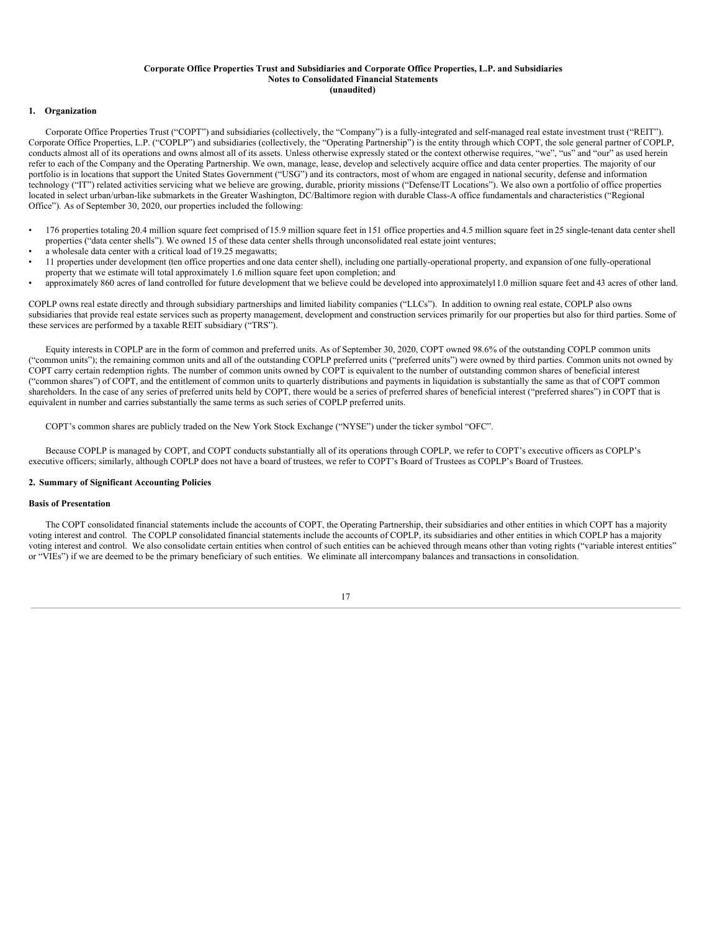#### **Corporate Office Properties Trust and Subsidiaries and Corporate Office Properties, L.P. and Subsidiaries Notes to Consolidated Financial Statements (unaudited)**

## **1. Organization**

Corporate Office Properties Trust ("COPT") and subsidiaries (collectively, the "Company") is a fully-integrated and self-managed real estate investment trust ("REIT"). Corporate Office Properties, L.P. ("COPLP") and subsidiaries (collectively, the "Operating Partnership") is the entity through which COPT, the sole general partner of COPLP, conducts almost all of its operations and owns almost all of its assets. Unless otherwise expressly stated or the context otherwise requires, "we", "us" and "our" as used herein refer to each of the Company and the Operating Partnership. We own, manage, lease, develop and selectively acquire office and data center properties. The majority of our portfolio is in locations that support the United States Government ("USG") and its contractors, most of whom are engaged in national security, defense and information technology ("IT") related activities servicing what we believe are growing, durable, priority missions ("Defense/IT Locations"). We also own a portfolio of office properties located in select urban/urban-like submarkets in the Greater Washington, DC/Baltimore region with durable Class-A office fundamentals and characteristics ("Regional Office"). As of September 30, 2020, our properties included the following:

- 176 properties totaling 20.4 million square feet comprised of 15.9 million square feet in 151 office properties and 4.5 million square feet in 25 single-tenant data center shell properties ("data center shells"). We owned 15 of these data center shells through unconsolidated real estate joint ventures;
- a wholesale data center with a critical load of 19.25 megawatts;
- 11 properties under development (ten office properties and one data center shell), including one partially-operational property, and expansion of one fully-operational property that we estimate will total approximately 1.6 million square feet upon completion; and
- approximately 860 acres of land controlled for future development that we believe could be developed into approximately11.0 million square feet and 43 acres of other land.

COPLP owns real estate directly and through subsidiary partnerships and limited liability companies ("LLCs"). In addition to owning real estate, COPLP also owns subsidiaries that provide real estate services such as property management, development and construction services primarily for our properties but also for third parties. Some of these services are performed by a taxable REIT subsidiary ("TRS").

Equity interests in COPLP are in the form of common and preferred units. As of September 30, 2020, COPT owned 98.6% of the outstanding COPLP common units ("common units"); the remaining common units and all of the outstanding COPLP preferred units ("preferred units") were owned by third parties. Common units not owned by COPT carry certain redemption rights. The number of common units owned by COPT is equivalent to the number of outstanding common shares of beneficial interest ("common shares") of COPT, and the entitlement of common units to quarterly distributions and payments in liquidation is substantially the same as that of COPT common shareholders. In the case of any series of preferred units held by COPT, there would be a series of preferred shares of beneficial interest ("preferred shares") in COPT that is equivalent in number and carries substantially the same terms as such series of COPLP preferred units.

COPT's common shares are publicly traded on the New York Stock Exchange ("NYSE") under the ticker symbol "OFC".

Because COPLP is managed by COPT, and COPT conducts substantially all of its operations through COPLP, we refer to COPT's executive officers as COPLP's executive officers; similarly, although COPLP does not have a board of trustees, we refer to COPT's Board of Trustees as COPLP's Board of Trustees.

#### **2. Summary of Significant Accounting Policies**

## **Basis of Presentation**

The COPT consolidated financial statements include the accounts of COPT, the Operating Partnership, their subsidiaries and other entities in which COPT has a majority voting interest and control. The COPLP consolidated financial statements include the accounts of COPLP, its subsidiaries and other entities in which COPLP has a majority voting interest and control. We also consolidate certain entities when control of such entities can be achieved through means other than voting rights ("variable interest entities" or "VIEs") if we are deemed to be the primary beneficiary of such entities. We eliminate all intercompany balances and transactions in consolidation.

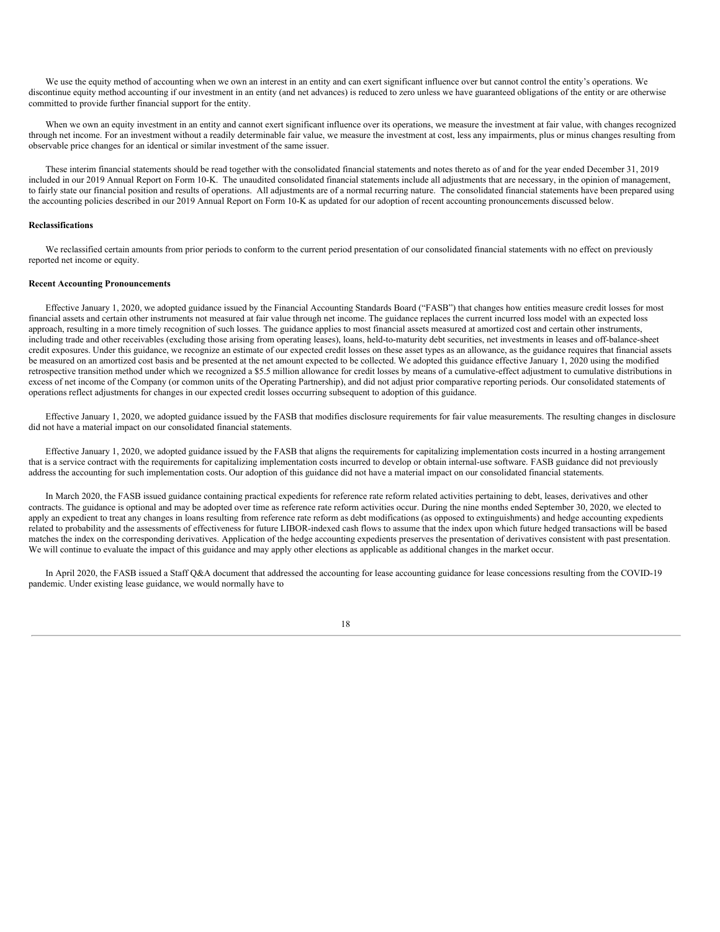We use the equity method of accounting when we own an interest in an entity and can exert significant influence over but cannot control the entity's operations. We discontinue equity method accounting if our investment in an entity (and net advances) is reduced to zero unless we have guaranteed obligations of the entity or are otherwise committed to provide further financial support for the entity.

When we own an equity investment in an entity and cannot exert significant influence over its operations, we measure the investment at fair value, with changes recognized through net income. For an investment without a readily determinable fair value, we measure the investment at cost, less any impairments, plus or minus changes resulting from observable price changes for an identical or similar investment of the same issuer.

These interim financial statements should be read together with the consolidated financial statements and notes thereto as of and for the year ended December 31, 2019 included in our 2019 Annual Report on Form 10-K. The unaudited consolidated financial statements include all adjustments that are necessary, in the opinion of management, to fairly state our financial position and results of operations. All adjustments are of a normal recurring nature. The consolidated financial statements have been prepared using the accounting policies described in our 2019 Annual Report on Form 10-K as updated for our adoption of recent accounting pronouncements discussed below.

## **Reclassifications**

We reclassified certain amounts from prior periods to conform to the current period presentation of our consolidated financial statements with no effect on previously reported net income or equity.

## **Recent Accounting Pronouncements**

Effective January 1, 2020, we adopted guidance issued by the Financial Accounting Standards Board ("FASB") that changes how entities measure credit losses for most financial assets and certain other instruments not measured at fair value through net income. The guidance replaces the current incurred loss model with an expected loss approach, resulting in a more timely recognition of such losses. The guidance applies to most financial assets measured at amortized cost and certain other instruments, including trade and other receivables (excluding those arising from operating leases), loans, held-to-maturity debt securities, net investments in leases and off-balance-sheet credit exposures. Under this guidance, we recognize an estimate of our expected credit losses on these asset types as an allowance, as the guidance requires that financial assets be measured on an amortized cost basis and be presented at the net amount expected to be collected. We adopted this guidance effective January 1, 2020 using the modified retrospective transition method under which we recognized a \$5.5 million allowance for credit losses by means of a cumulative-effect adjustment to cumulative distributions in excess of net income of the Company (or common units of the Operating Partnership), and did not adjust prior comparative reporting periods. Our consolidated statements of operations reflect adjustments for changes in our expected credit losses occurring subsequent to adoption of this guidance.

Effective January 1, 2020, we adopted guidance issued by the FASB that modifies disclosure requirements for fair value measurements. The resulting changes in disclosure did not have a material impact on our consolidated financial statements.

Effective January 1, 2020, we adopted guidance issued by the FASB that aligns the requirements for capitalizing implementation costs incurred in a hosting arrangement that is a service contract with the requirements for capitalizing implementation costs incurred to develop or obtain internal-use software. FASB guidance did not previously address the accounting for such implementation costs. Our adoption of this guidance did not have a material impact on our consolidated financial statements.

In March 2020, the FASB issued guidance containing practical expedients for reference rate reform related activities pertaining to debt, leases, derivatives and other contracts. The guidance is optional and may be adopted over time as reference rate reform activities occur. During the nine months ended September 30, 2020, we elected to apply an expedient to treat any changes in loans resulting from reference rate reform as debt modifications (as opposed to extinguishments) and hedge accounting expedients related to probability and the assessments of effectiveness for future LIBOR-indexed cash flows to assume that the index upon which future hedged transactions will be based matches the index on the corresponding derivatives. Application of the hedge accounting expedients preserves the presentation of derivatives consistent with past presentation. We will continue to evaluate the impact of this guidance and may apply other elections as applicable as additional changes in the market occur.

In April 2020, the FASB issued a Staff Q&A document that addressed the accounting for lease accounting guidance for lease concessions resulting from the COVID-19 pandemic. Under existing lease guidance, we would normally have to

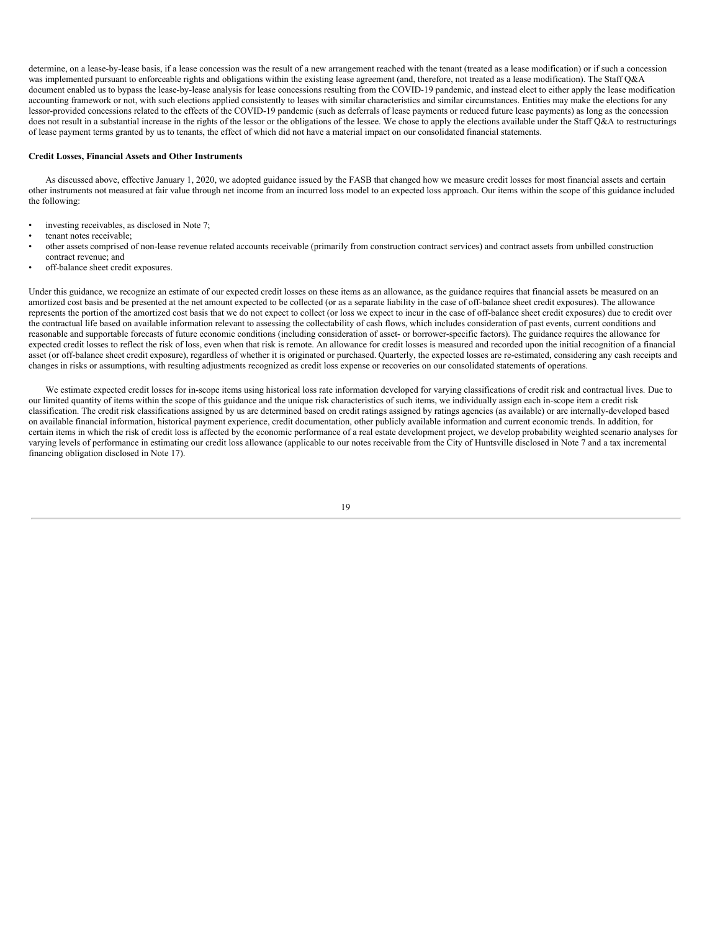determine, on a lease-by-lease basis, if a lease concession was the result of a new arrangement reached with the tenant (treated as a lease modification) or if such a concession was implemented pursuant to enforceable rights and obligations within the existing lease agreement (and, therefore, not treated as a lease modification). The Staff Q&A document enabled us to bypass the lease-by-lease analysis for lease concessions resulting from the COVID-19 pandemic, and instead elect to either apply the lease modification accounting framework or not, with such elections applied consistently to leases with similar characteristics and similar circumstances. Entities may make the elections for any lessor-provided concessions related to the effects of the COVID-19 pandemic (such as deferrals of lease payments or reduced future lease payments) as long as the concession does not result in a substantial increase in the rights of the lessor or the obligations of the lessee. We chose to apply the elections available under the Staff Q&A to restructurings of lease payment terms granted by us to tenants, the effect of which did not have a material impact on our consolidated financial statements.

## **Credit Losses, Financial Assets and Other Instruments**

As discussed above, effective January 1, 2020, we adopted guidance issued by the FASB that changed how we measure credit losses for most financial assets and certain other instruments not measured at fair value through net income from an incurred loss model to an expected loss approach. Our items within the scope of this guidance included the following:

- investing receivables, as disclosed in Note 7;
- tenant notes receivable:
- other assets comprised of non-lease revenue related accounts receivable (primarily from construction contract services) and contract assets from unbilled construction contract revenue; and
- off-balance sheet credit exposures.

Under this guidance, we recognize an estimate of our expected credit losses on these items as an allowance, as the guidance requires that financial assets be measured on an amortized cost basis and be presented at the net amount expected to be collected (or as a separate liability in the case of off-balance sheet credit exposures). The allowance represents the portion of the amortized cost basis that we do not expect to collect (or loss we expect to incur in the case of off-balance sheet credit exposures) due to credit over the contractual life based on available information relevant to assessing the collectability of cash flows, which includes consideration of past events, current conditions and reasonable and supportable forecasts of future economic conditions (including consideration of asset- or borrower-specific factors). The guidance requires the allowance for expected credit losses to reflect the risk of loss, even when that risk is remote. An allowance for credit losses is measured and recorded upon the initial recognition of a financial asset (or off-balance sheet credit exposure), regardless of whether it is originated or purchased. Quarterly, the expected losses are re-estimated, considering any cash receipts and changes in risks or assumptions, with resulting adjustments recognized as credit loss expense or recoveries on our consolidated statements of operations.

We estimate expected credit losses for in-scope items using historical loss rate information developed for varying classifications of credit risk and contractual lives. Due to our limited quantity of items within the scope of this guidance and the unique risk characteristics of such items, we individually assign each in-scope item a credit risk classification. The credit risk classifications assigned by us are determined based on credit ratings assigned by ratings agencies (as available) or are internally-developed based on available financial information, historical payment experience, credit documentation, other publicly available information and current economic trends. In addition, for certain items in which the risk of credit loss is affected by the economic performance of a real estate development project, we develop probability weighted scenario analyses for varying levels of performance in estimating our credit loss allowance (applicable to our notes receivable from the City of Huntsville disclosed in Note 7 and a tax incremental financing obligation disclosed in Note 17).

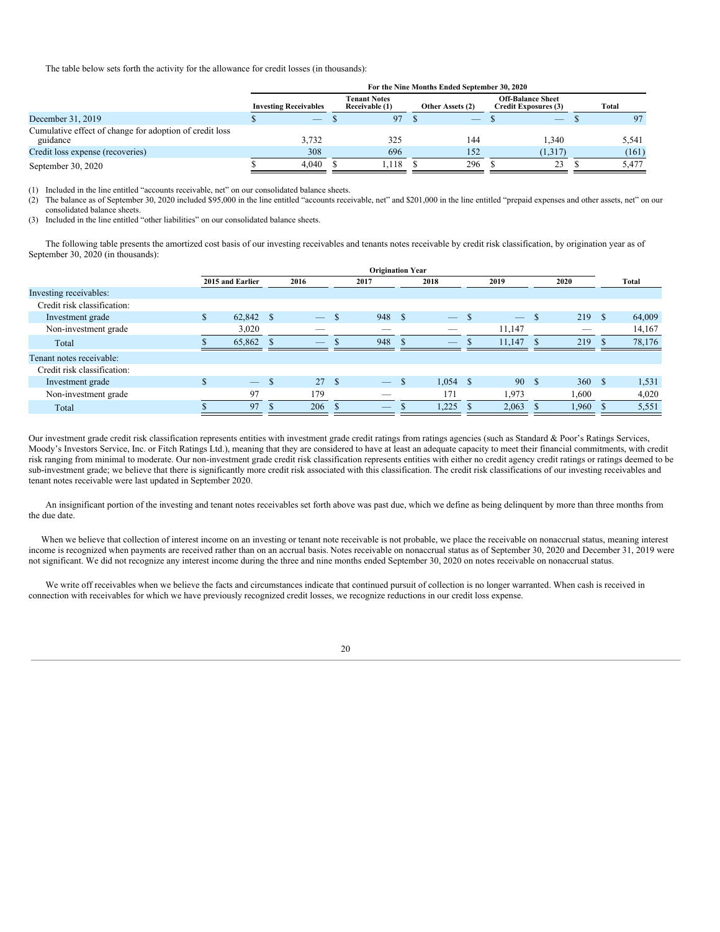The table below sets forth the activity for the allowance for credit losses (in thousands):

|                                                                     |                              |                                       | For the Nine Months Ended September 30, 2020 |                                                         |       |
|---------------------------------------------------------------------|------------------------------|---------------------------------------|----------------------------------------------|---------------------------------------------------------|-------|
|                                                                     | <b>Investing Receivables</b> | <b>Tenant Notes</b><br>Receivable (1) | Other Assets (2)                             | <b>Off-Balance Sheet</b><br><b>Credit Exposures (3)</b> | Total |
| December 31, 2019                                                   | $\overline{\phantom{a}}$     | 97                                    | $\overline{\phantom{a}}$                     | $-$                                                     | 97    |
| Cumulative effect of change for adoption of credit loss<br>guidance | 3,732                        | 325                                   | 144                                          | .340                                                    | 5.541 |
| Credit loss expense (recoveries)                                    | 308                          | 696                                   | 152                                          | (1,317)                                                 | (161) |
| September 30, 2020                                                  | 4.040                        | l.118                                 | 296                                          | 23                                                      | 5.477 |

(1) Included in the line entitled "accounts receivable, net" on our consolidated balance sheets.

(2) The balance as of September 30, 2020 included \$95,000 in the line entitled "accounts receivable, net" and \$201,000 in the line entitled "prepaid expenses and other assets, net" on our consolidated balance sheets.

(3) Included in the line entitled "other liabilities" on our consolidated balance sheets.

The following table presents the amortized cost basis of our investing receivables and tenants notes receivable by credit risk classification, by origination year as of September 30, 2020 (in thousands):

| Total  |
|--------|
|        |
|        |
|        |
| 64,009 |
| 14,167 |
| 78,176 |
|        |
|        |
| 1,531  |
| 4,020  |
| 5,551  |
|        |

Our investment grade credit risk classification represents entities with investment grade credit ratings from ratings agencies (such as Standard & Poor's Ratings Services, Moody's Investors Service, Inc. or Fitch Ratings Ltd.), meaning that they are considered to have at least an adequate capacity to meet their financial commitments, with credit risk ranging from minimal to moderate. Our non-investment grade credit risk classification represents entities with either no credit agency credit ratings or ratings deemed to be sub-investment grade; we believe that there is significantly more credit risk associated with this classification. The credit risk classifications of our investing receivables and tenant notes receivable were last updated in September 2020.

An insignificant portion of the investing and tenant notes receivables set forth above was past due, which we define as being delinquent by more than three months from the due date.

When we believe that collection of interest income on an investing or tenant note receivable is not probable, we place the receivable on nonaccrual status, meaning interest income is recognized when payments are received rather than on an accrual basis. Notes receivable on nonaccrual status as of September 30, 2020 and December 31, 2019 were not significant. We did not recognize any interest income during the three and nine months ended September 30, 2020 on notes receivable on nonaccrual status.

We write off receivables when we believe the facts and circumstances indicate that continued pursuit of collection is no longer warranted. When cash is received in connection with receivables for which we have previously recognized credit losses, we recognize reductions in our credit loss expense.

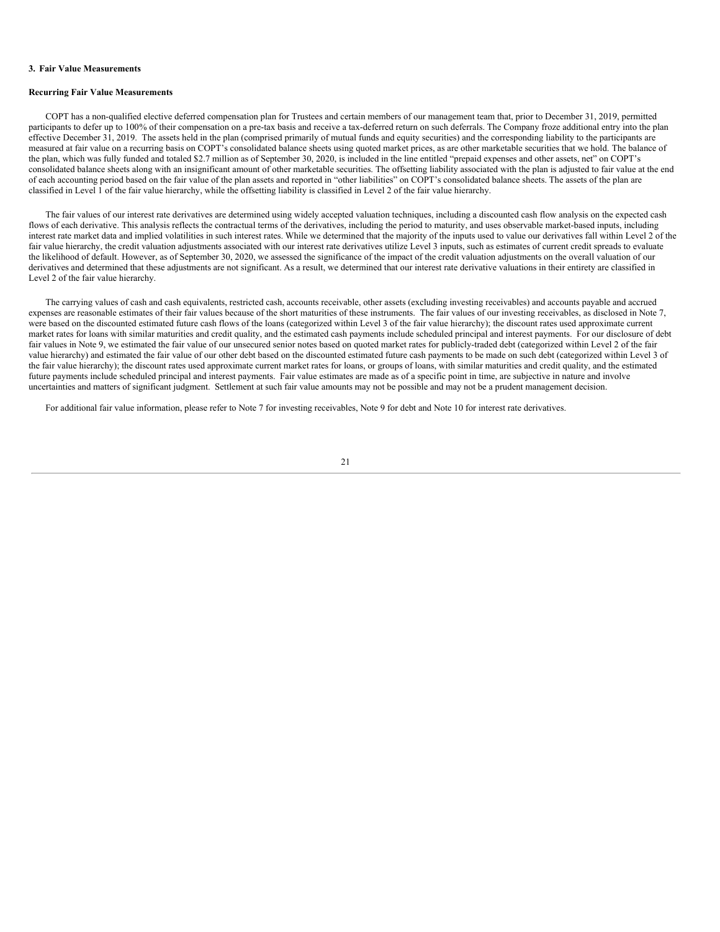#### **3. Fair Value Measurements**

#### **Recurring Fair Value Measurements**

COPT has a non-qualified elective deferred compensation plan for Trustees and certain members of our management team that, prior to December 31, 2019, permitted participants to defer up to 100% of their compensation on a pre-tax basis and receive a tax-deferred return on such deferrals. The Company froze additional entry into the plan effective December  $31$ , 2019. The assets held in the plan (comprised primarily of mutual funds and equity securities) and the corresponding liability to the participants are measured at fair value on a recurring basis on COPT's consolidated balance sheets using quoted market prices, as are other marketable securities that we hold. The balance of the plan, which was fully funded and totaled \$2.7 million as of September 30, 2020, is included in the line entitled "prepaid expenses and other assets, net" on COPT's consolidated balance sheets along with an insignificant amount of other marketable securities. The offsetting liability associated with the plan is adjusted to fair value at the end of each accounting period based on the fair value of the plan assets and reported in "other liabilities" on COPT's consolidated balance sheets. The assets of the plan are classified in Level 1 of the fair value hierarchy, while the offsetting liability is classified in Level 2 of the fair value hierarchy.

The fair values of our interest rate derivatives are determined using widely accepted valuation techniques, including a discounted cash flow analysis on the expected cash flows of each derivative. This analysis reflects the contractual terms of the derivatives, including the period to maturity, and uses observable market-based inputs, including interest rate market data and implied volatilities in such interest rates. While we determined that the majority of the inputs used to value our derivatives fall within Level 2 of the fair value hierarchy, the credit valuation adjustments associated with our interest rate derivatives utilize Level 3 inputs, such as estimates of current credit spreads to evaluate the likelihood of default. However, as of September 30, 2020, we assessed the significance of the impact of the credit valuation adjustments on the overall valuation of our derivatives and determined that these adjustments are not significant. As a result, we determined that our interest rate derivative valuations in their entirety are classified in Level 2 of the fair value hierarchy.

The carrying values of cash and cash equivalents, restricted cash, accounts receivable, other assets (excluding investing receivables) and accounts payable and accrued expenses are reasonable estimates of their fair values because of the short maturities of these instruments. The fair values of our investing receivables, as disclosed in Note 7, were based on the discounted estimated future cash flows of the loans (categorized within Level 3 of the fair value hierarchy); the discount rates used approximate current market rates for loans with similar maturities and credit quality, and the estimated cash payments include scheduled principal and interest payments. For our disclosure of debt fair values in Note 9, we estimated the fair value of our unsecured senior notes based on quoted market rates for publicly-traded debt (categorized within Level 2 of the fair value hierarchy) and estimated the fair value of our other debt based on the discounted estimated future cash payments to be made on such debt (categorized within Level 3 of the fair value hierarchy); the discount rates used approximate current market rates for loans, or groups of loans, with similar maturities and credit quality, and the estimated future payments include scheduled principal and interest payments. Fair value estimates are made as of a specific point in time, are subjective in nature and involve uncertainties and matters of significant judgment. Settlement at such fair value amounts may not be possible and may not be a prudent management decision.

For additional fair value information, please refer to Note 7 for investing receivables, Note 9 for debt and Note 10 for interest rate derivatives.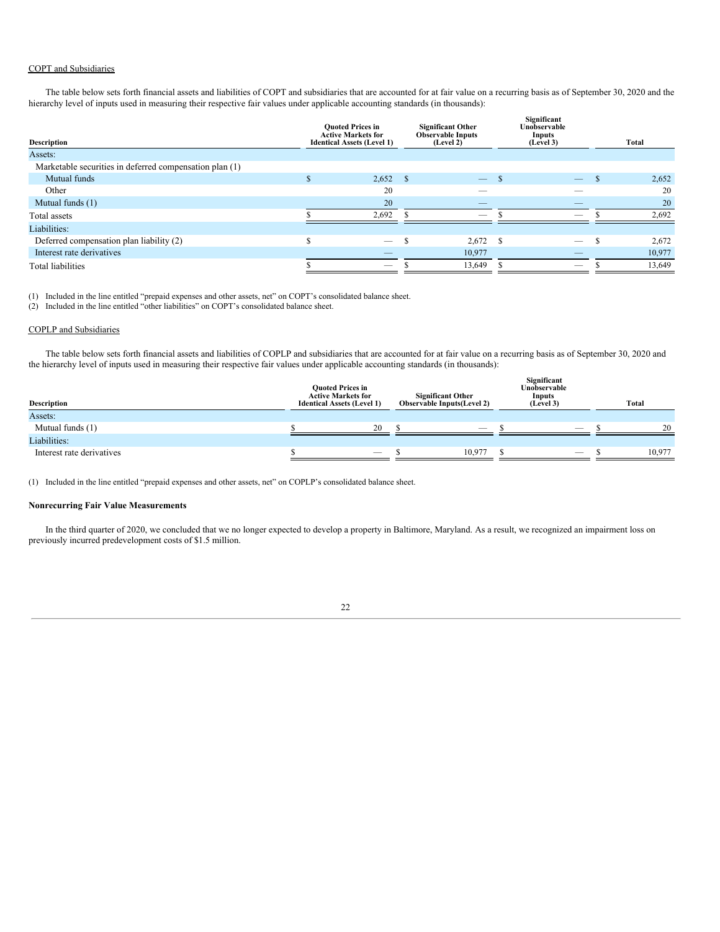## COPT and Subsidiaries

The table below sets forth financial assets and liabilities of COPT and subsidiaries that are accounted for at fair value on a recurring basis as of September 30, 2020 and the hierarchy level of inputs used in measuring their respective fair values under applicable accounting standards (in thousands):

| <b>Description</b>                                      |     | <b>Ouoted Prices in</b><br><b>Active Markets for</b><br><b>Identical Assets (Level 1)</b> |          | <b>Significant Other</b><br><b>Observable Inputs</b><br>(Level 2) |     | Significant<br>Unobservable<br>Inputs<br>(Level 3) | Total  |
|---------------------------------------------------------|-----|-------------------------------------------------------------------------------------------|----------|-------------------------------------------------------------------|-----|----------------------------------------------------|--------|
| Assets:                                                 |     |                                                                                           |          |                                                                   |     |                                                    |        |
| Marketable securities in deferred compensation plan (1) |     |                                                                                           |          |                                                                   |     |                                                    |        |
| Mutual funds                                            | \$. | $2,652$ \$                                                                                |          | $\overline{\phantom{m}}$                                          |     |                                                    | 2,652  |
| Other                                                   |     | 20                                                                                        |          |                                                                   |     |                                                    | 20     |
| Mutual funds (1)                                        |     | 20                                                                                        |          |                                                                   |     |                                                    | 20     |
| Total assets                                            |     | 2,692                                                                                     |          |                                                                   |     | $-$                                                | 2,692  |
| Liabilities:                                            |     |                                                                                           |          |                                                                   |     |                                                    |        |
| Deferred compensation plan liability (2)                |     | $\overline{\phantom{m}}$                                                                  | <b>S</b> | 2,672                                                             | - S |                                                    | 2,672  |
| Interest rate derivatives                               |     |                                                                                           |          | 10,977                                                            |     |                                                    | 10,977 |
| Total liabilities                                       |     | $\overline{\phantom{m}}$                                                                  |          | 13,649                                                            |     | $-$                                                | 13,649 |
|                                                         |     |                                                                                           |          |                                                                   |     |                                                    |        |

(1) Included in the line entitled "prepaid expenses and other assets, net" on COPT's consolidated balance sheet.

(2) Included in the line entitled "other liabilities" on COPT's consolidated balance sheet.

## COPLP and Subsidiaries

The table below sets forth financial assets and liabilities of COPLP and subsidiaries that are accounted for at fair value on a recurring basis as of September 30, 2020 and the hierarchy level of inputs used in measuring their respective fair values under applicable accounting standards (in thousands):

| Description               | <b>Ouoted Prices in</b><br><b>Active Markets for</b><br><b>Identical Assets (Level 1)</b> | <b>Significant Other</b><br><b>Observable Inputs(Level 2)</b> | Significant<br>Unobservable<br>Inputs<br>(Level 3) | Total  |
|---------------------------|-------------------------------------------------------------------------------------------|---------------------------------------------------------------|----------------------------------------------------|--------|
| Assets:                   |                                                                                           |                                                               |                                                    |        |
| Mutual funds (1)          | 20                                                                                        | $\overline{\phantom{a}}$                                      | $\overline{\phantom{a}}$                           | 20     |
| Liabilities:              |                                                                                           |                                                               |                                                    |        |
| Interest rate derivatives | $\overline{\phantom{m}}$                                                                  | 10.977                                                        | $\overline{\phantom{a}}$                           | 10,977 |

(1) Included in the line entitled "prepaid expenses and other assets, net" on COPLP's consolidated balance sheet.

## **Nonrecurring Fair Value Measurements**

In the third quarter of 2020, we concluded that we no longer expected to develop a property in Baltimore, Maryland. As a result, we recognized an impairment loss on previously incurred predevelopment costs of \$1.5 million.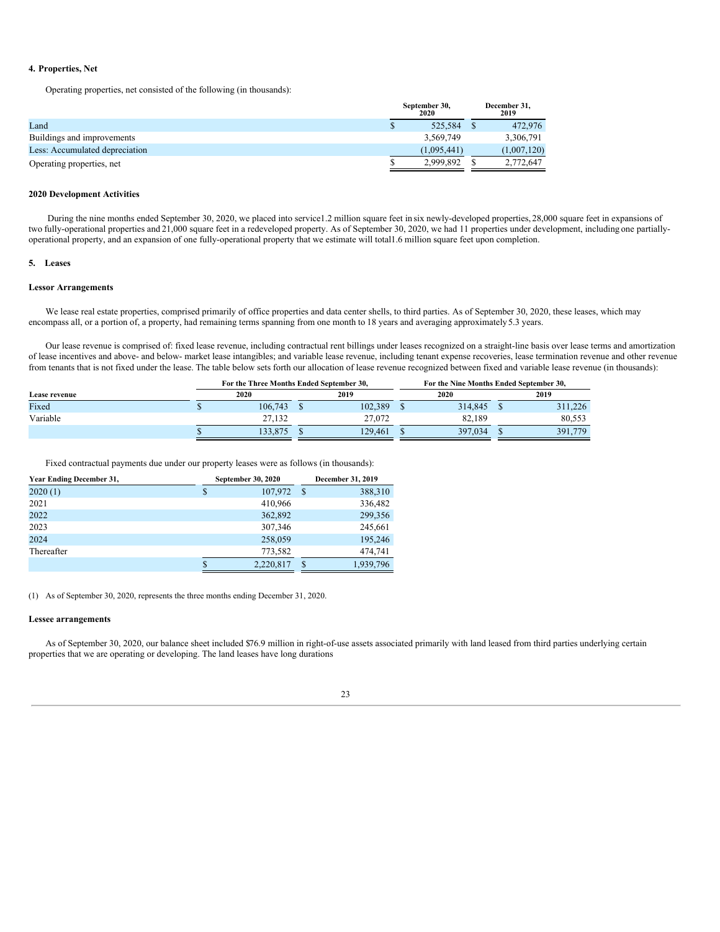## **4. Properties, Net**

Operating properties, net consisted of the following (in thousands):

|                                | September 30,<br>2020 | December 31,<br>2019 |
|--------------------------------|-----------------------|----------------------|
| Land                           | \$<br>525.584         | 472,976              |
| Buildings and improvements     | 3.569.749             | 3,306,791            |
| Less: Accumulated depreciation | (1,095,441)           | (1,007,120)          |
| Operating properties, net      | 2.999.892             | 2,772,647            |

## **2020 Development Activities**

During the nine months ended September 30, 2020, we placed into service1.2 million square feet in six newly-developed properties, 28,000 square feet in expansions of two fully-operational properties and 21,000 square feet in a redeveloped property. As of September 30, 2020, we had 11 properties under development, including one partiallyoperational property, and an expansion of one fully-operational property that we estimate will total1.6 million square feet upon completion.

## **5. Leases**

#### **Lessor Arrangements**

We lease real estate properties, comprised primarily of office properties and data center shells, to third parties. As of September 30, 2020, these leases, which may encompass all, or a portion of, a property, had remaining terms spanning from one month to 18 years and averaging approximately5.3 years.

Our lease revenue is comprised of: fixed lease revenue, including contractual rent billings under leases recognized on a straight-line basis over lease terms and amortization of lease incentives and above- and below- market lease intangibles; and variable lease revenue, including tenant expense recoveries, lease termination revenue and other revenue from tenants that is not fixed under the lease. The table below sets forth our allocation of lease revenue recognized between fixed and variable lease revenue (in thousands):

|               | For the Three Months Ended September 30. |         |  |         |  |         | For the Nine Months Ended September 30. |         |  |
|---------------|------------------------------------------|---------|--|---------|--|---------|-----------------------------------------|---------|--|
| Lease revenue | 2020                                     |         |  | 2019    |  | 2020    |                                         | 2019    |  |
| Fixed         |                                          | 106.743 |  | 102.389 |  | 314,845 |                                         | 311.226 |  |
| Variable      |                                          | 27.132  |  | 27,072  |  | 82.189  |                                         | 80.553  |  |
|               |                                          | 133.875 |  | 129.461 |  | 397,034 |                                         | 391,779 |  |

Fixed contractual payments due under our property leases were as follows (in thousands):

| Year Ending December 31, |   | September 30, 2020 |              | December 31, 2019 |  |  |
|--------------------------|---|--------------------|--------------|-------------------|--|--|
| 2020(1)                  | S | 107,972            | -S           | 388,310           |  |  |
| 2021                     |   | 410,966            |              | 336,482           |  |  |
| 2022                     |   | 362,892            |              | 299,356           |  |  |
| 2023                     |   | 307,346            |              | 245,661           |  |  |
| 2024                     |   | 258,059            |              | 195,246           |  |  |
| Thereafter               |   | 773,582            |              | 474.741           |  |  |
|                          | S | 2,220,817          | <sup>S</sup> | 1,939,796         |  |  |

(1) As of September 30, 2020, represents the three months ending December 31, 2020.

## **Lessee arrangements**

As of September 30, 2020, our balance sheet included \$76.9 million in right-of-use assets associated primarily with land leased from third parties underlying certain properties that we are operating or developing. The land leases have long durations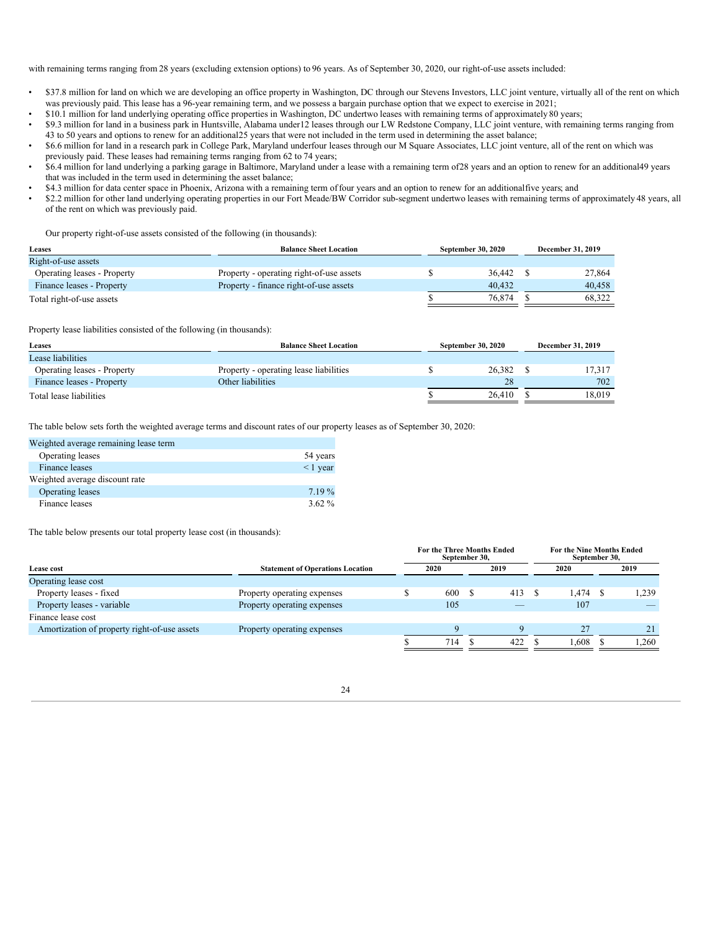with remaining terms ranging from 28 years (excluding extension options) to 96 years. As of September 30, 2020, our right-of-use assets included:

- \$37.8 million for land on which we are developing an office property in Washington, DC through our Stevens Investors, LLC joint venture, virtually all of the rent on which was previously paid. This lease has a 96-year remaining term, and we possess a bargain purchase option that we expect to exercise in 2021;
- \$10.1 million for land underlying operating office properties in Washington, DC undertwo leases with remaining terms of approximately 80 years;
- \$9.3 million for land in a business park in Huntsville, Alabama under12 leases through our LW Redstone Company, LLC joint venture, with remaining terms ranging from 43 to 50 years and options to renew for an additional25 years that were not included in the term used in determining the asset balance;
- \$6.6 million for land in a research park in College Park, Maryland underfour leases through our M Square Associates, LLC joint venture, all of the rent on which was previously paid. These leases had remaining terms ranging from 62 to 74 years;
- \$6.4 million for land underlying a parking garage in Baltimore, Maryland under a lease with a remaining term of28 years and an option to renew for an additional49 years that was included in the term used in determining the asset balance;
- \$4.3 million for data center space in Phoenix, Arizona with a remaining term offour years and an option to renew for an additionalfive years; and
- \$2.2 million for other land underlying operating properties in our Fort Meade/BW Corridor sub-segment undertwo leases with remaining terms of approximately 48 years, all of the rent on which was previously paid.

Our property right-of-use assets consisted of the following (in thousands):

| <b>Leases</b>               | <b>Balance Sheet Location</b>            | <b>September 30, 2020</b> | December 31, 2019 |  |
|-----------------------------|------------------------------------------|---------------------------|-------------------|--|
| Right-of-use assets         |                                          |                           |                   |  |
| Operating leases - Property | Property - operating right-of-use assets | 36.442                    | 27,864            |  |
| Finance leases - Property   | Property - finance right-of-use assets   | 40.432                    | 40.458            |  |
| Total right-of-use assets   |                                          | 76.874                    | 68.322            |  |

Property lease liabilities consisted of the following (in thousands):

| <b>Leases</b>               | <b>Balance Sheet Location</b>          | <b>September 30, 2020</b> | December 31, 2019 |        |  |
|-----------------------------|----------------------------------------|---------------------------|-------------------|--------|--|
| Lease liabilities           |                                        |                           |                   |        |  |
| Operating leases - Property | Property - operating lease liabilities | 26.382                    |                   | 17.317 |  |
| Finance leases - Property   | Other liabilities                      | 28                        |                   | 702    |  |
| Total lease liabilities     |                                        | 26.410                    |                   | 18.019 |  |

The table below sets forth the weighted average terms and discount rates of our property leases as of September 30, 2020:

| 54 years      |
|---------------|
| $\leq 1$ year |
|               |
| $7.19\%$      |
| $3.62\%$      |
|               |

The table below presents our total property lease cost (in thousands):

|                                              |                                         |      | For the Three Months Ended<br>September 30, |  |      |      |          | For the Nine Months Ended<br>September 30, |       |  |
|----------------------------------------------|-----------------------------------------|------|---------------------------------------------|--|------|------|----------|--------------------------------------------|-------|--|
| Lease cost                                   | <b>Statement of Operations Location</b> | 2020 |                                             |  | 2019 | 2020 |          |                                            | 2019  |  |
| Operating lease cost                         |                                         |      |                                             |  |      |      |          |                                            |       |  |
| Property leases - fixed                      | Property operating expenses             | 600  |                                             |  | 413  |      | 1.474 \$ |                                            | 1.239 |  |
| Property leases - variable                   | Property operating expenses             |      | 105                                         |  |      |      |          |                                            |       |  |
| Finance lease cost                           |                                         |      |                                             |  |      |      |          |                                            |       |  |
| Amortization of property right-of-use assets | Property operating expenses             |      |                                             |  | Q    |      | 27       |                                            |       |  |
|                                              |                                         |      | 714                                         |  | 422  |      | .608     |                                            | ,260  |  |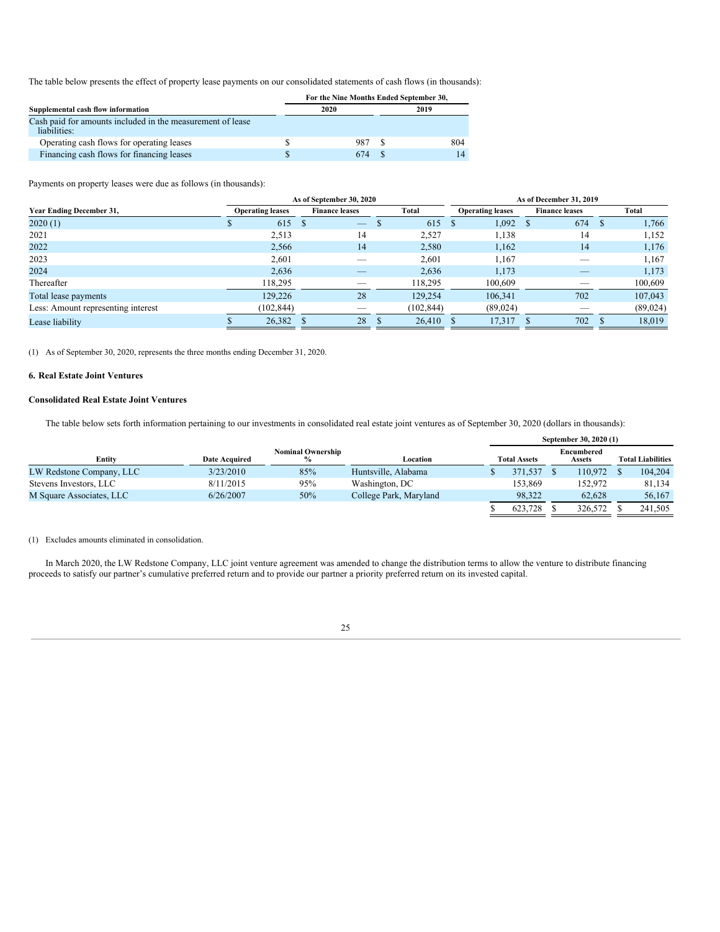The table below presents the effect of property lease payments on our consolidated statements of cash flows (in thousands):

|                                                                            | For the Nine Months Ended September 30, |      |  |      |  |  |  |  |  |  |
|----------------------------------------------------------------------------|-----------------------------------------|------|--|------|--|--|--|--|--|--|
| Supplemental cash flow information                                         |                                         | 2020 |  | 2019 |  |  |  |  |  |  |
| Cash paid for amounts included in the measurement of lease<br>liabilities: |                                         |      |  |      |  |  |  |  |  |  |
| Operating cash flows for operating leases                                  |                                         | 987  |  | 804  |  |  |  |  |  |  |
| Financing cash flows for financing leases                                  |                                         | 674  |  |      |  |  |  |  |  |  |

Payments on property leases were due as follows (in thousands):

|                                    |  |                         | As of September 30, 2020 |                                 | As of December 31, 2019 |            |     |                         |     |                       |   |           |
|------------------------------------|--|-------------------------|--------------------------|---------------------------------|-------------------------|------------|-----|-------------------------|-----|-----------------------|---|-----------|
| <b>Year Ending December 31,</b>    |  | <b>Operating leases</b> |                          | <b>Finance leases</b>           |                         | Total      |     | <b>Operating leases</b> |     | <b>Finance leases</b> |   | Total     |
| 2020(1)                            |  | 615                     | -S                       | $\hspace{0.1mm}-\hspace{0.1mm}$ | D                       | 615        | - S | 1,092                   | - 5 | 674                   | D | 1,766     |
| 2021                               |  | 2,513                   |                          | 14                              |                         | 2,527      |     | 1,138                   |     | 14                    |   | 1,152     |
| 2022                               |  | 2,566                   |                          | 14                              |                         | 2,580      |     | 1,162                   |     | 14                    |   | 1,176     |
| 2023                               |  | 2,601                   |                          | _                               |                         | 2,601      |     | 1,167                   |     | __                    |   | 1,167     |
| 2024                               |  | 2,636                   |                          | $\overline{\phantom{a}}$        |                         | 2,636      |     | 1,173                   |     | $-$                   |   | 1,173     |
| Thereafter                         |  | 118,295                 |                          |                                 |                         | 118,295    |     | 100,609                 |     |                       |   | 100,609   |
| Total lease payments               |  | 129.226                 |                          | 28                              |                         | 129.254    |     | 106,341                 |     | 702                   |   | 107,043   |
| Less: Amount representing interest |  | (102, 844)              |                          |                                 |                         | (102, 844) |     | (89, 024)               |     |                       |   | (89, 024) |
| Lease liability                    |  | 26,382                  |                          | 28                              |                         | 26,410 \$  |     | 17,317                  |     | 702                   |   | 18,019    |

(1) As of September 30, 2020, represents the three months ending December 31, 2020.

## **6. Real Estate Joint Ventures**

## **Consolidated Real Estate Joint Ventures**

The table below sets forth information pertaining to our investments in consolidated real estate joint ventures as of September 30, 2020 (dollars in thousands):

|                          |               |                               |                        |                     | September 30, 2020 (1)      |  |                          |  |
|--------------------------|---------------|-------------------------------|------------------------|---------------------|-----------------------------|--|--------------------------|--|
| Entity                   | Date Acquired | <b>Nominal Ownership</b><br>% | Location               | <b>Total Assets</b> | Encumbered<br><b>Assets</b> |  | <b>Total Liabilities</b> |  |
| LW Redstone Company, LLC | 3/23/2010     | 85%                           | Huntsville, Alabama    | 371,537             | 110,972                     |  | 104,204                  |  |
| Stevens Investors, LLC   | 8/11/2015     | 95%                           | Washington, DC         | 153,869             | 152,972                     |  | 81,134                   |  |
| M Square Associates, LLC | 6/26/2007     | 50%                           | College Park, Maryland | 98.322              | 62.628                      |  | 56,167                   |  |
|                          |               |                               |                        | 623.728             | 326,572                     |  | 241,505                  |  |
|                          |               |                               |                        |                     |                             |  |                          |  |

(1) Excludes amounts eliminated in consolidation.

In March 2020, the LW Redstone Company, LLC joint venture agreement was amended to change the distribution terms to allow the venture to distribute financing proceeds to satisfy our partner's cumulative preferred return and to provide our partner a priority preferred return on its invested capital.

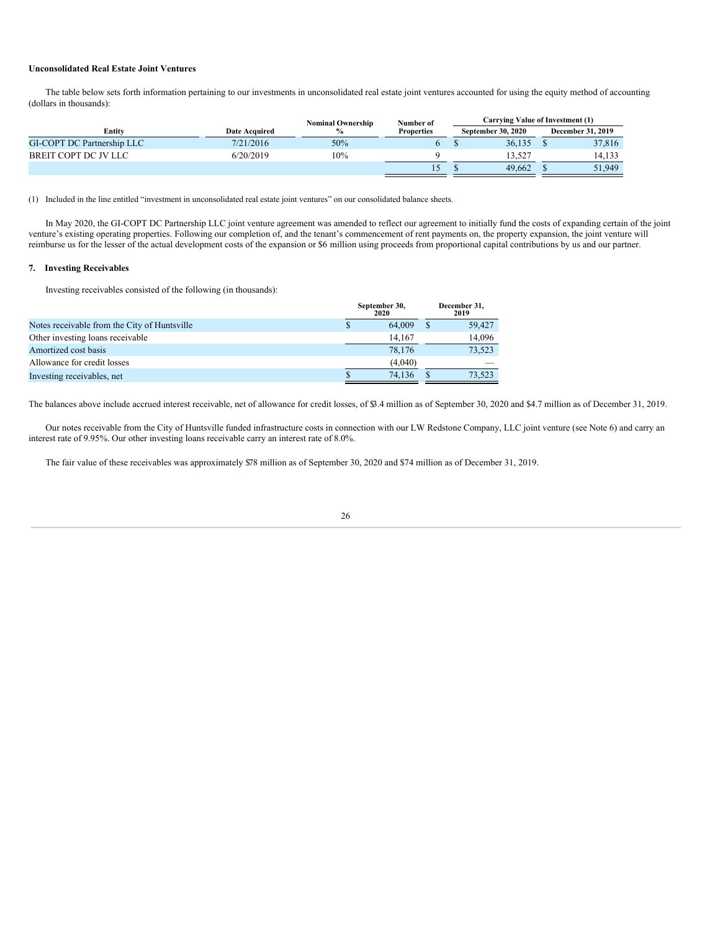## **Unconsolidated Real Estate Joint Ventures**

The table below sets forth information pertaining to our investments in unconsolidated real estate joint ventures accounted for using the equity method of accounting (dollars in thousands):

|                            | <b>Nominal Ownership</b> |               | Number of         | Carrying Value of Investment (1) |                           |  |                          |  |
|----------------------------|--------------------------|---------------|-------------------|----------------------------------|---------------------------|--|--------------------------|--|
| Entity                     | Date Acquired            | $\frac{6}{6}$ | <b>Properties</b> |                                  | <b>September 30, 2020</b> |  | <b>December 31, 2019</b> |  |
| GI-COPT DC Partnership LLC | 7/21/2016                | 50%           |                   |                                  | 36.135                    |  | 37,816                   |  |
| BREIT COPT DC JV LLC       | 6/20/2019                | 10%           |                   |                                  | 13.527                    |  | 14.133                   |  |
|                            |                          |               |                   |                                  | 49.662                    |  | 51,949                   |  |

(1) Included in the line entitled "investment in unconsolidated real estate joint ventures" on our consolidated balance sheets.

In May 2020, the GI-COPT DC Partnership LLC joint venture agreement was amended to reflect our agreement to initially fund the costs of expanding certain of the joint venture's existing operating properties. Following our completion of, and the tenant's commencement of rent payments on, the property expansion, the joint venture will reimburse us for the lesser of the actual development costs of the expansion or \$6 million using proceeds from proportional capital contributions by us and our partner.

#### **7. Investing Receivables**

Investing receivables consisted of the following (in thousands):

|                                              | September 30,<br>2020 | December 31.<br>2019 |
|----------------------------------------------|-----------------------|----------------------|
| Notes receivable from the City of Huntsville | 64,009                | 59,427               |
| Other investing loans receivable             | 14.167                | 14,096               |
| Amortized cost basis                         | 78,176                | 73,523               |
| Allowance for credit losses                  | (4.040)               |                      |
| Investing receivables, net                   | 74.136                | 73,523               |

The balances above include accrued interest receivable, net of allowance for credit losses, of \$3.4 million as of September 30, 2020 and \$4.7 million as of December 31, 2019.

Our notes receivable from the City of Huntsville funded infrastructure costs in connection with our LW Redstone Company, LLC joint venture (see Note 6) and carry an interest rate of 9.95%. Our other investing loans receivable carry an interest rate of 8.0%.

The fair value of these receivables was approximately \$78 million as of September 30, 2020 and \$74 million as of December 31, 2019.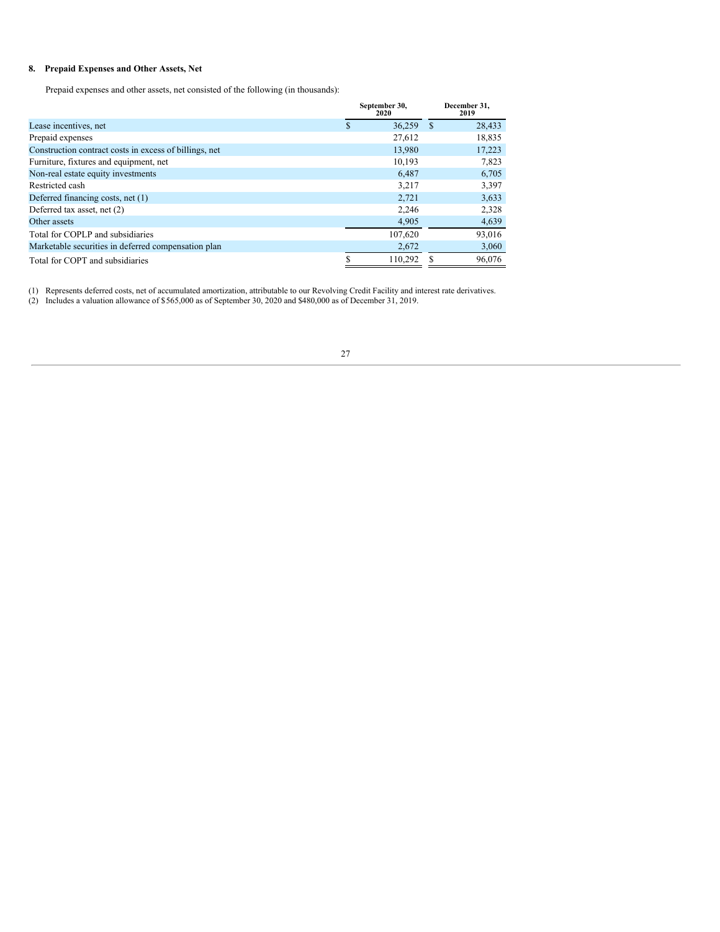## **8. Prepaid Expenses and Other Assets, Net**

Prepaid expenses and other assets, net consisted of the following (in thousands):

|                                                        | September 30,<br>2020 |               | December 31,<br>2019 |
|--------------------------------------------------------|-----------------------|---------------|----------------------|
| Lease incentives, net                                  | \$<br>36,259          | <sup>\$</sup> | 28,433               |
| Prepaid expenses                                       | 27,612                |               | 18,835               |
| Construction contract costs in excess of billings, net | 13,980                |               | 17,223               |
| Furniture, fixtures and equipment, net                 | 10.193                |               | 7,823                |
| Non-real estate equity investments                     | 6,487                 |               | 6,705                |
| Restricted cash                                        | 3.217                 |               | 3,397                |
| Deferred financing costs, net (1)                      | 2.721                 |               | 3,633                |
| Deferred tax asset, net (2)                            | 2,246                 |               | 2,328                |
| Other assets                                           | 4,905                 |               | 4,639                |
| Total for COPLP and subsidiaries                       | 107.620               |               | 93,016               |
| Marketable securities in deferred compensation plan    | 2,672                 |               | 3,060                |
| Total for COPT and subsidiaries                        | 110,292               |               | 96,076               |

(1) Represents deferred costs, net of accumulated amortization, attributable to our Revolving Credit Facility and interest rate derivatives.

(2) Includes a valuation allowance of \$565,000 as of September 30, 2020 and \$480,000 as of December 31, 2019.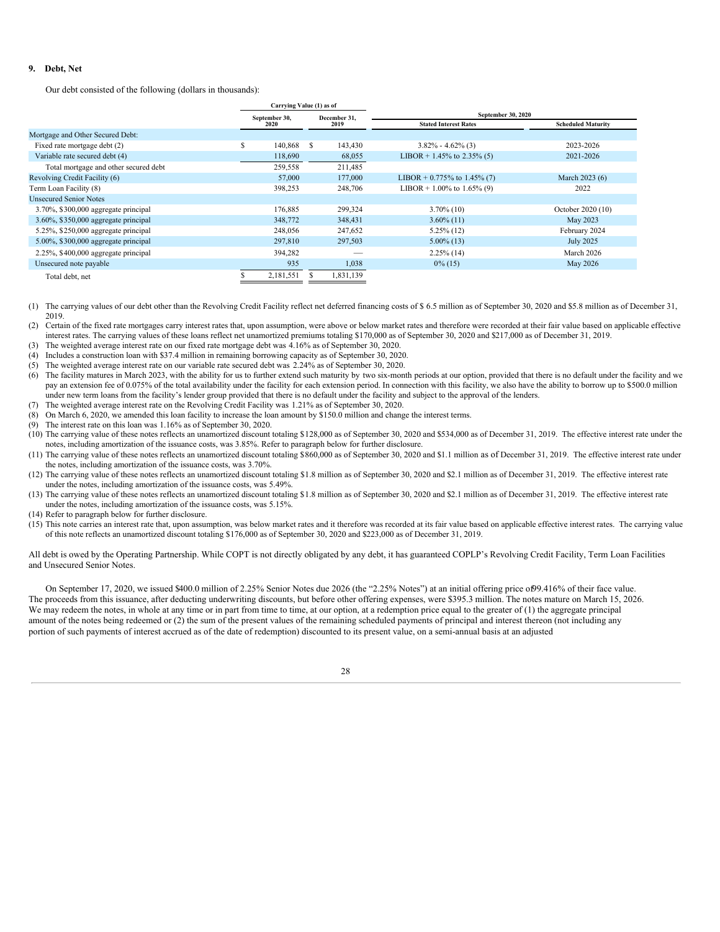## **9. Debt, Net**

Our debt consisted of the following (dollars in thousands):

|                                          | Carrying Value (1) as of |              |           |                                  |                           |  |  |
|------------------------------------------|--------------------------|--------------|-----------|----------------------------------|---------------------------|--|--|
|                                          | September 30,            | December 31. |           | September 30, 2020               |                           |  |  |
|                                          | 2020                     |              | 2019      | <b>Stated Interest Rates</b>     | <b>Scheduled Maturity</b> |  |  |
| Mortgage and Other Secured Debt:         |                          |              |           |                                  |                           |  |  |
| Fixed rate mortgage debt (2)             | \$<br>140,868            | S            | 143,430   | $3.82\% - 4.62\% (3)$            | 2023-2026                 |  |  |
| Variable rate secured debt (4)           | 118,690                  |              | 68,055    | LIBOR + 1.45% to 2.35% (5)       | 2021-2026                 |  |  |
| Total mortgage and other secured debt    | 259,558                  |              | 211,485   |                                  |                           |  |  |
| Revolving Credit Facility (6)            | 57,000                   |              | 177,000   | LIBOR + $0.775\%$ to 1.45% (7)   | March 2023 (6)            |  |  |
| Term Loan Facility (8)                   | 398,253                  |              | 248,706   | LIBOR + $1.00\%$ to $1.65\%$ (9) | 2022                      |  |  |
| <b>Unsecured Senior Notes</b>            |                          |              |           |                                  |                           |  |  |
| $3.70\%$ , \$300,000 aggregate principal | 176,885                  |              | 299,324   | $3.70\%$ (10)                    | October 2020 (10)         |  |  |
| $3.60\%$ , \$350,000 aggregate principal | 348,772                  |              | 348,431   | $3.60\%$ (11)                    | May 2023                  |  |  |
| $5.25\%$ , \$250,000 aggregate principal | 248,056                  |              | 247,652   | $5.25\%$ (12)                    | February 2024             |  |  |
| $5.00\%$ , \$300,000 aggregate principal | 297,810                  |              | 297,503   | $5.00\%$ (13)                    | July 2025                 |  |  |
| $2.25\%$ , \$400,000 aggregate principal | 394,282                  |              |           | $2.25\%$ (14)                    | March 2026                |  |  |
| Unsecured note payable                   | 935                      |              | 1,038     | $0\%$ (15)                       | May 2026                  |  |  |
| Total debt, net                          | 2,181,551                |              | 1,831,139 |                                  |                           |  |  |

(1) The carrying values of our debt other than the Revolving Credit Facility reflect net deferred financing costs of \$ 6.5 million as of September 30, 2020 and \$5.8 million as of December 31, 2019.

(2) Certain of the fixed rate mortgages carry interest rates that, upon assumption, were above or below market rates and therefore were recorded at their fair value based on applicable effective interest rates. The carrying values of these loans reflect net unamortized premiums totaling \$170,000 as of September 30, 2020 and \$217,000 as of December 31, 2019.

(3) The weighted average interest rate on our fixed rate mortgage debt was 4.16% as of September 30, 2020.

(4) Includes a construction loan with \$37.4 million in remaining borrowing capacity as of September 30, 2020.

(5) The weighted average interest rate on our variable rate secured debt was 2.24% as of September 30, 2020.

- (6) The facility matures in March 2023, with the ability for us to further extend such maturity by two six-month periods at our option, provided that there is no default under the facility and we pay an extension fee of 0.075% of the total availability under the facility for each extension period. In connection with this facility, we also have the ability to borrow up to \$500.0 million under new term loans from the facility's lender group provided that there is no default under the facility and subject to the approval of the lenders.
- (7) The weighted average interest rate on the Revolving Credit Facility was 1.21% as of September 30, 2020.
- (8) On March 6, 2020, we amended this loan facility to increase the loan amount by \$150.0 million and change the interest terms.

(9) The interest rate on this loan was 1.16% as of September 30, 2020.

(10) The carrying value of these notes reflects an unamortized discount totaling \$128,000 as of September 30, 2020 and \$534,000 as of December 31, 2019. The effective interest rate under the notes, including amortization of the issuance costs, was 3.85%. Refer to paragraph below for further disclosure.

(11) The carrying value of these notes reflects an unamortized discount totaling \$860,000 as of September 30, 2020 and \$1.1 million as of December 31, 2019. The effective interest rate under the notes, including amortization of the issuance costs, was 3.70%.

(12) The carrying value of these notes reflects an unamortized discount totaling \$1.8 million as of September 30, 2020 and \$2.1 million as of December 31, 2019. The effective interest rate under the notes, including amortization of the issuance costs, was 5.49%.

(13) The carrying value of these notes reflects an unamortized discount totaling \$1.8 million as of September 30, 2020 and \$2.1 million as of December 31, 2019. The effective interest rate under the notes, including amortization of the issuance costs, was 5.15%.

(14) Refer to paragraph below for further disclosure.

(15) This note carries an interest rate that, upon assumption, was below market rates and it therefore was recorded at its fair value based on applicable effective interest rates. The carrying value of this note reflects an unamortized discount totaling \$176,000 as of September 30, 2020 and \$223,000 as of December 31, 2019.

All debt is owed by the Operating Partnership. While COPT is not directly obligated by any debt, it has guaranteed COPLP's Revolving Credit Facility, Term Loan Facilities and Unsecured Senior Notes.

On September 17, 2020, we issued \$400.0 million of 2.25% Senior Notes due 2026 (the "2.25% Notes") at an initial offering price of99.416% of their face value. The proceeds from this issuance, after deducting underwriting discounts, but before other offering expenses, were \$395.3 million. The notes mature on March 15, 2026. We may redeem the notes, in whole at any time or in part from time to time, at our option, at a redemption price equal to the greater of  $(1)$  the aggregate principal amount of the notes being redeemed or (2) the sum of the present values of the remaining scheduled payments of principal and interest thereon (not including any portion of such payments of interest accrued as of the date of redemption) discounted to its present value, on a semi-annual basis at an adjusted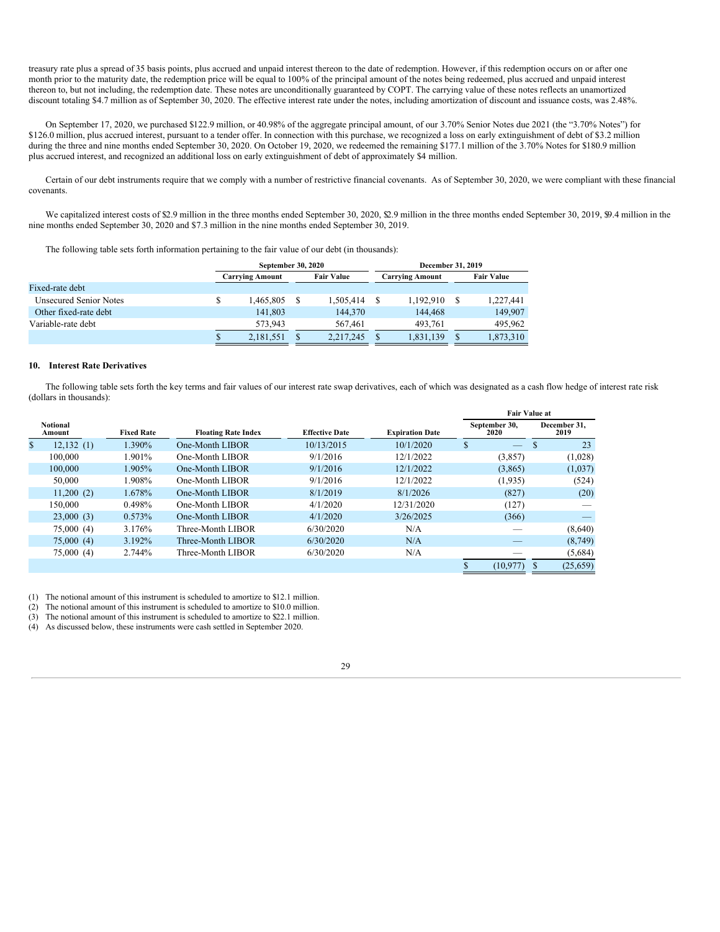treasury rate plus a spread of 35 basis points, plus accrued and unpaid interest thereon to the date of redemption. However, if this redemption occurs on or after one month prior to the maturity date, the redemption price will be equal to 100% of the principal amount of the notes being redeemed, plus accrued and unpaid interest thereon to, but not including, the redemption date. These notes are unconditionally guaranteed by COPT. The carrying value of these notes reflects an unamortized discount totaling \$4.7 million as of September 30, 2020. The effective interest rate under the notes, including amortization of discount and issuance costs, was 2.48%.

On September 17, 2020, we purchased \$122.9 million, or 40.98% of the aggregate principal amount, of our 3.70% Senior Notes due 2021 (the "3.70% Notes") for \$126.0 million, plus accrued interest, pursuant to a tender offer. In connection with this purchase, we recognized a loss on early extinguishment of debt of \$3.2 million during the three and nine months ended September 30, 2020. On October 19, 2020, we redeemed the remaining \$177.1 million of the 3.70% Notes for \$180.9 million plus accrued interest, and recognized an additional loss on early extinguishment of debt of approximately \$4 million.

Certain of our debt instruments require that we comply with a number of restrictive financial covenants. As of September 30, 2020, we were compliant with these financial covenants.

We capitalized interest costs of \$2.9 million in the three months ended September 30, 2020, \$2.9 million in the three months ended September 30, 2019, \$9.4 million in the nine months ended September 30, 2020 and \$7.3 million in the nine months ended September 30, 2019.

The following table sets forth information pertaining to the fair value of our debt (in thousands):

|                               |                        | September 30, 2020 |  |                   |                        | <b>December 31, 2019</b> |                   |  |  |  |  |
|-------------------------------|------------------------|--------------------|--|-------------------|------------------------|--------------------------|-------------------|--|--|--|--|
|                               | <b>Carrying Amount</b> |                    |  | <b>Fair Value</b> | <b>Carrying Amount</b> |                          | <b>Fair Value</b> |  |  |  |  |
| Fixed-rate debt               |                        |                    |  |                   |                        |                          |                   |  |  |  |  |
| <b>Unsecured Senior Notes</b> | S                      | 1,465,805          |  | 1.505.414         | 1,192,910              | S                        | 1,227,441         |  |  |  |  |
| Other fixed-rate debt         |                        | 141,803            |  | 144,370           | 144,468                |                          | 149,907           |  |  |  |  |
| Variable-rate debt            |                        | 573.943            |  | 567.461           | 493.761                |                          | 495.962           |  |  |  |  |
|                               | S                      | 2,181,551          |  | 2, 217, 245       | 1.831.139              | S                        | 1,873,310         |  |  |  |  |

#### **10. Interest Rate Derivatives**

The following table sets forth the key terms and fair values of our interest rate swap derivatives, each of which was designated as a cash flow hedge of interest rate risk (dollars in thousands):

|                           |                   |                            |                       |                        | <b>Fair Value at</b> |                       |    |                      |
|---------------------------|-------------------|----------------------------|-----------------------|------------------------|----------------------|-----------------------|----|----------------------|
| <b>Notional</b><br>Amount | <b>Fixed Rate</b> | <b>Floating Rate Index</b> | <b>Effective Date</b> | <b>Expiration Date</b> |                      | September 30,<br>2020 |    | December 31.<br>2019 |
| \$<br>12,132(1)           | 1.390%            | One-Month LIBOR            | 10/13/2015            | 10/1/2020              | S                    |                       | \$ | 23                   |
| 100,000                   | 1.901%            | One-Month LIBOR            | 9/1/2016              | 12/1/2022              |                      | (3,857)               |    | (1,028)              |
| 100,000                   | 1.905%            | One-Month LIBOR            | 9/1/2016              | 12/1/2022              |                      | (3,865)               |    | (1,037)              |
| 50,000                    | 1.908%            | One-Month LIBOR            | 9/1/2016              | 12/1/2022              |                      | (1,935)               |    | (524)                |
| 11,200(2)                 | 1.678%            | One-Month LIBOR            | 8/1/2019              | 8/1/2026               |                      | (827)                 |    | (20)                 |
| 150,000                   | 0.498%            | One-Month LIBOR            | 4/1/2020              | 12/31/2020             |                      | (127)                 |    |                      |
| 23,000(3)                 | 0.573%            | One-Month LIBOR            | 4/1/2020              | 3/26/2025              |                      | (366)                 |    |                      |
| 75,000(4)                 | 3.176%            | Three-Month LIBOR          | 6/30/2020             | N/A                    |                      | --                    |    | (8,640)              |
| 75,000(4)                 | 3.192%            | Three-Month LIBOR          | 6/30/2020             | N/A                    |                      | _                     |    | (8,749)              |
| 75,000(4)                 | 2.744%            | Three-Month LIBOR          | 6/30/2020             | N/A                    |                      |                       |    | (5,684)              |
|                           |                   |                            |                       |                        |                      | (10, 977)             |    | (25, 659)            |

(1) The notional amount of this instrument is scheduled to amortize to \$12.1 million.

(2) The notional amount of this instrument is scheduled to amortize to \$10.0 million.

(3) The notional amount of this instrument is scheduled to amortize to \$22.1 million. (4) As discussed below, these instruments were cash settled in September 2020.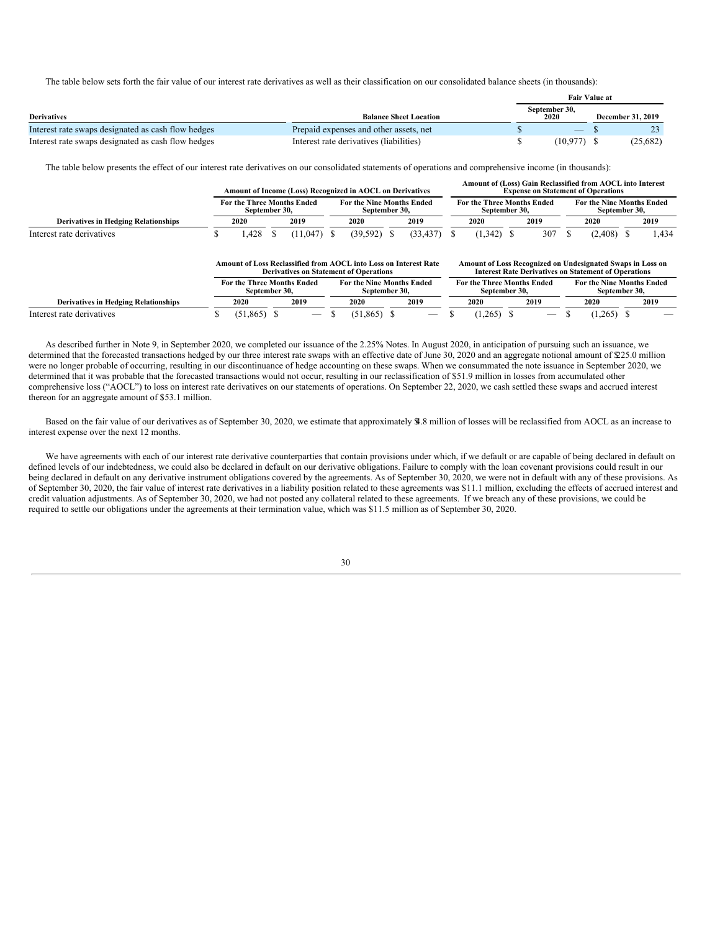The table below sets forth the fair value of our interest rate derivatives as well as their classification on our consolidated balance sheets (in thousands):

|                                                    |                                         | <b>Fair Value at</b>  |                          |                          |  |  |  |  |
|----------------------------------------------------|-----------------------------------------|-----------------------|--------------------------|--------------------------|--|--|--|--|
| <b>Derivatives</b>                                 | <b>Balance Sheet Location</b>           | September 30.<br>2020 |                          | <b>December 31, 2019</b> |  |  |  |  |
| Interest rate swaps designated as cash flow hedges | Prepaid expenses and other assets, net  |                       | $\overline{\phantom{a}}$ |                          |  |  |  |  |
| Interest rate swaps designated as cash flow hedges | Interest rate derivatives (liabilities) | $(10,977)$ \$         |                          | (25,682)                 |  |  |  |  |

The table below presents the effect of our interest rate derivatives on our consolidated statements of operations and comprehensive income (in thousands):

|                                             |              |                                                    |          | <b>Amount of Income (Loss) Recognized in AOCL on Derivatives</b> |  |          | Amount of (Loss) Gain Reclassified from AOCL into Interest<br><b>Expense on Statement of Operations</b> |                                                    |  |     |             |                                                   |      |       |  |  |  |  |
|---------------------------------------------|--------------|----------------------------------------------------|----------|------------------------------------------------------------------|--|----------|---------------------------------------------------------------------------------------------------------|----------------------------------------------------|--|-----|-------------|---------------------------------------------------|------|-------|--|--|--|--|
|                                             |              | <b>For the Three Months Ended</b><br>September 30. |          | For the Nine Months Ended<br>September 30.                       |  |          |                                                                                                         | <b>For the Three Months Ended</b><br>September 30. |  |     |             | <b>For the Nine Months Ended</b><br>September 30. |      |       |  |  |  |  |
| <b>Derivatives in Hedging Relationships</b> | 2019<br>2020 |                                                    | 2020     | 2019                                                             |  | 2020     |                                                                                                         | 2019                                               |  |     | <b>2020</b> |                                                   | 2019 |       |  |  |  |  |
| Interest rate derivatives                   |              | .428                                               | (11.047) | (39.592)                                                         |  | (33.437) |                                                                                                         | (1.342)                                            |  | 307 |             | (2.408)                                           |      | 1.434 |  |  |  |  |

|                                             |                                             |      | <b>Amount of Loss Reclassified from AOCL into Loss on Interest Rate</b><br><b>Derivatives on Statement of Operations</b> |      | Amount of Loss Recognized on Undesignated Swaps in Loss on<br><b>Interest Rate Derivatives on Statement of Operations</b> |                                             |  |  |  |                                                   |  |      |  |  |  |  |
|---------------------------------------------|---------------------------------------------|------|--------------------------------------------------------------------------------------------------------------------------|------|---------------------------------------------------------------------------------------------------------------------------|---------------------------------------------|--|--|--|---------------------------------------------------|--|------|--|--|--|--|
|                                             | For the Three Months Ended<br>September 30. |      | <b>For the Nine Months Ended</b><br>September 30.                                                                        |      |                                                                                                                           | For the Three Months Ended<br>September 30. |  |  |  | <b>For the Nine Months Ended</b><br>September 30. |  |      |  |  |  |  |
| <b>Derivatives in Hedging Relationships</b> | 2020                                        | 2019 | 2020                                                                                                                     | 2019 |                                                                                                                           | 2019<br>2020                                |  |  |  | 2020                                              |  | 2019 |  |  |  |  |
| Interest rate derivatives                   | (51, 865)                                   |      | $(51,865)$ .                                                                                                             |      |                                                                                                                           | (1.265)                                     |  |  |  | (1,265)                                           |  |      |  |  |  |  |

As described further in Note 9, in September 2020, we completed our issuance of the 2.25% Notes. In August 2020, in anticipation of pursuing such an issuance, we determined that the forecasted transactions hedged by our three interest rate swaps with an effective date of June 30, 2020 and an aggregate notional amount of \$25.0 million were no longer probable of occurring, resulting in our discontinuance of hedge accounting on these swaps. When we consummated the note issuance in September 2020, we determined that it was probable that the forecasted transactions would not occur, resulting in our reclassification of \$51.9 million in losses from accumulated other comprehensive loss ("AOCL") to loss on interest rate derivatives on our statements of operations. On September 22, 2020, we cash settled these swaps and accrued interest thereon for an aggregate amount of \$53.1 million.

Based on the fair value of our derivatives as of September 30, 2020, we estimate that approximately \$4.8 million of losses will be reclassified from AOCL as an increase to interest expense over the next 12 months.

We have agreements with each of our interest rate derivative counterparties that contain provisions under which, if we default or are capable of being declared in default on defined levels of our indebtedness, we could also be declared in default on our derivative obligations. Failure to comply with the loan covenant provisions could result in our being declared in default on any derivative instrument obligations covered by the agreements. As of September 30, 2020, we were not in default with any of these provisions. As of September 30, 2020, the fair value of interest rate derivatives in a liability position related to these agreements was \$11.1 million, excluding the effects of accrued interest and credit valuation adjustments. As of September 30, 2020, we had not posted any collateral related to these agreements. If we breach any of these provisions, we could be required to settle our obligations under the agreements at their termination value, which was \$11.5 million as of September 30, 2020.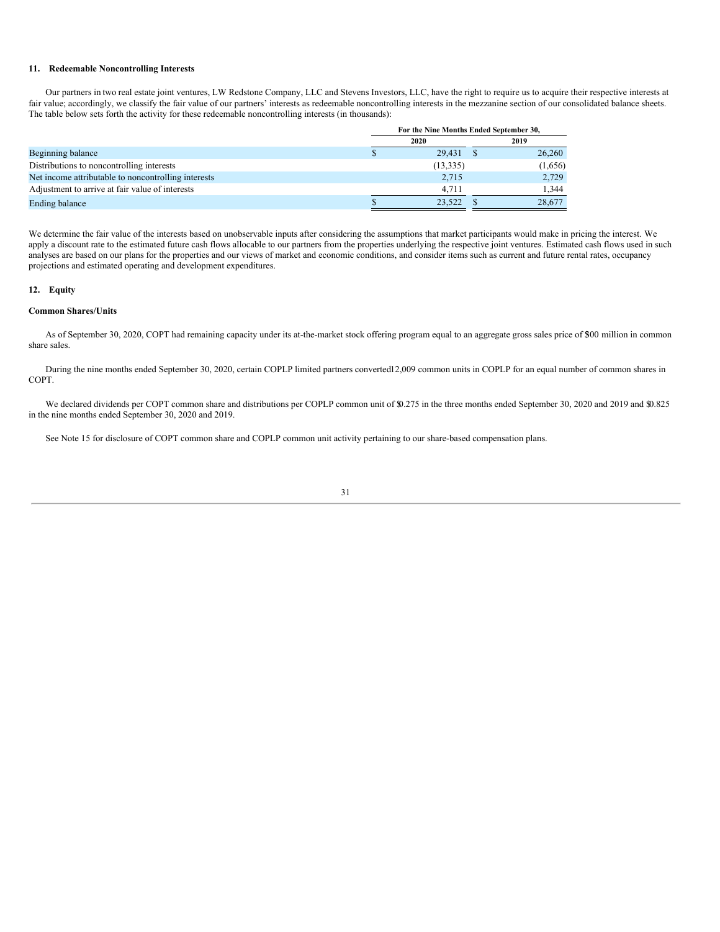## **11. Redeemable Noncontrolling Interests**

Our partners in two real estate joint ventures, LW Redstone Company, LLC and Stevens Investors, LLC, have the right to require us to acquire their respective interests at fair value; accordingly, we classify the fair value of our partners' interests as redeemable noncontrolling interests in the mezzanine section of our consolidated balance sheets. The table below sets forth the activity for these redeemable noncontrolling interests (in thousands):

|                                                     | For the Nine Months Ended September 30, |           |  |         |  |  |  |  |
|-----------------------------------------------------|-----------------------------------------|-----------|--|---------|--|--|--|--|
|                                                     |                                         | 2020      |  | 2019    |  |  |  |  |
| Beginning balance                                   |                                         | 29.431    |  | 26,260  |  |  |  |  |
| Distributions to noncontrolling interests           |                                         | (13, 335) |  | (1,656) |  |  |  |  |
| Net income attributable to noncontrolling interests |                                         | 2,715     |  | 2,729   |  |  |  |  |
| Adjustment to arrive at fair value of interests     |                                         | 4.711     |  | 1.344   |  |  |  |  |
| Ending balance                                      |                                         | 23.522    |  | 28,677  |  |  |  |  |

We determine the fair value of the interests based on unobservable inputs after considering the assumptions that market participants would make in pricing the interest. We apply a discount rate to the estimated future cash flows allocable to our partners from the properties underlying the respective joint ventures. Estimated cash flows used in such analyses are based on our plans for the properties and our views of market and economic conditions, and consider items such as current and future rental rates, occupancy projections and estimated operating and development expenditures.

## **12. Equity**

## **Common Shares/Units**

As of September 30, 2020, COPT had remaining capacity under its at-the-market stock offering program equal to an aggregate gross sales price of \$300 million in common share sales.

During the nine months ended September 30, 2020, certain COPLP limited partners converted12,009 common units in COPLP for an equal number of common shares in COPT.

We declared dividends per COPT common share and distributions per COPLP common unit of \$0.275 in the three months ended September 30, 2020 and 2019 and \$0.825 in the nine months ended September 30, 2020 and 2019.

See Note 15 for disclosure of COPT common share and COPLP common unit activity pertaining to our share-based compensation plans.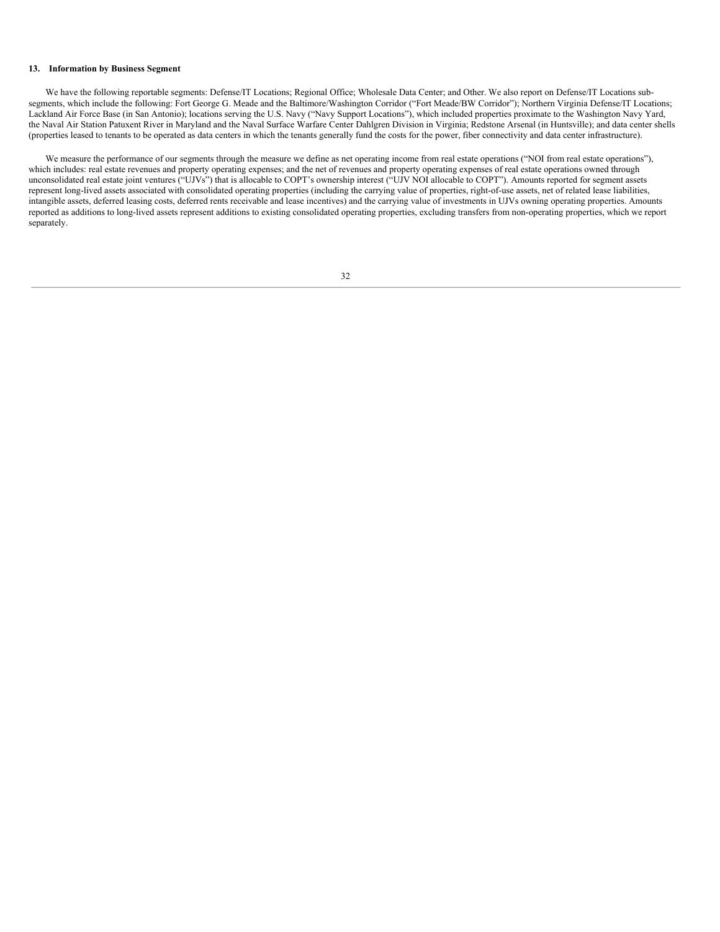## **13. Information by Business Segment**

We have the following reportable segments: Defense/IT Locations; Regional Office; Wholesale Data Center; and Other. We also report on Defense/IT Locations subsegments, which include the following: Fort George G. Meade and the Baltimore/Washington Corridor ("Fort Meade/BW Corridor"); Northern Virginia Defense/IT Locations; Lackland Air Force Base (in San Antonio); locations serving the U.S. Navy ("Navy Support Locations"), which included properties proximate to the Washington Navy Yard, the Naval Air Station Patuxent River in Maryland and the Naval Surface Warfare Center Dahlgren Division in Virginia; Redstone Arsenal (in Huntsville); and data center shells (properties leased to tenants to be operated as data centers in which the tenants generally fund the costs for the power, fiber connectivity and data center infrastructure).

We measure the performance of our segments through the measure we define as net operating income from real estate operations ("NOI from real estate operations"), which includes: real estate revenues and property operating expenses; and the net of revenues and property operating expenses of real estate operations owned through unconsolidated real estate joint ventures ("UJVs") that is allocable to COPT's ownership interest ("UJV NOI allocable to COPT"). Amounts reported for segment assets represent long-lived assets associated with consolidated operating properties (including the carrying value of properties, right-of-use assets, net of related lease liabilities, intangible assets, deferred leasing costs, deferred rents receivable and lease incentives) and the carrying value of investments in UJVs owning operating properties. Amounts reported as additions to long-lived assets represent additions to existing consolidated operating properties, excluding transfers from non-operating properties, which we report separately.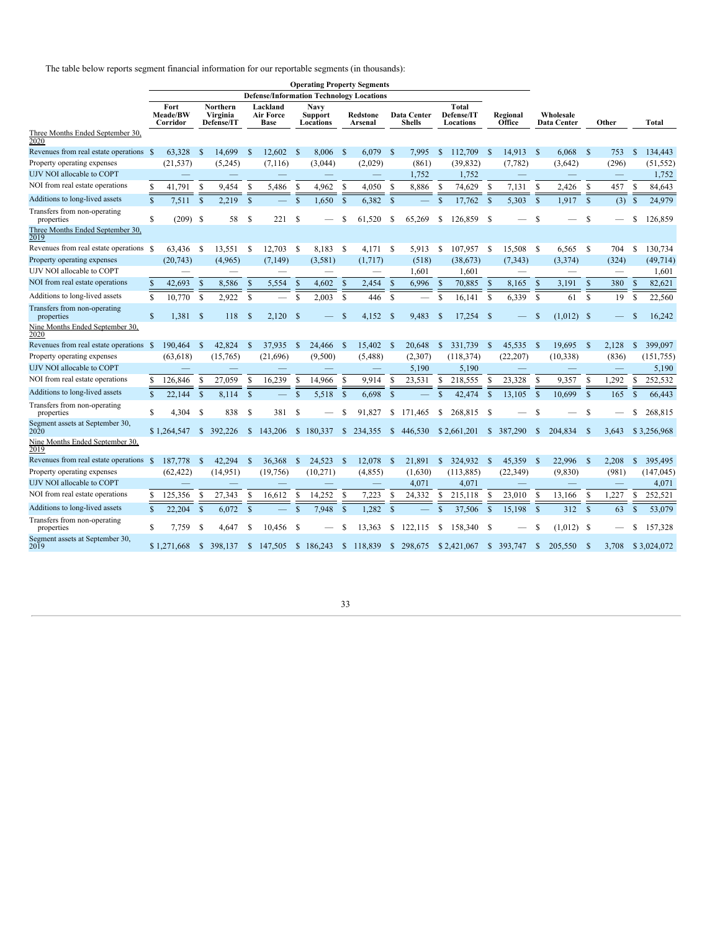The table below reports segment financial information for our reportable segments (in thousands):

|                                                 | <b>Operating Property Segments</b> |                              |               |                                           |               |                                      |               |                                     |               |                                                 |               |                              |               |                                  |               |                    |               |                          |                    |                          |               |             |
|-------------------------------------------------|------------------------------------|------------------------------|---------------|-------------------------------------------|---------------|--------------------------------------|---------------|-------------------------------------|---------------|-------------------------------------------------|---------------|------------------------------|---------------|----------------------------------|---------------|--------------------|---------------|--------------------------|--------------------|--------------------------|---------------|-------------|
|                                                 |                                    |                              |               |                                           |               |                                      |               |                                     |               | <b>Defense/Information Technology Locations</b> |               |                              |               |                                  |               |                    |               |                          |                    |                          |               |             |
|                                                 |                                    | Fort<br>Meade/BW<br>Corridor |               | <b>Northern</b><br>Virginia<br>Defense/IT |               | Lackland<br>Air Force<br><b>Base</b> |               | Navy<br><b>Support</b><br>Locations |               | <b>Redstone</b><br>Arsenal                      |               | Data Center<br><b>Shells</b> |               | Total<br>Defense/IT<br>Locations |               | Regional<br>Office |               | Wholesale<br>Data Center |                    | Other                    |               | Total       |
| Three Months Ended September 30,<br>2020        |                                    |                              |               |                                           |               |                                      |               |                                     |               |                                                 |               |                              |               |                                  |               |                    |               |                          |                    |                          |               |             |
| Revenues from real estate operations \$         |                                    | 63.328                       | - \$          | 14.699                                    | <sup>\$</sup> | 12.602                               | -S            | 8,006 \$                            |               | $6.079$ \$                                      |               | 7.995                        | $\mathbb{S}$  | 112,709                          | $\mathbf S$   | 14.913 \$          |               | 6,068                    | $\mathbf{\hat{s}}$ | 753                      | <sup>\$</sup> | 134,443     |
| Property operating expenses                     |                                    | (21, 537)                    |               | (5,245)                                   |               | (7, 116)                             |               | (3,044)                             |               | (2,029)                                         |               | (861)                        |               | (39, 832)                        |               | (7, 782)           |               | (3,642)                  |                    | (296)                    |               | (51, 552)   |
| UJV NOI allocable to COPT                       |                                    |                              |               | -                                         |               | $\overline{\phantom{a}}$             |               | -                                   |               | $\overline{\phantom{a}}$                        |               | 1.752                        |               | 1,752                            |               | $\sim$             |               | $\overline{\phantom{a}}$ |                    |                          |               | 1,752       |
| NOI from real estate operations                 | \$                                 | 41,791                       | <sup>\$</sup> | 9.454                                     | S             | 5,486                                | <sup>\$</sup> | 4,962                               | <sup>\$</sup> | 4.050                                           | S             | 8.886                        | S             | 74,629                           | <b>S</b>      | 7,131              | <sup>\$</sup> | 2,426                    | <sup>\$</sup>      | 457                      | $\mathbf{s}$  | 84,643      |
| Additions to long-lived assets                  | $\mathbf{s}$                       | 7,511                        | $\mathcal{S}$ | 2,219                                     | $\mathbb{S}$  |                                      | $\mathbb{S}$  | 1,650                               | $\mathbb{S}$  | 6,382                                           | $\mathbb{S}$  |                              | $\mathbf S$   | 17,762                           | <sup>\$</sup> | 5,303              | $\mathbb{S}$  | 1,917                    | $\mathbb{S}$       | $(3)$ \$                 |               | 24,979      |
| Transfers from non-operating<br>properties      | S.                                 | $(209)$ \$                   |               | 58                                        | S             | 221                                  | -S            |                                     | S.            | 61,520                                          | S             | 65,269                       | S             | 126,859 \$                       |               |                    | <sup>\$</sup> |                          | S                  |                          |               | 126,859     |
| Three Months Ended September 30,<br>2019        |                                    |                              |               |                                           |               |                                      |               |                                     |               |                                                 |               |                              |               |                                  |               |                    |               |                          |                    |                          |               |             |
| Revenues from real estate operations \$         |                                    | 63.436                       | - \$          | 13.551                                    | S             | 12,703                               | -S            | 8,183                               | -S            | 4.171 \$                                        |               | 5,913                        | S             | 107,957                          | -S            | 15,508             | - S           | 6.565                    | - S                | 704                      | S             | 130,734     |
| Property operating expenses                     |                                    | (20,743)                     |               | (4,965)                                   |               | (7, 149)                             |               | (3,581)                             |               | (1,717)                                         |               | (518)                        |               | (38, 673)                        |               | (7, 343)           |               | (3,374)                  |                    | (324)                    |               | (49, 714)   |
| UJV NOI allocable to COPT                       |                                    |                              |               |                                           |               |                                      |               |                                     |               |                                                 |               | 1.601                        |               | 1,601                            |               |                    |               |                          |                    |                          |               | 1.601       |
| NOI from real estate operations                 | $\mathbf S$                        | 42.693                       | <sup>\$</sup> | 8,586                                     | $\mathsf{\$}$ | 5,554                                | $\mathbb{S}$  | 4,602                               | $\mathcal{S}$ | 2.454                                           | $\mathbb{S}$  | 6,996                        | $\mathbb{S}$  | 70,885                           | $\mathcal{S}$ | 8,165              | $\mathbf{s}$  | 3,191                    | $\mathbf S$        | 380                      | $\mathbb{S}$  | 82,621      |
| Additions to long-lived assets                  | \$                                 | 10,770                       | <sup>\$</sup> | 2,922                                     | $\mathbb S$   |                                      | \$            | 2,003                               | $\mathbb{S}$  | 446                                             | S             |                              | $\mathbb{S}$  | 16,141                           | \$            | 6,339              | $\mathbb{S}$  | 61                       | <b>S</b>           | 19                       | \$            | 22,560      |
| Transfers from non-operating<br>properties      | $\mathbb{S}$                       | $1,381$ \$                   |               | 118                                       | <sup>\$</sup> | $2,120$ \$                           |               |                                     | $\mathcal{S}$ | $4,152$ \$                                      |               | 9.483                        | $\mathcal{S}$ | $17.254$ \$                      |               |                    | <sup>\$</sup> | $(1,012)$ \$             |                    |                          |               | 16,242      |
| Nine Months Ended September 30,<br>2020         |                                    |                              |               |                                           |               |                                      |               |                                     |               |                                                 |               |                              |               |                                  |               |                    |               |                          |                    |                          |               |             |
| Revenues from real estate operations \$         |                                    | 190,464                      | -S            | 42,824                                    | <sup>S</sup>  | 37,935                               | <sup>S</sup>  | 24,466                              | - S           | 15,402                                          | - \$          | 20,648                       | S.            | 331,739                          | S             | 45,535             | - \$          | 19.695                   | <sup>S</sup>       | 2.128                    | <sup>\$</sup> | 399,097     |
| Property operating expenses                     |                                    | (63, 618)                    |               | (15,765)                                  |               | (21,696)                             |               | (9,500)                             |               | (5, 488)                                        |               | (2,307)                      |               | (118, 374)                       |               | (22, 207)          |               | (10, 338)                |                    | (836)                    |               | (151, 755)  |
| UJV NOI allocable to COPT                       |                                    |                              |               |                                           |               |                                      |               |                                     |               |                                                 |               | 5.190                        |               | 5,190                            |               |                    |               |                          |                    | -                        |               | 5,190       |
| NOI from real estate operations                 | S                                  | 126,846                      | <sup>\$</sup> | 27.059                                    | $\mathbb S$   | 16,239                               | \$            | 14.966                              | <sup>\$</sup> | 9.914                                           | S             | 23,531                       | \$            | 218,555                          | <b>S</b>      | 23,328             | <sup>\$</sup> | 9,357                    | <sup>\$</sup>      | 1,292                    | \$            | 252,532     |
| Additions to long-lived assets                  | $\mathcal{S}$                      | 22,144                       | $\mathbf{s}$  | 8,114                                     | $\mathbf S$   |                                      | $\mathbf S$   | 5,518                               | <sup>\$</sup> | 6,698                                           | <sub>S</sub>  |                              | $\mathbf S$   | 42,474                           | <sup>\$</sup> | 13,105             | $\mathbf{s}$  | 10,699                   | $\mathbf S$        | 165                      | <sup>\$</sup> | 66,443      |
| Transfers from non-operating<br>properties      | S.                                 | 4,304                        | - \$          | 838                                       | <b>S</b>      | 381                                  | <sup>\$</sup> |                                     | <b>S</b>      | 91,827                                          | S             | 171,465                      | s             | 268,815                          | S             |                    | <b>S</b>      |                          | S                  |                          | S             | 268,815     |
| Segment assets at September 30,<br>$20\bar{2}0$ |                                    | \$1,264,547                  |               | \$392.226                                 | <sup>S</sup>  | 143,206                              |               | \$180,337                           | -S            | 234,355                                         |               | \$446,530                    |               | \$2,661,201                      |               | \$ 387,290         | <sup>\$</sup> | 204,834                  | -S                 | 3.643                    |               | \$3,256,968 |
| Nine Months Ended September 30,<br>2019         |                                    |                              |               |                                           |               |                                      |               |                                     |               |                                                 |               |                              |               |                                  |               |                    |               |                          |                    |                          |               |             |
| Revenues from real estate operations \$         |                                    | 187,778                      | <sup>\$</sup> | 42.294                                    | <sup>S</sup>  | 36,368                               | <sup>\$</sup> | 24.523                              | -S            | 12.078                                          | -S            | 21.891                       | $\mathbb{S}$  | 324.932                          | <sup>\$</sup> | 45.359             | - \$          | 22,996                   | -8                 | 2.208                    | <sup>\$</sup> | 395,495     |
| Property operating expenses                     |                                    | (62, 422)                    |               | (14, 951)                                 |               | (19, 756)                            |               | (10,271)                            |               | (4, 855)                                        |               | (1,630)                      |               | (113, 885)                       |               | (22, 349)          |               | (9,830)                  |                    | (981)                    |               | (147, 045)  |
| UJV NOI allocable to COPT                       |                                    |                              |               |                                           |               |                                      |               |                                     |               |                                                 |               | 4,071                        |               | 4,071                            |               |                    |               |                          |                    | $\overline{\phantom{a}}$ |               | 4,071       |
| NOI from real estate operations                 | S.                                 | 125,356                      | -S            | 27,343                                    | S             | 16,612                               | <sup>\$</sup> | 14,252                              | <sup>\$</sup> | 7.223                                           | S             | 24,332                       | S             | 215.118                          | S             | 23,010             | <b>S</b>      | 13,166                   | <b>S</b>           | 1,227                    | S.            | 252,521     |
| Additions to long-lived assets                  | $\mathbb{S}$                       | 22,204                       | $^{\circ}$    | 6,072                                     | $\mathcal{S}$ |                                      | $\mathbb{S}$  | 7,948                               | $\mathcal{S}$ | 1,282                                           | $\mathcal{S}$ |                              | $\mathcal{S}$ | 37,506                           | $\mathcal{S}$ | 15,198             | $\mathbf{s}$  | 312 \$                   |                    | 63                       | \$            | 53,079      |
| Transfers from non-operating<br>properties      | S.                                 | 7,759                        | -S            | 4.647                                     | S             | 10,456                               | - S           |                                     | S             | 13,363                                          | S             | 122,115                      | S             | 158,340                          | - S           |                    | £.            | $(1,012)$ \$             |                    |                          | S             | 157,328     |
| Segment assets at September 30,<br>2019         |                                    | \$1,271,668                  | <sup>S</sup>  | 398,137                                   |               | \$147,505                            |               | $$186,243 \quad $118,839$           |               |                                                 |               | \$298,675                    |               | \$2,421,067                      | <sup>S</sup>  | 393,747            | <sup>\$</sup> | 205,550                  | -S                 | 3.708                    |               | \$3,024,072 |
|                                                 |                                    |                              |               |                                           |               |                                      |               |                                     |               |                                                 |               |                              |               |                                  |               |                    |               |                          |                    |                          |               |             |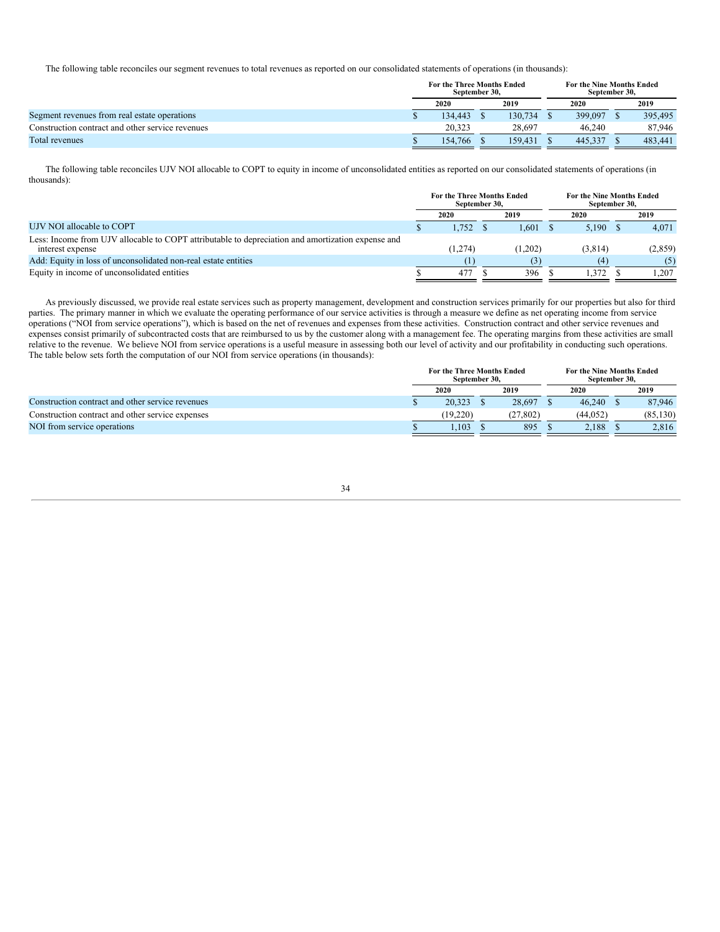The following table reconciles our segment revenues to total revenues as reported on our consolidated statements of operations (in thousands):

|                                                  |    | <b>For the Three Months Ended</b><br>September 30. |         |         | For the Nine Months Ended<br>September 30. |         |  |
|--------------------------------------------------|----|----------------------------------------------------|---------|---------|--------------------------------------------|---------|--|
|                                                  |    | 2020                                               | 2019    | 2020    |                                            | 2019    |  |
| Segment revenues from real estate operations     | ĸυ | 134,443                                            | 130.734 | 399,097 |                                            | 395,495 |  |
| Construction contract and other service revenues |    | 20.323                                             | 28.697  | 46.240  |                                            | 87.946  |  |
| Total revenues                                   |    | 154.766                                            | 159.431 | 445.337 |                                            | 483.441 |  |

The following table reconciles UJV NOI allocable to COPT to equity in income of unconsolidated entities as reported on our consolidated statements of operations (in thousands):

|                                                                                                                       |      | <b>For the Three Months Ended</b><br>September 30, |  |         |  |         | <b>For the Nine Months Ended</b><br>September 30, |         |  |
|-----------------------------------------------------------------------------------------------------------------------|------|----------------------------------------------------|--|---------|--|---------|---------------------------------------------------|---------|--|
|                                                                                                                       | 2020 |                                                    |  | 2019    |  | 2020    |                                                   | 2019    |  |
| <b>UJV NOI allocable to COPT</b>                                                                                      |      | $1.752$ \$                                         |  | 1.601   |  | 5.190   |                                                   | 4,071   |  |
| Less: Income from UJV allocable to COPT attributable to depreciation and amortization expense and<br>interest expense |      | (1.274)                                            |  | (1.202) |  | (3,814) |                                                   | (2,859) |  |
| Add: Equity in loss of unconsolidated non-real estate entities                                                        |      |                                                    |  | (3)     |  | (4)     |                                                   | (5)     |  |
| Equity in income of unconsolidated entities                                                                           |      | 477                                                |  | 396     |  | . 372   |                                                   | 1.207   |  |

As previously discussed, we provide real estate services such as property management, development and construction services primarily for our properties but also for third parties. The primary manner in which we evaluate the operating performance of our service activities is through a measure we define as net operating income from service operations ("NOI from service operations"), which is based on the net of revenues and expenses from these activities. Construction contract and other service revenues and expenses consist primarily of subcontracted costs that are reimbursed to us by the customer along with a management fee. The operating margins from these activities are small relative to the revenue. We believe NOI from service operations is a useful measure in assessing both our level of activity and our profitability in conducting such operations. The table below sets forth the computation of our NOI from service operations (in thousands):

|                                                  | <b>For the Three Months Ended</b><br>September 30. |          |  |          |  |          | <b>For the Nine Months Ended</b><br>September 30. |           |  |
|--------------------------------------------------|----------------------------------------------------|----------|--|----------|--|----------|---------------------------------------------------|-----------|--|
|                                                  |                                                    | 2020     |  | 2019     |  | 2020     |                                                   | 2019      |  |
| Construction contract and other service revenues |                                                    | 20.323   |  | 28,697   |  | 46.240   |                                                   | 87.946    |  |
| Construction contract and other service expenses |                                                    | (19.220) |  | (27.802) |  | (44.052) |                                                   | (85, 130) |  |
| NOI from service operations                      |                                                    | 1,103    |  | 895      |  | 2.188    |                                                   | 2.816     |  |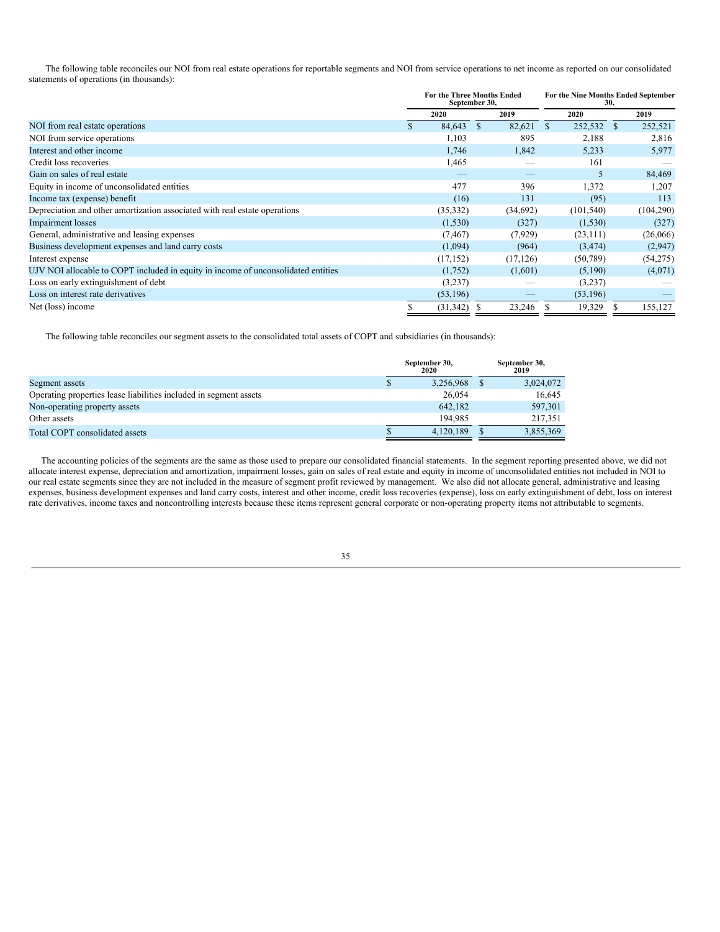The following table reconciles our NOI from real estate operations for reportable segments and NOI from service operations to net income as reported on our consolidated statements of operations (in thousands):

|                                                                                   |    | For the Three Months Ended<br>September 30, |  |           |      | For the Nine Months Ended September<br>30, |  |            |
|-----------------------------------------------------------------------------------|----|---------------------------------------------|--|-----------|------|--------------------------------------------|--|------------|
|                                                                                   |    | 2020                                        |  | 2019      |      | 2020                                       |  | 2019       |
| NOI from real estate operations                                                   | D. | 84,643 \$                                   |  | 82,621    | - \$ | 252,532 \$                                 |  | 252,521    |
| NOI from service operations                                                       |    | 1,103                                       |  | 895       |      | 2,188                                      |  | 2,816      |
| Interest and other income                                                         |    | 1,746                                       |  | 1,842     |      | 5,233                                      |  | 5,977      |
| Credit loss recoveries                                                            |    | 1,465                                       |  |           |      | 161                                        |  |            |
| Gain on sales of real estate                                                      |    |                                             |  |           |      | 5                                          |  | 84,469     |
| Equity in income of unconsolidated entities                                       |    | 477                                         |  | 396       |      | 1,372                                      |  | 1,207      |
| Income tax (expense) benefit                                                      |    | (16)                                        |  | 131       |      | (95)                                       |  | 113        |
| Depreciation and other amortization associated with real estate operations        |    | (35,332)                                    |  | (34,692)  |      | (101, 540)                                 |  | (104, 290) |
| Impairment losses                                                                 |    | (1, 530)                                    |  | (327)     |      | (1, 530)                                   |  | (327)      |
| General, administrative and leasing expenses                                      |    | (7, 467)                                    |  | (7,929)   |      | (23, 111)                                  |  | (26,066)   |
| Business development expenses and land carry costs                                |    | (1,094)                                     |  | (964)     |      | (3, 474)                                   |  | (2,947)    |
| Interest expense                                                                  |    | (17, 152)                                   |  | (17, 126) |      | (50, 789)                                  |  | (54,275)   |
| UJV NOI allocable to COPT included in equity in income of unconsolidated entities |    | (1,752)                                     |  | (1,601)   |      | (5,190)                                    |  | (4,071)    |
| Loss on early extinguishment of debt                                              |    | (3,237)                                     |  |           |      | (3,237)                                    |  |            |
| Loss on interest rate derivatives                                                 |    | (53, 196)                                   |  |           |      | (53,196)                                   |  |            |
| Net (loss) income                                                                 |    | (31, 342)                                   |  | 23,246    |      | 19,329                                     |  | 155,127    |

The following table reconciles our segment assets to the consolidated total assets of COPT and subsidiaries (in thousands):

|                                                                   | September 30,<br>2020 |           |  | September 30,<br>2019 |
|-------------------------------------------------------------------|-----------------------|-----------|--|-----------------------|
| Segment assets                                                    |                       | 3,256,968 |  | 3,024,072             |
| Operating properties lease liabilities included in segment assets |                       | 26,054    |  | 16.645                |
| Non-operating property assets                                     |                       | 642.182   |  | 597,301               |
| Other assets                                                      |                       | 194.985   |  | 217,351               |
| Total COPT consolidated assets                                    |                       | 4.120.189 |  | 3,855,369             |

The accounting policies of the segments are the same as those used to prepare our consolidated financial statements. In the segment reporting presented above, we did not allocate interest expense, depreciation and amortization, impairment losses, gain on sales of real estate and equity in income of unconsolidated entities not included in NOI to our real estate segments since they are not included in the measure of segment profit reviewed by management. We also did not allocate general, administrative and leasing expenses, business development expenses and land carry costs, interest and other income, credit loss recoveries (expense), loss on early extinguishment of debt, loss on interest rate derivatives, income taxes and noncontrolling interests because these items represent general corporate or non-operating property items not attributable to segments.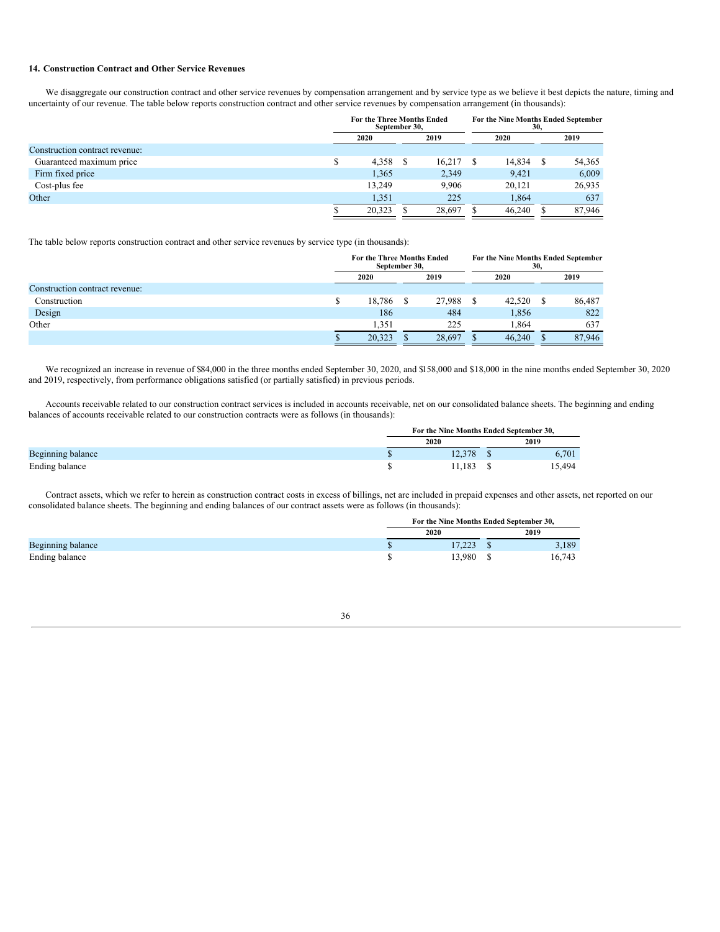## **14. Construction Contract and Other Service Revenues**

We disaggregate our construction contract and other service revenues by compensation arrangement and by service type as we believe it best depicts the nature, timing and uncertainty of our revenue. The table below reports construction contract and other service revenues by compensation arrangement (in thousands):

|                                | For the Three Months Ended<br>September 30, |        |  |          | For the Nine Months Ended September<br>30. |        |  |        |  |  |
|--------------------------------|---------------------------------------------|--------|--|----------|--------------------------------------------|--------|--|--------|--|--|
|                                |                                             | 2020   |  | 2019     | 2020                                       |        |  | 2019   |  |  |
| Construction contract revenue: |                                             |        |  |          |                                            |        |  |        |  |  |
| Guaranteed maximum price       | D                                           | 4,358  |  | 16.217 S |                                            | 14,834 |  | 54,365 |  |  |
| Firm fixed price               |                                             | 1,365  |  | 2,349    |                                            | 9.421  |  | 6,009  |  |  |
| Cost-plus fee                  |                                             | 13.249 |  | 9.906    |                                            | 20,121 |  | 26,935 |  |  |
| Other                          |                                             | 1,351  |  | 225      |                                            | 1,864  |  | 637    |  |  |
|                                |                                             | 20,323 |  | 28,697   |                                            | 46,240 |  | 87,946 |  |  |

The table below reports construction contract and other service revenues by service type (in thousands):

|                                | For the Three Months Ended<br>September 30, |      |        |  | For the Nine Months Ended September<br>30. |  |        |  |  |  |
|--------------------------------|---------------------------------------------|------|--------|--|--------------------------------------------|--|--------|--|--|--|
|                                | 2020                                        | 2019 |        |  | 2020                                       |  | 2019   |  |  |  |
| Construction contract revenue: |                                             |      |        |  |                                            |  |        |  |  |  |
| Construction                   | 18,786                                      |      | 27,988 |  | 42,520                                     |  | 86,487 |  |  |  |
| Design                         | 186                                         |      | 484    |  | 1,856                                      |  | 822    |  |  |  |
| Other                          | 1.351                                       |      | 225    |  | 1.864                                      |  | 637    |  |  |  |
|                                | 20,323                                      |      | 28.697 |  | 46,240                                     |  | 87,946 |  |  |  |

We recognized an increase in revenue of \$84,000 in the three months ended September 30, 2020, and \$158,000 and \$18,000 in the nine months ended September 30, 2020 and 2019, respectively, from performance obligations satisfied (or partially satisfied) in previous periods.

Accounts receivable related to our construction contract services is included in accounts receivable, net on our consolidated balance sheets. The beginning and ending balances of accounts receivable related to our construction contracts were as follows (in thousands):

|                   | For the Nine Months Ended September 30, |  |        |  |  |  |  |
|-------------------|-----------------------------------------|--|--------|--|--|--|--|
|                   | 2020                                    |  | 2019   |  |  |  |  |
| Beginning balance | 12.378                                  |  | 6.701  |  |  |  |  |
| Ending balance    | 1,183                                   |  | 15,494 |  |  |  |  |

Contract assets, which we refer to herein as construction contract costs in excess of billings, net are included in prepaid expenses and other assets, net reported on our consolidated balance sheets. The beginning and ending balances of our contract assets were as follows (in thousands):

|                   | For the Nine Months Ended September 30, |        |  |  |  |  |  |
|-------------------|-----------------------------------------|--------|--|--|--|--|--|
|                   | 2020                                    | 2019   |  |  |  |  |  |
| Beginning balance | 17.223                                  | 3,189  |  |  |  |  |  |
| Ending balance    | 13.980                                  | 16,743 |  |  |  |  |  |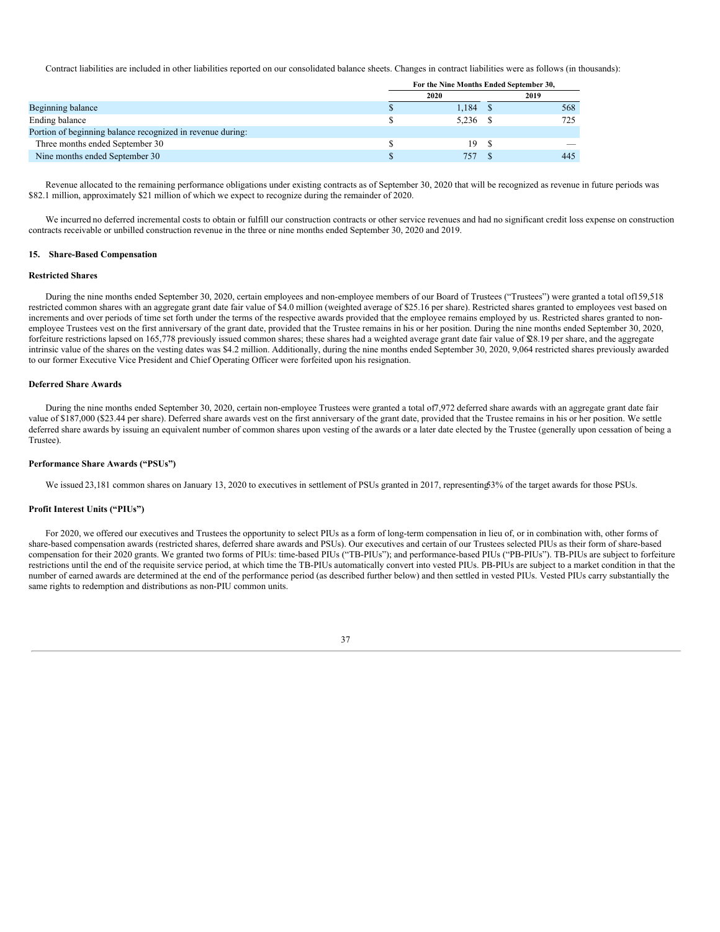Contract liabilities are included in other liabilities reported on our consolidated balance sheets. Changes in contract liabilities were as follows (in thousands):

|                                                            | For the Nine Months Ended September 30, |       |  |      |  |  |
|------------------------------------------------------------|-----------------------------------------|-------|--|------|--|--|
|                                                            |                                         | 2020  |  | 2019 |  |  |
| Beginning balance                                          |                                         | 1.184 |  | 568  |  |  |
| Ending balance                                             |                                         | 5,236 |  | 725  |  |  |
| Portion of beginning balance recognized in revenue during: |                                         |       |  |      |  |  |
| Three months ended September 30                            |                                         | 19    |  |      |  |  |
| Nine months ended September 30                             |                                         | 757.  |  | 445  |  |  |

Revenue allocated to the remaining performance obligations under existing contracts as of September 30, 2020 that will be recognized as revenue in future periods was \$82.1 million, approximately \$21 million of which we expect to recognize during the remainder of 2020.

We incurred no deferred incremental costs to obtain or fulfill our construction contracts or other service revenues and had no significant credit loss expense on construction contracts receivable or unbilled construction revenue in the three or nine months ended September 30, 2020 and 2019.

#### **15. Share-Based Compensation**

## **Restricted Shares**

During the nine months ended September 30, 2020, certain employees and non-employee members of our Board of Trustees ("Trustees") were granted a total of159,518 restricted common shares with an aggregate grant date fair value of \$4.0 million (weighted average of \$25.16 per share). Restricted shares granted to employees vest based on increments and over periods of time set forth under the terms of the respective awards provided that the employee remains employed by us. Restricted shares granted to nonemployee Trustees vest on the first anniversary of the grant date, provided that the Trustee remains in his or her position. During the nine months ended September 30, 2020, forfeiture restrictions lapsed on 165,778 previously issued common shares; these shares had a weighted average grant date fair value of \$28.19 per share, and the aggregate intrinsic value of the shares on the vesting dates was \$4.2 million. Additionally, during the nine months ended September 30, 2020, 9,064 restricted shares previously awarded to our former Executive Vice President and Chief Operating Officer were forfeited upon his resignation.

#### **Deferred Share Awards**

During the nine months ended September 30, 2020, certain non-employee Trustees were granted a total of7,972 deferred share awards with an aggregate grant date fair value of \$187,000 (\$23.44 per share). Deferred share awards vest on the first anniversary of the grant date, provided that the Trustee remains in his or her position. We settle deferred share awards by issuing an equivalent number of common shares upon vesting of the awards or a later date elected by the Trustee (generally upon cessation of being a Trustee).

## **Performance Share Awards ("PSUs")**

We issued 23,181 common shares on January 13, 2020 to executives in settlement of PSUs granted in 2017, representing 53% of the target awards for those PSUs.

#### **Profit Interest Units ("PIUs")**

For 2020, we offered our executives and Trustees the opportunity to select PIUs as a form of long-term compensation in lieu of, or in combination with, other forms of share-based compensation awards (restricted shares, deferred share awards and PSUs). Our executives and certain of our Trustees selected PIUs as their form of share-based compensation for their 2020 grants. We granted two forms of PIUs: time-based PIUs ("TB-PIUs"); and performance-based PIUs ("PB-PIUs"). TB-PIUs are subject to forfeiture restrictions until the end of the requisite service period, at which time the TB-PIUs automatically convert into vested PIUs. PB-PIUs are subject to a market condition in that the number of earned awards are determined at the end of the performance period (as described further below) and then settled in vested PIUs. Vested PIUs carry substantially the same rights to redemption and distributions as non-PIU common units.

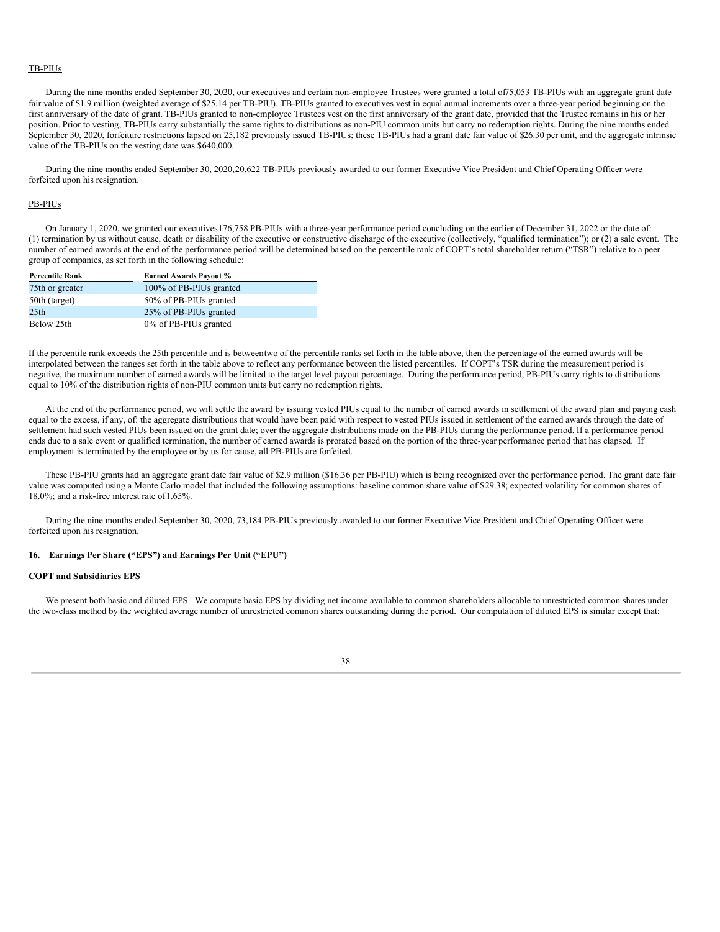## TB-PIUs

During the nine months ended September 30, 2020, our executives and certain non-employee Trustees were granted a total of75,053 TB-PIUs with an aggregate grant date fair value of \$1.9 million (weighted average of \$25.14 per TB-PIU). TB-PIUs granted to executives vest in equal annual increments over a three-year period beginning on the first anniversary of the date of grant. TB-PIUs granted to non-employee Trustees vest on the first anniversary of the grant date, provided that the Trustee remains in his or her position. Prior to vesting, TB-PIUs carry substantially the same rights to distributions as non-PIU common units but carry no redemption rights. During the nine months ended September 30, 2020, forfeiture restrictions lapsed on 25,182 previously issued TB-PIUs; these TB-PIUs had a grant date fair value of \$26.30 per unit, and the aggregate intrinsic value of the TB-PIUs on the vesting date was \$640,000.

During the nine months ended September 30, 2020,20,622 TB-PIUs previously awarded to our former Executive Vice President and Chief Operating Officer were forfeited upon his resignation.

#### PB-PIUs

On January 1, 2020, we granted our executives176,758 PB-PIUs with a three-year performance period concluding on the earlier of December 31, 2022 or the date of: (1) termination by us without cause, death or disability of the executive or constructive discharge of the executive (collectively, "qualified termination"); or (2) a sale event. The number of earned awards at the end of the performance period will be determined based on the percentile rank of COPT's total shareholder return ("TSR") relative to a peer group of companies, as set forth in the following schedule:

| <b>Percentile Rank</b> | <b>Earned Awards Payout %</b> |
|------------------------|-------------------------------|
| 75th or greater        | 100% of PB-PIUs granted       |
| 50th (target)          | 50% of PB-PIUs granted        |
| 25 <sub>th</sub>       | 25% of PB-PIUs granted        |
| Below 25th             | 0% of PB-PIUs granted         |

If the percentile rank exceeds the 25th percentile and is betweentwo of the percentile ranks set forth in the table above, then the percentage of the earned awards will be interpolated between the ranges set forth in the table above to reflect any performance between the listed percentiles. If COPT's TSR during the measurement period is negative, the maximum number of earned awards will be limited to the target level payout percentage. During the performance period, PB-PIUs carry rights to distributions equal to 10% of the distribution rights of non-PIU common units but carry no redemption rights.

At the end of the performance period, we will settle the award by issuing vested PIUs equal to the number of earned awards in settlement of the award plan and paying cash equal to the excess, if any, of: the aggregate distributions that would have been paid with respect to vested PIUs issued in settlement of the earned awards through the date of settlement had such vested PIUs been issued on the grant date; over the aggregate distributions made on the PB-PIUs during the performance period. If a performance period ends due to a sale event or qualified termination, the number of earned awards is prorated based on the portion of the three-year performance period that has elapsed. If employment is terminated by the employee or by us for cause, all PB-PIUs are forfeited.

These PB-PIU grants had an aggregate grant date fair value of \$2.9 million (\$16.36 per PB-PIU) which is being recognized over the performance period. The grant date fair value was computed using a Monte Carlo model that included the following assumptions: baseline common share value of \$29.38; expected volatility for common shares of 18.0%; and a risk-free interest rate of1.65%.

During the nine months ended September 30, 2020, 73,184 PB-PIUs previously awarded to our former Executive Vice President and Chief Operating Officer were forfeited upon his resignation.

## **16. Earnings Per Share ("EPS") and Earnings Per Unit ("EPU")**

## **COPT and Subsidiaries EPS**

We present both basic and diluted EPS. We compute basic EPS by dividing net income available to common shareholders allocable to unrestricted common shares under the two-class method by the weighted average number of unrestricted common shares outstanding during the period. Our computation of diluted EPS is similar except that:

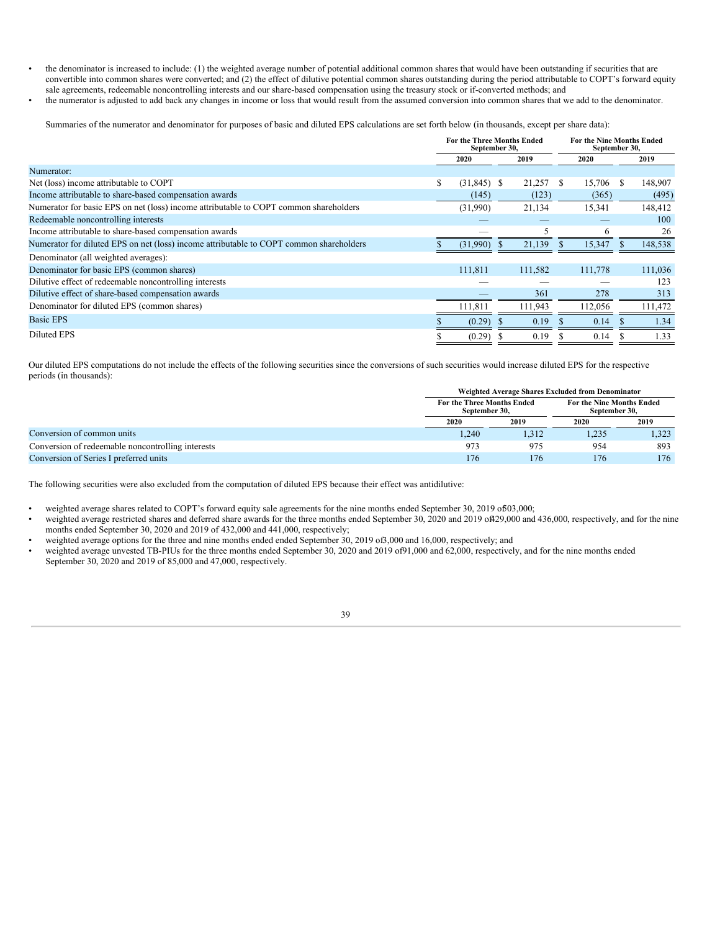- the denominator is increased to include: (1) the weighted average number of potential additional common shares that would have been outstanding if securities that are convertible into common shares were converted; and (2) the effect of dilutive potential common shares outstanding during the period attributable to COPT's forward equity sale agreements, redeemable noncontrolling interests and our share-based compensation using the treasury stock or if-converted methods; and
	- the numerator is adjusted to add back any changes in income or loss that would result from the assumed conversion into common shares that we add to the denominator.

Summaries of the numerator and denominator for purposes of basic and diluted EPS calculations are set forth below (in thousands, except per share data):

|                                                                                         | For the Three Months Ended<br>September 30, |               |    |         |    | <b>For the Nine Months Ended</b><br>September 30, |    |         |
|-----------------------------------------------------------------------------------------|---------------------------------------------|---------------|----|---------|----|---------------------------------------------------|----|---------|
|                                                                                         |                                             | 2020          |    | 2019    |    | 2020                                              |    | 2019    |
| Numerator:                                                                              |                                             |               |    |         |    |                                                   |    |         |
| Net (loss) income attributable to COPT                                                  | S                                           | $(31,845)$ \$ |    | 21,257  | -S | 15,706                                            | -S | 148,907 |
| Income attributable to share-based compensation awards                                  |                                             | (145)         |    | (123)   |    | (365)                                             |    | (495)   |
| Numerator for basic EPS on net (loss) income attributable to COPT common shareholders   |                                             | (31,990)      |    | 21,134  |    | 15,341                                            |    | 148,412 |
| Redeemable noncontrolling interests                                                     |                                             |               |    |         |    |                                                   |    | 100     |
| Income attributable to share-based compensation awards                                  |                                             |               |    | 5       |    | 6                                                 |    | 26      |
| Numerator for diluted EPS on net (loss) income attributable to COPT common shareholders |                                             | (31,990)      | -S | 21,139  |    | 15,347                                            |    | 148,538 |
| Denominator (all weighted averages):                                                    |                                             |               |    |         |    |                                                   |    |         |
| Denominator for basic EPS (common shares)                                               |                                             | 111,811       |    | 111,582 |    | 111,778                                           |    | 111,036 |
| Dilutive effect of redeemable noncontrolling interests                                  |                                             |               |    |         |    |                                                   |    | 123     |
| Dilutive effect of share-based compensation awards                                      |                                             |               |    | 361     |    | 278                                               |    | 313     |
| Denominator for diluted EPS (common shares)                                             |                                             | 111,811       |    | 111,943 |    | 112,056                                           |    | 111,472 |
| <b>Basic EPS</b>                                                                        |                                             | (0.29)        |    | 0.19    |    | 0.14                                              |    | 1.34    |
| <b>Diluted EPS</b>                                                                      |                                             | (0.29)        |    | 0.19    |    | 0.14                                              |    | 1.33    |

Our diluted EPS computations do not include the effects of the following securities since the conversions of such securities would increase diluted EPS for the respective periods (in thousands):

|                                                   |                                             | Weighted Average Shares Excluded from Denominator |                                            |       |  |  |  |  |  |
|---------------------------------------------------|---------------------------------------------|---------------------------------------------------|--------------------------------------------|-------|--|--|--|--|--|
|                                                   | For the Three Months Ended<br>September 30. |                                                   | For the Nine Months Ended<br>September 30. |       |  |  |  |  |  |
|                                                   | 2020                                        | 2019                                              | 2020                                       | 2019  |  |  |  |  |  |
| Conversion of common units                        | 1,240                                       | 1.312                                             | 1.235                                      | 1,323 |  |  |  |  |  |
| Conversion of redeemable noncontrolling interests | 973                                         | 975                                               | 954                                        | 893   |  |  |  |  |  |
| Conversion of Series I preferred units            | 176                                         | 176                                               | 176                                        | 176   |  |  |  |  |  |

The following securities were also excluded from the computation of diluted EPS because their effect was antidilutive:

• weighted average shares related to COPT's forward equity sale agreements for the nine months ended September 30, 2019 of503,000;

• weighted average restricted shares and deferred share awards for the three months ended September 30, 2020 and 2019 of429,000 and 436,000, respectively, and for the nine months ended September 30, 2020 and 2019 of 432,000 and 441,000, respectively;

• weighted average options for the three and nine months ended ended September 30, 2019 of3,000 and 16,000, respectively; and

• weighted average unvested TB-PIUs for the three months ended September 30, 2020 and 2019 of91,000 and 62,000, respectively, and for the nine months ended September 30, 2020 and 2019 of 85,000 and 47,000, respectively.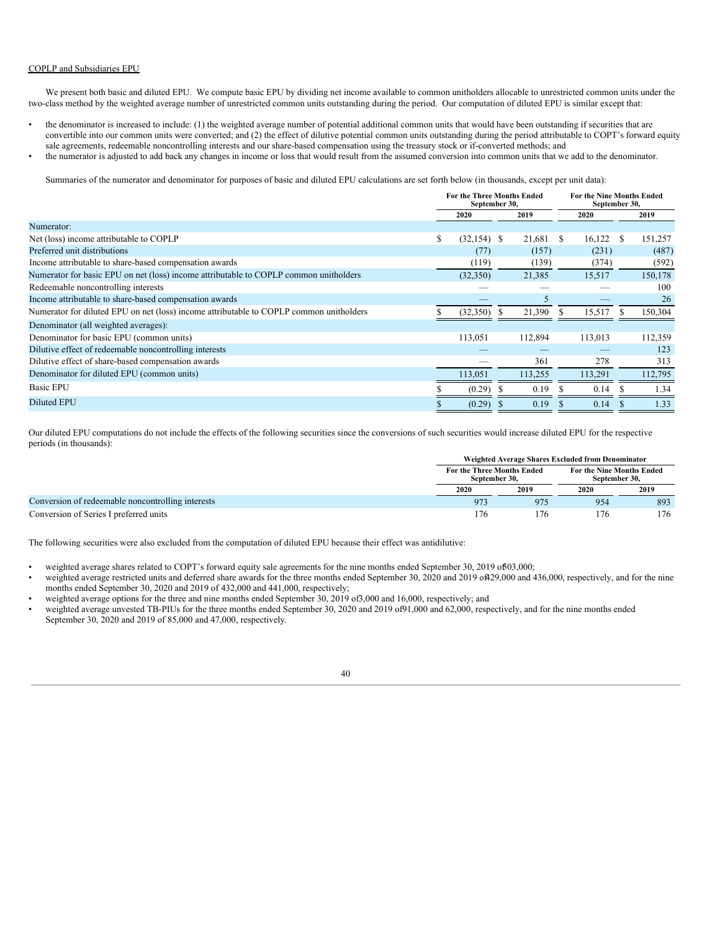## COPLP and Subsidiaries EPU

We present both basic and diluted EPU. We compute basic EPU by dividing net income available to common unitholders allocable to unrestricted common units under the two-class method by the weighted average number of unrestricted common units outstanding during the period. Our computation of diluted EPU is similar except that:

- the denominator is increased to include: (1) the weighted average number of potential additional common units that would have been outstanding if securities that are convertible into our common units were converted; and (2) the effect of dilutive potential common units outstanding during the period attributable to COPT's forward equity sale agreements, redeemable noncontrolling interests and our share-based compensation using the treasury stock or if-converted methods; and
- the numerator is adjusted to add back any changes in income or loss that would result from the assumed conversion into common units that we add to the denominator.

Summaries of the numerator and denominator for purposes of basic and diluted EPU calculations are set forth below (in thousands, except per unit data):

|                                                                                         | For the Three Months Ended<br>September 30, |                |      |         |    | <b>For the Nine Months Ended</b><br>September 30, |    |         |
|-----------------------------------------------------------------------------------------|---------------------------------------------|----------------|------|---------|----|---------------------------------------------------|----|---------|
|                                                                                         |                                             | 2020           | 2019 |         |    | 2020                                              |    | 2019    |
| Numerator:                                                                              |                                             |                |      |         |    |                                                   |    |         |
| Net (loss) income attributable to COPLP                                                 | S                                           | $(32, 154)$ \$ |      | 21,681  | -S | 16,122                                            | -S | 151,257 |
| Preferred unit distributions                                                            |                                             | (77)           |      | (157)   |    | (231)                                             |    | (487)   |
| Income attributable to share-based compensation awards                                  |                                             | (119)          |      | (139)   |    | (374)                                             |    | (592)   |
| Numerator for basic EPU on net (loss) income attributable to COPLP common unitholders   |                                             | (32, 350)      |      | 21,385  |    | 15,517                                            |    | 150,178 |
| Redeemable noncontrolling interests                                                     |                                             |                |      |         |    |                                                   |    | 100     |
| Income attributable to share-based compensation awards                                  |                                             |                |      | 5       |    |                                                   |    | 26      |
| Numerator for diluted EPU on net (loss) income attributable to COPLP common unitholders |                                             | (32,350)       |      | 21,390  |    | 15,517                                            | £. | 150,304 |
| Denominator (all weighted averages):                                                    |                                             |                |      |         |    |                                                   |    |         |
| Denominator for basic EPU (common units)                                                |                                             | 113,051        |      | 112,894 |    | 113,013                                           |    | 112,359 |
| Dilutive effect of redeemable noncontrolling interests                                  |                                             |                |      |         |    |                                                   |    | 123     |
| Dilutive effect of share-based compensation awards                                      |                                             |                |      | 361     |    | 278                                               |    | 313     |
| Denominator for diluted EPU (common units)                                              |                                             | 113,051        |      | 113,255 |    | 113,291                                           |    | 112,795 |
| <b>Basic EPU</b>                                                                        |                                             | (0.29)         |      | 0.19    |    | 0.14                                              |    | 1.34    |
| <b>Diluted EPU</b>                                                                      |                                             | (0.29)         |      | 0.19    |    | 0.14                                              |    | 1.33    |
|                                                                                         |                                             |                |      |         |    |                                                   |    |         |

Our diluted EPU computations do not include the effects of the following securities since the conversions of such securities would increase diluted EPU for the respective periods (in thousands):

|                                                   |                                                    |      | Weighted Average Shares Excluded from Denominator |      |
|---------------------------------------------------|----------------------------------------------------|------|---------------------------------------------------|------|
|                                                   | <b>For the Three Months Ended</b><br>September 30. |      | For the Nine Months Ended<br>September 30.        |      |
|                                                   | 2020                                               | 2019 | 2020                                              | 2019 |
| Conversion of redeemable noncontrolling interests | 973                                                | 975  | 954                                               | 893  |
| Conversion of Series I preferred units            | 176                                                | 176  | 176                                               | 176  |

The following securities were also excluded from the computation of diluted EPU because their effect was antidilutive:

- weighted average shares related to COPT's forward equity sale agreements for the nine months ended September 30, 2019 of503,000;
- weighted average restricted units and deferred share awards for the three months ended September 30, 2020 and 2019 of429,000 and 436,000, respectively, and for the nine months ended September 30, 2020 and 2019 of 432,000 and 441,000, respectively;
- weighted average options for the three and nine months ended September 30, 2019 of3,000 and 16,000, respectively; and
- weighted average unvested TB-PIUs for the three months ended September 30, 2020 and 2019 of91,000 and 62,000, respectively, and for the nine months ended September 30, 2020 and 2019 of 85,000 and 47,000, respectively.

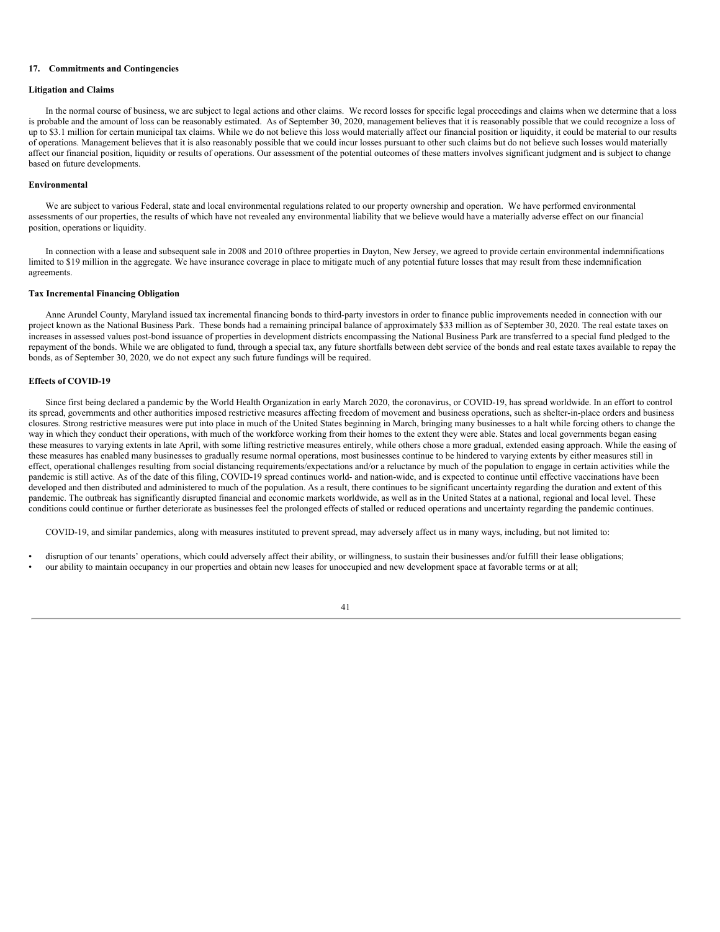#### **17. Commitments and Contingencies**

## **Litigation and Claims**

In the normal course of business, we are subject to legal actions and other claims. We record losses for specific legal proceedings and claims when we determine that a loss is probable and the amount of loss can be reasonably estimated. As of September 30, 2020, management believes that it is reasonably possible that we could recognize a loss of up to \$3.1 million for certain municipal tax claims. While we do not believe this loss would materially affect our financial position or liquidity, it could be material to our results of operations. Management believes that it is also reasonably possible that we could incur losses pursuant to other such claims but do not believe such losses would materially affect our financial position, liquidity or results of operations. Our assessment of the potential outcomes of these matters involves significant judgment and is subject to change based on future developments.

#### **Environmental**

We are subject to various Federal, state and local environmental regulations related to our property ownership and operation. We have performed environmental assessments of our properties, the results of which have not revealed any environmental liability that we believe would have a materially adverse effect on our financial position, operations or liquidity.

In connection with a lease and subsequent sale in 2008 and 2010 ofthree properties in Dayton, New Jersey, we agreed to provide certain environmental indemnifications limited to \$19 million in the aggregate. We have insurance coverage in place to mitigate much of any potential future losses that may result from these indemnification agreements.

## **Tax Incremental Financing Obligation**

Anne Arundel County, Maryland issued tax incremental financing bonds to third-party investors in order to finance public improvements needed in connection with our project known as the National Business Park. These bonds had a remaining principal balance of approximately \$33 million as of September 30, 2020. The real estate taxes on increases in assessed values post-bond issuance of properties in development districts encompassing the National Business Park are transferred to a special fund pledged to the repayment of the bonds. While we are obligated to fund, through a special tax, any future shortfalls between debt service of the bonds and real estate taxes available to repay the bonds, as of September 30, 2020, we do not expect any such future fundings will be required.

## **Effects of COVID-19**

Since first being declared a pandemic by the World Health Organization in early March 2020, the coronavirus, or COVID-19, has spread worldwide. In an effort to control its spread, governments and other authorities imposed restrictive measures affecting freedom of movement and business operations, such as shelter-in-place orders and business closures. Strong restrictive measures were put into place in much of the United States beginning in March, bringing many businesses to a halt while forcing others to change the way in which they conduct their operations, with much of the workforce working from their homes to the extent they were able. States and local governments began easing these measures to varying extents in late April, with some lifting restrictive measures entirely, while others chose a more gradual, extended easing approach. While the easing of these measures has enabled many businesses to gradually resume normal operations, most businesses continue to be hindered to varying extents by either measures still in effect, operational challenges resulting from social distancing requirements/expectations and/or a reluctance by much of the population to engage in certain activities while the pandemic is still active. As of the date of this filing, COVID-19 spread continues world- and nation-wide, and is expected to continue until effective vaccinations have been developed and then distributed and administered to much of the population. As a result, there continues to be significant uncertainty regarding the duration and extent of this pandemic. The outbreak has significantly disrupted financial and economic markets worldwide, as well as in the United States at a national, regional and local level. These conditions could continue or further deteriorate as businesses feel the prolonged effects of stalled or reduced operations and uncertainty regarding the pandemic continues.

COVID-19, and similar pandemics, along with measures instituted to prevent spread, may adversely affect us in many ways, including, but not limited to:

- disruption of our tenants' operations, which could adversely affect their ability, or willingness, to sustain their businesses and/or fulfill their lease obligations;
- our ability to maintain occupancy in our properties and obtain new leases for unoccupied and new development space at favorable terms or at all;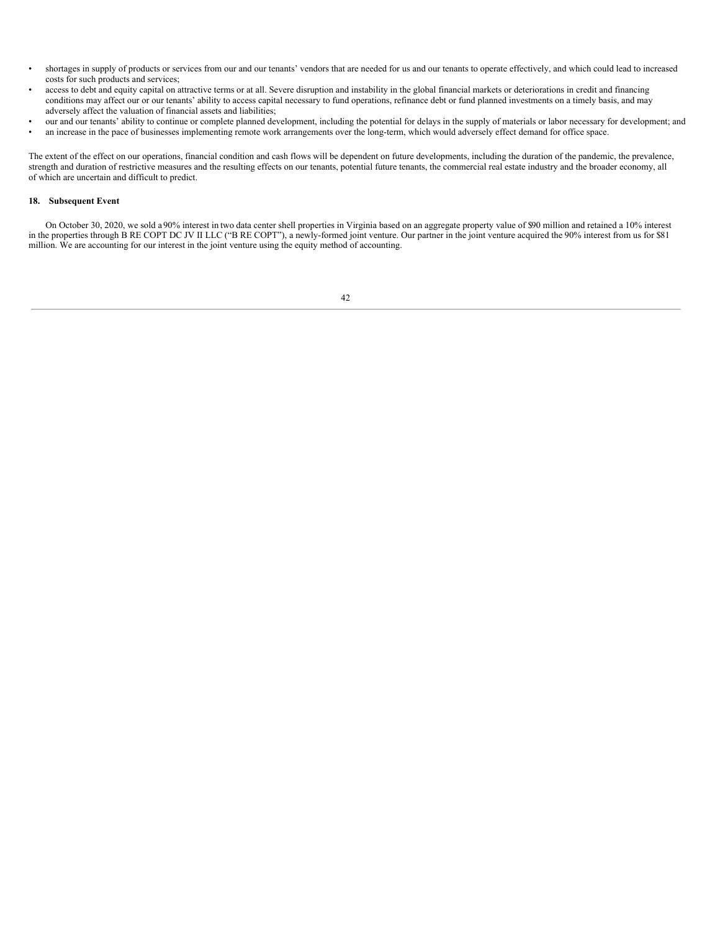- shortages in supply of products or services from our and our tenants' vendors that are needed for us and our tenants to operate effectively, and which could lead to increased costs for such products and services;
- access to debt and equity capital on attractive terms or at all. Severe disruption and instability in the global financial markets or deteriorations in credit and financing conditions may affect our or our tenants' ability to access capital necessary to fund operations, refinance debt or fund planned investments on a timely basis, and may adversely affect the valuation of financial assets and liabilities;
- our and our tenants' ability to continue or complete planned development, including the potential for delays in the supply of materials or labor necessary for development; and
- an increase in the pace of businesses implementing remote work arrangements over the long-term, which would adversely effect demand for office space.

The extent of the effect on our operations, financial condition and cash flows will be dependent on future developments, including the duration of the pandemic, the prevalence, strength and duration of restrictive measures and the resulting effects on our tenants, potential future tenants, the commercial real estate industry and the broader economy, all of which are uncertain and difficult to predict.

## **18. Subsequent Event**

On October 30, 2020, we sold a 90% interest in two data center shell properties in Virginia based on an aggregate property value of \$90 million and retained a 10% interest in the properties through B RE COPT DC JV II LLC ("B RE COPT"), a newly-formed joint venture. Our partner in the joint venture acquired the 90% interest from us for \$81 million. We are accounting for our interest in the joint venture using the equity method of accounting.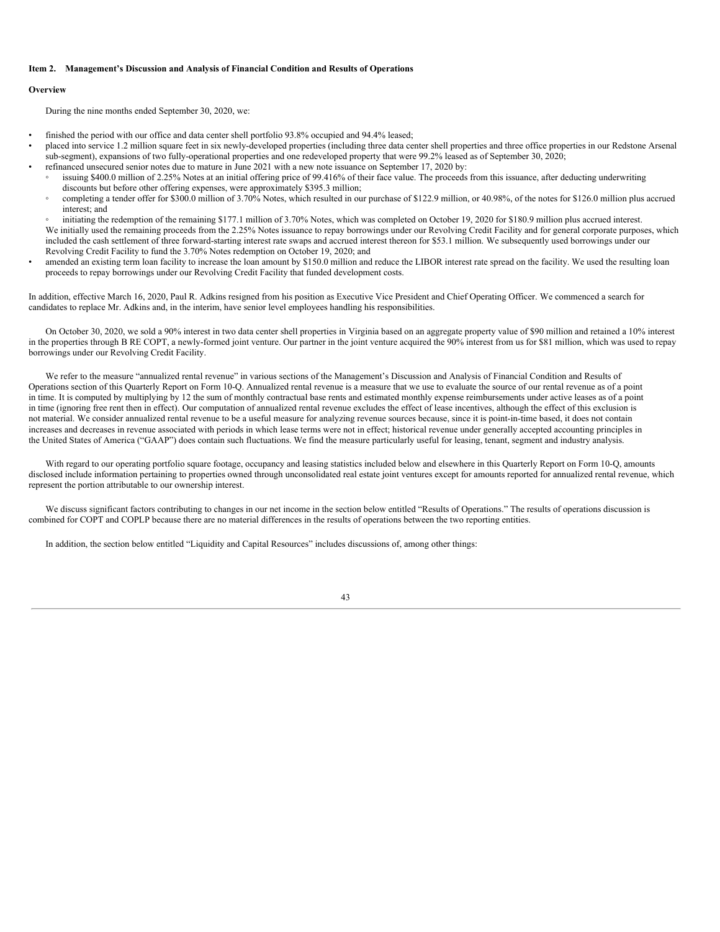## **Item 2. Management's Discussion and Analysis of Financial Condition and Results of Operations**

## **Overview**

During the nine months ended September 30, 2020, we:

- finished the period with our office and data center shell portfolio 93.8% occupied and 94.4% leased:
- placed into service 1.2 million square feet in six newly-developed properties (including three data center shell properties and three office properties in our Redstone Arsenal sub-segment), expansions of two fully-operational properties and one redeveloped property that were 99.2% leased as of September 30, 2020;
- refinanced unsecured senior notes due to mature in June 2021 with a new note issuance on September 17, 2020 by:
	- issuing \$400.0 million of 2.25% Notes at an initial offering price of 99.416% of their face value. The proceeds from this issuance, after deducting underwriting discounts but before other offering expenses, were approximately \$395.3 million;
	- completing a tender offer for \$300.0 million of 3.70% Notes, which resulted in our purchase of \$122.9 million, or 40.98%, of the notes for \$126.0 million plus accrued interest; and
	- initiating the redemption of the remaining \$177.1 million of 3.70% Notes, which was completed on October 19, 2020 for \$180.9 million plus accrued interest. We initially used the remaining proceeds from the 2.25% Notes issuance to repay borrowings under our Revolving Credit Facility and for general corporate purposes, which included the cash settlement of three forward-starting interest rate swaps and accrued interest thereon for \$53.1 million. We subsequently used borrowings under our Revolving Credit Facility to fund the 3.70% Notes redemption on October 19, 2020; and
- amended an existing term loan facility to increase the loan amount by \$150.0 million and reduce the LIBOR interest rate spread on the facility. We used the resulting loan proceeds to repay borrowings under our Revolving Credit Facility that funded development costs.

In addition, effective March 16, 2020, Paul R. Adkins resigned from his position as Executive Vice President and Chief Operating Officer. We commenced a search for candidates to replace Mr. Adkins and, in the interim, have senior level employees handling his responsibilities.

On October 30, 2020, we sold a 90% interest in two data center shell properties in Virginia based on an aggregate property value of \$90 million and retained a 10% interest in the properties through B RE COPT, a newly-formed joint venture. Our partner in the joint venture acquired the 90% interest from us for \$81 million, which was used to repay borrowings under our Revolving Credit Facility.

We refer to the measure "annualized rental revenue" in various sections of the Management's Discussion and Analysis of Financial Condition and Results of Operations section of this Quarterly Report on Form 10-Q. Annualized rental revenue is a measure that we use to evaluate the source of our rental revenue as of a point in time. It is computed by multiplying by 12 the sum of monthly contractual base rents and estimated monthly expense reimbursements under active leases as of a point in time (ignoring free rent then in effect). Our computation of annualized rental revenue excludes the effect of lease incentives, although the effect of this exclusion is not material. We consider annualized rental revenue to be a useful measure for analyzing revenue sources because, since it is point-in-time based, it does not contain increases and decreases in revenue associated with periods in which lease terms were not in effect; historical revenue under generally accepted accounting principles in the United States of America ("GAAP") does contain such fluctuations. We find the measure particularly useful for leasing, tenant, segment and industry analysis.

With regard to our operating portfolio square footage, occupancy and leasing statistics included below and elsewhere in this Quarterly Report on Form 10-O, amounts disclosed include information pertaining to properties owned through unconsolidated real estate joint ventures except for amounts reported for annualized rental revenue, which represent the portion attributable to our ownership interest.

We discuss significant factors contributing to changes in our net income in the section below entitled "Results of Operations." The results of operations discussion is combined for COPT and COPLP because there are no material differences in the results of operations between the two reporting entities.

In addition, the section below entitled "Liquidity and Capital Resources" includes discussions of, among other things: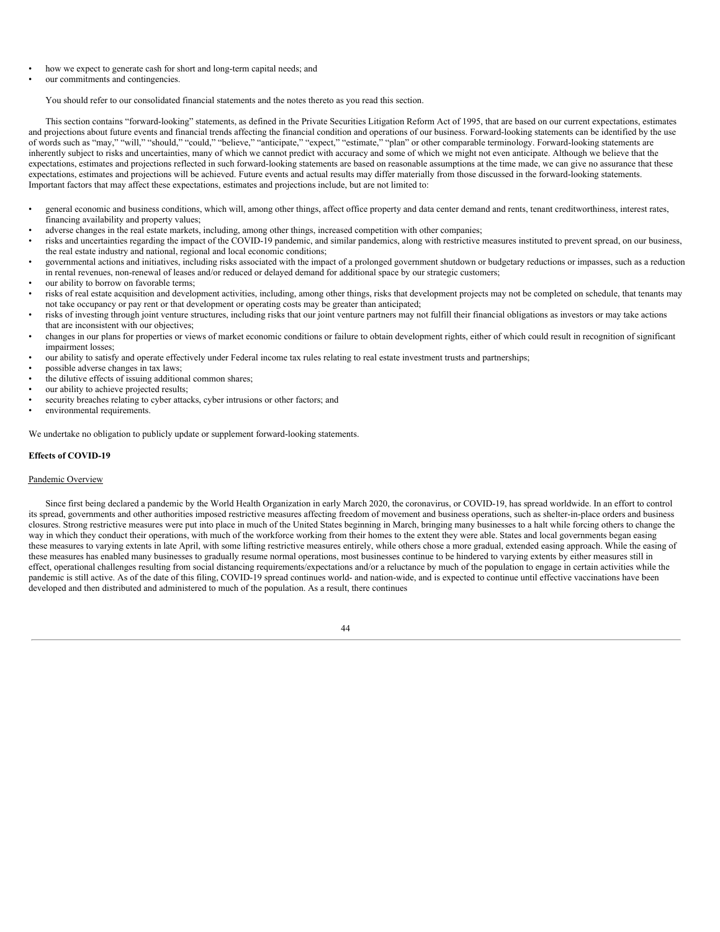- how we expect to generate cash for short and long-term capital needs; and
- our commitments and contingencies.

You should refer to our consolidated financial statements and the notes thereto as you read this section.

This section contains "forward-looking" statements, as defined in the Private Securities Litigation Reform Act of 1995, that are based on our current expectations, estimates and projections about future events and financial trends affecting the financial condition and operations of our business. Forward-looking statements can be identified by the use of words such as "may," "will," "should," "could," "believe," "anticipate," "expect," "estimate," "plan" or other comparable terminology. Forward-looking statements are inherently subject to risks and uncertainties, many of which we cannot predict with accuracy and some of which we might not even anticipate. Although we believe that the expectations, estimates and projections reflected in such forward-looking statements are based on reasonable assumptions at the time made, we can give no assurance that these expectations, estimates and projections will be achieved. Future events and actual results may differ materially from those discussed in the forward-looking statements. Important factors that may affect these expectations, estimates and projections include, but are not limited to:

- general economic and business conditions, which will, among other things, affect office property and data center demand and rents, tenant creditworthiness, interest rates, financing availability and property values;
- adverse changes in the real estate markets, including, among other things, increased competition with other companies;
- risks and uncertainties regarding the impact of the COVID-19 pandemic, and similar pandemics, along with restrictive measures instituted to prevent spread, on our business, the real estate industry and national, regional and local economic conditions;
- governmental actions and initiatives, including risks associated with the impact of a prolonged government shutdown or budgetary reductions or impasses, such as a reduction in rental revenues, non-renewal of leases and/or reduced or delayed demand for additional space by our strategic customers;
- our ability to borrow on favorable terms;
- risks of real estate acquisition and development activities, including, among other things, risks that development projects may not be completed on schedule, that tenants may not take occupancy or pay rent or that development or operating costs may be greater than anticipated;
- risks of investing through joint venture structures, including risks that our joint venture partners may not fulfill their financial obligations as investors or may take actions that are inconsistent with our objectives;
- changes in our plans for properties or views of market economic conditions or failure to obtain development rights, either of which could result in recognition of significant impairment losses;
- our ability to satisfy and operate effectively under Federal income tax rules relating to real estate investment trusts and partnerships;
- possible adverse changes in tax laws;
- the dilutive effects of issuing additional common shares;
- our ability to achieve projected results;
- security breaches relating to cyber attacks, cyber intrusions or other factors; and
- environmental requirements.

We undertake no obligation to publicly update or supplement forward-looking statements.

#### **Effects of COVID-19**

#### Pandemic Overview

Since first being declared a pandemic by the World Health Organization in early March 2020, the coronavirus, or COVID-19, has spread worldwide. In an effort to control its spread, governments and other authorities imposed restrictive measures affecting freedom of movement and business operations, such as shelter-in-place orders and business closures. Strong restrictive measures were put into place in much of the United States beginning in March, bringing many businesses to a halt while forcing others to change the way in which they conduct their operations, with much of the workforce working from their homes to the extent they were able. States and local governments began easing these measures to varying extents in late April, with some lifting restrictive measures entirely, while others chose a more gradual, extended easing approach. While the easing of these measures has enabled many businesses to gradually resume normal operations, most businesses continue to be hindered to varying extents by either measures still in effect, operational challenges resulting from social distancing requirements/expectations and/or a reluctance by much of the population to engage in certain activities while the pandemic is still active. As of the date of this filing, COVID-19 spread continues world- and nation-wide, and is expected to continue until effective vaccinations have been developed and then distributed and administered to much of the population. As a result, there continues

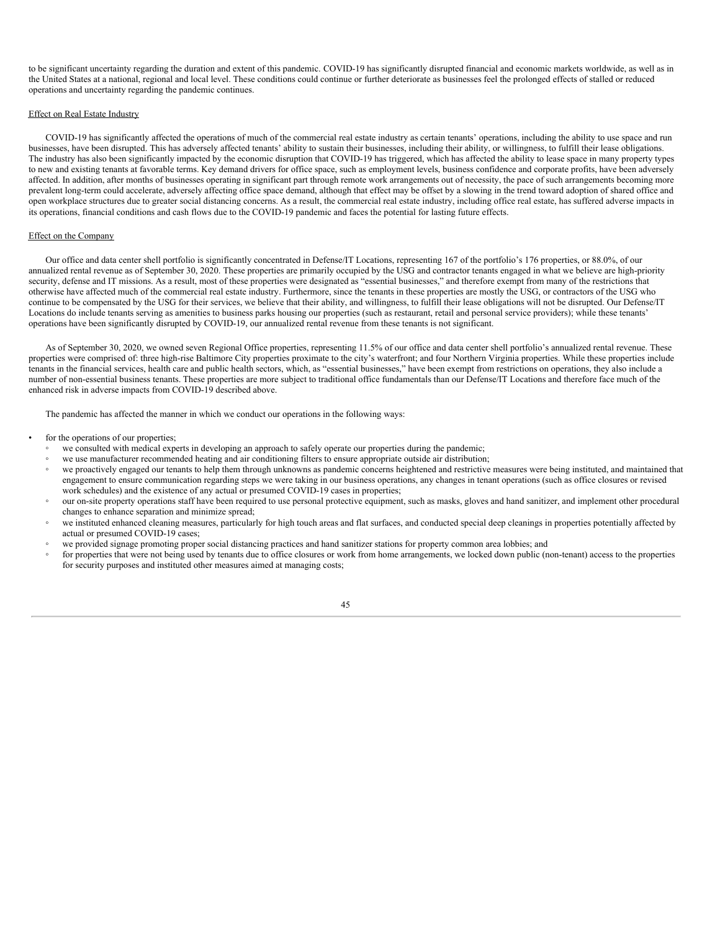to be significant uncertainty regarding the duration and extent of this pandemic. COVID-19 has significantly disrupted financial and economic markets worldwide, as well as in the United States at a national, regional and local level. These conditions could continue or further deteriorate as businesses feel the prolonged effects of stalled or reduced operations and uncertainty regarding the pandemic continues.

#### Effect on Real Estate Industry

COVID-19 has significantly affected the operations of much of the commercial real estate industry as certain tenants' operations, including the ability to use space and run businesses, have been disrupted. This has adversely affected tenants' ability to sustain their businesses, including their ability, or willingness, to fulfill their lease obligations. The industry has also been significantly impacted by the economic disruption that COVID-19 has triggered, which has affected the ability to lease space in many property types to new and existing tenants at favorable terms. Key demand drivers for office space, such as employment levels, business confidence and corporate profits, have been adversely affected. In addition, after months of businesses operating in significant part through remote work arrangements out of necessity, the pace of such arrangements becoming more prevalent long-term could accelerate, adversely affecting office space demand, although that effect may be offset by a slowing in the trend toward adoption of shared office and open workplace structures due to greater social distancing concerns. As a result, the commercial real estate industry, including office real estate, has suffered adverse impacts in its operations, financial conditions and cash flows due to the COVID-19 pandemic and faces the potential for lasting future effects.

## Effect on the Company

Our office and data center shell portfolio is significantly concentrated in Defense/IT Locations, representing 167 of the portfolio's 176 properties, or 88.0%, of our annualized rental revenue as of September 30, 2020. These properties are primarily occupied by the USG and contractor tenants engaged in what we believe are high-priority security, defense and IT missions. As a result, most of these properties were designated as "essential businesses," and therefore exempt from many of the restrictions that otherwise have affected much of the commercial real estate industry. Furthermore, since the tenants in these properties are mostly the USG, or contractors of the USG who continue to be compensated by the USG for their services, we believe that their ability, and willingness, to fulfill their lease obligations will not be disrupted. Our Defense/IT Locations do include tenants serving as amenities to business parks housing our properties (such as restaurant, retail and personal service providers); while these tenants' operations have been significantly disrupted by COVID-19, our annualized rental revenue from these tenants is not significant.

As of September 30, 2020, we owned seven Regional Office properties, representing 11.5% of our office and data center shell portfolio's annualized rental revenue. These properties were comprised of: three high-rise Baltimore City properties proximate to the city's waterfront; and four Northern Virginia properties. While these properties include tenants in the financial services, health care and public health sectors, which, as "essential businesses," have been exempt from restrictions on operations, they also include a number of non-essential business tenants. These properties are more subject to traditional office fundamentals than our Defense/IT Locations and therefore face much of the enhanced risk in adverse impacts from COVID-19 described above.

The pandemic has affected the manner in which we conduct our operations in the following ways:

## for the operations of our properties;

- we consulted with medical experts in developing an approach to safely operate our properties during the pandemic;
- we use manufacturer recommended heating and air conditioning filters to ensure appropriate outside air distribution;
- we proactively engaged our tenants to help them through unknowns as pandemic concerns heightened and restrictive measures were being instituted, and maintained that engagement to ensure communication regarding steps we were taking in our business operations, any changes in tenant operations (such as office closures or revised work schedules) and the existence of any actual or presumed COVID-19 cases in properties;
- our on-site property operations staff have been required to use personal protective equipment, such as masks, gloves and hand sanitizer, and implement other procedural changes to enhance separation and minimize spread;
- we instituted enhanced cleaning measures, particularly for high touch areas and flat surfaces, and conducted special deep cleanings in properties potentially affected by actual or presumed COVID-19 cases;
- we provided signage promoting proper social distancing practices and hand sanitizer stations for property common area lobbies; and
- for properties that were not being used by tenants due to office closures or work from home arrangements, we locked down public (non-tenant) access to the properties for security purposes and instituted other measures aimed at managing costs;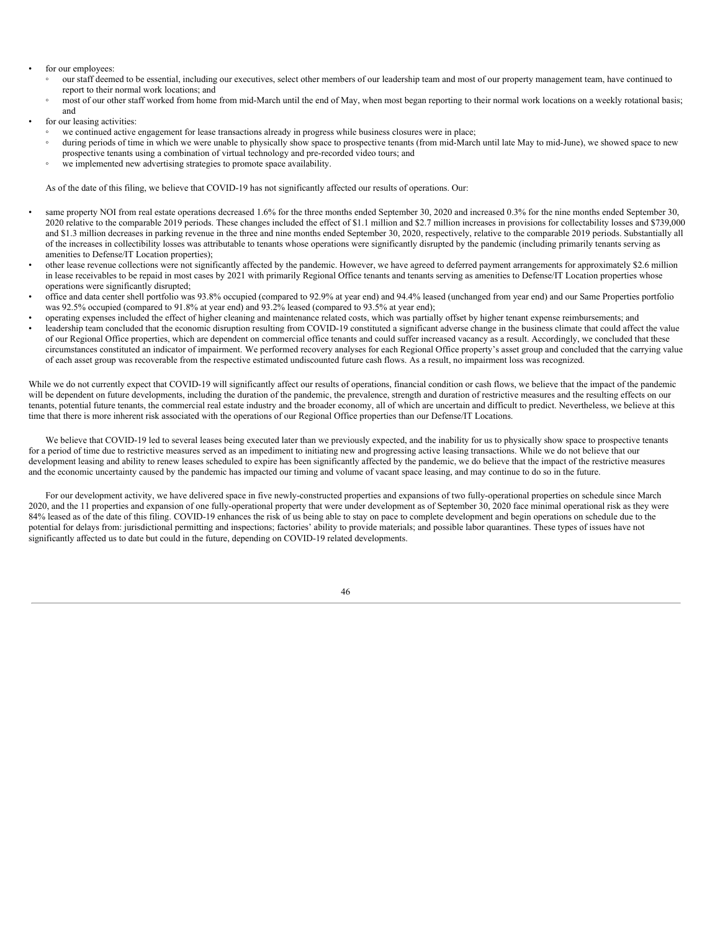- for our employees:
	- our staff deemed to be essential, including our executives, select other members of our leadership team and most of our property management team, have continued to report to their normal work locations; and
	- most of our other staff worked from home from mid-March until the end of May, when most began reporting to their normal work locations on a weekly rotational basis; and
- for our leasing activities:
	- we continued active engagement for lease transactions already in progress while business closures were in place;
	- during periods of time in which we were unable to physically show space to prospective tenants (from mid-March until late May to mid-June), we showed space to new prospective tenants using a combination of virtual technology and pre-recorded video tours; and
	- we implemented new advertising strategies to promote space availability.

As of the date of this filing, we believe that COVID-19 has not significantly affected our results of operations. Our:

- same property NOI from real estate operations decreased 1.6% for the three months ended September 30, 2020 and increased 0.3% for the nine months ended September 30, 2020 relative to the comparable 2019 periods. These changes included the effect of \$1.1 million and \$2.7 million increases in provisions for collectability losses and \$739,000 and \$1.3 million decreases in parking revenue in the three and nine months ended September 30, 2020, respectively, relative to the comparable 2019 periods. Substantially all of the increases in collectibility losses was attributable to tenants whose operations were significantly disrupted by the pandemic (including primarily tenants serving as amenities to Defense/IT Location properties);
- other lease revenue collections were not significantly affected by the pandemic. However, we have agreed to deferred payment arrangements for approximately \$2.6 million in lease receivables to be repaid in most cases by 2021 with primarily Regional Office tenants and tenants serving as amenities to Defense/IT Location properties whose operations were significantly disrupted;
- office and data center shell portfolio was 93.8% occupied (compared to 92.9% at year end) and 94.4% leased (unchanged from year end) and our Same Properties portfolio was 92.5% occupied (compared to 91.8% at year end) and 93.2% leased (compared to 93.5% at year end);
- operating expenses included the effect of higher cleaning and maintenance related costs, which was partially offset by higher tenant expense reimbursements; and • leadership team concluded that the economic disruption resulting from COVID-19 constituted a significant adverse change in the business climate that could affect the value of our Regional Office properties, which are dependent on commercial office tenants and could suffer increased vacancy as a result. Accordingly, we concluded that these circumstances constituted an indicator of impairment. We performed recovery analyses for each Regional Office property's asset group and concluded that the carrying value of each asset group was recoverable from the respective estimated undiscounted future cash flows. As a result, no impairment loss was recognized.

While we do not currently expect that COVID-19 will significantly affect our results of operations, financial condition or cash flows, we believe that the impact of the pandemic will be dependent on future developments, including the duration of the pandemic, the prevalence, strength and duration of restrictive measures and the resulting effects on our tenants, potential future tenants, the commercial real estate industry and the broader economy, all of which are uncertain and difficult to predict. Nevertheless, we believe at this time that there is more inherent risk associated with the operations of our Regional Office properties than our Defense/IT Locations.

We believe that COVID-19 led to several leases being executed later than we previously expected, and the inability for us to physically show space to prospective tenants for a period of time due to restrictive measures served as an impediment to initiating new and progressing active leasing transactions. While we do not believe that our development leasing and ability to renew leases scheduled to expire has been significantly affected by the pandemic, we do believe that the impact of the restrictive measures and the economic uncertainty caused by the pandemic has impacted our timing and volume of vacant space leasing, and may continue to do so in the future.

For our development activity, we have delivered space in five newly-constructed properties and expansions of two fully-operational properties on schedule since March 2020, and the 11 properties and expansion of one fully-operational property that were under development as of September 30, 2020 face minimal operational risk as they were 84% leased as of the date of this filing. COVID-19 enhances the risk of us being able to stay on pace to complete development and begin operations on schedule due to the potential for delays from: jurisdictional permitting and inspections; factories' ability to provide materials; and possible labor quarantines. These types of issues have not significantly affected us to date but could in the future, depending on COVID-19 related developments.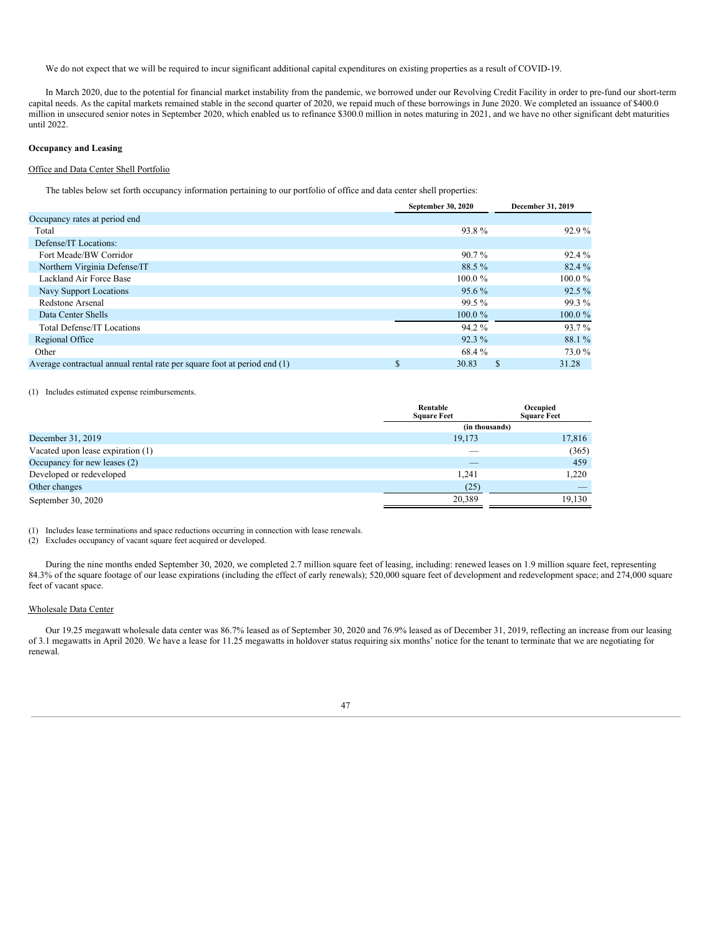We do not expect that we will be required to incur significant additional capital expenditures on existing properties as a result of COVID-19.

In March 2020, due to the potential for financial market instability from the pandemic, we borrowed under our Revolving Credit Facility in order to pre-fund our short-term capital needs. As the capital markets remained stable in the second quarter of 2020, we repaid much of these borrowings in June 2020. We completed an issuance of \$400.0 million in unsecured senior notes in September 2020, which enabled us to refinance \$300.0 million in notes maturing in 2021, and we have no other significant debt maturities until 2022.

## **Occupancy and Leasing**

#### Office and Data Center Shell Portfolio

The tables below set forth occupancy information pertaining to our portfolio of office and data center shell properties:

|                                                                          | September 30, 2020 |            | December 31, 2019 |
|--------------------------------------------------------------------------|--------------------|------------|-------------------|
| Occupancy rates at period end                                            |                    |            |                   |
| Total                                                                    |                    | 93.8%      | $92.9\%$          |
| Defense/IT Locations:                                                    |                    |            |                   |
| Fort Meade/BW Corridor                                                   |                    | $90.7\%$   | 92.4%             |
| Northern Virginia Defense/IT                                             |                    | 88.5 %     | 82.4 %            |
| Lackland Air Force Base                                                  |                    | $100.0 \%$ | $100.0\%$         |
| Navy Support Locations                                                   |                    | $95.6\%$   | $92.5\%$          |
| Redstone Arsenal                                                         |                    | $99.5\%$   | $99.3\%$          |
| Data Center Shells                                                       |                    | $100.0 \%$ | 100.0%            |
| <b>Total Defense/IT Locations</b>                                        |                    | 94.2 %     | 93.7 %            |
| Regional Office                                                          |                    | $92.3\%$   | 88.1 %            |
| Other                                                                    |                    | 68.4 %     | 73.0 %            |
| Average contractual annual rental rate per square foot at period end (1) | <sup>\$</sup>      | 30.83      | 31.28<br>S        |

(1) Includes estimated expense reimbursements.

|                                   | Rentable<br><b>Square Feet</b> | Occupied<br><b>Square Feet</b> |
|-----------------------------------|--------------------------------|--------------------------------|
|                                   | (in thousands)                 |                                |
| December 31, 2019                 | 19,173                         | 17,816                         |
| Vacated upon lease expiration (1) |                                | (365)                          |
| Occupancy for new leases (2)      |                                | 459                            |
| Developed or redeveloped          | 1,241                          | 1.220                          |
| Other changes                     | (25)                           |                                |
| September 30, 2020                | 20,389                         | 19,130                         |

(1) Includes lease terminations and space reductions occurring in connection with lease renewals.

(2) Excludes occupancy of vacant square feet acquired or developed.

During the nine months ended September 30, 2020, we completed 2.7 million square feet of leasing, including: renewed leases on 1.9 million square feet, representing 84.3% of the square footage of our lease expirations (including the effect of early renewals); 520,000 square feet of development and redevelopment space; and 274,000 square feet of vacant space.

## Wholesale Data Center

Our 19.25 megawatt wholesale data center was 86.7% leased as of September 30, 2020 and 76.9% leased as of December 31, 2019, reflecting an increase from our leasing of 3.1 megawatts in April 2020. We have a lease for 11.25 megawatts in holdover status requiring six months' notice for the tenant to terminate that we are negotiating for renewal.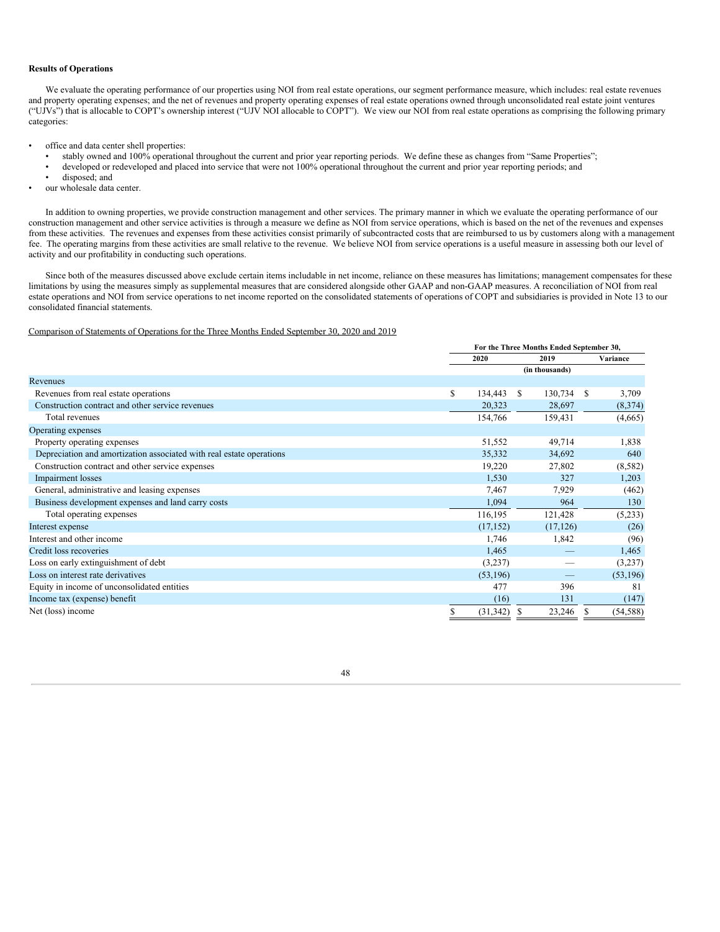## **Results of Operations**

We evaluate the operating performance of our properties using NOI from real estate operations, our segment performance measure, which includes: real estate revenues and property operating expenses; and the net of revenues and property operating expenses of real estate operations owned through unconsolidated real estate joint ventures ("UJVs") that is allocable to COPT's ownership interest ("UJV NOI allocable to COPT"). We view our NOI from real estate operations as comprising the following primary categories:

- office and data center shell properties:
	- stably owned and 100% operational throughout the current and prior year reporting periods. We define these as changes from "Same Properties";
	- developed or redeveloped and placed into service that were not 100% operational throughout the current and prior year reporting periods; and
	- disposed; and
- our wholesale data center.

In addition to owning properties, we provide construction management and other services. The primary manner in which we evaluate the operating performance of our construction management and other service activities is through a measure we define as NOI from service operations, which is based on the net of the revenues and expenses from these activities. The revenues and expenses from these activities consist primarily of subcontracted costs that are reimbursed to us by customers along with a management fee. The operating margins from these activities are small relative to the revenue. We believe NOI from service operations is a useful measure in assessing both our level of activity and our profitability in conducting such operations.

Since both of the measures discussed above exclude certain items includable in net income, reliance on these measures has limitations; management compensates for these limitations by using the measures simply as supplemental measures that are considered alongside other GAAP and non-GAAP measures. A reconciliation of NOI from real estate operations and NOI from service operations to net income reported on the consolidated statements of operations of COPT and subsidiaries is provided in Note 13 to our consolidated financial statements.

Comparison of Statements of Operations for the Three Months Ended September 30, 2020 and 2019

|                                                                      | For the Three Months Ended September 30, |           |               |                |    |           |  |  |
|----------------------------------------------------------------------|------------------------------------------|-----------|---------------|----------------|----|-----------|--|--|
|                                                                      |                                          | 2020      |               | 2019           |    | Variance  |  |  |
|                                                                      |                                          |           |               | (in thousands) |    |           |  |  |
| Revenues                                                             |                                          |           |               |                |    |           |  |  |
| Revenues from real estate operations                                 | \$                                       | 134,443   | <sup>\$</sup> | 130,734        | -S | 3,709     |  |  |
| Construction contract and other service revenues                     |                                          | 20,323    |               | 28,697         |    | (8, 374)  |  |  |
| Total revenues                                                       |                                          | 154,766   |               | 159,431        |    | (4,665)   |  |  |
| Operating expenses                                                   |                                          |           |               |                |    |           |  |  |
| Property operating expenses                                          |                                          | 51,552    |               | 49,714         |    | 1,838     |  |  |
| Depreciation and amortization associated with real estate operations |                                          | 35,332    |               | 34,692         |    | 640       |  |  |
| Construction contract and other service expenses                     |                                          | 19,220    |               | 27,802         |    | (8, 582)  |  |  |
| Impairment losses                                                    |                                          | 1,530     |               | 327            |    | 1,203     |  |  |
| General, administrative and leasing expenses                         |                                          | 7,467     |               | 7,929          |    | (462)     |  |  |
| Business development expenses and land carry costs                   |                                          | 1,094     |               | 964            |    | 130       |  |  |
| Total operating expenses                                             |                                          | 116,195   |               | 121,428        |    | (5,233)   |  |  |
| Interest expense                                                     |                                          | (17, 152) |               | (17, 126)      |    | (26)      |  |  |
| Interest and other income                                            |                                          | 1,746     |               | 1,842          |    | (96)      |  |  |
| Credit loss recoveries                                               |                                          | 1,465     |               |                |    | 1,465     |  |  |
| Loss on early extinguishment of debt                                 |                                          | (3,237)   |               |                |    | (3,237)   |  |  |
| Loss on interest rate derivatives                                    |                                          | (53, 196) |               |                |    | (53, 196) |  |  |
| Equity in income of unconsolidated entities                          |                                          | 477       |               | 396            |    | 81        |  |  |
| Income tax (expense) benefit                                         |                                          | (16)      |               | 131            |    | (147)     |  |  |
| Net (loss) income                                                    |                                          | (31, 342) | S.            | 23,246         | S  | (54, 588) |  |  |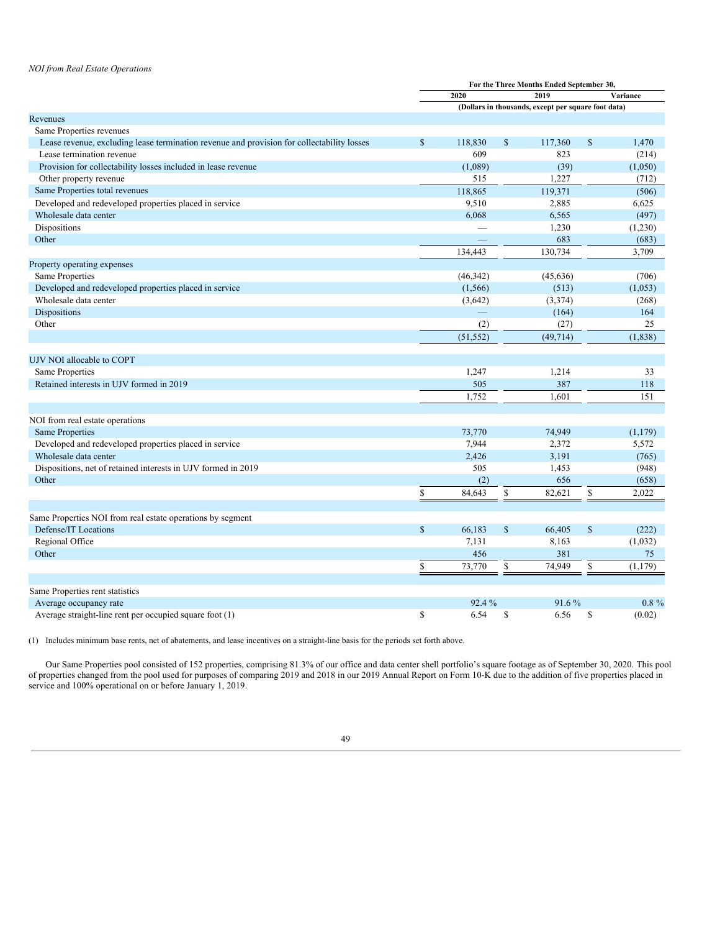## *NOI from Real Estate Operations*

|                                                                                            |              |           |              | For the Three Months Ended September 30,            |               |          |  |  |
|--------------------------------------------------------------------------------------------|--------------|-----------|--------------|-----------------------------------------------------|---------------|----------|--|--|
|                                                                                            |              | 2020      |              | 2019                                                | Variance      |          |  |  |
|                                                                                            |              |           |              | (Dollars in thousands, except per square foot data) |               |          |  |  |
| Revenues                                                                                   |              |           |              |                                                     |               |          |  |  |
| Same Properties revenues                                                                   |              |           |              |                                                     |               |          |  |  |
| Lease revenue, excluding lease termination revenue and provision for collectability losses | $\mathbb{S}$ | 118,830   | $\mathbb S$  | 117,360                                             | $\$$          | 1,470    |  |  |
| Lease termination revenue                                                                  |              | 609       |              | 823                                                 |               | (214)    |  |  |
| Provision for collectability losses included in lease revenue                              |              | (1,089)   |              | (39)                                                |               | (1,050)  |  |  |
| Other property revenue                                                                     |              | 515       |              | 1,227                                               |               | (712)    |  |  |
| Same Properties total revenues                                                             |              | 118,865   |              | 119,371                                             |               | (506)    |  |  |
| Developed and redeveloped properties placed in service                                     |              | 9,510     |              | 2,885                                               |               | 6,625    |  |  |
| Wholesale data center                                                                      |              | 6,068     |              | 6,565                                               |               | (497)    |  |  |
| Dispositions                                                                               |              |           |              | 1,230                                               |               | (1,230)  |  |  |
| Other                                                                                      |              |           |              | 683                                                 |               | (683)    |  |  |
|                                                                                            |              | 134,443   |              | 130,734                                             |               | 3,709    |  |  |
| Property operating expenses                                                                |              |           |              |                                                     |               |          |  |  |
| <b>Same Properties</b>                                                                     |              | (46, 342) |              | (45, 636)                                           |               | (706)    |  |  |
| Developed and redeveloped properties placed in service                                     |              | (1, 566)  |              | (513)                                               |               | (1,053)  |  |  |
| Wholesale data center                                                                      |              | (3,642)   |              | (3,374)                                             |               | (268)    |  |  |
| Dispositions                                                                               |              |           |              | (164)                                               |               | 164      |  |  |
| Other                                                                                      |              | (2)       |              | (27)                                                |               | 25       |  |  |
|                                                                                            |              | (51, 552) |              | (49, 714)                                           |               | (1, 838) |  |  |
|                                                                                            |              |           |              |                                                     |               |          |  |  |
| UJV NOI allocable to COPT                                                                  |              |           |              |                                                     |               |          |  |  |
| <b>Same Properties</b>                                                                     |              | 1,247     |              | 1,214                                               |               | 33       |  |  |
| Retained interests in UJV formed in 2019                                                   |              | 505       |              | 387                                                 |               | 118      |  |  |
|                                                                                            |              | 1,752     |              | 1,601                                               |               | 151      |  |  |
| NOI from real estate operations                                                            |              |           |              |                                                     |               |          |  |  |
| Same Properties                                                                            |              | 73,770    |              | 74,949                                              |               | (1, 179) |  |  |
| Developed and redeveloped properties placed in service                                     |              | 7,944     |              | 2,372                                               |               | 5,572    |  |  |
| Wholesale data center                                                                      |              | 2,426     |              | 3,191                                               |               | (765)    |  |  |
| Dispositions, net of retained interests in UJV formed in 2019                              |              | 505       |              | 1,453                                               |               | (948)    |  |  |
| Other                                                                                      |              | (2)       |              | 656                                                 |               | (658)    |  |  |
|                                                                                            | \$           | 84,643    | $\mathbb{S}$ | 82,621                                              | $\mathbb S$   | 2,022    |  |  |
|                                                                                            |              |           |              |                                                     |               |          |  |  |
| Same Properties NOI from real estate operations by segment                                 |              |           |              |                                                     |               |          |  |  |
| Defense/IT Locations                                                                       | $\mathbb{S}$ | 66,183    | $\mathbb{S}$ | 66,405                                              | $\mathsf{\$}$ | (222)    |  |  |
| Regional Office                                                                            |              | 7,131     |              | 8,163                                               |               | (1,032)  |  |  |
| Other                                                                                      |              | 456       |              | 381                                                 |               | 75       |  |  |
|                                                                                            | \$           | 73,770    | $\mathbb{S}$ | 74,949                                              | $\mathbb{S}$  | (1, 179) |  |  |
| Same Properties rent statistics                                                            |              |           |              |                                                     |               |          |  |  |
| Average occupancy rate                                                                     |              | 92.4%     |              | 91.6%                                               |               | $0.8 \%$ |  |  |
| Average straight-line rent per occupied square foot (1)                                    | $\mathbf S$  | 6.54      | S            | 6.56                                                | <sup>\$</sup> | (0.02)   |  |  |
|                                                                                            |              |           |              |                                                     |               |          |  |  |

(1) Includes minimum base rents, net of abatements, and lease incentives on a straight-line basis for the periods set forth above.

Our Same Properties pool consisted of 152 properties, comprising 81.3% of our office and data center shell portfolio's square footage as of September 30, 2020. This pool of properties changed from the pool used for purposes of comparing 2019 and 2018 in our 2019 Annual Report on Form 10-K due to the addition of five properties placed in service and 100% operational on or before January 1, 2019.

<sup>49</sup>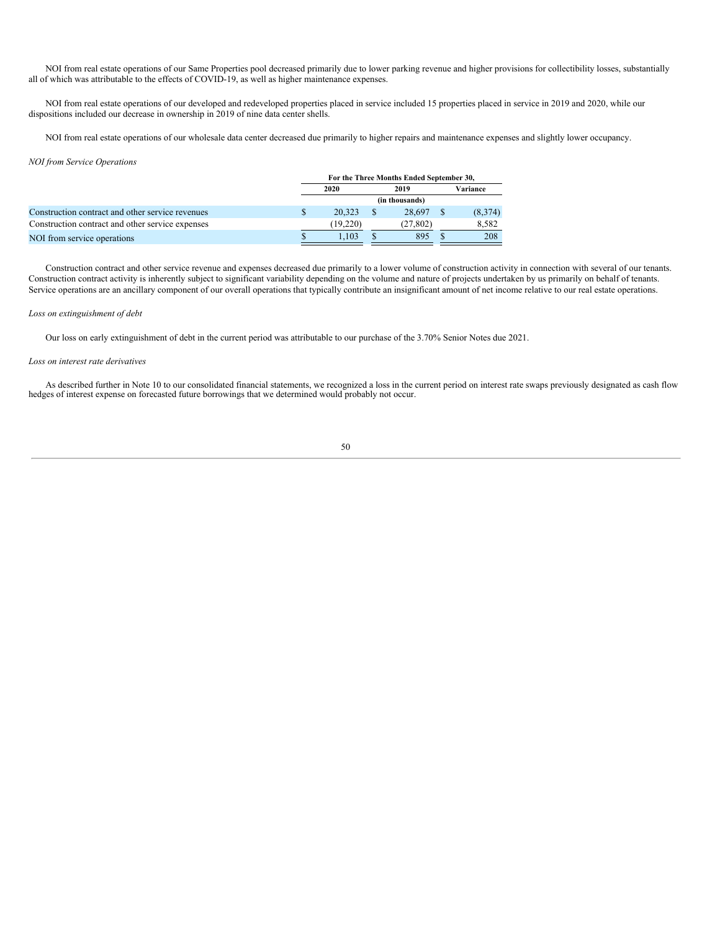NOI from real estate operations of our Same Properties pool decreased primarily due to lower parking revenue and higher provisions for collectibility losses, substantially all of which was attributable to the effects of COVID-19, as well as higher maintenance expenses.

NOI from real estate operations of our developed and redeveloped properties placed in service included 15 properties placed in service in 2019 and 2020, while our dispositions included our decrease in ownership in 2019 of nine data center shells.

NOI from real estate operations of our wholesale data center decreased due primarily to higher repairs and maintenance expenses and slightly lower occupancy.

## *NOI from Service Operations*

|                                                  | For the Three Months Ended September 30, |  |           |  |          |  |  |  |  |  |
|--------------------------------------------------|------------------------------------------|--|-----------|--|----------|--|--|--|--|--|
|                                                  | 2020                                     |  | 2019      |  | Variance |  |  |  |  |  |
|                                                  | (in thousands)                           |  |           |  |          |  |  |  |  |  |
| Construction contract and other service revenues | 20.323                                   |  | 28.697    |  | (8,374)  |  |  |  |  |  |
| Construction contract and other service expenses | (19.220)                                 |  | (27, 802) |  | 8,582    |  |  |  |  |  |
| NOI from service operations                      | 1.103                                    |  | 895       |  | 208      |  |  |  |  |  |

Construction contract and other service revenue and expenses decreased due primarily to a lower volume of construction activity in connection with several of our tenants. Construction contract activity is inherently subject to significant variability depending on the volume and nature of projects undertaken by us primarily on behalf of tenants. Service operations are an ancillary component of our overall operations that typically contribute an insignificant amount of net income relative to our real estate operations.

## *Loss on extinguishment of debt*

Our loss on early extinguishment of debt in the current period was attributable to our purchase of the 3.70% Senior Notes due 2021.

#### *Loss on interest rate derivatives*

As described further in Note 10 to our consolidated financial statements, we recognized a loss in the current period on interest rate swaps previously designated as cash flow hedges of interest expense on forecasted future borrowings that we determined would probably not occur.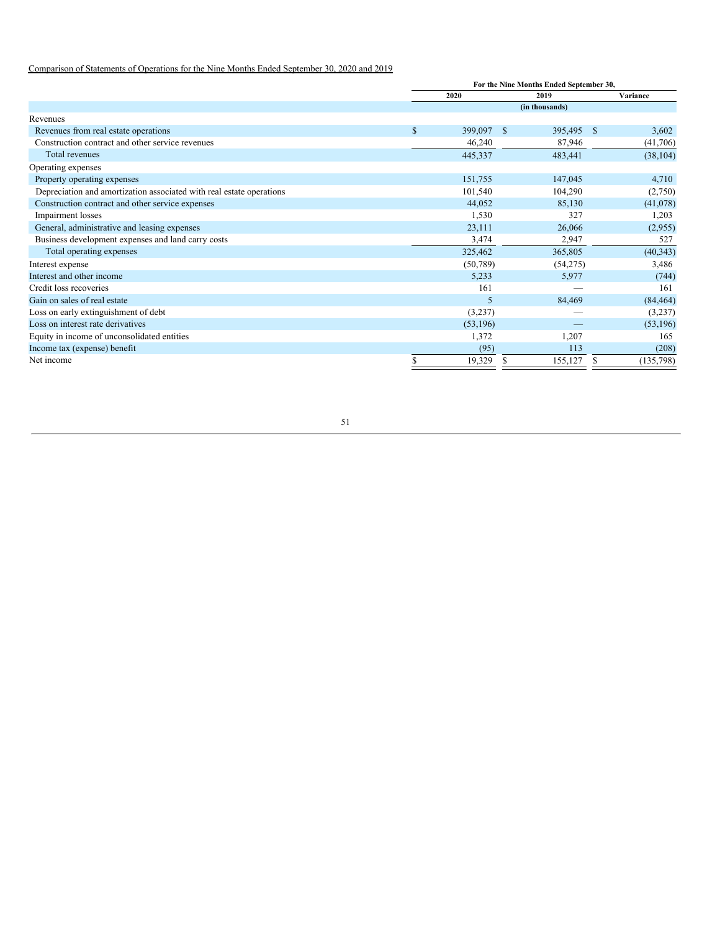# Comparison of Statements of Operations for the Nine Months Ended September 30, 2020 and 2019

|                                                                      |              | For the Nine Months Ended September 30, |            |                |               |           |  |  |  |  |
|----------------------------------------------------------------------|--------------|-----------------------------------------|------------|----------------|---------------|-----------|--|--|--|--|
|                                                                      |              | 2020                                    |            | 2019           |               | Variance  |  |  |  |  |
|                                                                      |              |                                         |            | (in thousands) |               |           |  |  |  |  |
| Revenues                                                             |              |                                         |            |                |               |           |  |  |  |  |
| Revenues from real estate operations                                 | $\mathbb{S}$ | 399,097                                 | $^{\circ}$ | 395,495 \$     |               | 3,602     |  |  |  |  |
| Construction contract and other service revenues                     |              | 46,240                                  |            | 87,946         |               | (41,706)  |  |  |  |  |
| Total revenues                                                       |              | 445,337                                 |            | 483,441        |               | (38, 104) |  |  |  |  |
| Operating expenses                                                   |              |                                         |            |                |               |           |  |  |  |  |
| Property operating expenses                                          |              | 151,755                                 |            | 147,045        |               | 4,710     |  |  |  |  |
| Depreciation and amortization associated with real estate operations |              | 101,540                                 |            | 104,290        |               | (2,750)   |  |  |  |  |
| Construction contract and other service expenses                     |              | 44,052                                  |            | 85,130         |               | (41,078)  |  |  |  |  |
| Impairment losses                                                    |              | 1,530                                   |            | 327            |               | 1,203     |  |  |  |  |
| General, administrative and leasing expenses                         |              | 23,111                                  |            | 26,066         |               | (2,955)   |  |  |  |  |
| Business development expenses and land carry costs                   |              | 3,474                                   |            | 2,947          |               | 527       |  |  |  |  |
| Total operating expenses                                             |              | 325,462                                 |            | 365,805        |               | (40, 343) |  |  |  |  |
| Interest expense                                                     |              | (50, 789)                               |            | (54,275)       |               | 3,486     |  |  |  |  |
| Interest and other income                                            |              | 5,233                                   |            | 5,977          |               | (744)     |  |  |  |  |
| Credit loss recoveries                                               |              | 161                                     |            |                |               | 161       |  |  |  |  |
| Gain on sales of real estate                                         |              | 5                                       |            | 84,469         |               | (84, 464) |  |  |  |  |
| Loss on early extinguishment of debt                                 |              | (3,237)                                 |            |                |               | (3,237)   |  |  |  |  |
| Loss on interest rate derivatives                                    |              | (53, 196)                               |            |                |               | (53, 196) |  |  |  |  |
| Equity in income of unconsolidated entities                          |              | 1,372                                   |            | 1,207          |               | 165       |  |  |  |  |
| Income tax (expense) benefit                                         |              | (95)                                    |            | 113            |               | (208)     |  |  |  |  |
| Net income                                                           | S            | 19,329                                  | S          | 155,127        | <sup>\$</sup> | (135,798) |  |  |  |  |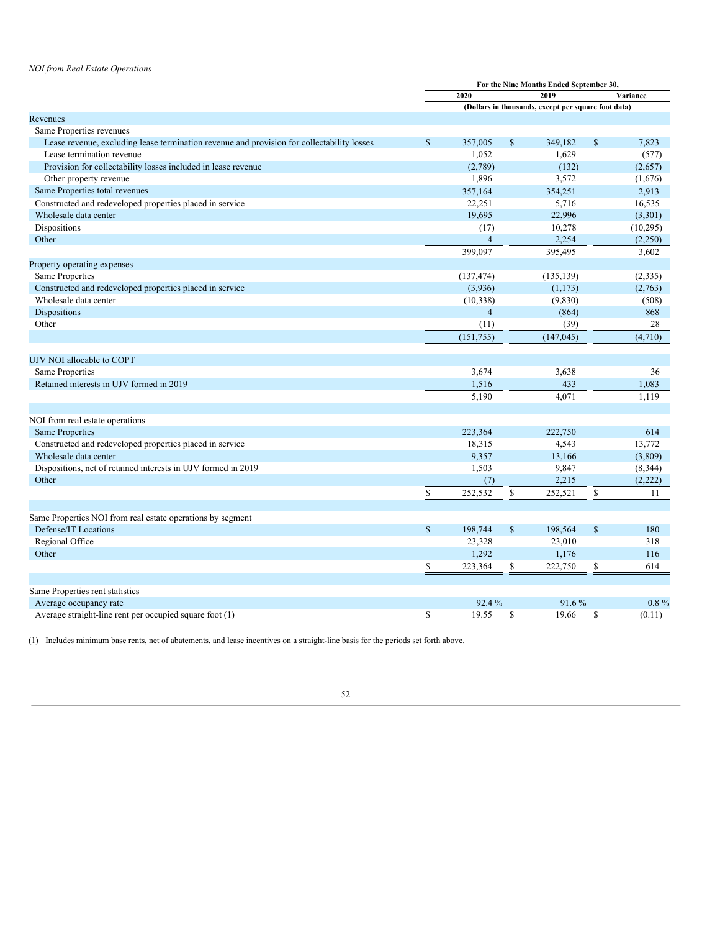# *NOI from Real Estate Operations*

|                                                                                            |              |                |              | For the Nine Months Ended September 30,             |                  |           |
|--------------------------------------------------------------------------------------------|--------------|----------------|--------------|-----------------------------------------------------|------------------|-----------|
|                                                                                            |              | 2020           |              | 2019                                                |                  | Variance  |
|                                                                                            |              |                |              | (Dollars in thousands, except per square foot data) |                  |           |
| Revenues                                                                                   |              |                |              |                                                     |                  |           |
| Same Properties revenues                                                                   |              |                |              |                                                     |                  |           |
| Lease revenue, excluding lease termination revenue and provision for collectability losses | $\mathbb{S}$ | 357,005        | $\mathbb S$  | 349,182                                             | $\mathbb S$      | 7,823     |
| Lease termination revenue                                                                  |              | 1,052          |              | 1,629                                               |                  | (577)     |
| Provision for collectability losses included in lease revenue                              |              | (2,789)        |              | (132)                                               |                  | (2,657)   |
| Other property revenue                                                                     |              | 1,896          |              | 3,572                                               |                  | (1,676)   |
| Same Properties total revenues                                                             |              | 357,164        |              | 354,251                                             |                  | 2,913     |
| Constructed and redeveloped properties placed in service                                   |              | 22,251         |              | 5,716                                               |                  | 16,535    |
| Wholesale data center                                                                      |              | 19,695         |              | 22,996                                              |                  | (3,301)   |
| Dispositions                                                                               |              | (17)           |              | 10,278                                              |                  | (10, 295) |
| Other                                                                                      |              | $\overline{4}$ |              | 2,254                                               |                  | (2,250)   |
|                                                                                            |              | 399.097        |              | 395,495                                             |                  | 3,602     |
| Property operating expenses                                                                |              |                |              |                                                     |                  |           |
| Same Properties                                                                            |              | (137, 474)     |              | (135, 139)                                          |                  | (2, 335)  |
| Constructed and redeveloped properties placed in service                                   |              | (3,936)        |              | (1, 173)                                            |                  | (2,763)   |
| Wholesale data center                                                                      |              | (10, 338)      |              | (9,830)                                             |                  | (508)     |
| Dispositions                                                                               |              | $\overline{4}$ |              | (864)                                               |                  | 868       |
| Other                                                                                      |              | (11)           |              | (39)                                                |                  | 28        |
|                                                                                            |              | (151, 755)     |              | (147, 045)                                          |                  | (4,710)   |
| UJV NOI allocable to COPT                                                                  |              |                |              |                                                     |                  |           |
| Same Properties                                                                            |              | 3,674          |              | 3,638                                               |                  | 36        |
|                                                                                            |              |                |              |                                                     |                  |           |
| Retained interests in UJV formed in 2019                                                   |              | 1,516          |              | 433                                                 |                  | 1,083     |
|                                                                                            |              | 5,190          |              | 4.071                                               |                  | 1,119     |
| NOI from real estate operations                                                            |              |                |              |                                                     |                  |           |
| <b>Same Properties</b>                                                                     |              | 223,364        |              | 222,750                                             |                  | 614       |
| Constructed and redeveloped properties placed in service                                   |              | 18,315         |              | 4,543                                               |                  | 13,772    |
| Wholesale data center                                                                      |              | 9,357          |              | 13,166                                              |                  | (3,809)   |
| Dispositions, net of retained interests in UJV formed in 2019                              |              | 1,503          |              | 9,847                                               |                  | (8, 344)  |
| Other                                                                                      |              | (7)            |              | 2,215                                               |                  | (2,222)   |
|                                                                                            | \$           | 252,532        | $\mathbb S$  | 252,521                                             | $\underline{\$}$ | 11        |
|                                                                                            |              |                |              |                                                     |                  |           |
| Same Properties NOI from real estate operations by segment                                 |              |                |              |                                                     |                  |           |
| Defense/IT Locations                                                                       | $\mathbb{S}$ | 198,744        | $\mathbb{S}$ | 198,564                                             | $\mathbb{S}$     | 180       |
| Regional Office                                                                            |              | 23,328         |              | 23,010                                              |                  | 318       |
| Other                                                                                      |              | 1,292          |              | 1,176                                               |                  | 116       |
|                                                                                            | $\mathbb{S}$ | 223,364        | $\mathbb{S}$ | 222,750                                             | \$               | 614       |
| Same Properties rent statistics                                                            |              |                |              |                                                     |                  |           |
| Average occupancy rate                                                                     |              | 92.4%          |              | 91.6%                                               |                  | $0.8 \%$  |
| Average straight-line rent per occupied square foot (1)                                    | $\mathbb{S}$ | 19.55          | S            | 19.66                                               | <sup>\$</sup>    | (0.11)    |

(1) Includes minimum base rents, net of abatements, and lease incentives on a straight-line basis for the periods set forth above.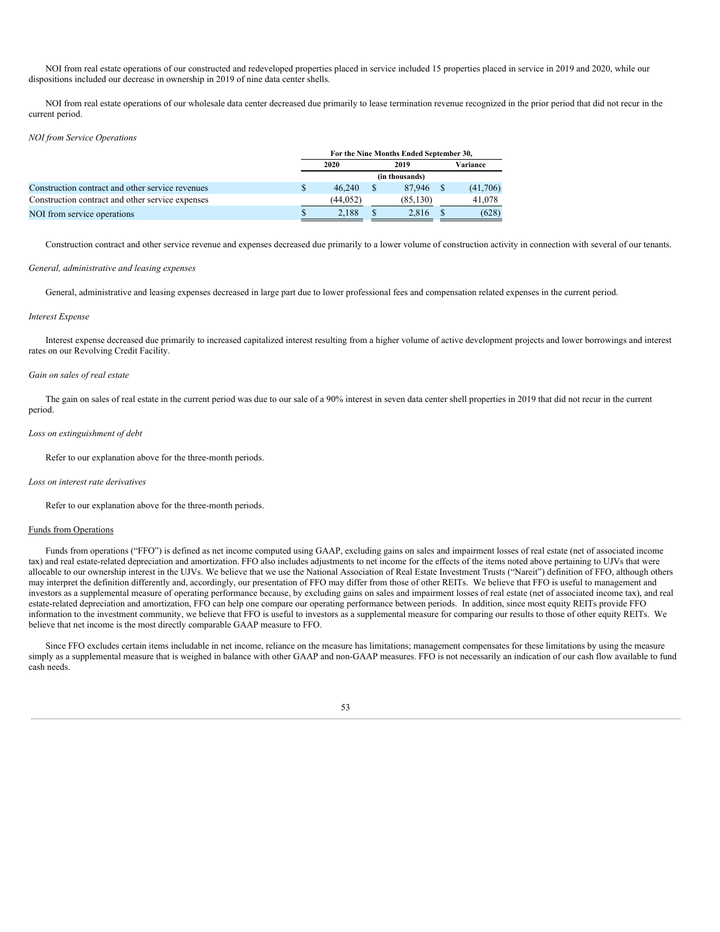NOI from real estate operations of our constructed and redeveloped properties placed in service included 15 properties placed in service in 2019 and 2020, while our dispositions included our decrease in ownership in 2019 of nine data center shells.

NOI from real estate operations of our wholesale data center decreased due primarily to lease termination revenue recognized in the prior period that did not recur in the current period.

#### *NOI from Service Operations*

|                                                  | For the Nine Months Ended September 30, |  |          |  |          |  |  |  |  |  |  |
|--------------------------------------------------|-----------------------------------------|--|----------|--|----------|--|--|--|--|--|--|
|                                                  | 2020                                    |  | 2019     |  | Variance |  |  |  |  |  |  |
|                                                  | (in thousands)                          |  |          |  |          |  |  |  |  |  |  |
| Construction contract and other service revenues | 46.240                                  |  | 87.946   |  | (41,706) |  |  |  |  |  |  |
| Construction contract and other service expenses | (44.052)                                |  | (85.130) |  | 41,078   |  |  |  |  |  |  |
| NOI from service operations                      | 2.188                                   |  | 2.816    |  | (628)    |  |  |  |  |  |  |

Construction contract and other service revenue and expenses decreased due primarily to a lower volume of construction activity in connection with several of our tenants.

#### *General, administrative and leasing expenses*

General, administrative and leasing expenses decreased in large part due to lower professional fees and compensation related expenses in the current period.

#### *Interest Expense*

Interest expense decreased due primarily to increased capitalized interest resulting from a higher volume of active development projects and lower borrowings and interest rates on our Revolving Credit Facility.

#### *Gain on sales of real estate*

The gain on sales of real estate in the current period was due to our sale of a 90% interest in seven data center shell properties in 2019 that did not recur in the current period.

#### *Loss on extinguishment of debt*

Refer to our explanation above for the three-month periods.

#### *Loss on interest rate derivatives*

Refer to our explanation above for the three-month periods.

#### Funds from Operations

Funds from operations ("FFO") is defined as net income computed using GAAP, excluding gains on sales and impairment losses of real estate (net of associated income tax) and real estate-related depreciation and amortization. FFO also includes adjustments to net income for the effects of the items noted above pertaining to UJVs that were allocable to our ownership interest in the UJVs. We believe that we use the National Association of Real Estate Investment Trusts ("Nareit") definition of FFO, although others may interpret the definition differently and, accordingly, our presentation of FFO may differ from those of other REITs. We believe that FFO is useful to management and investors as a supplemental measure of operating performance because, by excluding gains on sales and impairment losses of real estate (net of associated income tax), and real estate-related depreciation and amortization, FFO can help one compare our operating performance between periods. In addition, since most equity REITs provide FFO information to the investment community, we believe that FFO is useful to investors as a supplemental measure for comparing our results to those of other equity REITs. We believe that net income is the most directly comparable GAAP measure to FFO.

Since FFO excludes certain items includable in net income, reliance on the measure has limitations; management compensates for these limitations by using the measure simply as a supplemental measure that is weighed in balance with other GAAP and non-GAAP measures. FFO is not necessarily an indication of our cash flow available to fund cash needs.

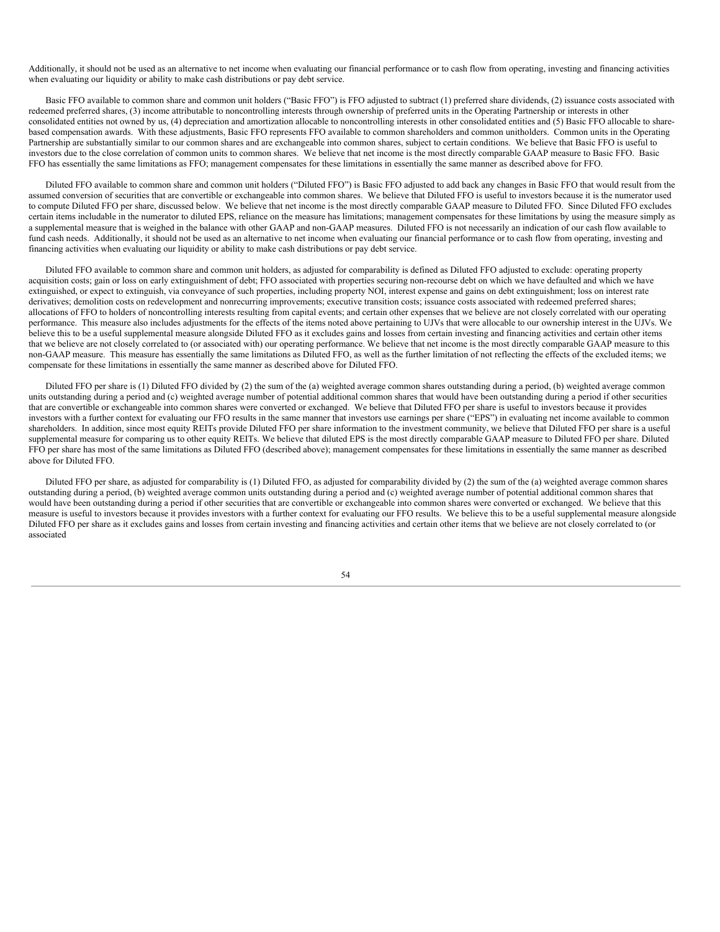Additionally, it should not be used as an alternative to net income when evaluating our financial performance or to cash flow from operating, investing and financing activities when evaluating our liquidity or ability to make cash distributions or pay debt service.

Basic FFO available to common share and common unit holders ("Basic FFO") is FFO adjusted to subtract (1) preferred share dividends, (2) issuance costs associated with redeemed preferred shares, (3) income attributable to noncontrolling interests through ownership of preferred units in the Operating Partnership or interests in other consolidated entities not owned by us, (4) depreciation and amortization allocable to noncontrolling interests in other consolidated entities and (5) Basic FFO allocable to sharebased compensation awards. With these adjustments, Basic FFO represents FFO available to common shareholders and common unitholders. Common units in the Operating Partnership are substantially similar to our common shares and are exchangeable into common shares, subject to certain conditions. We believe that Basic FFO is useful to investors due to the close correlation of common units to common shares. We believe that net income is the most directly comparable GAAP measure to Basic FFO. Basic FFO has essentially the same limitations as FFO; management compensates for these limitations in essentially the same manner as described above for FFO.

Diluted FFO available to common share and common unit holders ("Diluted FFO") is Basic FFO adjusted to add back any changes in Basic FFO that would result from the assumed conversion of securities that are convertible or exchangeable into common shares. We believe that Diluted FFO is useful to investors because it is the numerator used to compute Diluted FFO per share, discussed below. We believe that net income is the most directly comparable GAAP measure to Diluted FFO. Since Diluted FFO excludes certain items includable in the numerator to diluted EPS, reliance on the measure has limitations; management compensates for these limitations by using the measure simply as a supplemental measure that is weighed in the balance with other GAAP and non-GAAP measures. Diluted FFO is not necessarily an indication of our cash flow available to fund cash needs. Additionally, it should not be used as an alternative to net income when evaluating our financial performance or to cash flow from operating, investing and financing activities when evaluating our liquidity or ability to make cash distributions or pay debt service.

Diluted FFO available to common share and common unit holders, as adjusted for comparability is defined as Diluted FFO adjusted to exclude: operating property acquisition costs; gain or loss on early extinguishment of debt; FFO associated with properties securing non-recourse debt on which we have defaulted and which we have extinguished, or expect to extinguish, via conveyance of such properties, including property NOI, interest expense and gains on debt extinguishment; loss on interest rate derivatives; demolition costs on redevelopment and nonrecurring improvements; executive transition costs; issuance costs associated with redeemed preferred shares; allocations of FFO to holders of noncontrolling interests resulting from capital events; and certain other expenses that we believe are not closely correlated with our operating performance. This measure also includes adjustments for the effects of the items noted above pertaining to UJVs that were allocable to our ownership interest in the UJVs. We believe this to be a useful supplemental measure alongside Diluted FFO as it excludes gains and losses from certain investing and financing activities and certain other items that we believe are not closely correlated to (or associated with) our operating performance. We believe that net income is the most directly comparable GAAP measure to this non-GAAP measure. This measure has essentially the same limitations as Diluted FFO, as well as the further limitation of not reflecting the effects of the excluded items; we compensate for these limitations in essentially the same manner as described above for Diluted FFO.

Diluted FFO per share is (1) Diluted FFO divided by (2) the sum of the (a) weighted average common shares outstanding during a period, (b) weighted average common units outstanding during a period and (c) weighted average number of potential additional common shares that would have been outstanding during a period if other securities that are convertible or exchangeable into common shares were converted or exchanged. We believe that Diluted FFO per share is useful to investors because it provides investors with a further context for evaluating our FFO results in the same manner that investors use earnings per share ("EPS") in evaluating net income available to common shareholders. In addition, since most equity REITs provide Diluted FFO per share information to the investment community, we believe that Diluted FFO per share is a useful supplemental measure for comparing us to other equity REITs. We believe that diluted EPS is the most directly comparable GAAP measure to Diluted FFO per share. Diluted FFO per share has most of the same limitations as Diluted FFO (described above); management compensates for these limitations in essentially the same manner as described above for Diluted FFO.

Diluted FFO per share, as adjusted for comparability is (1) Diluted FFO, as adjusted for comparability divided by (2) the sum of the (a) weighted average common shares outstanding during a period, (b) weighted average common units outstanding during a period and (c) weighted average number of potential additional common shares that would have been outstanding during a period if other securities that are convertible or exchangeable into common shares were converted or exchanged. We believe that this measure is useful to investors because it provides investors with a further context for evaluating our FFO results. We believe this to be a useful supplemental measure alongside Diluted FFO per share as it excludes gains and losses from certain investing and financing activities and certain other items that we believe are not closely correlated to (or associated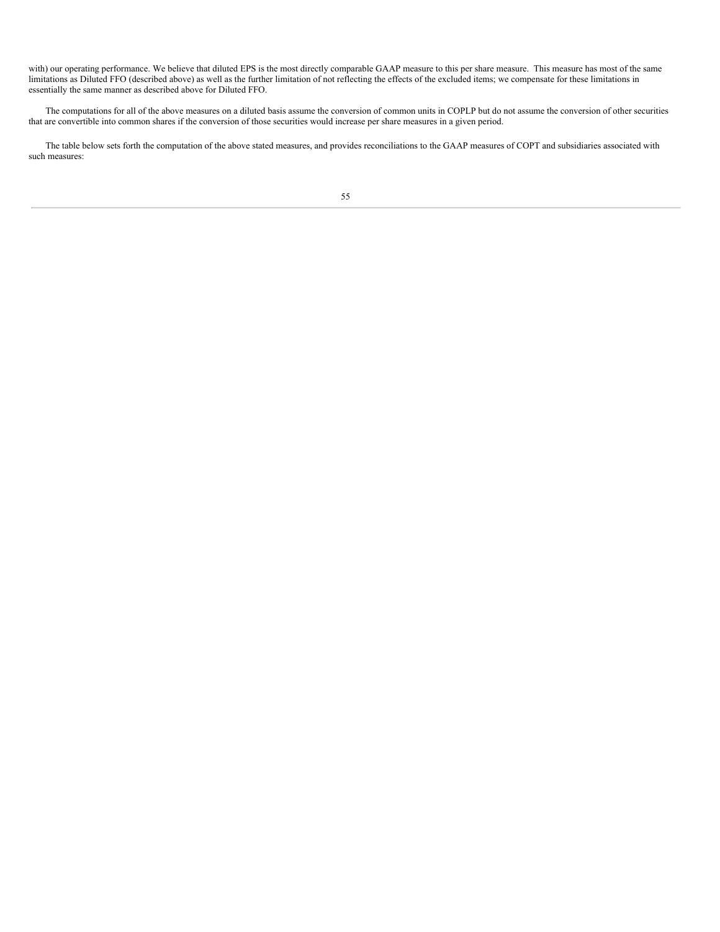with) our operating performance. We believe that diluted EPS is the most directly comparable GAAP measure to this per share measure. This measure has most of the same limitations as Diluted FFO (described above) as well as the further limitation of not reflecting the effects of the excluded items; we compensate for these limitations in essentially the same manner as described above for Diluted FFO.

The computations for all of the above measures on a diluted basis assume the conversion of common units in COPLP but do not assume the conversion of other securities that are convertible into common shares if the conversion of those securities would increase per share measures in a given period.

The table below sets forth the computation of the above stated measures, and provides reconciliations to the GAAP measures of COPT and subsidiaries associated with such measures: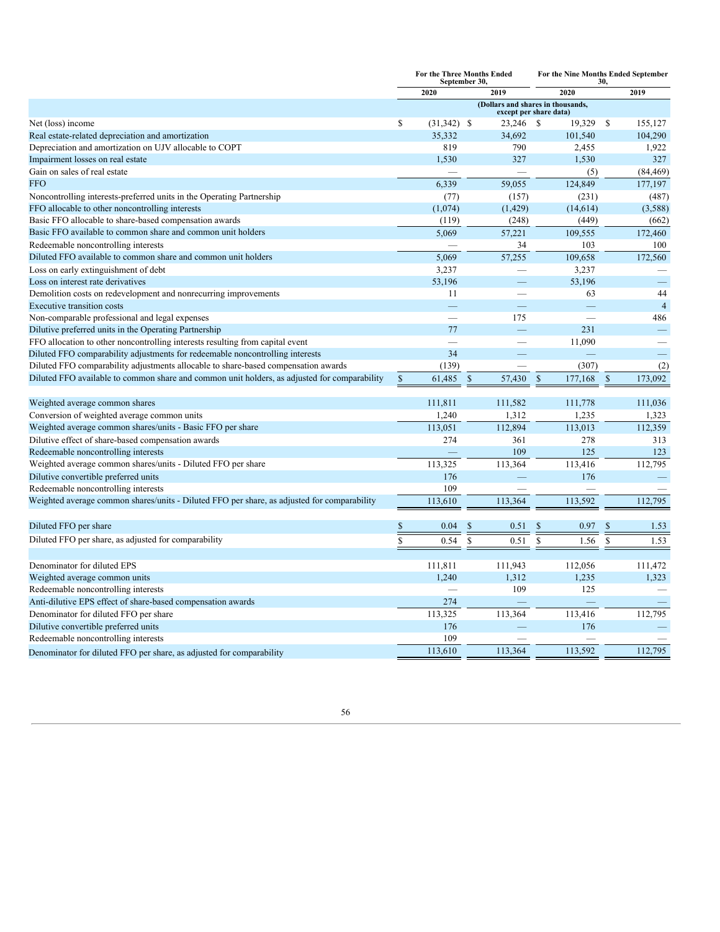|                                                                                              | For the Three Months Ended<br>September 30, |               |               |                                                                                                                                                                                                                                |               | For the Nine Months Ended September<br>30, |               |                |
|----------------------------------------------------------------------------------------------|---------------------------------------------|---------------|---------------|--------------------------------------------------------------------------------------------------------------------------------------------------------------------------------------------------------------------------------|---------------|--------------------------------------------|---------------|----------------|
|                                                                                              |                                             | 2020          |               | 2019                                                                                                                                                                                                                           |               | 2020                                       |               | 2019           |
|                                                                                              |                                             |               |               | (Dollars and shares in thousands,<br>except per share data)                                                                                                                                                                    |               |                                            |               |                |
| Net (loss) income                                                                            | $\mathbb{S}$                                | $(31,342)$ \$ |               | 23,246                                                                                                                                                                                                                         | -S            | 19,329                                     | <sup>\$</sup> | 155,127        |
| Real estate-related depreciation and amortization                                            |                                             | 35,332        |               | 34,692                                                                                                                                                                                                                         |               | 101,540                                    |               | 104,290        |
| Depreciation and amortization on UJV allocable to COPT                                       |                                             | 819           |               | 790                                                                                                                                                                                                                            |               | 2,455                                      |               | 1,922          |
| Impairment losses on real estate                                                             |                                             | 1,530         |               | 327                                                                                                                                                                                                                            |               | 1,530                                      |               | 327            |
| Gain on sales of real estate                                                                 |                                             |               |               |                                                                                                                                                                                                                                |               | (5)                                        |               | (84, 469)      |
| <b>FFO</b>                                                                                   |                                             | 6.339         |               | 59.055                                                                                                                                                                                                                         |               | 124,849                                    |               | 177,197        |
| Noncontrolling interests-preferred units in the Operating Partnership                        |                                             | (77)          |               | (157)                                                                                                                                                                                                                          |               | (231)                                      |               | (487)          |
| FFO allocable to other noncontrolling interests                                              |                                             | (1,074)       |               | (1, 429)                                                                                                                                                                                                                       |               | (14, 614)                                  |               | (3,588)        |
| Basic FFO allocable to share-based compensation awards                                       |                                             | (119)         |               | (248)                                                                                                                                                                                                                          |               | (449)                                      |               | (662)          |
| Basic FFO available to common share and common unit holders                                  |                                             | 5,069         |               | 57,221                                                                                                                                                                                                                         |               | 109,555                                    |               | 172,460        |
| Redeemable noncontrolling interests                                                          |                                             |               |               | 34                                                                                                                                                                                                                             |               | 103                                        |               | 100            |
| Diluted FFO available to common share and common unit holders                                |                                             | 5,069         |               | 57,255                                                                                                                                                                                                                         |               | 109,658                                    |               | 172,560        |
| Loss on early extinguishment of debt                                                         |                                             | 3,237         |               |                                                                                                                                                                                                                                |               | 3,237                                      |               |                |
| Loss on interest rate derivatives                                                            |                                             | 53,196        |               |                                                                                                                                                                                                                                |               | 53,196                                     |               |                |
| Demolition costs on redevelopment and nonrecurring improvements                              |                                             | 11            |               | and the contract of the contract of the contract of the contract of the contract of the contract of the contract of the contract of the contract of the contract of the contract of the contract of the contract of the contra |               | 63                                         |               | 44             |
| <b>Executive transition costs</b>                                                            |                                             |               |               |                                                                                                                                                                                                                                |               |                                            |               | $\overline{4}$ |
| Non-comparable professional and legal expenses                                               |                                             |               |               | 175                                                                                                                                                                                                                            |               | $\overline{\phantom{a}}$                   |               | 486            |
| Dilutive preferred units in the Operating Partnership                                        |                                             | 77            |               |                                                                                                                                                                                                                                |               | 231                                        |               |                |
| FFO allocation to other noncontrolling interests resulting from capital event                |                                             |               |               |                                                                                                                                                                                                                                |               | 11,090                                     |               |                |
| Diluted FFO comparability adjustments for redeemable noncontrolling interests                |                                             | 34            |               |                                                                                                                                                                                                                                |               |                                            |               | $\equiv$       |
| Diluted FFO comparability adjustments allocable to share-based compensation awards           |                                             | (139)         |               |                                                                                                                                                                                                                                |               | (307)                                      |               | (2)            |
| Diluted FFO available to common share and common unit holders, as adjusted for comparability | $\mathbf S$                                 | 61,485        | $\mathbb{S}$  | 57,430                                                                                                                                                                                                                         | $\mathsf{\$}$ | 177,168                                    | $\mathcal{S}$ | 173,092        |
| Weighted average common shares                                                               |                                             | 111,811       |               | 111,582                                                                                                                                                                                                                        |               | 111,778                                    |               | 111,036        |
| Conversion of weighted average common units                                                  |                                             | 1,240         |               | 1,312                                                                                                                                                                                                                          |               | 1,235                                      |               | 1,323          |
| Weighted average common shares/units - Basic FFO per share                                   |                                             | 113,051       |               | 112,894                                                                                                                                                                                                                        |               | 113,013                                    |               | 112,359        |
| Dilutive effect of share-based compensation awards                                           |                                             | 274           |               | 361                                                                                                                                                                                                                            |               | 278                                        |               | 313            |
| Redeemable noncontrolling interests                                                          |                                             |               |               | 109                                                                                                                                                                                                                            |               | 125                                        |               | 123            |
| Weighted average common shares/units - Diluted FFO per share                                 |                                             | 113,325       |               | 113,364                                                                                                                                                                                                                        |               | 113,416                                    |               | 112,795        |
| Dilutive convertible preferred units                                                         |                                             | 176           |               |                                                                                                                                                                                                                                |               | 176                                        |               |                |
| Redeemable noncontrolling interests                                                          |                                             | 109           |               |                                                                                                                                                                                                                                |               |                                            |               |                |
| Weighted average common shares/units - Diluted FFO per share, as adjusted for comparability  |                                             | 113,610       |               | 113,364                                                                                                                                                                                                                        |               | 113,592                                    |               | 112,795        |
| Diluted FFO per share                                                                        | \$                                          | 0.04          | <sup>\$</sup> | 0.51                                                                                                                                                                                                                           | $\mathcal{S}$ | 0.97                                       | <sup>\$</sup> | 1.53           |
| Diluted FFO per share, as adjusted for comparability                                         | $\mathbb S$                                 | 0.54          | $\mathbb{S}$  | 0.51                                                                                                                                                                                                                           | $\mathbb{S}$  | 1.56                                       | ${\mathbb S}$ | 1.53           |
|                                                                                              |                                             |               |               |                                                                                                                                                                                                                                |               |                                            |               |                |
| Denominator for diluted EPS                                                                  |                                             | 111,811       |               | 111,943                                                                                                                                                                                                                        |               | 112,056                                    |               | 111,472        |
| Weighted average common units                                                                |                                             | 1,240         |               | 1,312                                                                                                                                                                                                                          |               | 1,235                                      |               | 1,323          |
| Redeemable noncontrolling interests                                                          |                                             |               |               | 109                                                                                                                                                                                                                            |               | 125                                        |               |                |
| Anti-dilutive EPS effect of share-based compensation awards                                  |                                             | 274           |               |                                                                                                                                                                                                                                |               |                                            |               |                |
| Denominator for diluted FFO per share                                                        |                                             | 113,325       |               | 113,364                                                                                                                                                                                                                        |               | 113,416                                    |               | 112,795        |
| Dilutive convertible preferred units                                                         |                                             | 176           |               |                                                                                                                                                                                                                                |               | 176                                        |               |                |
| Redeemable noncontrolling interests                                                          |                                             | 109           |               |                                                                                                                                                                                                                                |               |                                            |               |                |
| Denominator for diluted FFO per share, as adjusted for comparability                         |                                             | 113,610       |               | 113,364                                                                                                                                                                                                                        |               | 113,592                                    |               | 112,795        |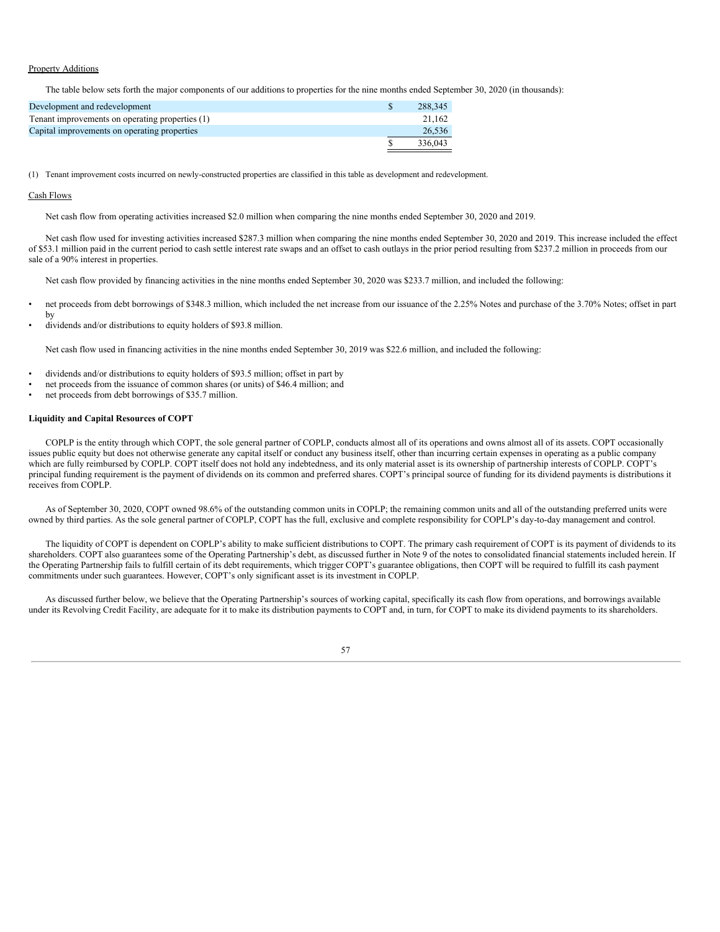## Property Additions

The table below sets forth the major components of our additions to properties for the nine months ended September 30, 2020 (in thousands):

| Development and redevelopment                   | 288,345 |
|-------------------------------------------------|---------|
| Tenant improvements on operating properties (1) | 21.162  |
| Capital improvements on operating properties    | 26.536  |
|                                                 | 336.043 |

(1) Tenant improvement costs incurred on newly-constructed properties are classified in this table as development and redevelopment.

### Cash Flows

Net cash flow from operating activities increased \$2.0 million when comparing the nine months ended September 30, 2020 and 2019.

Net cash flow used for investing activities increased \$287.3 million when comparing the nine months ended September 30, 2020 and 2019. This increase included the effect of \$53.1 million paid in the current period to cash settle interest rate swaps and an offset to cash outlays in the prior period resulting from \$237.2 million in proceeds from our sale of a 90% interest in properties.

Net cash flow provided by financing activities in the nine months ended September 30, 2020 was \$233.7 million, and included the following:

• net proceeds from debt borrowings of \$348.3 million, which included the net increase from our issuance of the 2.25% Notes and purchase of the 3.70% Notes; offset in part by

• dividends and/or distributions to equity holders of \$93.8 million.

Net cash flow used in financing activities in the nine months ended September 30, 2019 was \$22.6 million, and included the following:

- dividends and/or distributions to equity holders of \$93.5 million; offset in part by
- net proceeds from the issuance of common shares (or units) of \$46.4 million; and
- net proceeds from debt borrowings of \$35.7 million.

## **Liquidity and Capital Resources of COPT**

COPLP is the entity through which COPT, the sole general partner of COPLP, conducts almost all of its operations and owns almost all of its assets. COPT occasionally issues public equity but does not otherwise generate any capital itself or conduct any business itself, other than incurring certain expenses in operating as a public company which are fully reimbursed by COPLP. COPT itself does not hold any indebtedness, and its only material asset is its ownership of partnership interests of COPLP. COPT's principal funding requirement is the payment of dividends on its common and preferred shares. COPT's principal source of funding for its dividend payments is distributions it receives from COPLP.

As of September 30, 2020, COPT owned 98.6% of the outstanding common units in COPLP; the remaining common units and all of the outstanding preferred units were owned by third parties. As the sole general partner of COPLP, COPT has the full, exclusive and complete responsibility for COPLP's day-to-day management and control.

The liquidity of COPT is dependent on COPLP's ability to make sufficient distributions to COPT. The primary cash requirement of COPT is its payment of dividends to its shareholders. COPT also guarantees some of the Operating Partnership's debt, as discussed further in Note 9 of the notes to consolidated financial statements included herein. If the Operating Partnership fails to fulfill certain of its debt requirements, which trigger COPT's guarantee obligations, then COPT will be required to fulfill its cash payment commitments under such guarantees. However, COPT's only significant asset is its investment in COPLP.

As discussed further below, we believe that the Operating Partnership's sources of working capital, specifically its cash flow from operations, and borrowings available under its Revolving Credit Facility, are adequate for it to make its distribution payments to COPT and, in turn, for COPT to make its dividend payments to its shareholders.

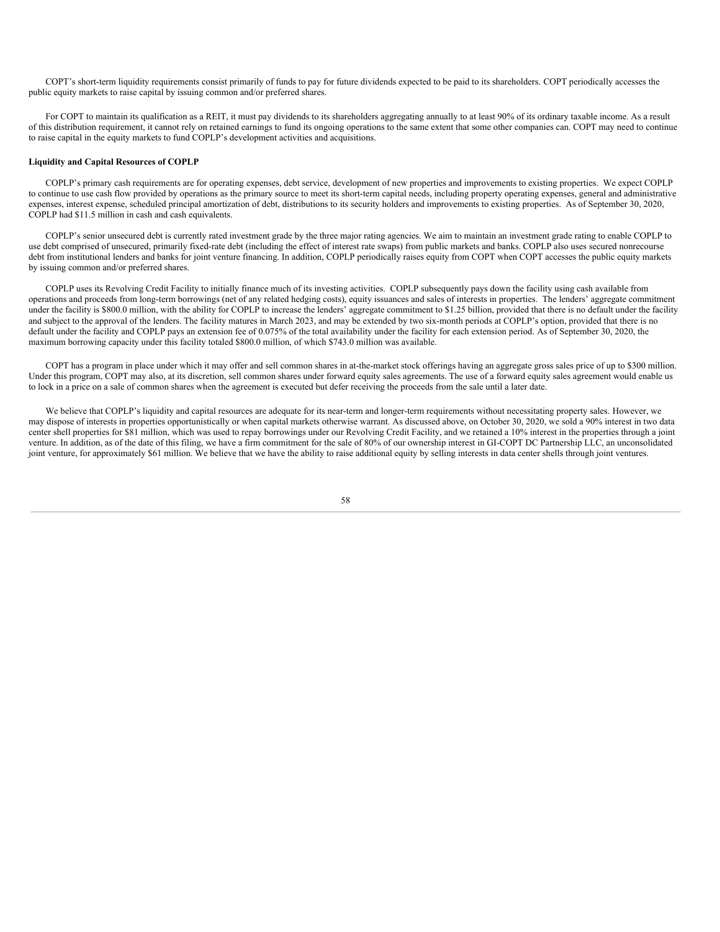COPT's short-term liquidity requirements consist primarily of funds to pay for future dividends expected to be paid to its shareholders. COPT periodically accesses the public equity markets to raise capital by issuing common and/or preferred shares.

For COPT to maintain its qualification as a REIT, it must pay dividends to its shareholders aggregating annually to at least 90% of its ordinary taxable income. As a result of this distribution requirement, it cannot rely on retained earnings to fund its ongoing operations to the same extent that some other companies can. COPT may need to continue to raise capital in the equity markets to fund COPLP's development activities and acquisitions.

## **Liquidity and Capital Resources of COPLP**

COPLP's primary cash requirements are for operating expenses, debt service, development of new properties and improvements to existing properties. We expect COPLP to continue to use cash flow provided by operations as the primary source to meet its short-term capital needs, including property operating expenses, general and administrative expenses, interest expense, scheduled principal amortization of debt, distributions to its security holders and improvements to existing properties. As of September 30, 2020, COPLP had \$11.5 million in cash and cash equivalents.

COPLP's senior unsecured debt is currently rated investment grade by the three major rating agencies. We aim to maintain an investment grade rating to enable COPLP to use debt comprised of unsecured, primarily fixed-rate debt (including the effect of interest rate swaps) from public markets and banks. COPLP also uses secured nonrecourse debt from institutional lenders and banks for joint venture financing. In addition, COPLP periodically raises equity from COPT when COPT accesses the public equity markets by issuing common and/or preferred shares.

COPLP uses its Revolving Credit Facility to initially finance much of its investing activities. COPLP subsequently pays down the facility using cash available from operations and proceeds from long-term borrowings (net of any related hedging costs), equity issuances and sales of interests in properties. The lenders' aggregate commitment under the facility is \$800.0 million, with the ability for COPLP to increase the lenders' aggregate commitment to \$1.25 billion, provided that there is no default under the facility and subject to the approval of the lenders. The facility matures in March 2023, and may be extended by two six-month periods at COPLP's option, provided that there is no default under the facility and COPLP pays an extension fee of 0.075% of the total availability under the facility for each extension period. As of September 30, 2020, the maximum borrowing capacity under this facility totaled \$800.0 million, of which \$743.0 million was available.

COPT has a program in place under which it may offer and sell common shares in at-the-market stock offerings having an aggregate gross sales price of up to \$300 million. Under this program, COPT may also, at its discretion, sell common shares under forward equity sales agreements. The use of a forward equity sales agreement would enable us to lock in a price on a sale of common shares when the agreement is executed but defer receiving the proceeds from the sale until a later date.

We believe that COPLP's liquidity and capital resources are adequate for its near-term and longer-term requirements without necessitating property sales. However, we may dispose of interests in properties opportunistically or when capital markets otherwise warrant. As discussed above, on October 30, 2020, we sold a 90% interest in two data center shell properties for \$81 million, which was used to repay borrowings under our Revolving Credit Facility, and we retained a 10% interest in the properties through a joint venture. In addition, as of the date of this filing, we have a firm commitment for the sale of 80% of our ownership interest in GI-COPT DC Partnership LLC, an unconsolidated joint venture, for approximately \$61 million. We believe that we have the ability to raise additional equity by selling interests in data center shells through joint ventures.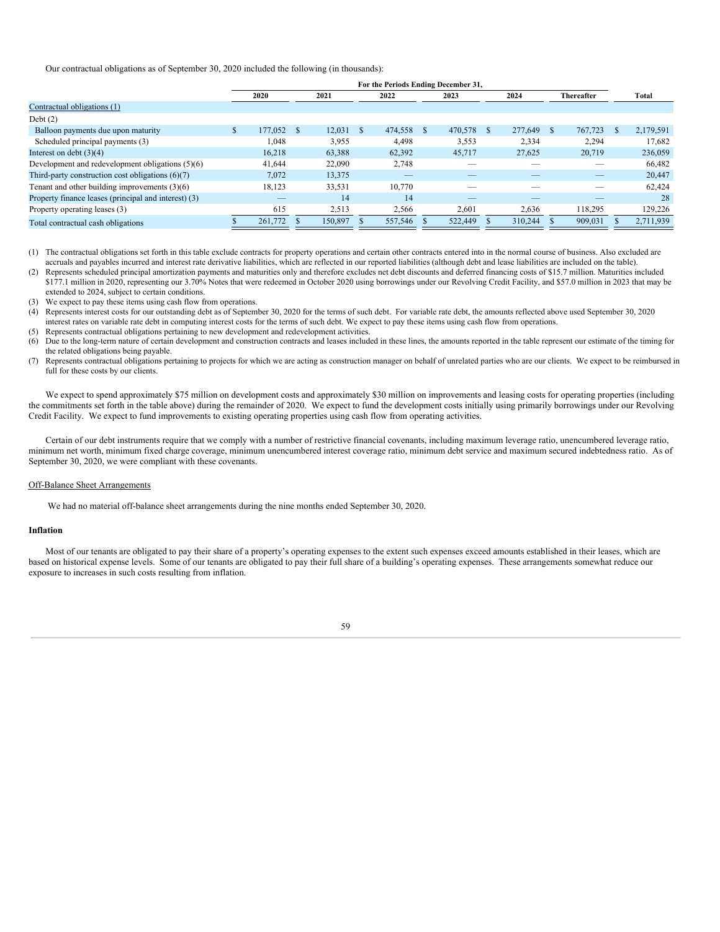Our contractual obligations as of September 30, 2020 included the following (in thousands):

|                                                      | For the Periods Ending December 31, |         |     |         |     |            |  |                          |      |            |  |                          |   |           |
|------------------------------------------------------|-------------------------------------|---------|-----|---------|-----|------------|--|--------------------------|------|------------|--|--------------------------|---|-----------|
|                                                      |                                     | 2020    |     | 2021    |     | 2022       |  | 2023                     |      | 2024       |  | Thereafter               |   | Total     |
| Contractual obligations (1)                          |                                     |         |     |         |     |            |  |                          |      |            |  |                          |   |           |
| Debt(2)                                              |                                     |         |     |         |     |            |  |                          |      |            |  |                          |   |           |
| Balloon payments due upon maturity                   | ЭĐ.                                 | 177,052 | - S | 12,031  | - S | 474,558 \$ |  | 470,578                  | - \$ | 277,649 \$ |  | 767,723                  | S | 2,179,591 |
| Scheduled principal payments (3)                     |                                     | 1.048   |     | 3,955   |     | 4,498      |  | 3,553                    |      | 2,334      |  | 2,294                    |   | 17,682    |
| Interest on debt $(3)(4)$                            |                                     | 16,218  |     | 63,388  |     | 62,392     |  | 45,717                   |      | 27,625     |  | 20,719                   |   | 236,059   |
| Development and redevelopment obligations (5)(6)     |                                     | 41.644  |     | 22,090  |     | 2,748      |  |                          |      |            |  |                          |   | 66,482    |
| Third-party construction cost obligations $(6)(7)$   |                                     | 7,072   |     | 13,375  |     |            |  |                          |      |            |  |                          |   | 20,447    |
| Tenant and other building improvements $(3)(6)$      |                                     | 18,123  |     | 33,531  |     | 10,770     |  |                          |      |            |  |                          |   | 62,424    |
| Property finance leases (principal and interest) (3) |                                     |         |     | 14      |     | 14         |  | $\overline{\phantom{a}}$ |      |            |  | $\overline{\phantom{a}}$ |   | 28        |
| Property operating leases (3)                        |                                     | 615     |     | 2,513   |     | 2,566      |  | 2,601                    |      | 2,636      |  | 118,295                  |   | 129,226   |
| Total contractual cash obligations                   |                                     | 261,772 |     | 150,897 |     | 557,546    |  | 522,449                  |      | 310,244    |  | 909,031                  |   | 2,711,939 |

(1) The contractual obligations set forth in this table exclude contracts for property operations and certain other contracts entered into in the normal course of business. Also excluded are accruals and payables incurred and interest rate derivative liabilities, which are reflected in our reported liabilities (although debt and lease liabilities are included on the table).

(2) Represents scheduled principal amortization payments and maturities only and therefore excludes net debt discounts and deferred financing costs of \$15.7 million. Maturities included \$177.1 million in 2020, representing our 3.70% Notes that were redeemed in October 2020 using borrowings under our Revolving Credit Facility, and \$57.0 million in 2023 that may be extended to 2024, subject to certain conditions.

(3) We expect to pay these items using cash flow from operations.

(4) Represents interest costs for our outstanding debt as of September 30, 2020 for the terms of such debt. For variable rate debt, the amounts reflected above used September 30, 2020 interest rates on variable rate debt in computing interest costs for the terms of such debt. We expect to pay these items using cash flow from operations.

(5) Represents contractual obligations pertaining to new development and redevelopment activities.

(6) Due to the long-term nature of certain development and construction contracts and leases included in these lines, the amounts reported in the table represent our estimate of the timing for the related obligations being payable.

(7) Represents contractual obligations pertaining to projects for which we are acting as construction manager on behalf of unrelated parties who are our clients. We expect to be reimbursed in full for these costs by our clients.

We expect to spend approximately \$75 million on development costs and approximately \$30 million on improvements and leasing costs for operating properties (including the commitments set forth in the table above) during the remainder of 2020. We expect to fund the development costs initially using primarily borrowings under our Revolving Credit Facility. We expect to fund improvements to existing operating properties using cash flow from operating activities.

Certain of our debt instruments require that we comply with a number of restrictive financial covenants, including maximum leverage ratio, unencumbered leverage ratio, minimum net worth, minimum fixed charge coverage, minimum unencumbered interest coverage ratio, minimum debt service and maximum secured indebtedness ratio. As of September 30, 2020, we were compliant with these covenants.

## Off-Balance Sheet Arrangements

We had no material off-balance sheet arrangements during the nine months ended September 30, 2020.

#### **Inflation**

Most of our tenants are obligated to pay their share of a property's operating expenses to the extent such expenses exceed amounts established in their leases, which are based on historical expense levels. Some of our tenants are obligated to pay their full share of a building's operating expenses. These arrangements somewhat reduce our exposure to increases in such costs resulting from inflation.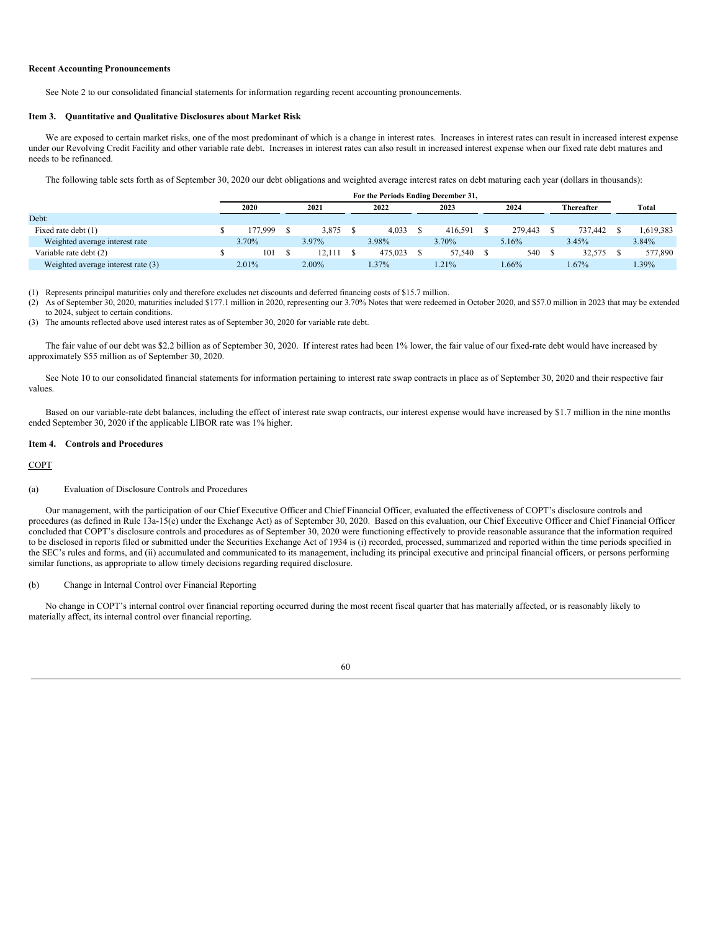#### **Recent Accounting Pronouncements**

See Note 2 to our consolidated financial statements for information regarding recent accounting pronouncements.

#### **Item 3. Quantitative and Qualitative Disclosures about Market Risk**

We are exposed to certain market risks, one of the most predominant of which is a change in interest rates. Increases in interest rates can result in increased interest expense under our Revolving Credit Facility and other variable rate debt. Increases in interest rates can also result in increased interest expense when our fixed rate debt matures and needs to be refinanced.

The following table sets forth as of September 30, 2020 our debt obligations and weighted average interest rates on debt maturing each year (dollars in thousands):

|                                    | For the Periods Ending December 31, |      |          |  |              |  |         |  |         |            |          |       |           |
|------------------------------------|-------------------------------------|------|----------|--|--------------|--|---------|--|---------|------------|----------|-------|-----------|
|                                    | 2020                                | 2021 |          |  | 2022<br>2023 |  | 2024    |  |         | Thereafter |          | Total |           |
| Debt:                              |                                     |      |          |  |              |  |         |  |         |            |          |       |           |
| Fixed rate debt (1)                | 177.999                             |      | 3.875    |  | 4.033        |  | 416.591 |  | 279,443 |            | 737,442  |       | 1.619.383 |
| Weighted average interest rate     | 3.70%                               |      | 3.97%    |  | 3.98%        |  | 3.70%   |  | 5.16%   |            | 3.45%    |       | 3.84%     |
| Variable rate debt (2)             | 101                                 |      | 2.111    |  | 475,023      |  | 57,540  |  | 540     |            | 32,575   |       | 577,890   |
| Weighted average interest rate (3) | 2.01%                               |      | $2.00\%$ |  | $.37\%$      |  | .21%    |  | $.66\%$ |            | $4.67\%$ |       | .39%      |

(1) Represents principal maturities only and therefore excludes net discounts and deferred financing costs of \$15.7 million.

(2) As of September 30, 2020, maturities included \$177.1 million in 2020, representing our 3.70% Notes that were redeemed in October 2020, and \$57.0 million in 2023 that may be extended to 2024, subject to certain conditions.

(3) The amounts reflected above used interest rates as of September 30, 2020 for variable rate debt.

The fair value of our debt was \$2.2 billion as of September 30, 2020. If interest rates had been 1% lower, the fair value of our fixed-rate debt would have increased by approximately \$55 million as of September 30, 2020.

See Note 10 to our consolidated financial statements for information pertaining to interest rate swap contracts in place as of September 30, 2020 and their respective fair values.

Based on our variable-rate debt balances, including the effect of interest rate swap contracts, our interest expense would have increased by \$1.7 million in the nine months ended September 30, 2020 if the applicable LIBOR rate was 1% higher.

### **Item 4. Controls and Procedures**

**COPT** 

#### (a) Evaluation of Disclosure Controls and Procedures

Our management, with the participation of our Chief Executive Officer and Chief Financial Officer, evaluated the effectiveness of COPT's disclosure controls and procedures (as defined in Rule 13a-15(e) under the Exchange Act) as of September 30, 2020. Based on this evaluation, our Chief Executive Officer and Chief Financial Officer concluded that COPT's disclosure controls and procedures as of September 30, 2020 were functioning effectively to provide reasonable assurance that the information required to be disclosed in reports filed or submitted under the Securities Exchange Act of 1934 is (i) recorded, processed, summarized and reported within the time periods specified in the SEC's rules and forms, and (ii) accumulated and communicated to its management, including its principal executive and principal financial officers, or persons performing similar functions, as appropriate to allow timely decisions regarding required disclosure.

(b) Change in Internal Control over Financial Reporting

No change in COPT's internal control over financial reporting occurred during the most recent fiscal quarter that has materially affected, or is reasonably likely to materially affect, its internal control over financial reporting.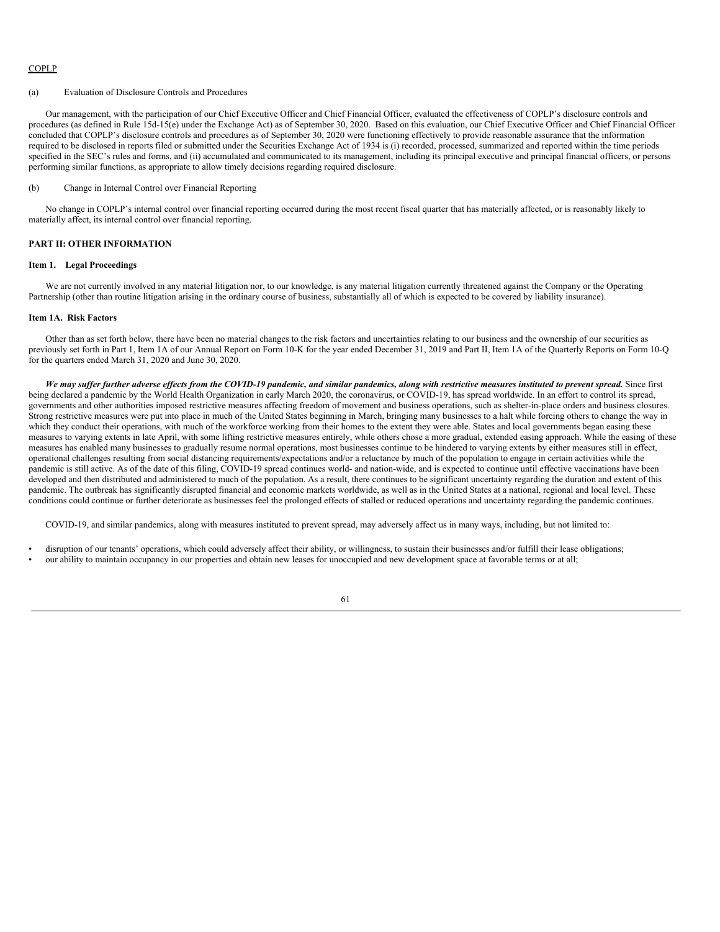#### (a) Evaluation of Disclosure Controls and Procedures

Our management, with the participation of our Chief Executive Officer and Chief Financial Officer, evaluated the effectiveness of COPLP's disclosure controls and procedures (as defined in Rule 15d-15(e) under the Exchange Act) as of September 30, 2020. Based on this evaluation, our Chief Executive Officer and Chief Financial Officer concluded that COPLP's disclosure controls and procedures as of September 30, 2020 were functioning effectively to provide reasonable assurance that the information required to be disclosed in reports filed or submitted under the Securities Exchange Act of 1934 is (i) recorded, processed, summarized and reported within the time periods specified in the SEC's rules and forms, and (ii) accumulated and communicated to its management, including its principal executive and principal financial officers, or persons performing similar functions, as appropriate to allow timely decisions regarding required disclosure.

## (b) Change in Internal Control over Financial Reporting

No change in COPLP's internal control over financial reporting occurred during the most recent fiscal quarter that has materially affected, or is reasonably likely to materially affect, its internal control over financial reporting.

## **PART II: OTHER INFORMATION**

## **Item 1. Legal Proceedings**

We are not currently involved in any material litigation nor, to our knowledge, is any material litigation currently threatened against the Company or the Operating Partnership (other than routine litigation arising in the ordinary course of business, substantially all of which is expected to be covered by liability insurance).

## **Item 1A. Risk Factors**

Other than as set forth below, there have been no material changes to the risk factors and uncertainties relating to our business and the ownership of our securities as previously set forth in Part 1, Item 1A of our Annual Report on Form 10-K for the year ended December 31, 2019 and Part II, Item 1A of the Quarterly Reports on Form 10-Q for the quarters ended March 31, 2020 and June 30, 2020.

We may suffer further adverse effects from the COVID-19 pandemic, and similar pandemics, along with restrictive measures instituted to prevent spread. Since first being declared a pandemic by the World Health Organization in early March 2020, the coronavirus, or COVID-19, has spread worldwide. In an effort to control its spread, governments and other authorities imposed restrictive measures affecting freedom of movement and business operations, such as shelter-in-place orders and business closures. Strong restrictive measures were put into place in much of the United States beginning in March, bringing many businesses to a halt while forcing others to change the way in which they conduct their operations, with much of the workforce working from their homes to the extent they were able. States and local governments began easing these measures to varying extents in late April, with some lifting restrictive measures entirely, while others chose a more gradual, extended easing approach. While the easing of these measures has enabled many businesses to gradually resume normal operations, most businesses continue to be hindered to varying extents by either measures still in effect, operational challenges resulting from social distancing requirements/expectations and/or a reluctance by much of the population to engage in certain activities while the pandemic is still active. As of the date of this filing, COVID-19 spread continues world- and nation-wide, and is expected to continue until effective vaccinations have been developed and then distributed and administered to much of the population. As a result, there continues to be significant uncertainty regarding the duration and extent of this pandemic. The outbreak has significantly disrupted financial and economic markets worldwide, as well as in the United States at a national, regional and local level. These conditions could continue or further deteriorate as businesses feel the prolonged effects of stalled or reduced operations and uncertainty regarding the pandemic continues.

COVID-19, and similar pandemics, along with measures instituted to prevent spread, may adversely affect us in many ways, including, but not limited to:

- disruption of our tenants' operations, which could adversely affect their ability, or willingness, to sustain their businesses and/or fulfill their lease obligations; • our ability to maintain occupancy in our properties and obtain new leases for unoccupied and new development space at favorable terms or at all;
	- 61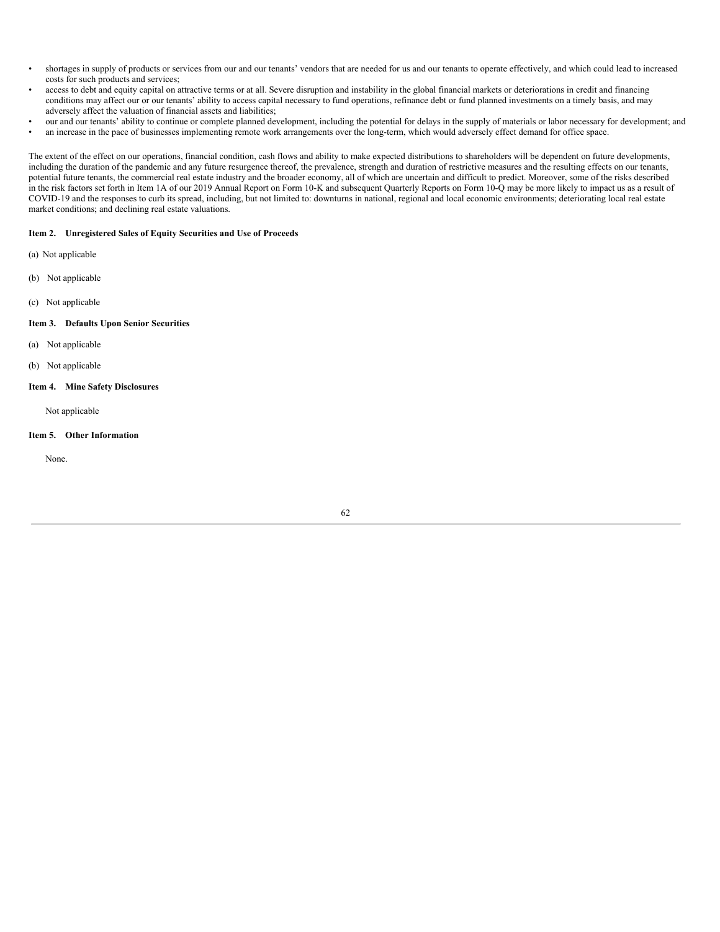- shortages in supply of products or services from our and our tenants' vendors that are needed for us and our tenants to operate effectively, and which could lead to increased costs for such products and services;
- access to debt and equity capital on attractive terms or at all. Severe disruption and instability in the global financial markets or deteriorations in credit and financing conditions may affect our or our tenants' ability to access capital necessary to fund operations, refinance debt or fund planned investments on a timely basis, and may adversely affect the valuation of financial assets and liabilities;
- our and our tenants' ability to continue or complete planned development, including the potential for delays in the supply of materials or labor necessary for development; and
- an increase in the pace of businesses implementing remote work arrangements over the long-term, which would adversely effect demand for office space.

The extent of the effect on our operations, financial condition, cash flows and ability to make expected distributions to shareholders will be dependent on future developments, including the duration of the pandemic and any future resurgence thereof, the prevalence, strength and duration of restrictive measures and the resulting effects on our tenants, potential future tenants, the commercial real estate industry and the broader economy, all of which are uncertain and difficult to predict. Moreover, some of the risks described in the risk factors set forth in Item 1A of our 2019 Annual Report on Form 10-K and subsequent Quarterly Reports on Form 10-Q may be more likely to impact us as a result of COVID-19 and the responses to curb its spread, including, but not limited to: downturns in national, regional and local economic environments; deteriorating local real estate market conditions; and declining real estate valuations.

## **Item 2. Unregistered Sales of Equity Securities and Use of Proceeds**

(a) Not applicable

- (b) Not applicable
- (c) Not applicable

## **Item 3. Defaults Upon Senior Securities**

(a) Not applicable

(b) Not applicable

## **Item 4. Mine Safety Disclosures**

Not applicable

## **Item 5. Other Information**

None.

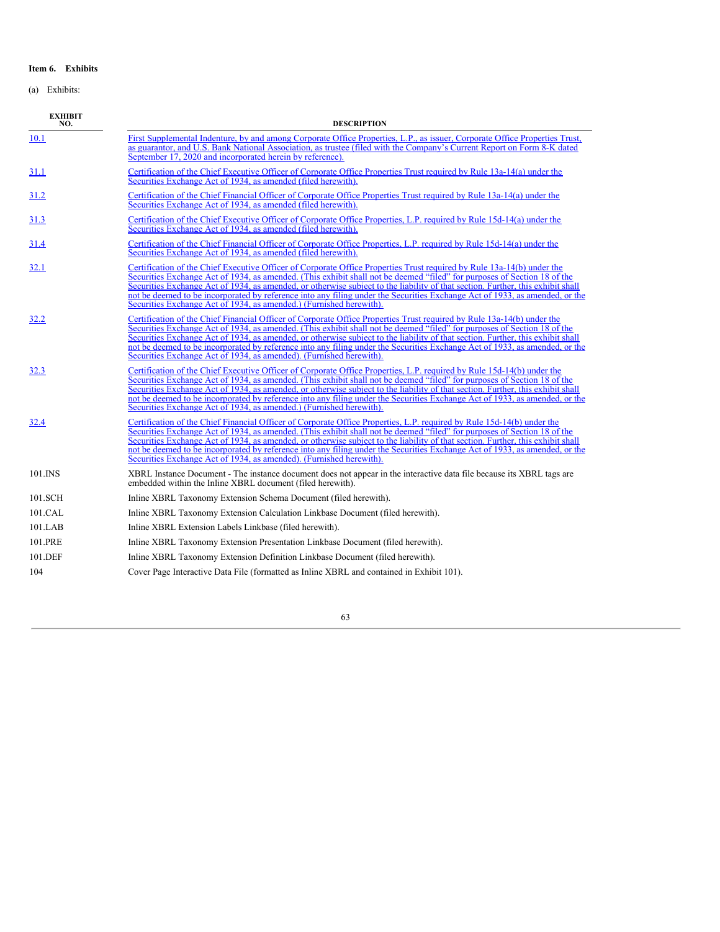## **Item 6. Exhibits**

(a) Exhibits:

| <b>EXHIBIT</b><br>NO. | <b>DESCRIPTION</b>                                                                                                                                                                                                                                                                                                                                                                                                                                                                                                                                                                          |
|-----------------------|---------------------------------------------------------------------------------------------------------------------------------------------------------------------------------------------------------------------------------------------------------------------------------------------------------------------------------------------------------------------------------------------------------------------------------------------------------------------------------------------------------------------------------------------------------------------------------------------|
| 10.1                  | First Supplemental Indenture, by and among Corporate Office Properties, L.P., as issuer, Corporate Office Properties Trust,<br>as guarantor, and U.S. Bank National Association, as trustee (filed with the Company's Current Report on Form 8-K dated<br>September 17, 2020 and incorporated herein by reference).                                                                                                                                                                                                                                                                         |
| 31.1                  | Certification of the Chief Executive Officer of Corporate Office Properties Trust required by Rule 13a-14(a) under the<br>Securities Exchange Act of 1934, as amended (filed herewith).                                                                                                                                                                                                                                                                                                                                                                                                     |
| 31.2                  | Certification of the Chief Financial Officer of Corporate Office Properties Trust required by Rule 13a-14(a) under the<br>Securities Exchange Act of 1934, as amended (filed herewith).                                                                                                                                                                                                                                                                                                                                                                                                     |
| 31.3                  | Certification of the Chief Executive Officer of Corporate Office Properties, L.P. required by Rule 15d-14(a) under the Securities Exchange Act of 1934, as amended (filed herewith).                                                                                                                                                                                                                                                                                                                                                                                                        |
| 31.4                  | Certification of the Chief Financial Officer of Corporate Office Properties, L.P. required by Rule 15d-14(a) under the<br>Securities Exchange Act of 1934, as amended (filed herewith).                                                                                                                                                                                                                                                                                                                                                                                                     |
| 32.1                  | Certification of the Chief Executive Officer of Corporate Office Properties Trust required by Rule 13a-14(b) under the<br>Securities Exchange Act of 1934, as amended. (This exhibit shall not be deemed "filed" for purposes of Section 18 of the<br>Securities Exchange Act of 1934, as amended, or otherwise subject to the liability of that section. Further, this exhibit shall<br>not be deemed to be incorporated by reference into any filing under the Securities Exchange Act of 1933, as amended, or the<br>Securities Exchange Act of 1934, as amended.) (Furnished herewith). |
| 32.2                  | Certification of the Chief Financial Officer of Corporate Office Properties Trust required by Rule 13a-14(b) under the<br>Securities Exchange Act of 1934, as amended. (This exhibit shall not be deemed "filed" for purposes of Section 18 of the<br>Securities Exchange Act of 1934, as amended, or otherwise subject to the liability of that section. Further, this exhibit shall<br>not be deemed to be incorporated by reference into any filing under the Securities Exchange Act of 1933, as amended, or the<br>Securities Exchange Act of 1934, as amended). (Furnished herewith). |
| 32.3                  | Certification of the Chief Executive Officer of Corporate Office Properties, L.P. required by Rule 15d-14(b) under the<br>Securities Exchange Act of 1934, as amended. (This exhibit shall not be deemed "filed" for purposes of Section 18 of the<br>Securities Exchange Act of 1934, as amended, or otherwise subject to the liability of that section. Further, this exhibit shall<br>not be deemed to be incorporated by reference into any filing under the Securities Exchange Act of 1933, as amended, or the<br>Securities Exchange Act of 1934, as amended.) (Furnished herewith). |
| 32.4                  | Certification of the Chief Financial Officer of Corporate Office Properties, L.P. required by Rule 15d-14(b) under the<br>Securities Exchange Act of 1934, as amended. (This exhibit shall not be deemed "filed" for purposes of Section 18 of the<br>Securities Exchange Act of 1934, as amended, or otherwise subject to the liability of that section. Further, this exhibit shall<br>not be deemed to be incorporated by reference into any filing under the Securities Exchange Act of 1933, as amended, or the<br>Securities Exchange Act of 1934, as amended). (Furnished herewith). |
| 101.INS               | XBRL Instance Document - The instance document does not appear in the interactive data file because its XBRL tags are<br>embedded within the Inline XBRL document (filed herewith).                                                                                                                                                                                                                                                                                                                                                                                                         |
| 101.SCH               | Inline XBRL Taxonomy Extension Schema Document (filed herewith).                                                                                                                                                                                                                                                                                                                                                                                                                                                                                                                            |
| 101.CAL               | Inline XBRL Taxonomy Extension Calculation Linkbase Document (filed herewith).                                                                                                                                                                                                                                                                                                                                                                                                                                                                                                              |
| 101.LAB               | Inline XBRL Extension Labels Linkbase (filed herewith).                                                                                                                                                                                                                                                                                                                                                                                                                                                                                                                                     |
| 101.PRE               | Inline XBRL Taxonomy Extension Presentation Linkbase Document (filed herewith).                                                                                                                                                                                                                                                                                                                                                                                                                                                                                                             |
| 101.DEF               | Inline XBRL Taxonomy Extension Definition Linkbase Document (filed herewith).                                                                                                                                                                                                                                                                                                                                                                                                                                                                                                               |
| 104                   | Cover Page Interactive Data File (formatted as Inline XBRL and contained in Exhibit 101).                                                                                                                                                                                                                                                                                                                                                                                                                                                                                                   |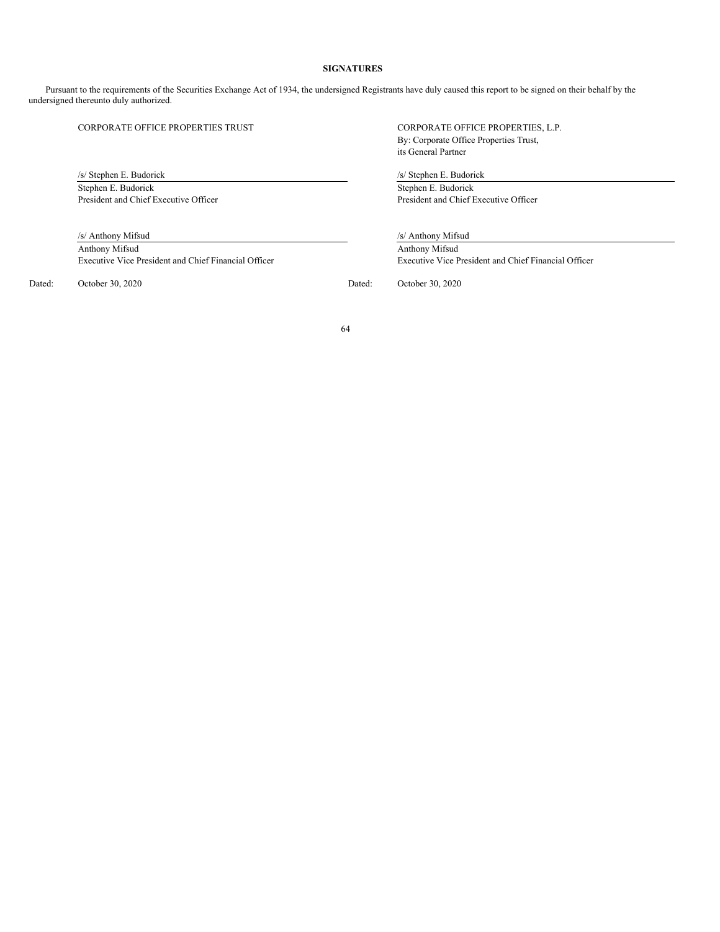## **SIGNATURES**

Pursuant to the requirements of the Securities Exchange Act of 1934, the undersigned Registrants have duly caused this report to be signed on their behalf by the undersigned thereunto duly authorized.

/s/ Stephen E. Budorick<br>
Stephen E. Budorick /s/ Stephen E. Budorick<br>
Stephen E. Budorick<br>
Stephen E. Budorick

/s/ Anthony Mifsud /s/ Anthony Mifsud

Anthony Mifsud Anthony Mifsud

Dated: October 30, 2020 Dated: October 30, 2020

CORPORATE OFFICE PROPERTIES TRUST CORPORATE OFFICE PROPERTIES, L.P. By: Corporate Office Properties Trust, its General Partner

Stephen E. Budorick President and Chief Executive Officer President and Chief Executive Officer President and Chief Executive Officer

Executive Vice President and Chief Financial Officer Executive Vice President and Chief Financial Officer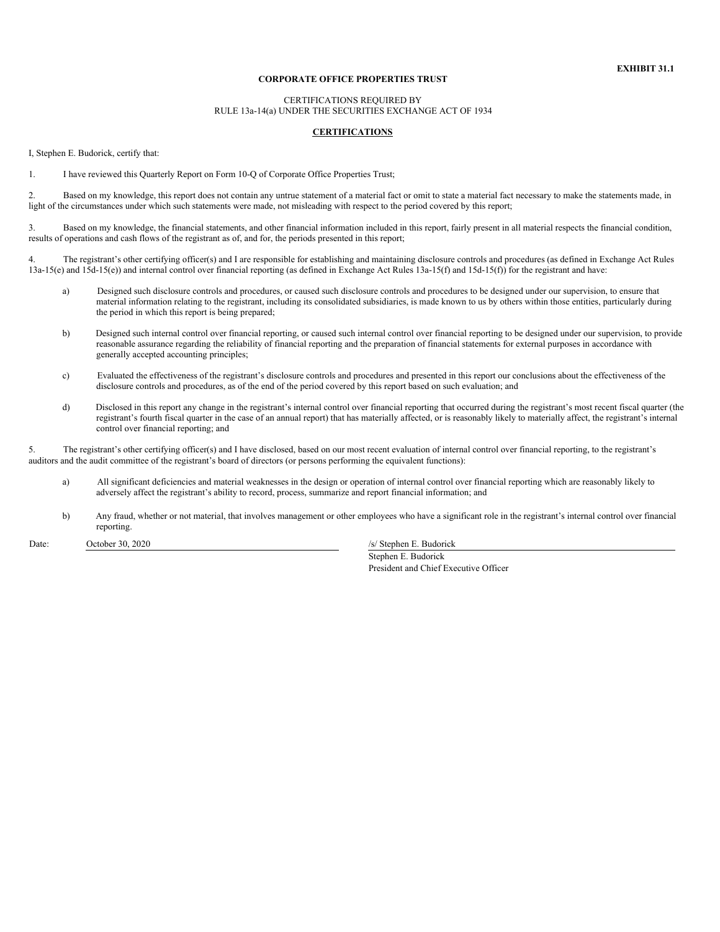## **CORPORATE OFFICE PROPERTIES TRUST**

## CERTIFICATIONS REQUIRED BY RULE 13a-14(a) UNDER THE SECURITIES EXCHANGE ACT OF 1934

## **CERTIFICATIONS**

<span id="page-66-0"></span>I, Stephen E. Budorick, certify that:

1. I have reviewed this Quarterly Report on Form 10-Q of Corporate Office Properties Trust;

2. Based on my knowledge, this report does not contain any untrue statement of a material fact or omit to state a material fact necessary to make the statements made, in light of the circumstances under which such statements were made, not misleading with respect to the period covered by this report;

3. Based on my knowledge, the financial statements, and other financial information included in this report, fairly present in all material respects the financial condition, results of operations and cash flows of the registrant as of, and for, the periods presented in this report;

4. The registrant's other certifying officer(s) and I are responsible for establishing and maintaining disclosure controls and procedures (as defined in Exchange Act Rules 13a-15(e) and 15d-15(e)) and internal control over financial reporting (as defined in Exchange Act Rules 13a-15(f) and 15d-15(f)) for the registrant and have:

- a) Designed such disclosure controls and procedures, or caused such disclosure controls and procedures to be designed under our supervision, to ensure that material information relating to the registrant, including its consolidated subsidiaries, is made known to us by others within those entities, particularly during the period in which this report is being prepared;
- b) Designed such internal control over financial reporting, or caused such internal control over financial reporting to be designed under our supervision, to provide reasonable assurance regarding the reliability of financial reporting and the preparation of financial statements for external purposes in accordance with generally accepted accounting principles;
- c) Evaluated the effectiveness of the registrant's disclosure controls and procedures and presented in this report our conclusions about the effectiveness of the disclosure controls and procedures, as of the end of the period covered by this report based on such evaluation; and
- d) Disclosed in this report any change in the registrant's internal control over financial reporting that occurred during the registrant's most recent fiscal quarter (the registrant's fourth fiscal quarter in the case of an annual report) that has materially affected, or is reasonably likely to materially affect, the registrant's internal control over financial reporting; and

5. The registrant's other certifying officer(s) and I have disclosed, based on our most recent evaluation of internal control over financial reporting, to the registrant's auditors and the audit committee of the registrant's board of directors (or persons performing the equivalent functions):

- a) All significant deficiencies and material weaknesses in the design or operation of internal control over financial reporting which are reasonably likely to adversely affect the registrant's ability to record, process, summarize and report financial information; and
- b) Any fraud, whether or not material, that involves management or other employees who have a significant role in the registrant's internal control over financial reporting.

Date: October 30, 2020 /s/ Stephen E. Budorick

Stephen E. Budorick President and Chief Executive Officer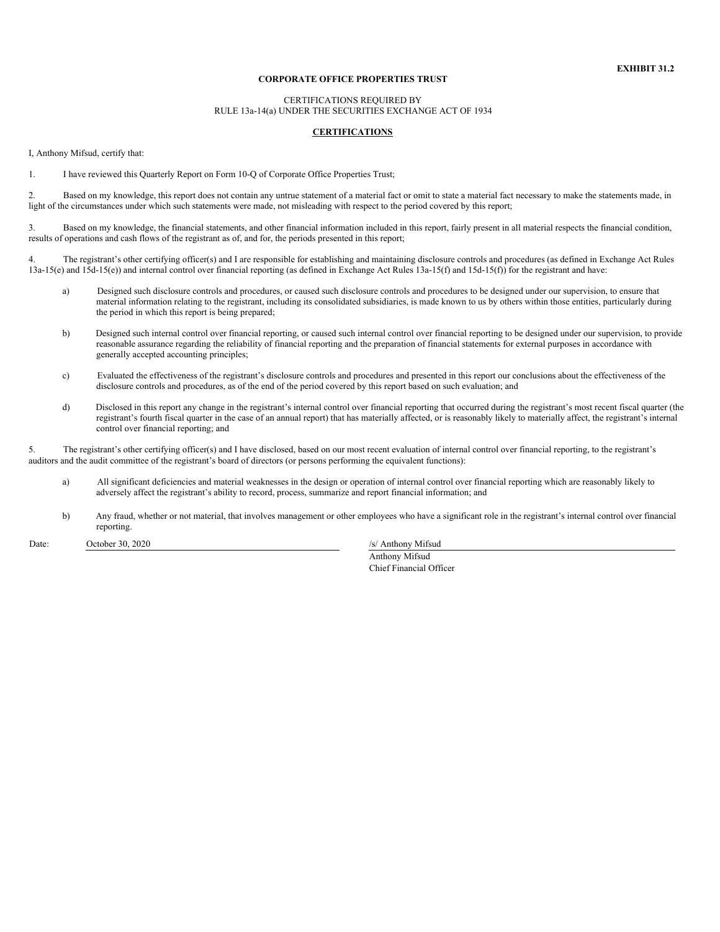## **CORPORATE OFFICE PROPERTIES TRUST**

## CERTIFICATIONS REQUIRED BY RULE 13a-14(a) UNDER THE SECURITIES EXCHANGE ACT OF 1934

## **CERTIFICATIONS**

<span id="page-67-0"></span>I, Anthony Mifsud, certify that:

1. I have reviewed this Quarterly Report on Form 10-Q of Corporate Office Properties Trust;

2. Based on my knowledge, this report does not contain any untrue statement of a material fact or omit to state a material fact necessary to make the statements made, in light of the circumstances under which such statements were made, not misleading with respect to the period covered by this report;

3. Based on my knowledge, the financial statements, and other financial information included in this report, fairly present in all material respects the financial condition, results of operations and cash flows of the registrant as of, and for, the periods presented in this report;

4. The registrant's other certifying officer(s) and I are responsible for establishing and maintaining disclosure controls and procedures (as defined in Exchange Act Rules 13a-15(e) and 15d-15(e)) and internal control over financial reporting (as defined in Exchange Act Rules 13a-15(f) and 15d-15(f)) for the registrant and have:

- a) Designed such disclosure controls and procedures, or caused such disclosure controls and procedures to be designed under our supervision, to ensure that material information relating to the registrant, including its consolidated subsidiaries, is made known to us by others within those entities, particularly during the period in which this report is being prepared;
- b) Designed such internal control over financial reporting, or caused such internal control over financial reporting to be designed under our supervision, to provide reasonable assurance regarding the reliability of financial reporting and the preparation of financial statements for external purposes in accordance with generally accepted accounting principles;
- c) Evaluated the effectiveness of the registrant's disclosure controls and procedures and presented in this report our conclusions about the effectiveness of the disclosure controls and procedures, as of the end of the period covered by this report based on such evaluation; and
- d) Disclosed in this report any change in the registrant's internal control over financial reporting that occurred during the registrant's most recent fiscal quarter (the registrant's fourth fiscal quarter in the case of an annual report) that has materially affected, or is reasonably likely to materially affect, the registrant's internal control over financial reporting; and

5. The registrant's other certifying officer(s) and I have disclosed, based on our most recent evaluation of internal control over financial reporting, to the registrant's auditors and the audit committee of the registrant's board of directors (or persons performing the equivalent functions):

- a) All significant deficiencies and material weaknesses in the design or operation of internal control over financial reporting which are reasonably likely to adversely affect the registrant's ability to record, process, summarize and report financial information; and
- b) Any fraud, whether or not material, that involves management or other employees who have a significant role in the registrant's internal control over financial reporting.

Date: October 30, 2020 /s/ Anthony Mifsud

Anthony Mifsud

Chief Financial Officer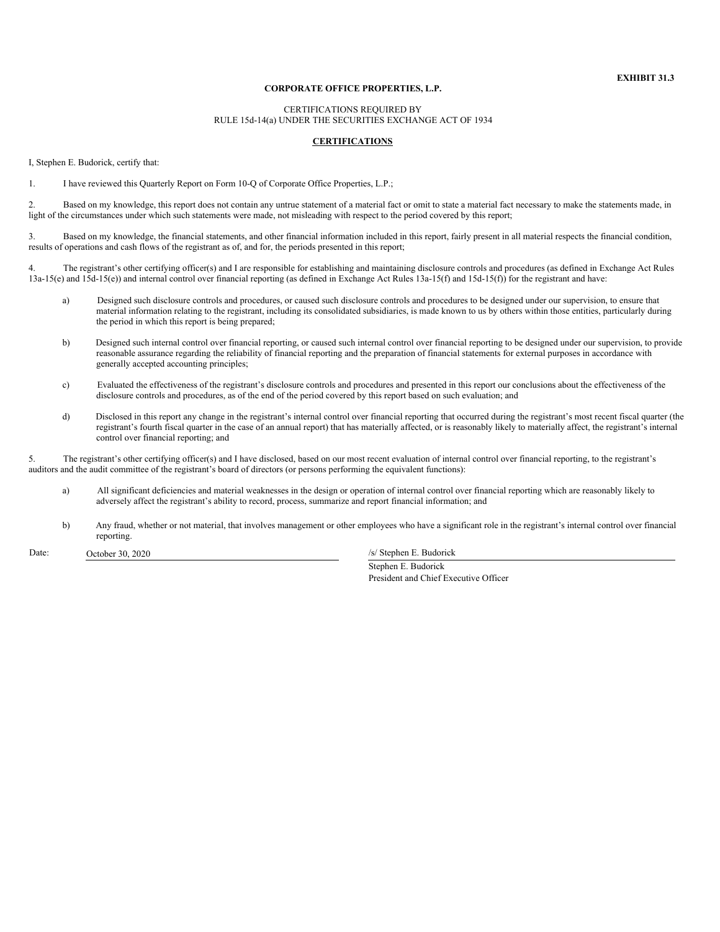## **CORPORATE OFFICE PROPERTIES, L.P.**

## CERTIFICATIONS REQUIRED BY RULE 15d-14(a) UNDER THE SECURITIES EXCHANGE ACT OF 1934

#### **CERTIFICATIONS**

<span id="page-68-0"></span>I, Stephen E. Budorick, certify that:

1. I have reviewed this Quarterly Report on Form 10-Q of Corporate Office Properties, L.P.;

2. Based on my knowledge, this report does not contain any untrue statement of a material fact or omit to state a material fact necessary to make the statements made, in light of the circumstances under which such statements were made, not misleading with respect to the period covered by this report;

3. Based on my knowledge, the financial statements, and other financial information included in this report, fairly present in all material respects the financial condition, results of operations and cash flows of the registrant as of, and for, the periods presented in this report;

4. The registrant's other certifying officer(s) and I are responsible for establishing and maintaining disclosure controls and procedures (as defined in Exchange Act Rules 13a-15(e) and 15d-15(e)) and internal control over financial reporting (as defined in Exchange Act Rules 13a-15(f) and 15d-15(f)) for the registrant and have:

- a) Designed such disclosure controls and procedures, or caused such disclosure controls and procedures to be designed under our supervision, to ensure that material information relating to the registrant, including its consolidated subsidiaries, is made known to us by others within those entities, particularly during the period in which this report is being prepared;
- b) Designed such internal control over financial reporting, or caused such internal control over financial reporting to be designed under our supervision, to provide reasonable assurance regarding the reliability of financial reporting and the preparation of financial statements for external purposes in accordance with generally accepted accounting principles;
- c) Evaluated the effectiveness of the registrant's disclosure controls and procedures and presented in this report our conclusions about the effectiveness of the disclosure controls and procedures, as of the end of the period covered by this report based on such evaluation; and
- d) Disclosed in this report any change in the registrant's internal control over financial reporting that occurred during the registrant's most recent fiscal quarter (the registrant's fourth fiscal quarter in the case of an annual report) that has materially affected, or is reasonably likely to materially affect, the registrant's internal control over financial reporting; and

5. The registrant's other certifying officer(s) and I have disclosed, based on our most recent evaluation of internal control over financial reporting, to the registrant's auditors and the audit committee of the registrant's board of directors (or persons performing the equivalent functions):

- a) All significant deficiencies and material weaknesses in the design or operation of internal control over financial reporting which are reasonably likely to adversely affect the registrant's ability to record, process, summarize and report financial information; and
- b) Any fraud, whether or not material, that involves management or other employees who have a significant role in the registrant's internal control over financial reporting.

Date: October 30, 2020 /s/ Stephen E. Budorick

Stephen E. Budorick President and Chief Executive Officer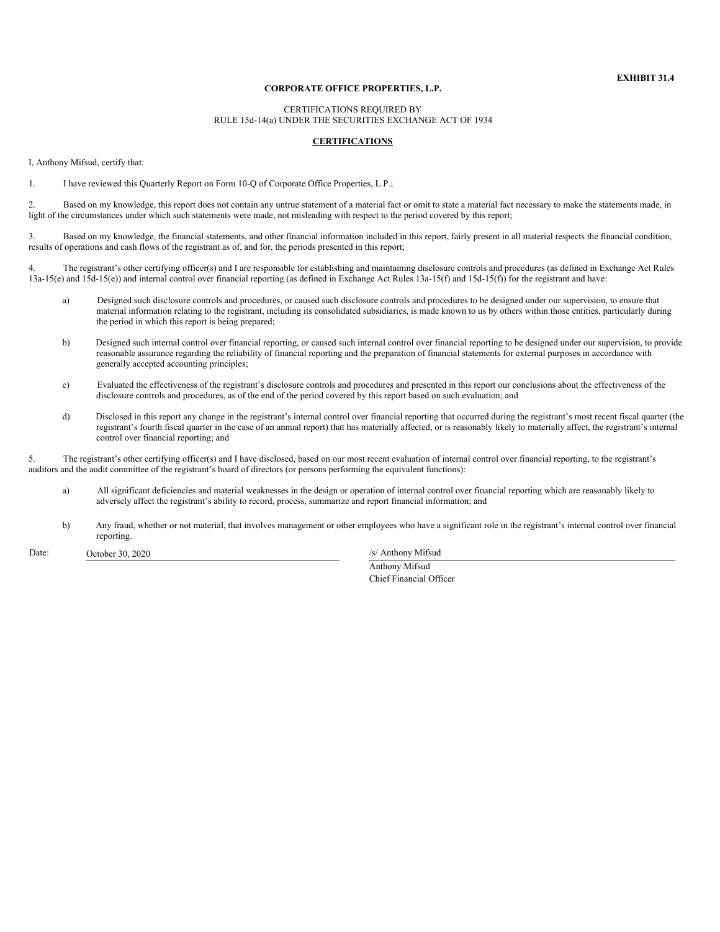## **CORPORATE OFFICE PROPERTIES, L.P.**

## CERTIFICATIONS REQUIRED BY RULE 15d-14(a) UNDER THE SECURITIES EXCHANGE ACT OF 1934

#### **CERTIFICATIONS**

<span id="page-69-0"></span>I, Anthony Mifsud, certify that:

1. I have reviewed this Quarterly Report on Form 10-Q of Corporate Office Properties, L.P.;

2. Based on my knowledge, this report does not contain any untrue statement of a material fact or omit to state a material fact necessary to make the statements made, in light of the circumstances under which such statements were made, not misleading with respect to the period covered by this report;

3. Based on my knowledge, the financial statements, and other financial information included in this report, fairly present in all material respects the financial condition, results of operations and cash flows of the registrant as of, and for, the periods presented in this report;

4. The registrant's other certifying officer(s) and I are responsible for establishing and maintaining disclosure controls and procedures (as defined in Exchange Act Rules 13a-15(e) and 15d-15(e)) and internal control over financial reporting (as defined in Exchange Act Rules 13a-15(f) and 15d-15(f)) for the registrant and have:

- a) Designed such disclosure controls and procedures, or caused such disclosure controls and procedures to be designed under our supervision, to ensure that material information relating to the registrant, including its consolidated subsidiaries, is made known to us by others within those entities, particularly during the period in which this report is being prepared;
- b) Designed such internal control over financial reporting, or caused such internal control over financial reporting to be designed under our supervision, to provide reasonable assurance regarding the reliability of financial reporting and the preparation of financial statements for external purposes in accordance with generally accepted accounting principles;
- c) Evaluated the effectiveness of the registrant's disclosure controls and procedures and presented in this report our conclusions about the effectiveness of the disclosure controls and procedures, as of the end of the period covered by this report based on such evaluation; and
- d) Disclosed in this report any change in the registrant's internal control over financial reporting that occurred during the registrant's most recent fiscal quarter (the registrant's fourth fiscal quarter in the case of an annual report) that has materially affected, or is reasonably likely to materially affect, the registrant's internal control over financial reporting; and

5. The registrant's other certifying officer(s) and I have disclosed, based on our most recent evaluation of internal control over financial reporting, to the registrant's auditors and the audit committee of the registrant's board of directors (or persons performing the equivalent functions):

- a) All significant deficiencies and material weaknesses in the design or operation of internal control over financial reporting which are reasonably likely to adversely affect the registrant's ability to record, process, summarize and report financial information; and
- b) Any fraud, whether or not material, that involves management or other employees who have a significant role in the registrant's internal control over financial reporting.

Date: October 30, 2020 /s/ Anthony Mifsud

Anthony Mifsud Chief Financial Officer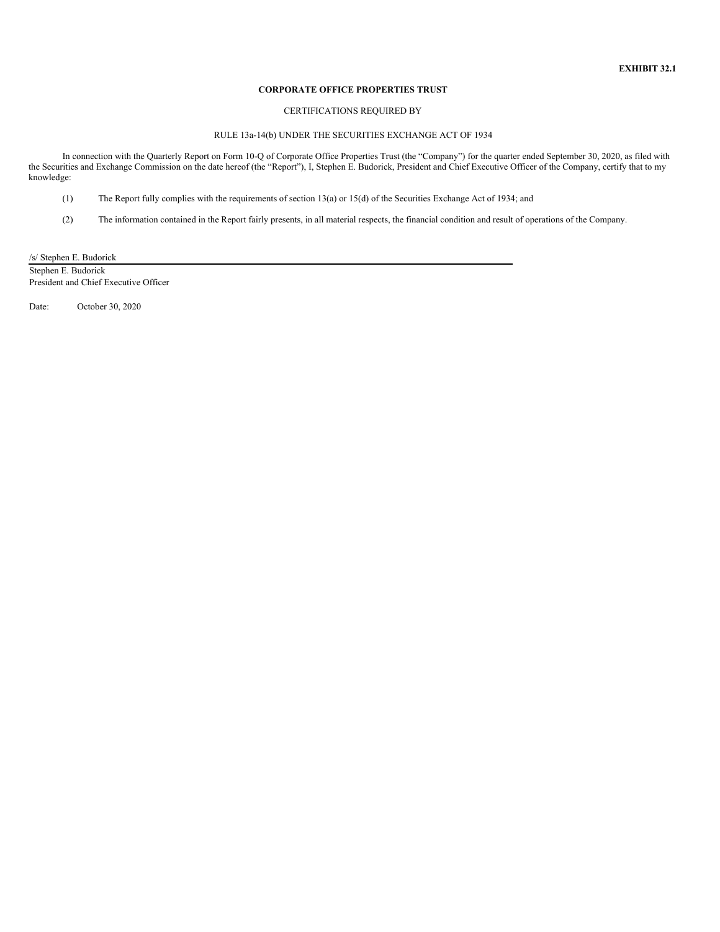## **CORPORATE OFFICE PROPERTIES TRUST**

CERTIFICATIONS REQUIRED BY

## RULE 13a-14(b) UNDER THE SECURITIES EXCHANGE ACT OF 1934

<span id="page-70-0"></span>In connection with the Quarterly Report on Form 10-Q of Corporate Office Properties Trust (the "Company") for the quarter ended September 30, 2020, as filed with the Securities and Exchange Commission on the date hereof (the "Report"), I, Stephen E. Budorick, President and Chief Executive Officer of the Company, certify that to my knowledge:

- (1) The Report fully complies with the requirements of section 13(a) or 15(d) of the Securities Exchange Act of 1934; and
- (2) The information contained in the Report fairly presents, in all material respects, the financial condition and result of operations of the Company.

/s/ Stephen E. Budorick Stephen E. Budorick President and Chief Executive Officer

Date: October 30, 2020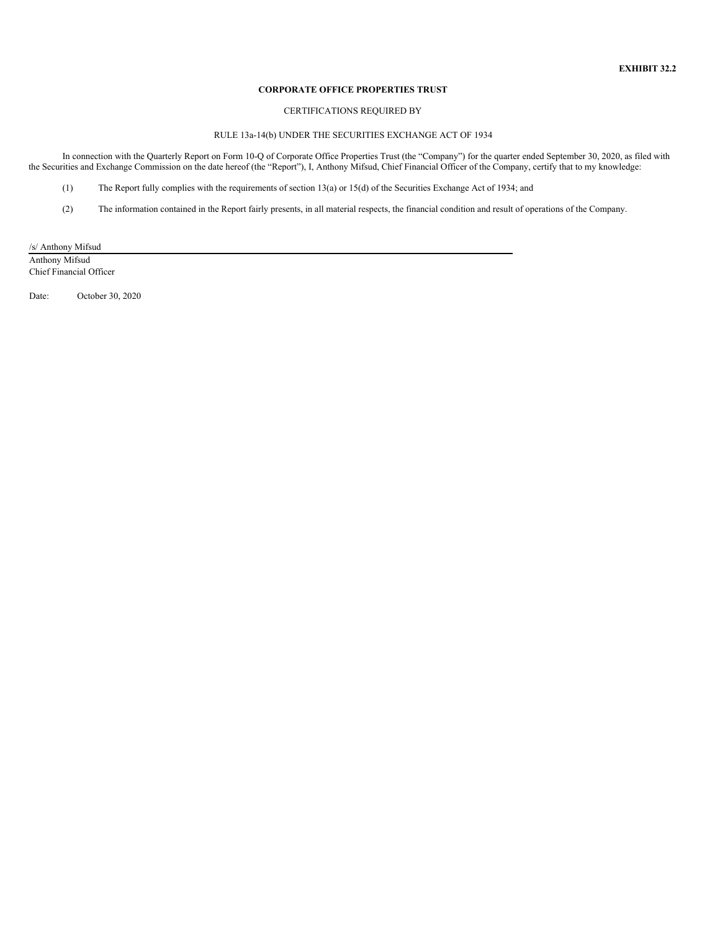## **CORPORATE OFFICE PROPERTIES TRUST**

# CERTIFICATIONS REQUIRED BY

## RULE 13a-14(b) UNDER THE SECURITIES EXCHANGE ACT OF 1934

<span id="page-71-0"></span>In connection with the Quarterly Report on Form 10-Q of Corporate Office Properties Trust (the "Company") for the quarter ended September 30, 2020, as filed with the Securities and Exchange Commission on the date hereof (the "Report"), I, Anthony Mifsud, Chief Financial Officer of the Company, certify that to my knowledge:

- (1) The Report fully complies with the requirements of section 13(a) or 15(d) of the Securities Exchange Act of 1934; and
- (2) The information contained in the Report fairly presents, in all material respects, the financial condition and result of operations of the Company.

/s/ Anthony Mifsud Anthony Mifsud Chief Financial Officer

Date: October 30, 2020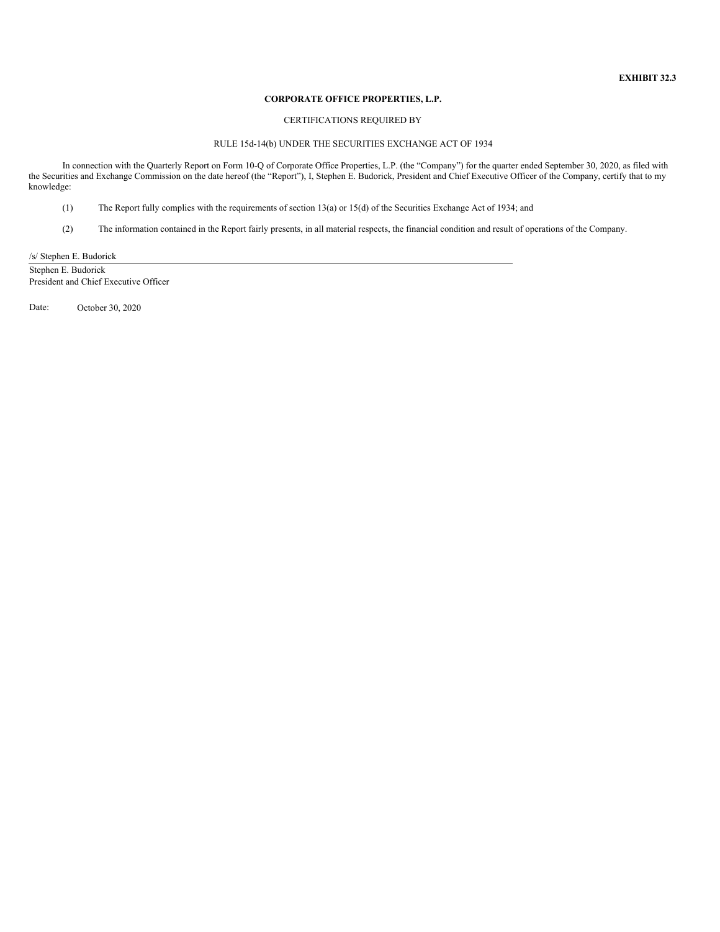## **CORPORATE OFFICE PROPERTIES, L.P.**

### CERTIFICATIONS REQUIRED BY

# RULE 15d-14(b) UNDER THE SECURITIES EXCHANGE ACT OF 1934

In connection with the Quarterly Report on Form 10-Q of Corporate Office Properties, L.P. (the "Company") for the quarter ended September 30, 2020, as filed with the Securities and Exchange Commission on the date hereof (the "Report"), I, Stephen E. Budorick, President and Chief Executive Officer of the Company, certify that to my knowledge:

- (1) The Report fully complies with the requirements of section 13(a) or 15(d) of the Securities Exchange Act of 1934; and
- (2) The information contained in the Report fairly presents, in all material respects, the financial condition and result of operations of the Company.

/s/ Stephen E. Budorick Stephen E. Budorick President and Chief Executive Officer

Date: October 30, 2020